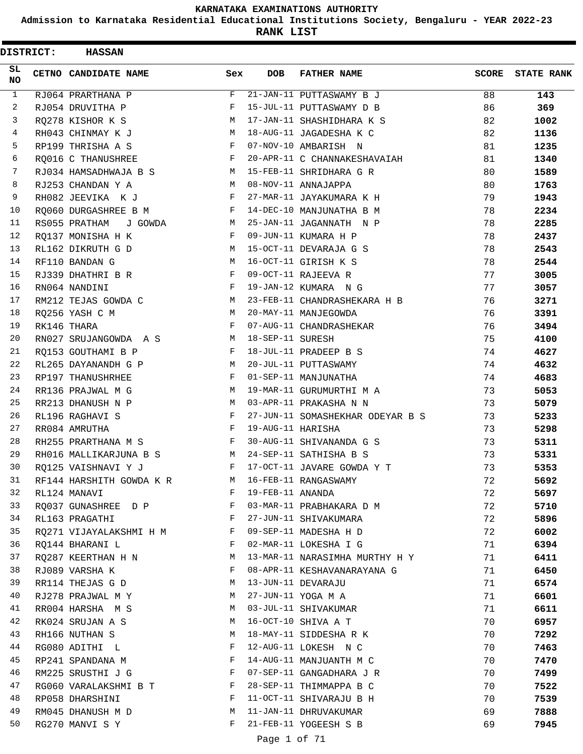**Admission to Karnataka Residential Educational Institutions Society, Bengaluru - YEAR 2022-23**

| <b>DISTRICT:</b> |  | <b>HASSAN</b>            |              |                   |                                  |              |                   |
|------------------|--|--------------------------|--------------|-------------------|----------------------------------|--------------|-------------------|
| SL<br><b>NO</b>  |  | CETNO CANDIDATE NAME     | Sex          | <b>DOB</b>        | <b>FATHER NAME</b>               | <b>SCORE</b> | <b>STATE RANK</b> |
| $\mathbf{1}$     |  | RJ064 PRARTHANA P        | F            |                   | 21-JAN-11 PUTTASWAMY B J         | 88           | 143               |
| 2                |  | RJ054 DRUVITHA P         | F            |                   | 15-JUL-11 PUTTASWAMY D B         | 86           | 369               |
| 3                |  | RQ278 KISHOR K S         | M            |                   | 17-JAN-11 SHASHIDHARA K S        | 82           | 1002              |
| 4                |  | RH043 CHINMAY K J        | M            |                   | 18-AUG-11 JAGADESHA K C          | 82           | 1136              |
| 5                |  | RP199 THRISHA A S        | F            |                   | 07-NOV-10 AMBARISH N             | 81           | 1235              |
| 6                |  | RO016 C THANUSHREE       | F            |                   | 20-APR-11 C CHANNAKESHAVAIAH     | 81           | 1340              |
| 7                |  | RJ034 HAMSADHWAJA B S    | M            |                   | 15-FEB-11 SHRIDHARA G R          | 80           | 1589              |
| 8                |  | RJ253 CHANDAN Y A        | M            |                   | 08-NOV-11 ANNAJAPPA              | 80           | 1763              |
| 9                |  | RH082 JEEVIKA K J        | F            |                   | 27-MAR-11 JAYAKUMARA K H         | 79           | 1943              |
| 10               |  | RQ060 DURGASHREE B M     | F            |                   | 14-DEC-10 MANJUNATHA B M         | 78           | 2234              |
| 11               |  | RS055 PRATHAM J GOWDA    | M            |                   | 25-JAN-11 JAGANNATH N P          | 78           | 2285              |
| 12               |  | RQ137 MONISHA H K        | F            |                   | 09-JUN-11 KUMARA H P             | 78           | 2437              |
| 13               |  | RL162 DIKRUTH G D        | M            |                   | 15-OCT-11 DEVARAJA G S           | 78           | 2543              |
| 14               |  | RF110 BANDAN G           | M            |                   | 16-OCT-11 GIRISH K S             | 78           | 2544              |
| 15               |  | RJ339 DHATHRI B R        | $\mathbf{F}$ |                   | 09-OCT-11 RAJEEVA R              | 77           | 3005              |
| 16               |  | RN064 NANDINI            | F            |                   | 19-JAN-12 KUMARA N G             | 77           | 3057              |
| 17               |  | RM212 TEJAS GOWDA C      | M            |                   | 23-FEB-11 CHANDRASHEKARA H B     | 76           | 3271              |
| 18               |  | RQ256 YASH C M           | M            |                   | 20-MAY-11 MANJEGOWDA             | 76           | 3391              |
| 19               |  | RK146 THARA              | F            |                   | 07-AUG-11 CHANDRASHEKAR          | 76           | 3494              |
| 20               |  | RN027 SRUJANGOWDA A S    | <b>M</b>     | 18-SEP-11 SURESH  |                                  | 75           | 4100              |
| 21               |  | RQ153 GOUTHAMI B P       | F            |                   | 18-JUL-11 PRADEEP B S            | 74           | 4627              |
| 22               |  | RL265 DAYANANDH G P      | M            |                   | 20-JUL-11 PUTTASWAMY             | 74           | 4632              |
| 23               |  | RP197 THANUSHRHEE        | F            |                   | 01-SEP-11 MANJUNATHA             | 74           | 4683              |
| 24               |  | RR136 PRAJWAL M G        | M            |                   | 19-MAR-11 GURUMURTHI M A         | 73           | 5053              |
| 25               |  | RR213 DHANUSH N P        | М            |                   | 03-APR-11 PRAKASHA N N           | 73           | 5079              |
| 26               |  | RL196 RAGHAVI S          | F            |                   | 27-JUN-11 SOMASHEKHAR ODEYAR B S | 73           | 5233              |
| 27               |  | RR084 AMRUTHA            | F            | 19-AUG-11 HARISHA |                                  | 73           | 5298              |
| 28               |  | RH255 PRARTHANA M S      | F            |                   | 30-AUG-11 SHIVANANDA G S         | 73           | 5311              |
| 29               |  | RH016 MALLIKARJUNA B S   | M            |                   | 24-SEP-11 SATHISHA B S           | 73           | 5331              |
| 30               |  | RQ125 VAISHNAVI Y J      | F            |                   | 17-OCT-11 JAVARE GOWDA Y T       | 73           | 5353              |
| 31               |  | RF144 HARSHITH GOWDA K R | М            |                   | 16-FEB-11 RANGASWAMY             | 72           | 5692              |
| 32               |  | RL124 MANAVI             | F            | 19-FEB-11 ANANDA  |                                  | 72           | 5697              |
| 33               |  | RO037 GUNASHREE D P      | F            |                   | 03-MAR-11 PRABHAKARA D M         | 72           | 5710              |
| 34               |  | RL163 PRAGATHI           | F            |                   | 27-JUN-11 SHIVAKUMARA            | 72           | 5896              |
| 35               |  | RO271 VIJAYALAKSHMI H M  | $\mathbf{F}$ |                   | 09-SEP-11 MADESHA H D            | 72           | 6002              |
| 36               |  | RO144 BHARANI L          | F            |                   | 02-MAR-11 LOKESHA I G            | 71           | 6394              |
| 37               |  | RQ287 KEERTHAN H N       | M            |                   | 13-MAR-11 NARASIMHA MURTHY H Y   | 71           | 6411              |
| 38               |  | RJ089 VARSHA K           | F            |                   | 08-APR-11 KESHAVANARAYANA G      | 71           | 6450              |
| 39               |  | RR114 THEJAS G D         | М            |                   | 13-JUN-11 DEVARAJU               | 71           | 6574              |
| 40               |  | RJ278 PRAJWAL M Y        | M            |                   | 27-JUN-11 YOGA M A               | 71           | 6601              |
| 41               |  | RR004 HARSHA M S         | M            |                   | 03-JUL-11 SHIVAKUMAR             | 71           | 6611              |
| 42               |  | RK024 SRUJAN A S         | M            |                   | 16-OCT-10 SHIVA A T              | 70           | 6957              |
| 43               |  | RH166 NUTHAN S           | М            |                   | 18-MAY-11 SIDDESHA R K           | 70           | 7292              |
| 44               |  | RG080 ADITHI L           | F            |                   | 12-AUG-11 LOKESH N C             | 70           | 7463              |
| 45               |  | RP241 SPANDANA M         | F            |                   | 14-AUG-11 MANJUANTH M C          | 70           | 7470              |
| 46               |  | RM225 SRUSTHI J G        | F            |                   | 07-SEP-11 GANGADHARA J R         | 70           | 7499              |
| 47               |  | RG060 VARALAKSHMI B T    | F            |                   | 28-SEP-11 THIMMAPPA B C          | 70           | 7522              |
| 48               |  | RP058 DHARSHINI          | F            |                   | 11-OCT-11 SHIVARAJU B H          | 70           | 7539              |
| 49               |  | RM045 DHANUSH M D        | M            |                   | 11-JAN-11 DHRUVAKUMAR            | 69           | 7888              |
| 50               |  | RG270 MANVI S Y          | F            |                   | 21-FEB-11 YOGEESH S B            | 69           | 7945              |
|                  |  |                          |              | Page 1 of 71      |                                  |              |                   |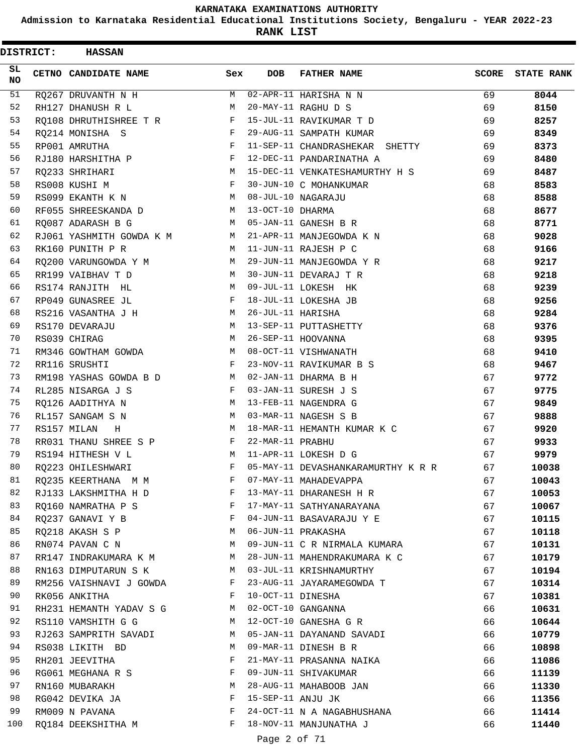**Admission to Karnataka Residential Educational Institutions Society, Bengaluru - YEAR 2022-23**

| <b>DISTRICT:</b> | <b>HASSAN</b>                                               |              |                   |                                    |              |                   |
|------------------|-------------------------------------------------------------|--------------|-------------------|------------------------------------|--------------|-------------------|
| SL.<br>NO.       | CETNO CANDIDATE NAME                                        | Sex          | <b>DOB</b>        | <b>FATHER NAME</b>                 | <b>SCORE</b> | <b>STATE RANK</b> |
| 51               | RQ267 DRUVANTH N H                                          | M            |                   | 02-APR-11 HARISHA N N              | 69           | 8044              |
| 52               | RH127 DHANUSH R L                                           | M            |                   | 20-MAY-11 RAGHU D S                | 69           | 8150              |
| 53               | RO108 DHRUTHISHREE T R                                      | F            |                   | 15-JUL-11 RAVIKUMAR T D            | 69           | 8257              |
| 54               | RQ214 MONISHA S                                             | F            |                   | 29-AUG-11 SAMPATH KUMAR            | 69           | 8349              |
| 55               | RP001 AMRUTHA                                               | F            |                   | 11-SEP-11 CHANDRASHEKAR SHETTY     | 69           | 8373              |
| 56               | RJ180 HARSHITHA P                                           | $\mathbf{F}$ |                   | 12-DEC-11 PANDARINATHA A           | 69           | 8480              |
| 57               | RQ233 SHRIHARI                                              | M            |                   | 15-DEC-11 VENKATESHAMURTHY H S     | 69           | 8487              |
| 58               | RS008 KUSHI M                                               | F            |                   | 30-JUN-10 C MOHANKUMAR             | 68           | 8583              |
| 59               | RS099 EKANTH K N                                            | M            |                   | 08-JUL-10 NAGARAJU                 | 68           | 8588              |
| 60               | RF055 SHREESKANDA D                                         | M            | 13-OCT-10 DHARMA  |                                    | 68           | 8677              |
| 61               | RQ087 ADARASH B G                                           | M            |                   | 05-JAN-11 GANESH B R               | 68           | 8771              |
| 62               | RJ061 YASHMITH GOWDA K M                                    | M            |                   | 21-APR-11 MANJEGOWDA K N           | 68           | 9028              |
| 63               | RK160 PUNITH P R                                            | M            |                   | 11-JUN-11 RAJESH P C               | 68           | 9166              |
| 64               | RQ200 VARUNGOWDA Y M                                        | M            |                   | 29-JUN-11 MANJEGOWDA Y R           | 68           | 9217              |
| 65               | RR199 VAIBHAV T D                                           | M            |                   | 30-JUN-11 DEVARAJ T R              | 68           | 9218              |
| 66               | RS174 RANJITH HL                                            | M            |                   | 09-JUL-11 LOKESH HK                | 68           | 9239              |
| 67               | RP049 GUNASREE JL                                           | F            |                   | 18-JUL-11 LOKESHA JB               | 68           | 9256              |
| 68               | RS216 VASANTHA J H                                          | М            | 26-JUL-11 HARISHA |                                    | 68           | 9284              |
| 69               | RS170 DEVARAJU                                              | М            |                   | 13-SEP-11 PUTTASHETTY              | 68           | 9376              |
| 70               | RS039 CHIRAG                                                | М            |                   | 26-SEP-11 HOOVANNA                 | 68           | 9395              |
| 71               | RM346 GOWTHAM GOWDA                                         | M            |                   | 08-OCT-11 VISHWANATH               | 68           | 9410              |
| 72               | RR116 SRUSHTI                                               | F            |                   | 23-NOV-11 RAVIKUMAR B S            | 68           | 9467              |
| 73               | RM198 YASHAS GOWDA B D                                      | M            |                   | 02-JAN-11 DHARMA B H               | 67           | 9772              |
| 74               | RL285 NISARGA J S                                           | F            |                   | 03-JAN-11 SURESH J S               | 67           | 9775              |
| 75               | RQ126 AADITHYA N                                            | M            |                   | 13-FEB-11 NAGENDRA G               | 67           | 9849              |
| 76               | RL157 SANGAM S N                                            | M            |                   | 03-MAR-11 NAGESH S B               | 67           | 9888              |
| 77               | RS157 MILAN<br>Н                                            | М            |                   | 18-MAR-11 HEMANTH KUMAR K C        | 67           | 9920              |
| 78               | RR031 THANU SHREE S P                                       | F            | 22-MAR-11 PRABHU  |                                    | 67           | 9933              |
| 79               | RS194 HITHESH V L                                           | M            |                   | 11-APR-11 LOKESH D G               | 67           | 9979              |
| 80               | RO223 OHILESHWARI                                           | F            |                   | 05-MAY-11 DEVASHANKARAMURTHY K R R | 67           | 10038             |
| 81               | RQ235 KEERTHANA M M                                         | F            |                   | 07-MAY-11 MAHADEVAPPA              | 67           | 10043             |
| 82               | RJ133 LAKSHMITHA H D<br><b>Experimental Service Service</b> |              |                   | 13-MAY-11 DHARANESH H R            | 67           | 10053             |
| 83               | RQ160 NAMRATHA P S                                          | $\mathbf{F}$ |                   | 17-MAY-11 SATHYANARAYANA           | 67           | 10067             |
| 84               | RQ237 GANAVI Y B                                            | F            |                   | 04-JUN-11 BASAVARAJU Y E           | 67           | 10115             |
| 85               | RQ218 AKASH S P                                             | M            |                   | 06-JUN-11 PRAKASHA                 | 67           | 10118             |
| 86               | RN074 PAVAN C N                                             | M            |                   | 09-JUN-11 C R NIRMALA KUMARA       | 67           | 10131             |
| 87               | RR147 INDRAKUMARA K M                                       | M            |                   | 28-JUN-11 MAHENDRAKUMARA K C       | 67           | 10179             |
| 88               | RN163 DIMPUTARUN S K                                        | M            |                   | 03-JUL-11 KRISHNAMURTHY            | 67           | 10194             |
| 89               | RM256 VAISHNAVI J GOWDA                                     | F            |                   | 23-AUG-11 JAYARAMEGOWDA T          | 67           | 10314             |
| 90               | RK056 ANKITHA                                               | F            | 10-OCT-11 DINESHA |                                    | 67           | 10381             |
| 91               | RH231 HEMANTH YADAV S G                                     | M            |                   | 02-OCT-10 GANGANNA                 | 66           | 10631             |
| 92               | RS110 VAMSHITH G G                                          | M            |                   | 12-OCT-10 GANESHA G R              | 66           | 10644             |
| 93               | RJ263 SAMPRITH SAVADI                                       | M            |                   | 05-JAN-11 DAYANAND SAVADI          | 66           | 10779             |
| 94               | RS038 LIKITH BD                                             | M            |                   | 09-MAR-11 DINESH B R               | 66           | 10898             |
| 95               | RH201 JEEVITHA                                              | F            |                   | 21-MAY-11 PRASANNA NAIKA           | 66           | 11086             |
| 96               | RG061 MEGHANA R S                                           | F            |                   | 09-JUN-11 SHIVAKUMAR               | 66           | 11139             |
| 97               | RN160 MUBARAKH                                              | М            |                   | 28-AUG-11 MAHABOOB JAN             | 66           | 11330             |
| 98               | RG042 DEVIKA JA                                             | F            | 15-SEP-11 ANJU JK |                                    | 66           | 11356             |
| 99               | RM009 N PAVANA                                              | F            |                   | 24-OCT-11 N A NAGABHUSHANA         | 66           | 11414             |
| 100              | RQ184 DEEKSHITHA M                                          | F            |                   | 18-NOV-11 MANJUNATHA J             | 66           | 11440             |
|                  |                                                             |              | Page 2 of 71      |                                    |              |                   |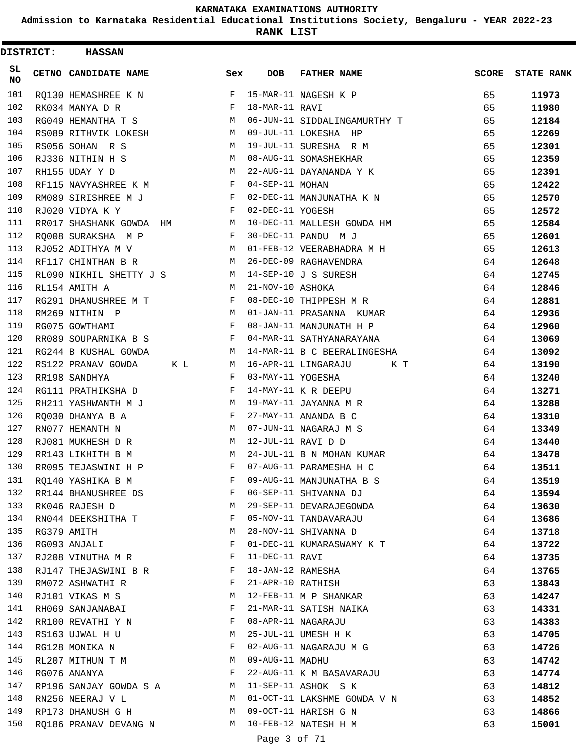**Admission to Karnataka Residential Educational Institutions Society, Bengaluru - YEAR 2022-23**

| <b>DISTRICT:</b> | <b>HASSAN</b>             |     |                   |                              |              |                   |
|------------------|---------------------------|-----|-------------------|------------------------------|--------------|-------------------|
| SL<br><b>NO</b>  | CETNO CANDIDATE NAME      | Sex | <b>DOB</b>        | <b>FATHER NAME</b>           | <b>SCORE</b> | <b>STATE RANK</b> |
| 101              | RQ130 HEMASHREE K N       | F   |                   | 15-MAR-11 NAGESH K P         | 65           | 11973             |
| 102              | RK034 MANYA D R           | F   | 18-MAR-11 RAVI    |                              | 65           | 11980             |
| 103              | RG049 HEMANTHA T S        | M   |                   | 06-JUN-11 SIDDALINGAMURTHY T | 65           | 12184             |
| 104              | RS089 RITHVIK LOKESH      | М   |                   | 09-JUL-11 LOKESHA HP         | 65           | 12269             |
| 105              | RS056 SOHAN R S           | M   |                   | 19-JUL-11 SURESHA R M        | 65           | 12301             |
| 106              | RJ336 NITHIN H S          | М   |                   | 08-AUG-11 SOMASHEKHAR        | 65           | 12359             |
| 107              | RH155 UDAY Y D            | M   |                   | 22-AUG-11 DAYANANDA Y K      | 65           | 12391             |
| 108              | RF115 NAVYASHREE K M      | F   | 04-SEP-11 MOHAN   |                              | 65           | 12422             |
| 109              | RM089 SIRISHREE M J       | F   |                   | 02-DEC-11 MANJUNATHA K N     | 65           | 12570             |
| 110              | RJ020 VIDYA K Y           | F   | 02-DEC-11 YOGESH  |                              | 65           | 12572             |
| 111              | RR017 SHASHANK GOWDA HM   | М   |                   | 10-DEC-11 MALLESH GOWDA HM   | 65           | 12584             |
| 112              | RO008 SURAKSHA M P        | F   |                   | 30-DEC-11 PANDU M J          | 65           | 12601             |
| 113              | RJ052 ADITHYA M V         | M   |                   | 01-FEB-12 VEERABHADRA M H    | 65           | 12613             |
| 114              | RF117 CHINTHAN B R        | М   |                   | 26-DEC-09 RAGHAVENDRA        | 64           | 12648             |
| 115              | RL090 NIKHIL SHETTY J S   | М   |                   | 14-SEP-10 J S SURESH         | 64           | 12745             |
| 116              | RL154 AMITH A             | M   | 21-NOV-10 ASHOKA  |                              | 64           | 12846             |
| 117              | RG291 DHANUSHREE M T      | F   |                   | 08-DEC-10 THIPPESH M R       | 64           | 12881             |
| 118              | RM269 NITHIN P            | М   |                   | 01-JAN-11 PRASANNA KUMAR     | 64           | 12936             |
| 119              | RG075 GOWTHAMI            | F   |                   | 08-JAN-11 MANJUNATH H P      | 64           | 12960             |
| 120              | RR089 SOUPARNIKA B S      | F   |                   | 04-MAR-11 SATHYANARAYANA     | 64           | 13069             |
| 121              | RG244 B KUSHAL GOWDA      | М   |                   | 14-MAR-11 B C BEERALINGESHA  | 64           | 13092             |
| 122              | RS122 PRANAV GOWDA<br>K L | М   |                   | 16-APR-11 LINGARAJU<br>K T   | 64           | 13190             |
| 123              | RR198 SANDHYA             | F   | 03-MAY-11 YOGESHA |                              | 64           | 13240             |
| 124              | RG111 PRATHIKSHA D        | F   |                   | 14-MAY-11 K R DEEPU          | 64           | 13271             |
| 125              | RH211 YASHWANTH M J       | М   |                   | 19-MAY-11 JAYANNA M R        | 64           | 13288             |
| 126              | RQ030 DHANYA B A          | F   |                   | 27-MAY-11 ANANDA B C         | 64           | 13310             |
| 127              | RN077 HEMANTH N           | M   |                   | 07-JUN-11 NAGARAJ M S        | 64           | 13349             |
| 128              | RJ081 MUKHESH D R         | М   |                   | 12-JUL-11 RAVI D D           | 64           | 13440             |
| 129              | RR143 LIKHITH B M         | M   |                   | 24-JUL-11 B N MOHAN KUMAR    | 64           | 13478             |
| 130              | RR095 TEJASWINI H P       | F   |                   | 07-AUG-11 PARAMESHA H C      | 64           | 13511             |
| 131              | RQ140 YASHIKA B M         | F   |                   | 09-AUG-11 MANJUNATHA B S     | 64           | 13519             |
| 132              | RR144 BHANUSHREE DS       | F   |                   | 06-SEP-11 SHIVANNA DJ        | 64           | 13594             |
| 133              | RK046 RAJESH D            | М   |                   | 29-SEP-11 DEVARAJEGOWDA      | 64           | 13630             |
| 134              | RN044 DEEKSHITHA T        | F   |                   | 05-NOV-11 TANDAVARAJU        | 64           | 13686             |
| 135              | RG379 AMITH               | М   |                   | 28-NOV-11 SHIVANNA D         | 64           | 13718             |
| 136              | RG093 ANJALI              | F   |                   | 01-DEC-11 KUMARASWAMY K T    | 64           | 13722             |
| 137              | RJ208 VINUTHA M R         | F   | 11-DEC-11 RAVI    |                              | 64           | 13735             |
| 138              | RJ147 THEJASWINI B R      | F   |                   | 18-JAN-12 RAMESHA            | 64           | 13765             |
| 139              | RM072 ASHWATHI R          | F   |                   | 21-APR-10 RATHISH            | 63           | 13843             |
| 140              | RJ101 VIKAS M S           | M   |                   | 12-FEB-11 M P SHANKAR        | 63           | 14247             |
| 141              | RH069 SANJANABAI          | F   |                   | 21-MAR-11 SATISH NAIKA       | 63           | 14331             |
| 142              | RR100 REVATHI Y N         | F   |                   | 08-APR-11 NAGARAJU           | 63           | 14383             |
| 143              | RS163 UJWAL H U           | M   |                   | 25-JUL-11 UMESH H K          | 63           | 14705             |
| 144              | RG128 MONIKA N            | F   |                   | 02-AUG-11 NAGARAJU M G       | 63           | 14726             |
| 145              | RL207 MITHUN T M          | М   | 09-AUG-11 MADHU   |                              | 63           | 14742             |
| 146              | RG076 ANANYA              | F   |                   | 22-AUG-11 K M BASAVARAJU     | 63           | 14774             |
| 147              | RP196 SANJAY GOWDA S A    | M   |                   | 11-SEP-11 ASHOK S K          | 63           | 14812             |
| 148              | RN256 NEERAJ V L          | M   |                   | 01-OCT-11 LAKSHME GOWDA V N  | 63           | 14852             |
| 149              | RP173 DHANUSH G H         | M   |                   | 09-OCT-11 HARISH G N         | 63           | 14866             |
| 150              | RQ186 PRANAV DEVANG N     | M   |                   | 10-FEB-12 NATESH H M         | 63           | 15001             |
|                  |                           |     | Page 3 of 71      |                              |              |                   |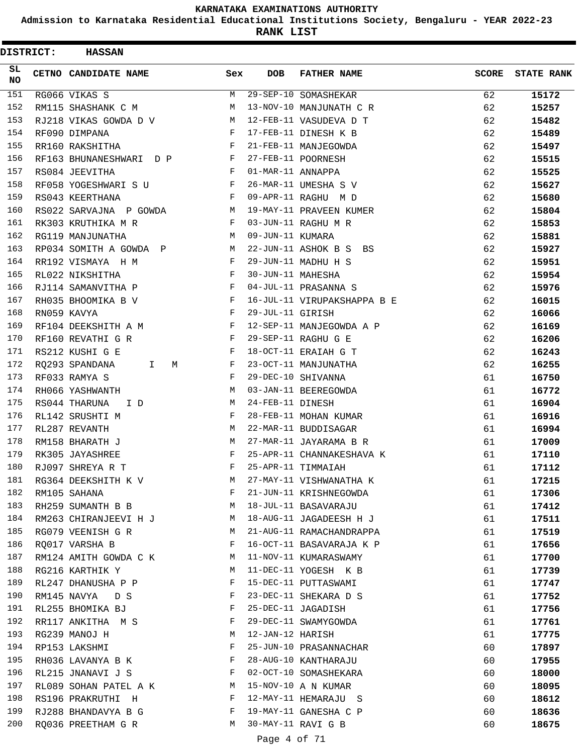**Admission to Karnataka Residential Educational Institutions Society, Bengaluru - YEAR 2022-23**

**RANK LIST**

| <b>DISTRICT:</b> | <b>HASSAN</b>                      |     |                   |                             |              |                   |
|------------------|------------------------------------|-----|-------------------|-----------------------------|--------------|-------------------|
| SL<br><b>NO</b>  | CETNO CANDIDATE NAME               | Sex | <b>DOB</b>        | <b>FATHER NAME</b>          | <b>SCORE</b> | <b>STATE RANK</b> |
| 151              | RG066 VIKAS S                      | M   |                   | 29-SEP-10 SOMASHEKAR        | 62           | 15172             |
| 152              | RM115 SHASHANK C M                 | М   |                   | 13-NOV-10 MANJUNATH C R     | 62           | 15257             |
| 153              | RJ218 VIKAS GOWDA D V              | М   |                   | 12-FEB-11 VASUDEVA D T      | 62           | 15482             |
| 154              | RF090 DIMPANA                      | F   |                   | 17-FEB-11 DINESH K B        | 62           | 15489             |
| 155              | RR160 RAKSHITHA                    | F   |                   | 21-FEB-11 MANJEGOWDA        | 62           | 15497             |
| 156              | RF163 BHUNANESHWARI D P            | F   |                   | 27-FEB-11 POORNESH          | 62           | 15515             |
| 157              | RS084 JEEVITHA                     | F   | 01-MAR-11 ANNAPPA |                             | 62           | 15525             |
| 158              | RF058 YOGESHWARI S U               | F   |                   | 26-MAR-11 UMESHA S V        | 62           | 15627             |
| 159              | RS043 KEERTHANA                    | F   |                   | 09-APR-11 RAGHU M D         | 62           | 15680             |
| 160              | RS022 SARVAJNA P GOWDA             | М   |                   | 19-MAY-11 PRAVEEN KUMER     | 62           | 15804             |
| 161              | RK303 KRUTHIKA M R                 | F   |                   | 03-JUN-11 RAGHU M R         | 62           | 15853             |
| 162              | RG119 MANJUNATHA                   | М   | 09-JUN-11 KUMARA  |                             | 62           | 15881             |
| 163              | RP034 SOMITH A GOWDA P             | М   |                   | 22-JUN-11 ASHOK B S BS      | 62           | 15927             |
| 164              | RR192 VISMAYA H M                  | F   |                   | 29-JUN-11 MADHU H S         | 62           | 15951             |
| 165              | RL022 NIKSHITHA                    | F   | 30-JUN-11 MAHESHA |                             | 62           | 15954             |
| 166              | RJ114 SAMANVITHA P                 | F   |                   | 04-JUL-11 PRASANNA S        | 62           | 15976             |
| 167              | RH035 BHOOMIKA B V                 | F   |                   | 16-JUL-11 VIRUPAKSHAPPA B E | 62           | 16015             |
| 168              | RN059 KAVYA                        | F   | 29-JUL-11 GIRISH  |                             | 62           | 16066             |
| 169              | RF104 DEEKSHITH A M                | F   |                   | 12-SEP-11 MANJEGOWDA A P    | 62           | 16169             |
| 170              | RF160 REVATHI G R                  | F   |                   | 29-SEP-11 RAGHU G E         | 62           | 16206             |
| 171              | RS212 KUSHI G E                    | F   |                   | 18-OCT-11 ERAIAH G T        | 62           | 16243             |
| 172              | RQ293 SPANDANA<br>M<br>I.          | F   |                   | 23-OCT-11 MANJUNATHA        | 62           | 16255             |
| 173              | RF033 RAMYA S                      | F   |                   | 29-DEC-10 SHIVANNA          | 61           | 16750             |
| 174              | RH066 YASHWANTH                    | M   |                   | 03-JAN-11 BEEREGOWDA        | 61           | 16772             |
| 175              | RS044 THARUNA<br>I D               | М   | 24-FEB-11 DINESH  |                             | 61           | 16904             |
| 176              | RL142 SRUSHTI M                    | F   |                   | 28-FEB-11 MOHAN KUMAR       | 61           | 16916             |
| 177              | RL287 REVANTH                      | М   |                   | 22-MAR-11 BUDDISAGAR        | 61           | 16994             |
| 178              | RM158 BHARATH J                    | М   |                   | 27-MAR-11 JAYARAMA B R      | 61           | 17009             |
| 179              | RK305 JAYASHREE                    | F   |                   | 25-APR-11 CHANNAKESHAVA K   | 61           | 17110             |
| 180              | RJ097 SHREYA R T                   | F   |                   | 25-APR-11 TIMMAIAH          | 61           | 17112             |
| 181              | RG364 DEEKSHITH K V                | М   |                   | 27-MAY-11 VISHWANATHA K     | 61           | 17215             |
| 182              | RM105 SAHANA                       | F   |                   | 21-JUN-11 KRISHNEGOWDA      | 61           | 17306             |
| 183              | RH259 SUMANTH B B                  | M   |                   | 18-JUL-11 BASAVARAJU        | 61           | 17412             |
| 184              | RM263 CHIRANJEEVI H J              | М   |                   | 18-AUG-11 JAGADEESH H J     | 61           | 17511             |
| 185              | RG079 VEENISH G R                  | М   |                   | 21-AUG-11 RAMACHANDRAPPA    | 61           | 17519             |
| 186              | RQ017 VARSHA B                     | F   |                   | 16-OCT-11 BASAVARAJA K P    | 61           | 17656             |
| 187              | RM124 AMITH GOWDA C K              | M   |                   | 11-NOV-11 KUMARASWAMY       | 61           | 17700             |
| 188              | RG216 KARTHIK Y                    | М   |                   | 11-DEC-11 YOGESH K B        | 61           | 17739             |
| 189              | RL247 DHANUSHA P P                 | F   |                   | 15-DEC-11 PUTTASWAMI        | 61           | 17747             |
| 190              | RM145 NAVYA<br>D S                 | F   |                   | 23-DEC-11 SHEKARA D S       | 61           | 17752             |
| 191              |                                    | F   |                   | 25-DEC-11 JAGADISH          | 61           |                   |
| 192              | RL255 BHOMIKA BJ                   | F   |                   | 29-DEC-11 SWAMYGOWDA        | 61           | 17756             |
| 193              | RR117 ANKITHA M S                  | М   | 12-JAN-12 HARISH  |                             |              | 17761             |
| 194              | RG239 MANOJ H                      | F   |                   | 25-JUN-10 PRASANNACHAR      | 61<br>60     | 17775             |
| 195              | RP153 LAKSHMI<br>RH036 LAVANYA B K | F   |                   | 28-AUG-10 KANTHARAJU        | 60           | 17897<br>17955    |
| 196              |                                    | F   |                   | 02-OCT-10 SOMASHEKARA       |              |                   |
| 197              | RL215 JNANAVI J S                  |     |                   | 15-NOV-10 A N KUMAR         | 60           | 18000             |
|                  | RL089 SOHAN PATEL A K              | M   |                   |                             | 60           | 18095             |
| 198              | RS196 PRAKRUTHI H                  | F   |                   | 12-MAY-11 HEMARAJU S        | 60           | 18612             |
| 199              | RJ288 BHANDAVYA B G                | F   |                   | 19-MAY-11 GANESHA C P       | 60           | 18636             |
| 200              | RQ036 PREETHAM G R                 | М   |                   | 30-MAY-11 RAVI G B          | 60           | 18675             |

Page 4 of 71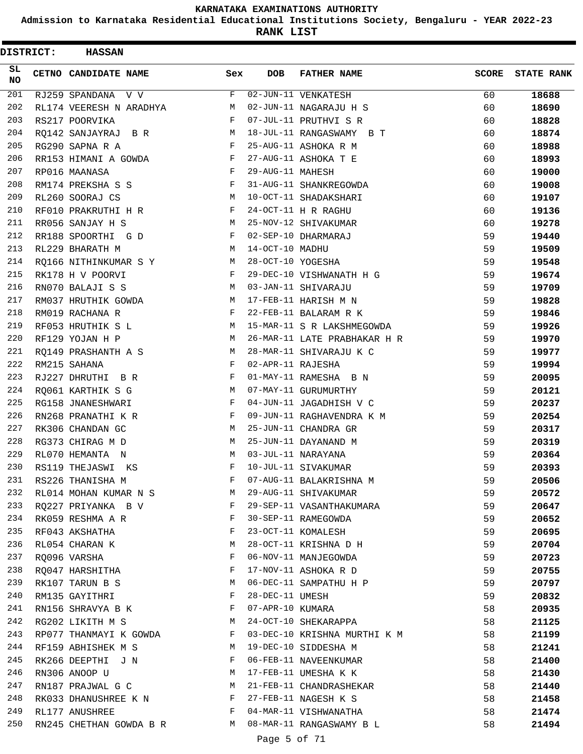**Admission to Karnataka Residential Educational Institutions Society, Bengaluru - YEAR 2022-23**

**RANK LIST**

| <b>DISTRICT:</b> | <b>HASSAN</b>           |     |                   |                              |              |                   |
|------------------|-------------------------|-----|-------------------|------------------------------|--------------|-------------------|
| SL<br><b>NO</b>  | CETNO CANDIDATE NAME    | Sex | DOB               | <b>FATHER NAME</b>           | <b>SCORE</b> | <b>STATE RANK</b> |
| 201              | RJ259 SPANDANA V V      | F   |                   | 02-JUN-11 VENKATESH          | 60           | 18688             |
| 202              | RL174 VEERESH N ARADHYA | М   |                   | 02-JUN-11 NAGARAJU H S       | 60           | 18690             |
| 203              | RS217 POORVIKA          | F   |                   | 07-JUL-11 PRUTHVI S R        | 60           | 18828             |
| 204              | RQ142 SANJAYRAJ B R     | М   |                   | 18-JUL-11 RANGASWAMY B T     | 60           | 18874             |
| 205              | RG290 SAPNA R A         | F   |                   | 25-AUG-11 ASHOKA R M         | 60           | 18988             |
| 206              | RR153 HIMANI A GOWDA    | F   |                   | 27-AUG-11 ASHOKA T E         | 60           | 18993             |
| 207              | RP016 MAANASA           | F   | 29-AUG-11 MAHESH  |                              | 60           | 19000             |
| 208              | RM174 PREKSHA S S       | F   |                   | 31-AUG-11 SHANKREGOWDA       | 60           | 19008             |
| 209              | RL260 SOORAJ CS         | M   |                   | 10-OCT-11 SHADAKSHARI        | 60           | 19107             |
| 210              | RF010 PRAKRUTHI H R     | F   |                   | 24-OCT-11 H R RAGHU          | 60           | 19136             |
| 211              | RR056 SANJAY H S        | М   |                   | 25-NOV-12 SHIVAKUMAR         | 60           | 19278             |
| 212              | RR188 SPOORTHI G D      | F   |                   | 02-SEP-10 DHARMARAJ          | 59           | 19440             |
| 213              | RL229 BHARATH M         | M   | 14-OCT-10 MADHU   |                              | 59           | 19509             |
| 214              | RO166 NITHINKUMAR S Y   | М   | 28-OCT-10 YOGESHA |                              | 59           | 19548             |
| 215              | RK178 H V POORVI        | F   |                   | 29-DEC-10 VISHWANATH H G     | 59           | 19674             |
| 216              | RN070 BALAJI S S        | М   |                   | 03-JAN-11 SHIVARAJU          | 59           | 19709             |
| 217              | RM037 HRUTHIK GOWDA     | М   |                   | 17-FEB-11 HARISH M N         | 59           | 19828             |
| 218              | RM019 RACHANA R         | F   |                   | 22-FEB-11 BALARAM R K        | 59           | 19846             |
| 219              | RF053 HRUTHIK S L       | М   |                   | 15-MAR-11 S R LAKSHMEGOWDA   | 59           | 19926             |
| 220              | RF129 YOJAN H P         | M   |                   | 26-MAR-11 LATE PRABHAKAR H R | 59           | 19970             |
| 221              | RQ149 PRASHANTH A S     | М   |                   | 28-MAR-11 SHIVARAJU K C      | 59           | 19977             |
| 222              | RM215 SAHANA            | F   | 02-APR-11 RAJESHA |                              | 59           | 19994             |
| 223              | RJ227 DHRUTHI B R       | F   |                   | 01-MAY-11 RAMESHA B N        | 59           | 20095             |
| 224              | RQ061 KARTHIK S G       | M   |                   | 07-MAY-11 GURUMURTHY         | 59           | 20121             |
| 225              | RG158 JNANESHWARI       | F   |                   | 04-JUN-11 JAGADHISH V C      | 59           | 20237             |
| 226              | RN268 PRANATHI K R      | F   |                   | 09-JUN-11 RAGHAVENDRA K M    | 59           | 20254             |
| 227              | RK306 CHANDAN GC        | М   |                   | 25-JUN-11 CHANDRA GR         | 59           | 20317             |
| 228              | RG373 CHIRAG M D        | М   |                   | 25-JUN-11 DAYANAND M         | 59           | 20319             |
| 229              | RL070 HEMANTA N         | M   |                   | 03-JUL-11 NARAYANA           | 59           | 20364             |
| 230              | RS119 THEJASWI<br>KS    | F   |                   | 10-JUL-11 SIVAKUMAR          | 59           | 20393             |
| 231              | RS226 THANISHA M        | F   |                   | 07-AUG-11 BALAKRISHNA M      | 59           | 20506             |
| 232              | RL014 MOHAN KUMAR N S   | M   |                   | 29-AUG-11 SHIVAKUMAR         | 59           | 20572             |
| 233              | RQ227 PRIYANKA B V      | F   |                   | 29-SEP-11 VASANTHAKUMARA     | 59           | 20647             |
| 234              | RK059 RESHMA A R        | F   |                   | 30-SEP-11 RAMEGOWDA          | 59           | 20652             |
| 235              | RF043 AKSHATHA          | F   |                   | 23-OCT-11 KOMALESH           | 59           | 20695             |
| 236              | RL054 CHARAN K          | М   |                   | 28-OCT-11 KRISHNA D H        | 59           | 20704             |
| 237              | RQ096 VARSHA            | F   |                   | 06-NOV-11 MANJEGOWDA         | 59           | 20723             |
| 238              | RQ047 HARSHITHA         | F   |                   | 17-NOV-11 ASHOKA R D         | 59           | 20755             |
| 239              | RK107 TARUN B S         | М   |                   | 06-DEC-11 SAMPATHU H P       | 59           | 20797             |
| 240              | RM135 GAYITHRI          | F   | 28-DEC-11 UMESH   |                              | 59           | 20832             |
| 241              | RN156 SHRAVYA B K       | F   | 07-APR-10 KUMARA  |                              | 58           | 20935             |
| 242              | RG202 LIKITH M S        | M   |                   | 24-OCT-10 SHEKARAPPA         | 58           | 21125             |
| 243              | RP077 THANMAYI K GOWDA  | F   |                   | 03-DEC-10 KRISHNA MURTHI K M | 58           | 21199             |
| 244              | RF159 ABHISHEK M S      | М   |                   | 19-DEC-10 SIDDESHA M         | 58           | 21241             |
| 245              | RK266 DEEPTHI J N       | F   |                   | 06-FEB-11 NAVEENKUMAR        | 58           | 21400             |
| 246              | RN306 ANOOP U           | M   |                   | 17-FEB-11 UMESHA K K         | 58           | 21430             |
| 247              | RN187 PRAJWAL G C       | М   |                   | 21-FEB-11 CHANDRASHEKAR      | 58           | 21440             |
| 248              | RK033 DHANUSHREE K N    | F   |                   | 27-FEB-11 NAGESH K S         | 58           | 21458             |
| 249              | RL177 ANUSHREE          | F   |                   | 04-MAR-11 VISHWANATHA        | 58           | 21474             |
| 250              | RN245 CHETHAN GOWDA B R | M   |                   | 08-MAR-11 RANGASWAMY B L     | 58           | 21494             |
|                  |                         |     |                   |                              |              |                   |

Page 5 of 71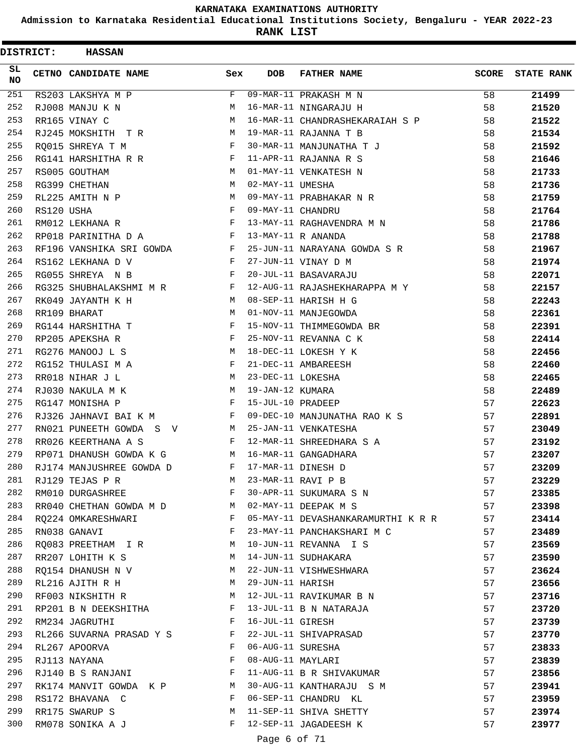**Admission to Karnataka Residential Educational Institutions Society, Bengaluru - YEAR 2022-23**

**RANK LIST**

 $\blacksquare$ 

| <b>DISTRICT:</b> |            | <b>HASSAN</b>                                                            |              |                   |                                    |              |                   |
|------------------|------------|--------------------------------------------------------------------------|--------------|-------------------|------------------------------------|--------------|-------------------|
| SL.<br>NO.       |            | CETNO CANDIDATE NAME                                                     | Sex          | <b>DOB</b>        | <b>FATHER NAME</b>                 | <b>SCORE</b> | <b>STATE RANK</b> |
| 251              |            | RS203 LAKSHYA M P                                                        | F            |                   | 09-MAR-11 PRAKASH M N              | 58           | 21499             |
| 252              |            | RJ008 MANJU K N                                                          | M            |                   | 16-MAR-11 NINGARAJU H              | 58           | 21520             |
| 253              |            | RR165 VINAY C                                                            | M            |                   | 16-MAR-11 CHANDRASHEKARAIAH S P    | 58           | 21522             |
| 254              |            | RJ245 MOKSHITH TR                                                        | М            |                   | 19-MAR-11 RAJANNA T B              | 58           | 21534             |
| 255              |            | RQ015 SHREYA T M                                                         | F            |                   | 30-MAR-11 MANJUNATHA T J           | 58           | 21592             |
| 256              |            | RG141 HARSHITHA R R                                                      | F            |                   | 11-APR-11 RAJANNA R S              | 58           | 21646             |
| 257              |            | RS005 GOUTHAM                                                            | M            |                   | 01-MAY-11 VENKATESH N              | 58           | 21733             |
| 258              |            | RG399 CHETHAN                                                            | М            | 02-MAY-11 UMESHA  |                                    | 58           | 21736             |
| 259              |            | RL225 AMITH N P                                                          | M            |                   | 09-MAY-11 PRABHAKAR N R            | 58           | 21759             |
| 260              | RS120 USHA |                                                                          | F            | 09-MAY-11 CHANDRU |                                    | 58           | 21764             |
| 261              |            | RM012 LEKHANA R                                                          | F            |                   | 13-MAY-11 RAGHAVENDRA M N          | 58           | 21786             |
| 262              |            | RP018 PARINITHA D A<br><b>Example 20</b> Service Service Service Service |              |                   | 13-MAY-11 R ANANDA                 | 58           | 21788             |
| 263              |            | RF196 VANSHIKA SRI GOWDA<br>$\mathbf{F}$ and $\mathbf{F}$                |              |                   | 25-JUN-11 NARAYANA GOWDA S R       | 58           | 21967             |
| 264              |            | RS162 LEKHANA D V                                                        | $\mathbf{F}$ |                   | 27-JUN-11 VINAY D M                | 58           | 21974             |
| 265              |            | RG055 SHREYA N B                                                         | F            |                   | 20-JUL-11 BASAVARAJU               | 58           | 22071             |
| 266              |            | RG325 SHUBHALAKSHMI M R                                                  | F            |                   | 12-AUG-11 RAJASHEKHARAPPA M Y      | 58           | 22157             |
| 267              |            | RK049 JAYANTH K H                                                        | M            |                   | 08-SEP-11 HARISH H G               | 58           | 22243             |
| 268              |            | RR109 BHARAT                                                             | М            |                   | 01-NOV-11 MANJEGOWDA               | 58           | 22361             |
| 269              |            | RG144 HARSHITHA T                                                        | F            |                   | 15-NOV-11 THIMMEGOWDA BR           | 58           | 22391             |
| 270              |            | RP205 APEKSHA R                                                          | F            |                   | 25-NOV-11 REVANNA C K              | 58           | 22414             |
| 271              |            | RG276 MANOOJ L S                                                         | M            |                   | 18-DEC-11 LOKESH Y K               | 58           | 22456             |
| 272              |            | RG152 THULASI M A                                                        | $\mathbf{F}$ |                   | 21-DEC-11 AMBAREESH                | 58           | 22460             |
| 273              |            | RR018 NIHAR J L                                                          | М            | 23-DEC-11 LOKESHA |                                    | 58           | 22465             |
| 274              |            | RJ030 NAKULA M K                                                         | М            | 19-JAN-12 KUMARA  |                                    | 58           | 22489             |
| 275              |            | RG147 MONISHA P                                                          | F            | 15-JUL-10 PRADEEP |                                    | 57           | 22623             |
| 276              |            | RJ326 JAHNAVI BAI K M                                                    | F            |                   | 09-DEC-10 MANJUNATHA RAO K S       | 57           | 22891             |
| 277              |            | RN021 PUNEETH GOWDA S V                                                  | M            |                   | 25-JAN-11 VENKATESHA               | 57           | 23049             |
| 278              |            | RR026 KEERTHANA A S                                                      | F            |                   | 12-MAR-11 SHREEDHARA S A           | 57           | 23192             |
| 279              |            | RP071 DHANUSH GOWDA K G                                                  | M            |                   | 16-MAR-11 GANGADHARA               | 57           | 23207             |
| 280              |            | RJ174 MANJUSHREE GOWDA D                                                 | F            |                   | 17-MAR-11 DINESH D                 | 57           | 23209             |
| 281              |            | RJ129 TEJAS P R                                                          | M            |                   | 23-MAR-11 RAVI P B                 | 57           | 23229             |
| 282              |            | RM010 DURGASHREE                                                         | F            |                   | 30-APR-11 SUKUMARA S N             | 57           | 23385             |
| 283              |            | RR040 CHETHAN GOWDA M D M                                                |              |                   | 02-MAY-11 DEEPAK M S               | 57           | 23398             |
| 284              |            | RQ224 OMKARESHWARI                                                       | F            |                   | 05-MAY-11 DEVASHANKARAMURTHI K R R | 57           | 23414             |
| 285              |            | RN038 GANAVI                                                             | F            |                   | 23-MAY-11 PANCHAKSHARI M C         | 57           | 23489             |
| 286              |            | RQ083 PREETHAM I R                                                       | M            |                   | 10-JUN-11 REVANNA I S              | 57           | 23569             |
| 287              |            | RR207 LOHITH K S                                                         | M            |                   | 14-JUN-11 SUDHAKARA                | 57           | 23590             |
| 288              |            | RQ154 DHANUSH N V                                                        | M            |                   | 22-JUN-11 VISHWESHWARA             | 57           | 23624             |
| 289              |            | RL216 AJITH R H                                                          | M            | 29-JUN-11 HARISH  |                                    | 57           | 23656             |
| 290              |            | RF003 NIKSHITH R M                                                       |              |                   | 12-JUL-11 RAVIKUMAR B N            | 57           | 23716             |
| 291              |            | RP201 B N DEEKSHITHA F                                                   |              |                   | 13-JUL-11 B N NATARAJA             | 57           | 23720             |
| 292              |            | RM234 JAGRUTHI                                                           | $\mathbf{F}$ | 16-JUL-11 GIRESH  |                                    | 57           | 23739             |
| 293              |            | RL266 SUVARNA PRASAD Y S                                                 |              |                   | 22-JUL-11 SHIVAPRASAD              | 57           | 23770             |
| 294              |            | RL267 APOORVA                                                            | F            |                   | 06-AUG-11 SURESHA                  | 57           | 23833             |
| 295              |            | RJ113 NAYANA                                                             | F            |                   | 08-AUG-11 MAYLARI                  | 57           | 23839             |
| 296              |            | RJ140 B S RANJANI                                                        | F            |                   | 11-AUG-11 B R SHIVAKUMAR           | 57           | 23856             |
| 297              |            | RK174 MANVIT GOWDA K P M                                                 |              |                   | 30-AUG-11 KANTHARAJU S M           | 57           | 23941             |
| 298              |            | RS172 BHAVANA C                                                          | F            |                   | 06-SEP-11 CHANDRU KL               | 57           | 23959             |
| 299              |            | RR175 SWARUP S                                                           | M            |                   | 11-SEP-11 SHIVA SHETTY             | 57           | 23974             |
| 300              |            | RM078 SONIKA A J                                                         | F            |                   | 12-SEP-11 JAGADEESH K              | 57           | 23977             |
|                  |            |                                                                          |              |                   |                                    |              |                   |

Page 6 of 71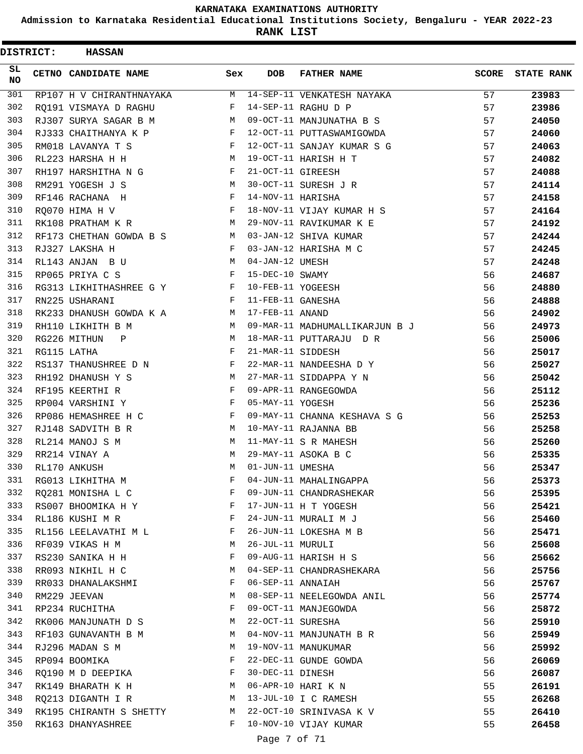**Admission to Karnataka Residential Educational Institutions Society, Bengaluru - YEAR 2022-23**

**RANK LIST**

| <b>DISTRICT:</b> | <b>HASSAN</b>            |     |                   |                                |       |                   |
|------------------|--------------------------|-----|-------------------|--------------------------------|-------|-------------------|
| SL.<br><b>NO</b> | CETNO CANDIDATE NAME     | Sex | <b>DOB</b>        | <b>FATHER NAME</b>             | SCORE | <b>STATE RANK</b> |
| 301              | RP107 H V CHIRANTHNAYAKA | M   |                   | 14-SEP-11 VENKATESH NAYAKA     | 57    | 23983             |
| 302              | RO191 VISMAYA D RAGHU    | F   |                   | 14-SEP-11 RAGHU D P            | 57    | 23986             |
| 303              | RJ307 SURYA SAGAR B M    | M   |                   | 09-OCT-11 MANJUNATHA B S       | 57    | 24050             |
| 304              | RJ333 CHAITHANYA K P     | F   |                   | 12-OCT-11 PUTTASWAMIGOWDA      | 57    | 24060             |
| 305              | RM018 LAVANYA T S        | F   |                   | 12-OCT-11 SANJAY KUMAR S G     | 57    | 24063             |
| 306              | RL223 HARSHA H H         | М   |                   | 19-OCT-11 HARISH H T           | 57    | 24082             |
| 307              | RH197 HARSHITHA N G      | F   | 21-OCT-11 GIREESH |                                | 57    | 24088             |
| 308              | RM291 YOGESH J S         | M   |                   | 30-OCT-11 SURESH J R           | 57    | 24114             |
| 309              | RF146 RACHANA H          | F   | 14-NOV-11 HARISHA |                                | 57    | 24158             |
| 310              | RQ070 HIMA H V           | F   |                   | 18-NOV-11 VIJAY KUMAR H S      | 57    | 24164             |
| 311              | RK108 PRATHAM K R        | M   |                   | 29-NOV-11 RAVIKUMAR K E        | 57    | 24192             |
| 312              | RF173 CHETHAN GOWDA B S  | M   |                   | 03-JAN-12 SHIVA KUMAR          | 57    | 24244             |
| 313              | RJ327 LAKSHA H           | F   |                   | 03-JAN-12 HARISHA M C          | 57    | 24245             |
| 314              | RL143 ANJAN B U          | M   | 04-JAN-12 UMESH   |                                | 57    | 24248             |
| 315              | RP065 PRIYA C S          | F   | 15-DEC-10 SWAMY   |                                | 56    | 24687             |
| 316              | RG313 LIKHITHASHREE G Y  | F   | 10-FEB-11 YOGEESH |                                | 56    | 24880             |
| 317              | RN225 USHARANI           | F   | 11-FEB-11 GANESHA |                                | 56    | 24888             |
| 318              | RK233 DHANUSH GOWDA K A  | M   | 17-FEB-11 ANAND   |                                | 56    | 24902             |
| 319              | RH110 LIKHITH B M        | M   |                   | 09-MAR-11 MADHUMALLIKARJUN B J | 56    | 24973             |
| 320              | RG226 MITHUN<br>Ρ        | M   |                   | 18-MAR-11 PUTTARAJU DR         | 56    | 25006             |
| 321              | RG115 LATHA              | F   | 21-MAR-11 SIDDESH |                                | 56    | 25017             |
| 322              | RS137 THANUSHREE D N     | F   |                   | 22-MAR-11 NANDEESHA D Y        | 56    | 25027             |
| 323              | RH192 DHANUSH Y S        | M   |                   | 27-MAR-11 SIDDAPPA Y N         | 56    | 25042             |
| 324              | RF195 KEERTHI R          | F   |                   | 09-APR-11 RANGEGOWDA           | 56    | 25112             |
| 325              | RP004 VARSHINI Y         | F   | 05-MAY-11 YOGESH  |                                | 56    | 25236             |
| 326              | RP086 HEMASHREE H C      | F   |                   | 09-MAY-11 CHANNA KESHAVA S G   | 56    | 25253             |
| 327              | RJ148 SADVITH B R        | M   |                   | 10-MAY-11 RAJANNA BB           | 56    | 25258             |
| 328              | RL214 MANOJ S M          | М   |                   | 11-MAY-11 S R MAHESH           | 56    | 25260             |
| 329              | RR214 VINAY A            | M   |                   | 29-MAY-11 ASOKA B C            | 56    | 25335             |
| 330              | RL170 ANKUSH             | M   | 01-JUN-11 UMESHA  |                                | 56    | 25347             |
| 331              | RG013 LIKHITHA M         | F   |                   | 04-JUN-11 MAHALINGAPPA         | 56    | 25373             |
| 332              | RQ281 MONISHA L C        | F   |                   | 09-JUN-11 CHANDRASHEKAR        | 56    | 25395             |
| 333              | RS007 BHOOMIKA H Y       | F   |                   | 17-JUN-11 H T YOGESH           | 56    | 25421             |
| 334              | RL186 KUSHI M R          | F   |                   | 24-JUN-11 MURALI M J           | 56    | 25460             |
| 335              | RL156 LEELAVATHI M L     | F   |                   | 26-JUN-11 LOKESHA M B          | 56    | 25471             |
| 336              | RF039 VIKAS H M          | М   | 26-JUL-11 MURULI  |                                | 56    | 25608             |
| 337              | RS230 SANIKA H H         | F   |                   | 09-AUG-11 HARISH H S           | 56    | 25662             |
| 338              | RR093 NIKHIL H C         | М   |                   | 04-SEP-11 CHANDRASHEKARA       | 56    | 25756             |
| 339              | RR033 DHANALAKSHMI       | F   | 06-SEP-11 ANNAIAH |                                | 56    | 25767             |
| 340              | RM229 JEEVAN             | М   |                   | 08-SEP-11 NEELEGOWDA ANIL      | 56    | 25774             |
| 341              | RP234 RUCHITHA           | F   |                   | 09-OCT-11 MANJEGOWDA           | 56    | 25872             |
| 342              | RK006 MANJUNATH D S      | М   | 22-OCT-11 SURESHA |                                | 56    | 25910             |
| 343              | RF103 GUNAVANTH B M      | M   |                   | 04-NOV-11 MANJUNATH B R        | 56    | 25949             |
| 344              | RJ296 MADAN S M          | М   |                   | 19-NOV-11 MANUKUMAR            | 56    | 25992             |
| 345              | RP094 BOOMIKA            | F   |                   | 22-DEC-11 GUNDE GOWDA          | 56    | 26069             |
| 346              | RQ190 M D DEEPIKA        | F   | 30-DEC-11 DINESH  |                                | 56    | 26087             |
| 347              | RK149 BHARATH K H        | M   |                   | 06-APR-10 HARI K N             | 55    | 26191             |
| 348              | RQ213 DIGANTH I R        | М   |                   | 13-JUL-10 I C RAMESH           | 55    | 26268             |
| 349              | RK195 CHIRANTH S SHETTY  | М   |                   | 22-OCT-10 SRINIVASA K V        | 55    | 26410             |
| 350              | RK163 DHANYASHREE        | F   |                   | 10-NOV-10 VIJAY KUMAR          | 55    | 26458             |
|                  |                          |     |                   |                                |       |                   |

Page 7 of 71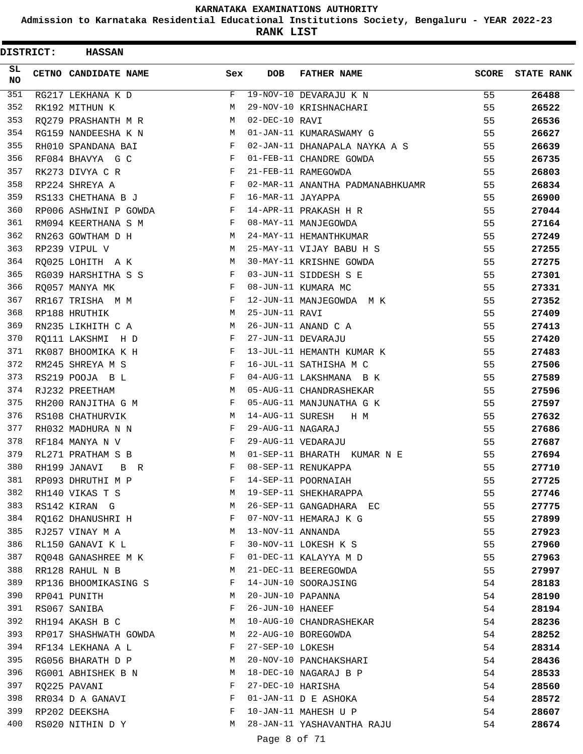**Admission to Karnataka Residential Educational Institutions Society, Bengaluru - YEAR 2022-23**

**RANK LIST**

| <b>DISTRICT:</b> | <b>HASSAN</b>          |            |                    |                                  |              |                   |
|------------------|------------------------|------------|--------------------|----------------------------------|--------------|-------------------|
| SL.<br><b>NO</b> | CETNO CANDIDATE NAME   | Sex        | <b>DOB</b>         | <b>FATHER NAME</b>               | <b>SCORE</b> | <b>STATE RANK</b> |
| 351              | RG217 LEKHANA K D      | F          |                    | 19-NOV-10 DEVARAJU K N           | 55           | 26488             |
| 352              | RK192 MITHUN K         | M          |                    | 29-NOV-10 KRISHNACHARI           | 55           | 26522             |
| 353              | RO279 PRASHANTH M R    | M          | 02-DEC-10 RAVI     |                                  | 55           | 26536             |
| 354              | RG159 NANDEESHA K N    | М          |                    | 01-JAN-11 KUMARASWAMY G          | 55           | 26627             |
| 355              | RH010 SPANDANA BAI     | F          |                    | 02-JAN-11 DHANAPALA NAYKA A S    | 55           | 26639             |
| 356              | RF084 BHAVYA G C       | F          |                    | 01-FEB-11 CHANDRE GOWDA          | 55           | 26735             |
| 357              | RK273 DIVYA C R        | F          |                    | 21-FEB-11 RAMEGOWDA              | 55           | 26803             |
| 358              | RP224 SHREYA A         | F          |                    | 02-MAR-11 ANANTHA PADMANABHKUAMR | 55           | 26834             |
| 359              | RS133 CHETHANA B J     | $_{\rm F}$ | 16-MAR-11 JAYAPPA  |                                  | 55           | 26900             |
| 360              | RP006 ASHWINI P GOWDA  | F          |                    | 14-APR-11 PRAKASH H R            | 55           | 27044             |
| 361              | RM094 KEERTHANA S M    | F          |                    | 08-MAY-11 MANJEGOWDA             | 55           | 27164             |
| 362              | RN263 GOWTHAM D H      | M          |                    | 24-MAY-11 HEMANTHKUMAR           | 55           | 27249             |
| 363              | RP239 VIPUL V          | M          |                    | 25-MAY-11 VIJAY BABU H S         | 55           | 27255             |
| 364              | RQ025 LOHITH A K       | М          |                    | 30-MAY-11 KRISHNE GOWDA          | 55           | 27275             |
| 365              | RG039 HARSHITHA S S    | F          |                    | 03-JUN-11 SIDDESH S E            | 55           | 27301             |
| 366              | RQ057 MANYA MK         | F          |                    | 08-JUN-11 KUMARA MC              | 55           | 27331             |
| 367              | RR167 TRISHA M M       | $_{\rm F}$ |                    | 12-JUN-11 MANJEGOWDA M K         | 55           | 27352             |
| 368              | RP188 HRUTHIK          | М          | 25-JUN-11 RAVI     |                                  | 55           | 27409             |
| 369              | RN235 LIKHITH C A      | M          |                    | 26-JUN-11 ANAND C A              | 55           | 27413             |
| 370              | RO111 LAKSHMI H D      | F          | 27-JUN-11 DEVARAJU |                                  | 55           | 27420             |
| 371              | RK087 BHOOMIKA K H     | $_{\rm F}$ |                    | 13-JUL-11 HEMANTH KUMAR K        | 55           | 27483             |
| 372              | RM245 SHREYA M S       | F          |                    | 16-JUL-11 SATHISHA M C           | 55           | 27506             |
| 373              | RS219 POOJA B L        | $_{\rm F}$ |                    | 04-AUG-11 LAKSHMANA B K          | 55           | 27589             |
| 374              | RJ232 PREETHAM         | M          |                    | 05-AUG-11 CHANDRASHEKAR          | 55           | 27596             |
| 375              | RH200 RANJITHA G M     | F          |                    | 05-AUG-11 MANJUNATHA G K         | 55           | 27597             |
| 376              | RS108 CHATHURVIK       | М          | 14-AUG-11 SURESH   | H M                              | 55           | 27632             |
| 377              | RH032 MADHURA N N      | F          | 29-AUG-11 NAGARAJ  |                                  | 55           | 27686             |
| 378              | RF184 MANYA N V        | F          | 29-AUG-11 VEDARAJU |                                  | 55           | 27687             |
| 379              | RL271 PRATHAM S B      | M          |                    | 01-SEP-11 BHARATH KUMAR N E      | 55           | 27694             |
| 380              | RH199 JANAVI<br>B<br>R | F          |                    | 08-SEP-11 RENUKAPPA              | 55           | 27710             |
| 381              | RP093 DHRUTHI M P      | F          |                    | 14-SEP-11 POORNAIAH              | 55           | 27725             |
| 382              | RH140 VIKAS T S        | М          |                    | 19-SEP-11 SHEKHARAPPA            | 55           | 27746             |
| 383              | RS142 KIRAN G          | М          |                    | 26-SEP-11 GANGADHARA EC          | 55           | 27775             |
| 384              | RQ162 DHANUSHRI H      | F          |                    | 07-NOV-11 HEMARAJ K G            | 55           | 27899             |
| 385              | RJ257 VINAY M A        | М          | 13-NOV-11 ANNANDA  |                                  | 55           | 27923             |
| 386              | RL150 GANAVI K L       | F          |                    | 30-NOV-11 LOKESH K S             | 55           | 27960             |
| 387              | RQ048 GANASHREE M K    | F          |                    | 01-DEC-11 KALAYYA M D            | 55           | 27963             |
| 388              | RR128 RAHUL N B        | М          |                    | 21-DEC-11 BEEREGOWDA             | 55           | 27997             |
| 389              | RP136 BHOOMIKASING S   | F          |                    | 14-JUN-10 SOORAJSING             | 54           | 28183             |
| 390              | RP041 PUNITH           | М          | 20-JUN-10 PAPANNA  |                                  | 54           | 28190             |
| 391              | RS067 SANIBA           | F          | 26-JUN-10 HANEEF   |                                  | 54           | 28194             |
| 392              | RH194 AKASH B C        | М          |                    | 10-AUG-10 CHANDRASHEKAR          | 54           | 28236             |
| 393              | RP017 SHASHWATH GOWDA  | М          |                    | 22-AUG-10 BOREGOWDA              | 54           | 28252             |
| 394              | RF134 LEKHANA A L      | F          | 27-SEP-10 LOKESH   |                                  | 54           | 28314             |
| 395              | RG056 BHARATH D P      | М          |                    | 20-NOV-10 PANCHAKSHARI           | 54           | 28436             |
| 396              | RG001 ABHISHEK B N     | М          |                    | 18-DEC-10 NAGARAJ B P            | 54           | 28533             |
| 397              | RQ225 PAVANI           | F          | 27-DEC-10 HARISHA  |                                  | 54           | 28560             |
| 398              | RR034 D A GANAVI       | F          |                    | 01-JAN-11 D E ASHOKA             | 54           | 28572             |
| 399              | RP202 DEEKSHA          | F          |                    | 10-JAN-11 MAHESH U P             | 54           | 28607             |
| 400              | RS020 NITHIN D Y       | М          |                    | 28-JAN-11 YASHAVANTHA RAJU       | 54           | 28674             |
|                  |                        |            |                    |                                  |              |                   |

Page 8 of 71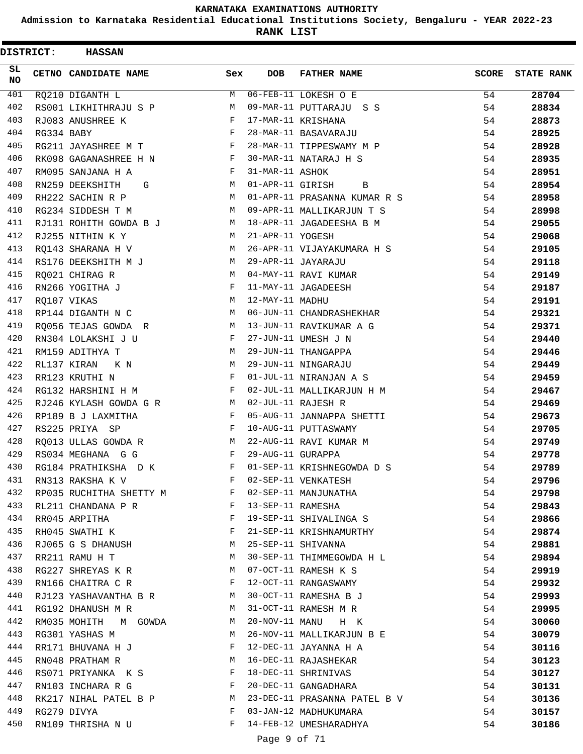**Admission to Karnataka Residential Educational Institutions Society, Bengaluru - YEAR 2022-23**

| <b>DISTRICT:</b> |            | <b>HASSAN</b>           |            |                   |                              |              |                   |
|------------------|------------|-------------------------|------------|-------------------|------------------------------|--------------|-------------------|
| SL.<br><b>NO</b> |            | CETNO CANDIDATE NAME    | Sex        | <b>DOB</b>        | <b>FATHER NAME</b>           | <b>SCORE</b> | <b>STATE RANK</b> |
| 401              |            | RQ210 DIGANTH L         | M          |                   | 06-FEB-11 LOKESH O E         | 54           | 28704             |
| 402              |            | RS001 LIKHITHRAJU S P   | M          |                   | 09-MAR-11 PUTTARAJU S S      | 54           | 28834             |
| 403              |            | RJ083 ANUSHREE K        | F          |                   | 17-MAR-11 KRISHANA           | 54           | 28873             |
| 404              | RG334 BABY |                         | $_{\rm F}$ |                   | 28-MAR-11 BASAVARAJU         | 54           | 28925             |
| 405              |            | RG211 JAYASHREE M T     | F          |                   | 28-MAR-11 TIPPESWAMY M P     | 54           | 28928             |
| 406              |            | RK098 GAGANASHREE H N   | F          |                   | 30-MAR-11 NATARAJ H S        | 54           | 28935             |
| 407              |            | RM095 SANJANA H A       | F          | 31-MAR-11 ASHOK   |                              | 54           | 28951             |
| 408              |            | RN259 DEEKSHITH<br>G    | M          | 01-APR-11 GIRISH  | В                            | 54           | 28954             |
| 409              |            | RH222 SACHIN R P        | M          |                   | 01-APR-11 PRASANNA KUMAR R S | 54           | 28958             |
| 410              |            | RG234 SIDDESH T M       | М          |                   | 09-APR-11 MALLIKARJUN T S    | 54           | 28998             |
| 411              |            | RJ131 ROHITH GOWDA B J  | M          |                   | 18-APR-11 JAGADEESHA B M     | 54           | 29055             |
| 412              |            | RJ255 NITHIN K Y        | М          | 21-APR-11 YOGESH  |                              | 54           | 29068             |
| 413              |            | RQ143 SHARANA H V       | M          |                   | 26-APR-11 VIJAYAKUMARA H S   | 54           | 29105             |
| 414              |            | RS176 DEEKSHITH M J     | М          |                   | 29-APR-11 JAYARAJU           | 54           | 29118             |
| 415              |            | RQ021 CHIRAG R          | M          |                   | 04-MAY-11 RAVI KUMAR         | 54           | 29149             |
| 416              |            | RN266 YOGITHA J         | F          |                   | 11-MAY-11 JAGADEESH          | 54           | 29187             |
| 417              |            | RQ107 VIKAS             | M          | 12-MAY-11 MADHU   |                              | 54           | 29191             |
| 418              |            | RP144 DIGANTH N C       | M          |                   | 06-JUN-11 CHANDRASHEKHAR     | 54           | 29321             |
| 419              |            | RQ056 TEJAS GOWDA R     | M          |                   | 13-JUN-11 RAVIKUMAR A G      | 54           | 29371             |
| 420              |            | RN304 LOLAKSHI J U      | F          |                   | 27-JUN-11 UMESH J N          | 54           | 29440             |
| 421              |            | RM159 ADITHYA T         | M          |                   | 29-JUN-11 THANGAPPA          | 54           | 29446             |
| 422              |            | RL137 KIRAN<br>K N      | М          |                   | 29-JUN-11 NINGARAJU          | 54           | 29449             |
| 423              |            | RR123 KRUTHI N          | F          |                   | 01-JUL-11 NIRANJAN A S       | 54           | 29459             |
| 424              |            | RG132 HARSHINI H M      | F          |                   | 02-JUL-11 MALLIKARJUN H M    | 54           | 29467             |
| 425              |            | RJ246 KYLASH GOWDA G R  | M          |                   | 02-JUL-11 RAJESH R           | 54           | 29469             |
| 426              |            | RP189 B J LAXMITHA      | F          |                   | 05-AUG-11 JANNAPPA SHETTI    | 54           | 29673             |
| 427              |            | RS225 PRIYA SP          | F          |                   | 10-AUG-11 PUTTASWAMY         | 54           | 29705             |
| 428              |            | RO013 ULLAS GOWDA R     | М          |                   | 22-AUG-11 RAVI KUMAR M       | 54           | 29749             |
| 429              |            | RS034 MEGHANA G G       | F          | 29-AUG-11 GURAPPA |                              | 54           | 29778             |
| 430              |            | RG184 PRATHIKSHA D K    | F          |                   | 01-SEP-11 KRISHNEGOWDA D S   | 54           | 29789             |
| 431              |            | RN313 RAKSHA K V        | F          |                   | 02-SEP-11 VENKATESH          | 54           | 29796             |
| 432              |            | RP035 RUCHITHA SHETTY M | F          |                   | 02-SEP-11 MANJUNATHA         | 54           | 29798             |
| 433              |            | RL211 CHANDANA P R      | F          | 13-SEP-11 RAMESHA |                              | 54           | 29843             |
| 434              |            | RR045 ARPITHA           | F          |                   | 19-SEP-11 SHIVALINGA S       | 54           | 29866             |
| 435              |            | RH045 SWATHI K          | F          |                   | 21-SEP-11 KRISHNAMURTHY      | 54           | 29874             |
| 436              |            | RJ065 G S DHANUSH       | M          |                   | 25-SEP-11 SHIVANNA           | 54           | 29881             |
| 437              |            | RR211 RAMU H T          | М          |                   | 30-SEP-11 THIMMEGOWDA H L    | 54           | 29894             |
| 438              |            | RG227 SHREYAS K R       | М          |                   | 07-OCT-11 RAMESH K S         | 54           | 29919             |
| 439              |            | RN166 CHAITRA C R       | F          |                   | 12-OCT-11 RANGASWAMY         | 54           | 29932             |
| 440              |            | RJ123 YASHAVANTHA B R   | М          |                   | 30-OCT-11 RAMESHA B J        | 54           | 29993             |
| 441              |            | RG192 DHANUSH M R       | M          |                   | 31-OCT-11 RAMESH M R         | 54           |                   |
| 442              |            |                         | М          |                   | 20-NOV-11 MANU H K           |              | 29995             |
|                  |            | RM035 MOHITH M GOWDA    |            |                   |                              | 54           | 30060             |
| 443              |            | RG301 YASHAS M          | M          |                   | 26-NOV-11 MALLIKARJUN B E    | 54           | 30079             |
| 444              |            | RR171 BHUVANA H J       | F          |                   | 12-DEC-11 JAYANNA H A        | 54           | 30116             |
| 445              |            | RN048 PRATHAM R         | М          |                   | 16-DEC-11 RAJASHEKAR         | 54           | 30123             |
| 446              |            | RS071 PRIYANKA K S      | F          |                   | 18-DEC-11 SHRINIVAS          | 54           | 30127             |
| 447              |            | RN103 INCHARA R G       | F          |                   | 20-DEC-11 GANGADHARA         | 54           | 30131             |
| 448              |            | RK217 NIHAL PATEL B P   | M          |                   | 23-DEC-11 PRASANNA PATEL B V | 54           | 30136             |
| 449              |            | RG279 DIVYA             | F          |                   | 03-JAN-12 MADHUKUMARA        | 54           | 30157             |
| 450              |            | RN109 THRISHA N U       | F          |                   | 14-FEB-12 UMESHARADHYA       | 54           | 30186             |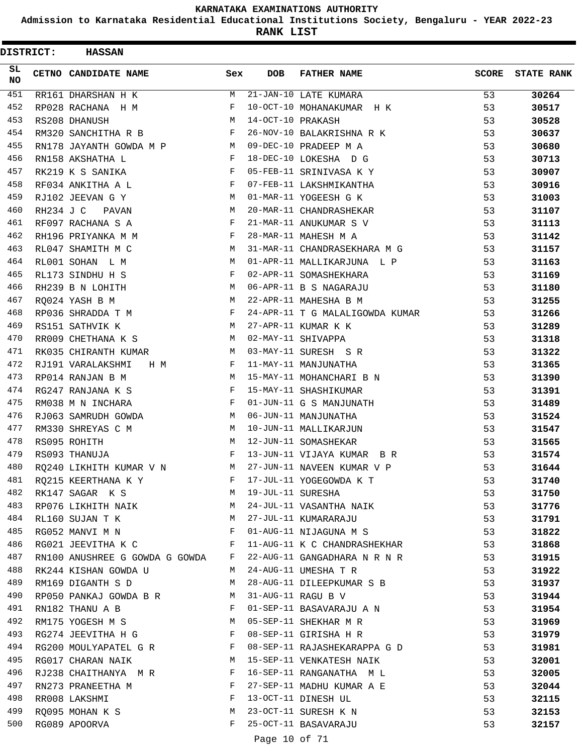**Admission to Karnataka Residential Educational Institutions Society, Bengaluru - YEAR 2022-23**

**RANK LIST**

| <b>DISTRICT:</b> |           | <b>HASSAN</b>                                                     |              |                   |                                 |       |                   |
|------------------|-----------|-------------------------------------------------------------------|--------------|-------------------|---------------------------------|-------|-------------------|
| SL<br>NO.        |           | CETNO CANDIDATE NAME                                              | Sex          | <b>DOB</b>        | <b>FATHER NAME</b>              | SCORE | <b>STATE RANK</b> |
| 451              |           | RR161 DHARSHAN H K                                                | M            |                   | 21-JAN-10 LATE KUMARA           | 53    | 30264             |
| 452              |           | RP028 RACHANA H M                                                 | F            |                   | 10-OCT-10 MOHANAKUMAR H K       | 53    | 30517             |
| 453              |           | RS208 DHANUSH                                                     | М            | 14-OCT-10 PRAKASH |                                 | 53    | 30528             |
| 454              |           | RM320 SANCHITHA R B                                               | F            |                   | 26-NOV-10 BALAKRISHNA R K       | 53    | 30637             |
| 455              |           | RN178 JAYANTH GOWDA M P                                           | M            |                   | 09-DEC-10 PRADEEP M A           | 53    | 30680             |
| 456              |           | RN158 AKSHATHA L                                                  | $\mathbf{F}$ |                   | 18-DEC-10 LOKESHA D G           | 53    | 30713             |
| 457              |           | RK219 K S SANIKA                                                  | $\mathbf{F}$ |                   | 05-FEB-11 SRINIVASA K Y         | 53    | 30907             |
| 458              |           | RF034 ANKITHA A L                                                 | F            |                   | 07-FEB-11 LAKSHMIKANTHA         | 53    | 30916             |
| 459              |           | RJ102 JEEVAN G Y                                                  | М            |                   | 01-MAR-11 YOGEESH G K           | 53    | 31003             |
| 460              | RH234 J C | PAVAN                                                             | M            |                   | 20-MAR-11 CHANDRASHEKAR         | 53    | 31107             |
| 461              |           | RF097 RACHANA S A                                                 | F            |                   | 21-MAR-11 ANUKUMAR S V          | 53    | 31113             |
| 462              |           | RH196 PRIYANKA M M                                                | F            |                   | 28-MAR-11 MAHESH M A            | 53    | 31142             |
| 463              |           | RL047 SHAMITH M C                                                 | M            |                   | 31-MAR-11 CHANDRASEKHARA M G    | 53    | 31157             |
| 464              |           | RL001 SOHAN L M                                                   | M            |                   | 01-APR-11 MALLIKARJUNA L P      | 53    | 31163             |
| 465              |           | RL173 SINDHU H S                                                  | F            |                   | 02-APR-11 SOMASHEKHARA          | 53    | 31169             |
| 466              |           | RH239 B N LOHITH                                                  | M            |                   | 06-APR-11 B S NAGARAJU          | 53    | 31180             |
| 467              |           | RQ024 YASH B M                                                    | М            |                   | 22-APR-11 MAHESHA B M           | 53    | 31255             |
| 468              |           | RP036 SHRADDA T M                                                 | F            |                   | 24-APR-11 T G MALALIGOWDA KUMAR | 53    | 31266             |
| 469              |           | RS151 SATHVIK K                                                   | М            |                   | 27-APR-11 KUMAR K K             | 53    | 31289             |
| 470              |           | RR009 CHETHANA K S                                                | M            |                   | 02-MAY-11 SHIVAPPA              | 53    | 31318             |
| 471              |           | RK035 CHIRANTH KUMAR                                              | M            |                   | 03-MAY-11 SURESH S R            | 53    | 31322             |
| 472              |           | RJ191 VARALAKSHMI<br>H M                                          | F            |                   | 11-MAY-11 MANJUNATHA            | 53    | 31365             |
| 473              |           | RP014 RANJAN B M                                                  | M            |                   | 15-MAY-11 MOHANCHARI B N        | 53    | 31390             |
| 474              |           | RG247 RANJANA K S                                                 | F            |                   | 15-MAY-11 SHASHIKUMAR           | 53    | 31391             |
| 475              |           | RM038 M N INCHARA                                                 | F            |                   | 01-JUN-11 G S MANJUNATH         | 53    | 31489             |
| 476              |           | RJ063 SAMRUDH GOWDA                                               | M            |                   | 06-JUN-11 MANJUNATHA            | 53    | 31524             |
| 477              |           | RM330 SHREYAS C M                                                 | M            |                   | 10-JUN-11 MALLIKARJUN           | 53    | 31547             |
| 478              |           | RS095 ROHITH                                                      | M            |                   | 12-JUN-11 SOMASHEKAR            | 53    | 31565             |
| 479              |           | RS093 THANUJA                                                     | F            |                   | 13-JUN-11 VIJAYA KUMAR BR       | 53    | 31574             |
| 480              |           | M <sub>1</sub><br>RQ240 LIKHITH KUMAR V N                         |              |                   | 27-JUN-11 NAVEEN KUMAR V P      | 53    | 31644             |
| 481              |           | RQ215 KEERTHANA K Y                                               | F            |                   | 17-JUL-11 YOGEGOWDA K T         | 53    | 31740             |
| 482              |           | RK147 SAGAR K S<br><b>M</b>                                       |              | 19-JUL-11 SURESHA |                                 | 53    | 31750             |
| 483              |           | RP076 LIKHITH NAIK M                                              |              |                   | 24-JUL-11 VASANTHA NAIK         | 53    | 31776             |
| 484              |           | RL160 SUJAN T K                                                   | M            |                   | 27-JUL-11 KUMARARAJU            | 53    | 31791             |
| 485              |           | RG052 MANVI M N                                                   | $\mathbf{F}$ |                   | 01-AUG-11 NIJAGUNA M S          | 53    | 31822             |
| 486              |           | RG021 JEEVITHA K C F                                              |              |                   | 11-AUG-11 K C CHANDRASHEKHAR    | 53    | 31868             |
| 487              |           | RN100 ANUSHREE G GOWDA G GOWDA F                                  |              |                   | 22-AUG-11 GANGADHARA N R N R    | 53    | 31915             |
| 488              |           | RK244 KISHAN GOWDA U                                              | M            |                   | 24-AUG-11 UMESHA T R            | 53    | 31922             |
| 489              |           | RM169 DIGANTH S D                                                 | M            |                   | 28-AUG-11 DILEEPKUMAR S B       | 53    | 31937             |
| 490              |           | RP050 PANKAJ GOWDA B R M                                          |              |                   | 31-AUG-11 RAGU B V              | 53    | 31944             |
| 491              |           | $\mathbf{F}$ and $\mathbf{F}$ and $\mathbf{F}$<br>RN182 THANU A B |              |                   | 01-SEP-11 BASAVARAJU A N        | 53    | 31954             |
| 492              |           | M<br>RM175 YOGESH M S                                             |              |                   | 05-SEP-11 SHEKHAR M R           | 53    | 31969             |
| 493              |           | RG274 JEEVITHA H G                                                | $\mathbf{F}$ |                   | 08-SEP-11 GIRISHA H R           | 53    | 31979             |
| 494              |           | RG200 MOULYAPATEL G R                                             | F            |                   | 08-SEP-11 RAJASHEKARAPPA G D    | 53    | 31981             |
| 495              |           | RG017 CHARAN NAIK                                                 | М            |                   | 15-SEP-11 VENKATESH NAIK        | 53    | 32001             |
| 496              |           | RJ238 CHAITHANYA M R                                              | $\mathbf{F}$ |                   | 16-SEP-11 RANGANATHA M L        | 53    | 32005             |
| 497              |           | RN273 PRANEETHA M                                                 | $\mathbf{F}$ |                   | 27-SEP-11 MADHU KUMAR A E       | 53    | 32044             |
| 498              |           | RR008 LAKSHMI                                                     | F            |                   | 13-OCT-11 DINESH UL             | 53    | 32115             |
| 499              |           | RQ095 MOHAN K S                                                   | M            |                   | 23-OCT-11 SURESH K N            | 53    | 32153             |
| 500              |           | RG089 APOORVA                                                     | F            |                   | 25-OCT-11 BASAVARAJU            | 53    | 32157             |
|                  |           |                                                                   |              | Page 10 of 71     |                                 |       |                   |
|                  |           |                                                                   |              |                   |                                 |       |                   |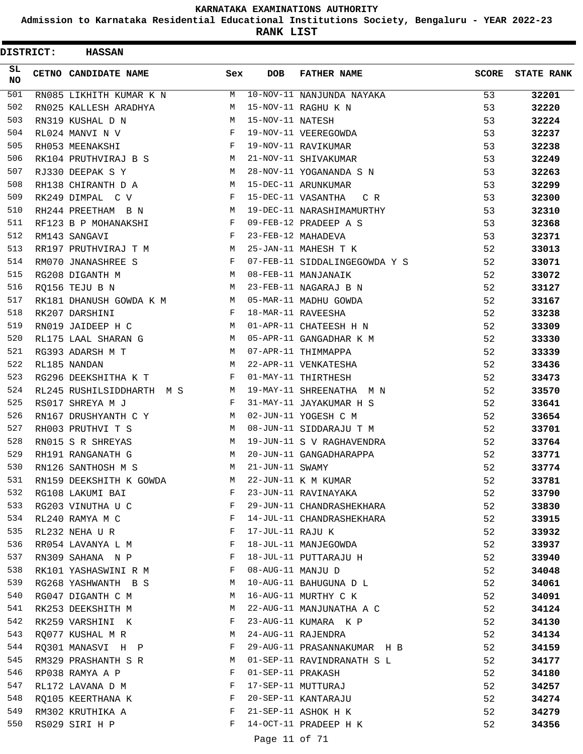**Admission to Karnataka Residential Educational Institutions Society, Bengaluru - YEAR 2022-23**

**RANK LIST**

 $\blacksquare$ 

| <b>DISTRICT:</b> | <b>HASSAN</b>                                                                      |              |                   |                                |              |                   |
|------------------|------------------------------------------------------------------------------------|--------------|-------------------|--------------------------------|--------------|-------------------|
| SL<br><b>NO</b>  | CETNO CANDIDATE NAME                                                               | Sex          | <b>DOB</b>        | <b>FATHER NAME</b>             | <b>SCORE</b> | <b>STATE RANK</b> |
| 501              | RN085 LIKHITH KUMAR K N                                                            | M            |                   | 10-NOV-11 NANJUNDA NAYAKA      | 53           | 32201             |
| 502              | RN025 KALLESH ARADHYA                                                              | M            |                   | 15-NOV-11 RAGHU K N            | 53           | 32220             |
| 503              | RN319 KUSHAL D N                                                                   | M            | 15-NOV-11 NATESH  |                                | 53           | 32224             |
| 504              | RL024 MANVI N V                                                                    | F            |                   | 19-NOV-11 VEEREGOWDA           | 53           | 32237             |
| 505              | RH053 MEENAKSHI                                                                    | F            |                   | 19-NOV-11 RAVIKUMAR            | 53           | 32238             |
| 506              | RK104 PRUTHVIRAJ B S                                                               | M            |                   | 21-NOV-11 SHIVAKUMAR           | 53           | 32249             |
| 507              | RJ330 DEEPAK S Y                                                                   | M            |                   | 28-NOV-11 YOGANANDA S N        | 53           | 32263             |
| 508              | RH138 CHIRANTH D A                                                                 | M            |                   | 15-DEC-11 ARUNKUMAR            | 53           | 32299             |
| 509              | RK249 DIMPAL C V                                                                   | F            |                   | 15-DEC-11 VASANTHA<br>C R      | 53           | 32300             |
| 510              | RH244 PREETHAM B N                                                                 | М            |                   | 19-DEC-11 NARASHIMAMURTHY      | 53           | 32310             |
| 511              | RF123 B P MOHANAKSHI                                                               | F            |                   | 09-FEB-12 PRADEEP A S          | 53           | 32368             |
| 512              | RM143 SANGAVI                                                                      | F            |                   | 23-FEB-12 MAHADEVA             | 53           | 32371             |
| 513              | RR197 PRUTHVIRAJ T M                                                               | M            |                   | 25-JAN-11 MAHESH T K           | 52           | 33013             |
| 514              | RM070 JNANASHREE S                                                                 | F            |                   | 07-FEB-11 SIDDALINGEGOWDA Y S  | 52           | 33071             |
| 515              | RG208 DIGANTH M                                                                    | M            |                   | 08-FEB-11 MANJANAIK            | 52           | 33072             |
| 516              | RO156 TEJU B N                                                                     | M            |                   | 23-FEB-11 NAGARAJ B N          | 52           | 33127             |
| 517              | RK181 DHANUSH GOWDA K M                                                            | M            |                   | 05-MAR-11 MADHU GOWDA          | 52           | 33167             |
| 518              | RK207 DARSHINI                                                                     | F            |                   | 18-MAR-11 RAVEESHA             | 52           | 33238             |
| 519              | RN019 JAIDEEP H C                                                                  | M            |                   | 01-APR-11 CHATEESH H N         | 52           | 33309             |
| 520              | RL175 LAAL SHARAN G                                                                | M            |                   | 05-APR-11 GANGADHAR K M        | 52           | 33330             |
| 521              | RG393 ADARSH M T                                                                   | M            |                   | 07-APR-11 THIMMAPPA            | 52           | 33339             |
| 522              | RL185 NANDAN                                                                       | M            |                   | 22-APR-11 VENKATESHA           | 52           | 33436             |
| 523              | RG296 DEEKSHITHA K T                                                               | F            |                   | 01-MAY-11 THIRTHESH            | 52           | 33473             |
| 524              | RL245 RUSHILSIDDHARTH M S                                                          | M            |                   | 19-MAY-11 SHREENATHA M N       | 52           | 33570             |
| 525              | RS017 SHREYA M J                                                                   | F            |                   | 31-MAY-11 JAYAKUMAR H S        | 52           | 33641             |
| 526              | RN167 DRUSHYANTH C Y                                                               | M            |                   | 02-JUN-11 YOGESH C M           | 52           | 33654             |
| 527              | RH003 PRUTHVI T S                                                                  | M            |                   | 08-JUN-11 SIDDARAJU T M        | 52           | 33701             |
| 528              | RN015 S R SHREYAS                                                                  | M            |                   | 19-JUN-11 S V RAGHAVENDRA      | 52           | 33764             |
| 529              | RH191 RANGANATH G                                                                  | М            |                   | 20-JUN-11 GANGADHARAPPA        | 52           | 33771             |
| 530              | RN126 SANTHOSH M S                                                                 | M            | 21-JUN-11 SWAMY   |                                | 52           | 33774             |
| 531              | RN159 DEEKSHITH K GOWDA                                                            | M            |                   | 22-JUN-11 K M KUMAR            | 52           | 33781             |
| 532              | RG108 LAKUMI BAI                                                                   | F            |                   | 23-JUN-11 RAVINAYAKA           | 52           | 33790             |
| 533              | $\mathbf{F}$ and the set of $\mathbf{F}$ .<br>RG203 VINUTHA U C                    |              |                   | 29-JUN-11 CHANDRASHEKHARA      | 52           | 33830             |
| 534              | RL240 RAMYA M C                                                                    | F            |                   | 14-JUL-11 CHANDRASHEKHARA      | 52           | 33915             |
| 535              | RL232 NEHA U R                                                                     | F            | 17-JUL-11 RAJU K  |                                | 52           | 33932             |
| 536              | RR054 LAVANYA L M                                                                  |              |                   | 18-JUL-11 MANJEGOWDA           | 52           | 33937             |
| 537              | $\mathbf{F}$ and $\mathbf{F}$ and $\mathbf{F}$<br>RN309 SAHANA N P                 |              |                   | 18-JUL-11 PUTTARAJU H          | 52           | 33940             |
| 538              | RK101 YASHASWINI R M                                                               | $\mathbf{F}$ | 08-AUG-11 MANJU D |                                | 52           | 34048             |
| 539              | RG268 YASHWANTH B S                                                                | M            |                   | 10-AUG-11 BAHUGUNA D L         | 52           | 34061             |
| 540              | RG047 DIGANTH C M                                                                  | M            |                   | 16-AUG-11 MURTHY C K           | 52           | 34091             |
| 541              | RK253 DEEKSHITH M                                                                  | M            |                   | 22-AUG-11 MANJUNATHA A C       | 52           | 34124             |
| 542              | RK259 VARSHINI K                                                                   | F            |                   | 23-AUG-11 KUMARA K P           | 52           | 34130             |
| 543              |                                                                                    | M            |                   | 24-AUG-11 RAJENDRA             |              |                   |
| 544              | RO077 KUSHAL M R                                                                   | F            |                   | 29-AUG-11 PRASANNAKUMAR H B    | 52<br>52     | 34134             |
| 545              | RQ301 MANASVI H P                                                                  | M            |                   |                                |              | 34159             |
| 546              | RM329 PRASHANTH S R                                                                | F            | 01-SEP-11 PRAKASH | 01-SEP-11 RAVINDRANATH S L     | 52           | 34177             |
| 547              | RP038 RAMYA A P                                                                    | F            |                   |                                | 52           | 34180             |
|                  | RL172 LAVANA D M                                                                   |              |                   | 17-SEP-11 MUTTURAJ             | 52           | 34257             |
| 548              | RQ105 KEERTHANA K<br>$\mathbf{F}$ . The contract of the contract of $\mathbf{F}$ . |              |                   | 20-SEP-11 KANTARAJU            | 52           | 34274             |
| 549              | RM302 KRUTHIKA A                                                                   | $\mathbf{F}$ |                   | 21-SEP-11 ASHOK H K            | 52           | 34279             |
| 550              | RS029 SIRI H P                                                                     | F            |                   | 14-OCT-11 PRADEEP H K<br>11.57 | 52           | 34356             |

Page 11 of 71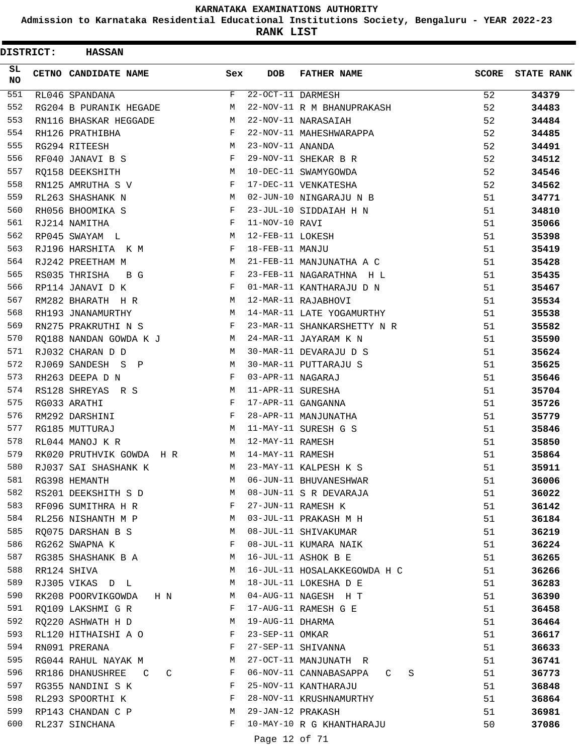**Admission to Karnataka Residential Educational Institutions Society, Bengaluru - YEAR 2022-23**

| <b>DISTRICT:</b> | <b>HASSAN</b>              |        |                   |                                              |              |                   |
|------------------|----------------------------|--------|-------------------|----------------------------------------------|--------------|-------------------|
| SL.<br><b>NO</b> | CETNO CANDIDATE NAME       | Sex    | <b>DOB</b>        | <b>FATHER NAME</b>                           | <b>SCORE</b> | <b>STATE RANK</b> |
| 551              | RL046 SPANDANA             | F      | 22-OCT-11 DARMESH |                                              | 52           | 34379             |
| 552              | RG204 B PURANIK HEGADE     | M      |                   | 22-NOV-11 R M BHANUPRAKASH                   | 52           | 34483             |
| 553              | RN116 BHASKAR HEGGADE      | M      |                   | 22-NOV-11 NARASAIAH                          | 52           | 34484             |
| 554              | RH126 PRATHIBHA            | F      |                   | 22-NOV-11 MAHESHWARAPPA                      | 52           | 34485             |
| 555              | RG294 RITEESH              | M      | 23-NOV-11 ANANDA  |                                              | 52           | 34491             |
| 556              | RF040 JANAVI B S           | F      |                   | 29-NOV-11 SHEKAR B R                         | 52           | 34512             |
| 557              | RQ158 DEEKSHITH            | M      |                   | 10-DEC-11 SWAMYGOWDA                         | 52           | 34546             |
| 558              | RN125 AMRUTHA S V          | F      |                   | 17-DEC-11 VENKATESHA                         | 52           | 34562             |
| 559              | RL263 SHASHANK N           | M      |                   | 02-JUN-10 NINGARAJU N B                      | 51           | 34771             |
| 560              | RH056 BHOOMIKA S           | F      |                   | 23-JUL-10 SIDDAIAH H N                       | 51           | 34810             |
| 561              | RJ214 NAMITHA              | F      | 11-NOV-10 RAVI    |                                              | 51           | 35066             |
| 562              | RP045 SWAYAM L             | М      | 12-FEB-11 LOKESH  |                                              | 51           | 35398             |
| 563              | RJ196 HARSHITA K M         | F      | 18-FEB-11 MANJU   |                                              | 51           | 35419             |
| 564              | RJ242 PREETHAM M           | M      |                   | 21-FEB-11 MANJUNATHA A C                     | 51           | 35428             |
| 565              | RS035 THRISHA<br>B G       | F      |                   | 23-FEB-11 NAGARATHNA H L                     | 51           | 35435             |
| 566              | RP114 JANAVI D K           | F      |                   | 01-MAR-11 KANTHARAJU D N                     | 51           | 35467             |
| 567              | RM282 BHARATH H R          | M      |                   | 12-MAR-11 RAJABHOVI                          | 51           | 35534             |
| 568              | RH193 JNANAMURTHY          | M      |                   | 14-MAR-11 LATE YOGAMURTHY                    | 51           | 35538             |
| 569              | RN275 PRAKRUTHI N S        | F      |                   | 23-MAR-11 SHANKARSHETTY N R                  | 51           | 35582             |
| 570              | RQ188 NANDAN GOWDA K J     | М      |                   | 24-MAR-11 JAYARAM K N                        | 51           | 35590             |
| 571              | RJ032 CHARAN D D           | M      |                   | 30-MAR-11 DEVARAJU D S                       | 51           | 35624             |
| 572              | RJ069 SANDESH S P          | М      |                   | 30-MAR-11 PUTTARAJU S                        | 51           | 35625             |
| 573              | RH263 DEEPA D N            | F      | 03-APR-11 NAGARAJ |                                              | 51           | 35646             |
| 574              | RS128 SHREYAS R S          | М      | 11-APR-11 SURESHA |                                              | 51           | 35704             |
| 575              | RG033 ARATHI               | F      |                   | 17-APR-11 GANGANNA                           | 51           | 35726             |
| 576              | RM292 DARSHINI             | F      |                   | 28-APR-11 MANJUNATHA                         | 51           | 35779             |
| 577              | RG185 MUTTURAJ             | M      |                   | 11-MAY-11 SURESH G S                         | 51           | 35846             |
| 578              | RL044 MANOJ K R            | M      | 12-MAY-11 RAMESH  |                                              | 51           | 35850             |
| 579              | RK020 PRUTHVIK GOWDA H R   | М      | 14-MAY-11 RAMESH  |                                              | 51           | 35864             |
| 580              | RJ037 SAI SHASHANK K       | M      |                   | 23-MAY-11 KALPESH K S                        | 51           | 35911             |
| 581              | RG398 HEMANTH              | М      |                   | 06-JUN-11 BHUVANESHWAR                       | 51           | 36006             |
| 582              | RS201 DEEKSHITH S D        | М      |                   | 08-JUN-11 S R DEVARAJA                       | 51           | 36022             |
| 583              | RF096 SUMITHRA H R         | F      |                   | 27-JUN-11 RAMESH K                           | 51           | 36142             |
| 584              | RL256 NISHANTH M P         | М      |                   | 03-JUL-11 PRAKASH M H                        | 51           | 36184             |
| 585              | RQ075 DARSHAN B S          | М      |                   | 08-JUL-11 SHIVAKUMAR                         | 51           | 36219             |
| 586              | RG262 SWAPNA K             | F      |                   | 08-JUL-11 KUMARA NAIK                        | 51           | 36224             |
| 587              | RG385 SHASHANK B A         | М      |                   | 16-JUL-11 ASHOK B E                          | 51           | 36265             |
| 588              | RR124 SHIVA                | М      |                   | 16-JUL-11 HOSALAKKEGOWDA H C                 | 51           |                   |
| 589              |                            | М      |                   | 18-JUL-11 LOKESHA D E                        | 51           | 36266             |
| 590              | RJ305 VIKAS D L            |        |                   |                                              |              | 36283             |
| 591              | RK208 POORVIKGOWDA<br>H N  | M<br>F |                   | 04-AUG-11 NAGESH H T<br>17-AUG-11 RAMESH G E | 51           | 36390             |
| 592              | RQ109 LAKSHMI G R          |        |                   |                                              | 51           | 36458             |
|                  | RQ220 ASHWATH H D          | М      | 19-AUG-11 DHARMA  |                                              | 51           | 36464             |
| 593              | RL120 HITHAISHI A O        | F      | 23-SEP-11 OMKAR   |                                              | 51           | 36617             |
| 594              | RN091 PRERANA              | F      |                   | 27-SEP-11 SHIVANNA                           | 51           | 36633             |
| 595              | RG044 RAHUL NAYAK M        | М      |                   | 27-OCT-11 MANJUNATH R                        | 51           | 36741             |
| 596              | RR186 DHANUSHREE<br>C<br>C | F      |                   | 06-NOV-11 CANNABASAPPA<br>S<br>C             | 51           | 36773             |
| 597              | RG355 NANDINI S K          | F      |                   | 25-NOV-11 KANTHARAJU                         | 51           | 36848             |
| 598              | RL293 SPOORTHI K           | F      |                   | 28-NOV-11 KRUSHNAMURTHY                      | 51           | 36864             |
| 599              | RP143 CHANDAN C P          | М      | 29-JAN-12 PRAKASH |                                              | 51           | 36981             |
| 600              | RL237 SINCHANA             | F      |                   | 10-MAY-10 R G KHANTHARAJU                    | 50           | 37086             |
|                  |                            |        | Page 12 of 71     |                                              |              |                   |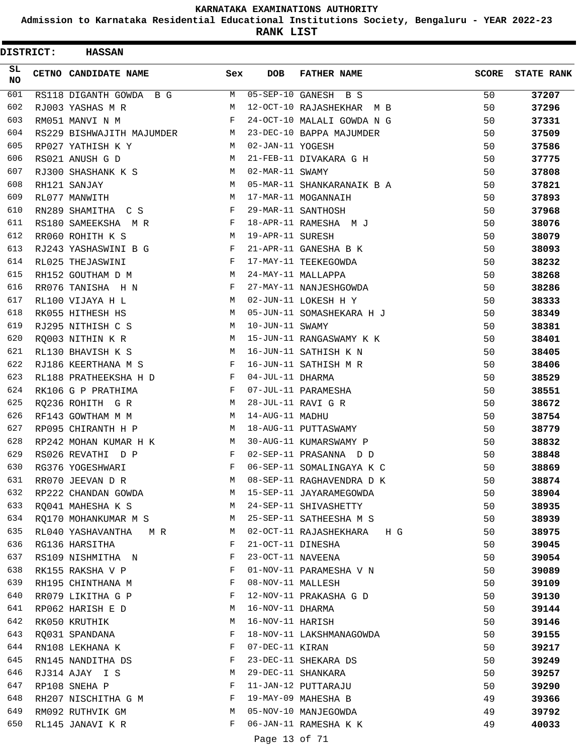**Admission to Karnataka Residential Educational Institutions Society, Bengaluru - YEAR 2022-23**

**RANK LIST**

| <b>DISTRICT:</b> | <b>HASSAN</b>             |     |                   |                            |              |                   |
|------------------|---------------------------|-----|-------------------|----------------------------|--------------|-------------------|
| SL<br><b>NO</b>  | CETNO CANDIDATE NAME      | Sex | <b>DOB</b>        | <b>FATHER NAME</b>         | <b>SCORE</b> | <b>STATE RANK</b> |
| 601              | RS118 DIGANTH GOWDA B G   | M   |                   | 05-SEP-10 GANESH B S       | 50           | 37207             |
| 602              | RJ003 YASHAS M R          | M   |                   | 12-OCT-10 RAJASHEKHAR M B  | 50           | 37296             |
| 603              | RM051 MANVI N M           | F   |                   | 24-OCT-10 MALALI GOWDA N G | 50           | 37331             |
| 604              | RS229 BISHWAJITH MAJUMDER | М   |                   | 23-DEC-10 BAPPA MAJUMDER   | 50           | 37509             |
| 605              | RP027 YATHISH K Y         | М   | 02-JAN-11 YOGESH  |                            | 50           | 37586             |
| 606              | RS021 ANUSH G D           | М   |                   | 21-FEB-11 DIVAKARA G H     | 50           | 37775             |
| 607              | RJ300 SHASHANK K S        | M   | 02-MAR-11 SWAMY   |                            | 50           | 37808             |
| 608              | RH121 SANJAY              | M   |                   | 05-MAR-11 SHANKARANAIK B A | 50           | 37821             |
| 609              | RL077 MANWITH             | M   |                   | 17-MAR-11 MOGANNAIH        | 50           | 37893             |
| 610              | RN289 SHAMITHA C S        | F   |                   | 29-MAR-11 SANTHOSH         | 50           | 37968             |
| 611              | RS180 SAMEEKSHA M R       | F   |                   | 18-APR-11 RAMESHA M J      | 50           | 38076             |
| 612              | RR060 ROHITH K S          | М   | 19-APR-11 SURESH  |                            | 50           | 38079             |
| 613              | RJ243 YASHASWINI B G      | F   |                   | 21-APR-11 GANESHA B K      | 50           | 38093             |
| 614              | RL025 THEJASWINI          | F   |                   | 17-MAY-11 TEEKEGOWDA       | 50           | 38232             |
| 615              | RH152 GOUTHAM D M         | M   |                   | 24-MAY-11 MALLAPPA         | 50           | 38268             |
| 616              | RR076 TANISHA H N         | F   |                   | 27-MAY-11 NANJESHGOWDA     | 50           | 38286             |
| 617              | RL100 VIJAYA H L          | М   |                   | 02-JUN-11 LOKESH H Y       | 50           | 38333             |
| 618              | RK055 HITHESH HS          | М   |                   | 05-JUN-11 SOMASHEKARA H J  | 50           | 38349             |
| 619              | RJ295 NITHISH C S         | M   | 10-JUN-11 SWAMY   |                            | 50           | 38381             |
| 620              | RQ003 NITHIN K R          | М   |                   | 15-JUN-11 RANGASWAMY K K   | 50           | 38401             |
| 621              | RL130 BHAVISH K S         | М   |                   | 16-JUN-11 SATHISH K N      | 50           | 38405             |
| 622              | RJ186 KEERTHANA M S       | F   |                   | 16-JUN-11 SATHISH M R      | 50           | 38406             |
| 623              | RL188 PRATHEEKSHA H D     | F   | 04-JUL-11 DHARMA  |                            | 50           | 38529             |
| 624              | RK106 G P PRATHIMA        | F   |                   | 07-JUL-11 PARAMESHA        | 50           | 38551             |
| 625              | RQ236 ROHITH G R          | М   |                   | 28-JUL-11 RAVI G R         | 50           | 38672             |
| 626              | RF143 GOWTHAM M M         | М   | 14-AUG-11 MADHU   |                            | 50           | 38754             |
| 627              | RP095 CHIRANTH H P        | М   |                   | 18-AUG-11 PUTTASWAMY       | 50           | 38779             |
| 628              | RP242 MOHAN KUMAR H K     | М   |                   | 30-AUG-11 KUMARSWAMY P     | 50           | 38832             |
| 629              | RS026 REVATHI D P         | F   |                   | 02-SEP-11 PRASANNA D D     | 50           | 38848             |
| 630              | RG376 YOGESHWARI          | F   |                   | 06-SEP-11 SOMALINGAYA K C  | 50           | 38869             |
| 631              | RR070 JEEVAN D R          | М   |                   | 08-SEP-11 RAGHAVENDRA D K  | 50           | 38874             |
| 632              | RP222 CHANDAN GOWDA       | M   |                   | 15-SEP-11 JAYARAMEGOWDA    | 50           | 38904             |
| 633              | RQ041 MAHESHA K S         | M   |                   | 24-SEP-11 SHIVASHETTY      | 50           | 38935             |
| 634              | RQ170 MOHANKUMAR M S      | М   |                   | 25-SEP-11 SATHEESHA M S    | 50           | 38939             |
| 635              | RL040 YASHAVANTHA M R     | M   |                   | 02-OCT-11 RAJASHEKHARA H G | 50           | 38975             |
| 636              | RG136 HARSITHA            | F   | 21-OCT-11 DINESHA |                            | 50           | 39045             |
| 637              | RS109 NISHMITHA N         | F   | 23-OCT-11 NAVEENA |                            | 50           | 39054             |
| 638              | RK155 RAKSHA V P          | F   |                   | 01-NOV-11 PARAMESHA V N    | 50           | 39089             |
| 639              | RH195 CHINTHANA M         | F   | 08-NOV-11 MALLESH |                            | 50           | 39109             |
| 640              | RR079 LIKITHA G P         | F   |                   | 12-NOV-11 PRAKASHA G D     | 50           | 39130             |
| 641              | RP062 HARISH E D          | М   | 16-NOV-11 DHARMA  |                            | 50           | 39144             |
| 642              | RK050 KRUTHIK             | М   | 16-NOV-11 HARISH  |                            | 50           | 39146             |
| 643              | RO031 SPANDANA            | F   |                   | 18-NOV-11 LAKSHMANAGOWDA   | 50           | 39155             |
| 644              | RN108 LEKHANA K           | F   | 07-DEC-11 KIRAN   |                            | 50           | 39217             |
| 645              | RN145 NANDITHA DS         | F   |                   | 23-DEC-11 SHEKARA DS       | 50           | 39249             |
| 646              | RJ314 AJAY I S            | М   |                   | 29-DEC-11 SHANKARA         | 50           | 39257             |
| 647              | RP108 SNEHA P             | F   |                   | 11-JAN-12 PUTTARAJU        | 50           | 39290             |
| 648              | RH207 NISCHITHA G M       | F   |                   | 19-MAY-09 MAHESHA B        | 49           | 39366             |
| 649              | RM092 RUTHVIK GM          | М   |                   | 05-NOV-10 MANJEGOWDA       | 49           | 39792             |
| 650              | RL145 JANAVI K R          | F   |                   | 06-JAN-11 RAMESHA K K      | 49           | 40033             |
|                  |                           |     |                   |                            |              |                   |

Page 13 of 71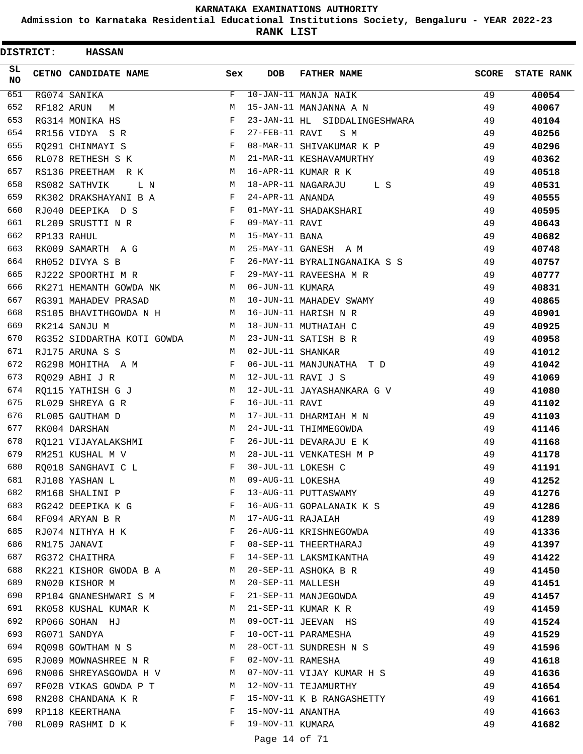**Admission to Karnataka Residential Educational Institutions Society, Bengaluru - YEAR 2022-23**

**RANK LIST**

| <b>DISTRICT:</b> |             | <b>HASSAN</b>              |     |                   |                               |              |                   |
|------------------|-------------|----------------------------|-----|-------------------|-------------------------------|--------------|-------------------|
| SL<br><b>NO</b>  |             | CETNO CANDIDATE NAME       | Sex | <b>DOB</b>        | <b>FATHER NAME</b>            | <b>SCORE</b> | <b>STATE RANK</b> |
| 651              |             | RG074 SANIKA               | F   |                   | 10-JAN-11 MANJA NAIK          | 49           | 40054             |
| 652              | RF182 ARUN  | М                          | M   |                   | 15-JAN-11 MANJANNA A N        | 49           | 40067             |
| 653              |             | RG314 MONIKA HS            | F   |                   | 23-JAN-11 HL SIDDALINGESHWARA | 49           | 40104             |
| 654              |             | RR156 VIDYA SR             | F   | 27-FEB-11 RAVI    | S M                           | 49           | 40256             |
| 655              |             | RQ291 CHINMAYI S           | F   |                   | 08-MAR-11 SHIVAKUMAR K P      | 49           | 40296             |
| 656              |             | RL078 RETHESH S K          | М   |                   | 21-MAR-11 KESHAVAMURTHY       | 49           | 40362             |
| 657              |             | RS136 PREETHAM R K         | М   |                   | 16-APR-11 KUMAR R K           | 49           | 40518             |
| 658              |             | RS082 SATHVIK<br>L N       | М   |                   | 18-APR-11 NAGARAJU<br>L S     | 49           | 40531             |
| 659              |             | RK302 DRAKSHAYANI B A      | F   | 24-APR-11 ANANDA  |                               | 49           | 40555             |
| 660              |             | RJ040 DEEPIKA D S          | F   |                   | 01-MAY-11 SHADAKSHARI         | 49           | 40595             |
| 661              |             | RL209 SRUSTTI N R          | F   | 09-MAY-11 RAVI    |                               | 49           | 40643             |
| 662              | RP133 RAHUL |                            | М   | 15-MAY-11 BANA    |                               | 49           | 40682             |
| 663              |             | RK009 SAMARTH A G          | М   |                   | 25-MAY-11 GANESH A M          | 49           | 40748             |
| 664              |             | RH052 DIVYA S B            | F   |                   | 26-MAY-11 BYRALINGANAIKA S S  | 49           | 40757             |
| 665              |             | RJ222 SPOORTHI M R         | F   |                   | 29-MAY-11 RAVEESHA M R        | 49           | 40777             |
| 666              |             | RK271 HEMANTH GOWDA NK     | M   | 06-JUN-11 KUMARA  |                               | 49           | 40831             |
| 667              |             | RG391 MAHADEV PRASAD       | М   |                   | 10-JUN-11 MAHADEV SWAMY       | 49           | 40865             |
| 668              |             | RS105 BHAVITHGOWDA N H     | М   |                   | 16-JUN-11 HARISH N R          | 49           | 40901             |
| 669              |             | RK214 SANJU M              | М   |                   | 18-JUN-11 MUTHAIAH C          | 49           | 40925             |
| 670              |             | RG352 SIDDARTHA KOTI GOWDA | М   |                   | 23-JUN-11 SATISH B R          | 49           | 40958             |
| 671              |             | RJ175 ARUNA S S            | М   | 02-JUL-11 SHANKAR |                               | 49           | 41012             |
| 672              |             | RG298 MOHITHA A M          | F   |                   | 06-JUL-11 MANJUNATHA T D      | 49           | 41042             |
| 673              |             |                            | М   |                   | 12-JUL-11 RAVI J S            |              |                   |
| 674              |             | RQ029 ABHI J R             | М   |                   |                               | 49           | 41069             |
|                  |             | RQ115 YATHISH G J          |     |                   | 12-JUL-11 JAYASHANKARA G V    | 49           | 41080             |
| 675              |             | RL029 SHREYA G R           | F   | 16-JUL-11 RAVI    |                               | 49           | 41102             |
| 676              |             | RL005 GAUTHAM D            | М   |                   | 17-JUL-11 DHARMIAH M N        | 49           | 41103             |
| 677              |             | RK004 DARSHAN              | М   |                   | 24-JUL-11 THIMMEGOWDA         | 49           | 41146             |
| 678              |             | RO121 VIJAYALAKSHMI        | F   |                   | 26-JUL-11 DEVARAJU E K        | 49           | 41168             |
| 679              |             | RM251 KUSHAL M V           | М   |                   | 28-JUL-11 VENKATESH M P       | 49           | 41178             |
| 680              |             | RO018 SANGHAVI C L         | F   |                   | 30-JUL-11 LOKESH C            | 49           | 41191             |
| 681              |             | RJ108 YASHAN L             | М   | 09-AUG-11 LOKESHA |                               | 49           | 41252             |
| 682              |             | RM168 SHALINI P            | F   |                   | 13-AUG-11 PUTTASWAMY          | 49           | 41276             |
| 683              |             | RG242 DEEPIKA K G          | F   |                   | 16-AUG-11 GOPALANAIK K S      | 49           | 41286             |
| 684              |             | RF094 ARYAN B R            | М   | 17-AUG-11 RAJAIAH |                               | 49           | 41289             |
| 685              |             | RJ074 NITHYA H K           | F   |                   | 26-AUG-11 KRISHNEGOWDA        | 49           | 41336             |
| 686              |             | RN175 JANAVI               | F   |                   | 08-SEP-11 THEERTHARAJ         | 49           | 41397             |
| 687              |             | RG372 CHAITHRA             | F   |                   | 14-SEP-11 LAKSMIKANTHA        | 49           | 41422             |
| 688              |             | RK221 KISHOR GWODA B A     | М   |                   | 20-SEP-11 ASHOKA B R          | 49           | 41450             |
| 689              |             | RN020 KISHOR M             | М   | 20-SEP-11 MALLESH |                               | 49           | 41451             |
| 690              |             | RP104 GNANESHWARI S M      | F   |                   | 21-SEP-11 MANJEGOWDA          | 49           | 41457             |
| 691              |             | RK058 KUSHAL KUMAR K       | M   |                   | 21-SEP-11 KUMAR K R           | 49           | 41459             |
| 692              |             | RP066 SOHAN HJ             | М   |                   | 09-OCT-11 JEEVAN HS           | 49           | 41524             |
| 693              |             | RG071 SANDYA               | F   |                   | 10-OCT-11 PARAMESHA           | 49           | 41529             |
| 694              |             | RO098 GOWTHAM N S          | М   |                   | 28-OCT-11 SUNDRESH N S        | 49           | 41596             |
| 695              |             | RJ009 MOWNASHREE N R       | F   | 02-NOV-11 RAMESHA |                               | 49           | 41618             |
| 696              |             | RN006 SHREYASGOWDA H V     | M   |                   | 07-NOV-11 VIJAY KUMAR H S     | 49           | 41636             |
| 697              |             | RF028 VIKAS GOWDA P T      | М   |                   | 12-NOV-11 TEJAMURTHY          | 49           | 41654             |
| 698              |             | RN208 CHANDANA K R         | F   |                   | 15-NOV-11 K B RANGASHETTY     | 49           | 41661             |
| 699              |             | RP118 KEERTHANA            | F   | 15-NOV-11 ANANTHA |                               | 49           | 41663             |
| 700              |             | RL009 RASHMI D K           | F   | 19-NOV-11 KUMARA  |                               | 49           | 41682             |
|                  |             |                            |     |                   |                               |              |                   |

## Page 14 of 71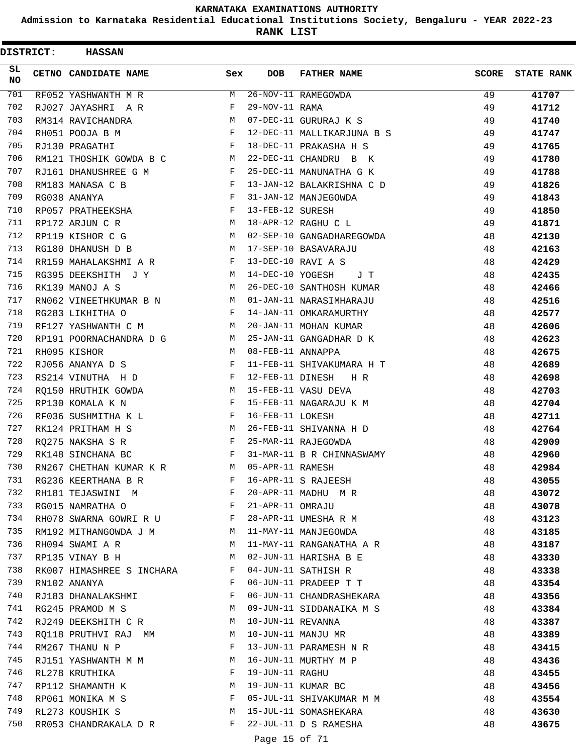**Admission to Karnataka Residential Educational Institutions Society, Bengaluru - YEAR 2022-23**

|                  | <b>DISTRICT:</b> | <b>HASSAN</b>             |     |                   |                            |              |                   |
|------------------|------------------|---------------------------|-----|-------------------|----------------------------|--------------|-------------------|
| SL.<br><b>NO</b> |                  | CETNO CANDIDATE NAME      | Sex | <b>DOB</b>        | <b>FATHER NAME</b>         | <b>SCORE</b> | <b>STATE RANK</b> |
| 701              |                  | RF052 YASHWANTH M R       | M   |                   | 26-NOV-11 RAMEGOWDA        | 49           | 41707             |
| 702              |                  | RJ027 JAYASHRI A R        | F   | 29-NOV-11 RAMA    |                            | 49           | 41712             |
| 703              |                  | RM314 RAVICHANDRA         | M   |                   | 07-DEC-11 GURURAJ K S      | 49           | 41740             |
| 704              |                  | RH051 POOJA B M           | F   |                   | 12-DEC-11 MALLIKARJUNA B S | 49           | 41747             |
| 705              |                  | RJ130 PRAGATHI            | F   |                   | 18-DEC-11 PRAKASHA H S     | 49           | 41765             |
| 706              |                  | RM121 THOSHIK GOWDA B C   | М   |                   | 22-DEC-11 CHANDRU B K      | 49           | 41780             |
| 707              |                  | RJ161 DHANUSHREE G M      | F   |                   | 25-DEC-11 MANUNATHA G K    | 49           | 41788             |
| 708              |                  | RM183 MANASA C B          | F   |                   | 13-JAN-12 BALAKRISHNA C D  | 49           | 41826             |
| 709              |                  | RG038 ANANYA              | F   |                   | 31-JAN-12 MANJEGOWDA       | 49           | 41843             |
| 710              |                  | RP057 PRATHEEKSHA         | F   | 13-FEB-12 SURESH  |                            | 49           | 41850             |
| 711              |                  | RP172 ARJUN C R           | М   |                   | 18-APR-12 RAGHU C L        | 49           | 41871             |
| 712              |                  | RP119 KISHOR C G          | М   |                   | 02-SEP-10 GANGADHAREGOWDA  | 48           | 42130             |
| 713              |                  | RG180 DHANUSH D B         | M   |                   | 17-SEP-10 BASAVARAJU       | 48           | 42163             |
| 714              |                  | RR159 MAHALAKSHMI A R     | F   |                   | 13-DEC-10 RAVI A S         | 48           | 42429             |
| 715              |                  | RG395 DEEKSHITH J Y       | M   | 14-DEC-10 YOGESH  | J T                        | 48           | 42435             |
| 716              |                  | RK139 MANOJ A S           | M   |                   | 26-DEC-10 SANTHOSH KUMAR   | 48           | 42466             |
| 717              |                  | RN062 VINEETHKUMAR B N    | М   |                   | 01-JAN-11 NARASIMHARAJU    | 48           | 42516             |
| 718              |                  | RG283 LIKHITHA O          | F   |                   | 14-JAN-11 OMKARAMURTHY     | 48           | 42577             |
| 719              |                  | RF127 YASHWANTH C M       | M   |                   | 20-JAN-11 MOHAN KUMAR      | 48           | 42606             |
| 720              |                  | RP191 POORNACHANDRA D G   | М   |                   | 25-JAN-11 GANGADHAR D K    | 48           | 42623             |
| 721              |                  | RH095 KISHOR              | M   | 08-FEB-11 ANNAPPA |                            | 48           | 42675             |
| 722              |                  | RJ056 ANANYA D S          | F   |                   | 11-FEB-11 SHIVAKUMARA H T  | 48           | 42689             |
| 723              |                  | RS214 VINUTHA H D         | F   | 12-FEB-11 DINESH  | H R                        | 48           | 42698             |
| 724              |                  | RO150 HRUTHIK GOWDA       | М   |                   | 15-FEB-11 VASU DEVA        | 48           | 42703             |
| 725              |                  | RP130 KOMALA K N          | F   |                   | 15-FEB-11 NAGARAJU K M     | 48           | 42704             |
| 726              |                  | RF036 SUSHMITHA K L       | F   | 16-FEB-11 LOKESH  |                            | 48           | 42711             |
| 727              |                  | RK124 PRITHAM H S         | M   |                   | 26-FEB-11 SHIVANNA H D     | 48           | 42764             |
| 728              |                  | RQ275 NAKSHA S R          | F   |                   | 25-MAR-11 RAJEGOWDA        | 48           | 42909             |
| 729              |                  | RK148 SINCHANA BC         | F   |                   | 31-MAR-11 B R CHINNASWAMY  | 48           | 42960             |
| 730              |                  | RN267 CHETHAN KUMAR K R   | M   | 05-APR-11 RAMESH  |                            | 48           | 42984             |
| 731              |                  | RG236 KEERTHANA B R       | F   |                   | 16-APR-11 S RAJEESH        | 48           | 43055             |
| 732              |                  | RH181 TEJASWINI M         | F   |                   | 20-APR-11 MADHU M R        | 48           | 43072             |
| 733              |                  | RG015 NAMRATHA O          | F   | 21-APR-11 OMRAJU  |                            | 48           | 43078             |
| 734              |                  | RH078 SWARNA GOWRI R U F  |     |                   | 28-APR-11 UMESHA R M       | 48           | 43123             |
| 735              |                  | RM192 MITHANGOWDA J M     | M   |                   | 11-MAY-11 MANJEGOWDA       | 48           | 43185             |
| 736              |                  | RH094 SWAMI A R           | М   |                   | 11-MAY-11 RANGANATHA A R   | 48           | 43187             |
| 737              |                  | RP135 VINAY B H           | М   |                   | 02-JUN-11 HARISHA B E      | 48           | 43330             |
| 738              |                  | RK007 HIMASHREE S INCHARA | F   |                   | 04-JUN-11 SATHISH R        | 48           | 43338             |
| 739              |                  | RN102 ANANYA              | F   |                   | 06-JUN-11 PRADEEP T T      | 48           | 43354             |
| 740              |                  | RJ183 DHANALAKSHMI        | F   |                   | 06-JUN-11 CHANDRASHEKARA   | 48           | 43356             |
| 741              |                  | RG245 PRAMOD M S          | М   |                   | 09-JUN-11 SIDDANAIKA M S   | 48           | 43384             |
| 742              |                  | RJ249 DEEKSHITH C R       | M   | 10-JUN-11 REVANNA |                            | 48           | 43387             |
| 743              |                  | RQ118 PRUTHVI RAJ MM      | M   |                   | 10-JUN-11 MANJU MR         | 48           | 43389             |
| 744              |                  | RM267 THANU N P           | F   |                   | 13-JUN-11 PARAMESH N R     | 48           | 43415             |
| 745              |                  | RJ151 YASHWANTH M M       | М   |                   | 16-JUN-11 MURTHY M P       | 48           | 43436             |
| 746              |                  | RL278 KRUTHIKA            | F   | 19-JUN-11 RAGHU   |                            | 48           | 43455             |
| 747              |                  | RP112 SHAMANTH K          | М   |                   | 19-JUN-11 KUMAR BC         | 48           | 43456             |
| 748              |                  | RP061 MONIKA M S          | F   |                   | 05-JUL-11 SHIVAKUMAR M M   | 48           | 43554             |
| 749              |                  | RL273 KOUSHIK S           | M   |                   | 15-JUL-11 SOMASHEKARA      | 48           | 43630             |
| 750              |                  | RR053 CHANDRAKALA D R     | F   |                   | 22-JUL-11 D S RAMESHA      | 48           | 43675             |
|                  |                  |                           |     | Page 15 of 71     |                            |              |                   |
|                  |                  |                           |     |                   |                            |              |                   |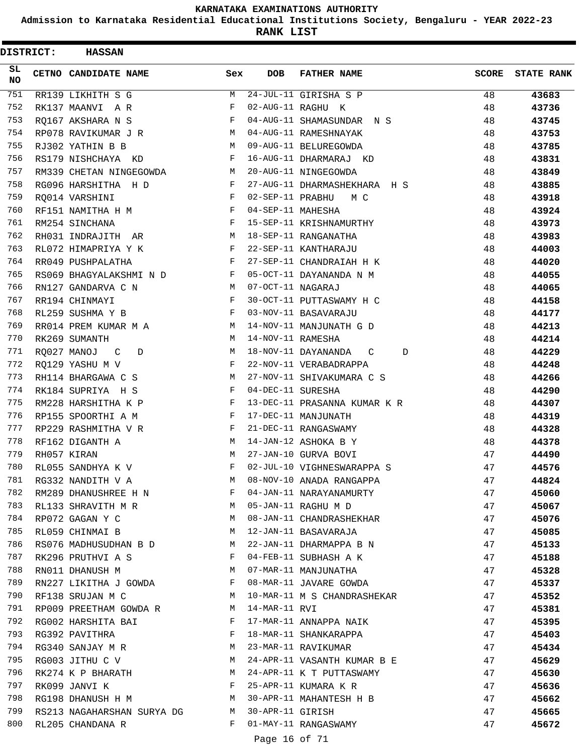**Admission to Karnataka Residential Educational Institutions Society, Bengaluru - YEAR 2022-23**

|                 | <b>DISTRICT:</b> | <b>HASSAN</b>              |     |                   |                                     |              |                   |
|-----------------|------------------|----------------------------|-----|-------------------|-------------------------------------|--------------|-------------------|
| SL<br><b>NO</b> |                  | CETNO CANDIDATE NAME       | Sex | <b>DOB</b>        | <b>FATHER NAME</b>                  | <b>SCORE</b> | <b>STATE RANK</b> |
| 751             |                  | RR139 LIKHITH S G          | М   |                   | $\overline{24}$ -JUL-11 GIRISHA S P | 48           | 43683             |
| 752             |                  | RK137 MAANVI<br>A R        | F   |                   | 02-AUG-11 RAGHU K                   | 48           | 43736             |
| 753             |                  | RQ167 AKSHARA N S          | F   |                   | 04-AUG-11 SHAMASUNDAR N S           | 48           | 43745             |
| 754             |                  | RP078 RAVIKUMAR J R        | М   |                   | 04-AUG-11 RAMESHNAYAK               | 48           | 43753             |
| 755             |                  | RJ302 YATHIN B B           | M   |                   | 09-AUG-11 BELUREGOWDA               | 48           | 43785             |
| 756             |                  | RS179 NISHCHAYA KD         | F   |                   | 16-AUG-11 DHARMARAJ KD              | 48           | 43831             |
| 757             |                  | RM339 CHETAN NINGEGOWDA    | М   |                   | 20-AUG-11 NINGEGOWDA                | 48           | 43849             |
| 758             |                  | RG096 HARSHITHA H D        | F   |                   | 27-AUG-11 DHARMASHEKHARA H S        | 48           | 43885             |
| 759             |                  | RQ014 VARSHINI             | F   | 02-SEP-11 PRABHU  | МC                                  | 48           | 43918             |
| 760             |                  | RF151 NAMITHA H M          | F   | 04-SEP-11 MAHESHA |                                     | 48           | 43924             |
| 761             |                  | RM254 SINCHANA             | F   |                   | 15-SEP-11 KRISHNAMURTHY             | 48           | 43973             |
| 762             |                  | RH031 INDRAJITH AR         | М   |                   | 18-SEP-11 RANGANATHA                | 48           | 43983             |
| 763             |                  | RL072 HIMAPRIYA Y K        | F   |                   | 22-SEP-11 KANTHARAJU                | 48           | 44003             |
| 764             |                  | RR049 PUSHPALATHA          | F   |                   | 27-SEP-11 CHANDRAIAH H K            | 48           | 44020             |
| 765             |                  | RS069 BHAGYALAKSHMI N D    | F   |                   | 05-OCT-11 DAYANANDA N M             | 48           | 44055             |
| 766             |                  | RN127 GANDARVA C N         | M   | 07-OCT-11 NAGARAJ |                                     | 48           | 44065             |
| 767             |                  | RR194 CHINMAYI             | F   |                   | 30-OCT-11 PUTTASWAMY H C            | 48           | 44158             |
| 768             |                  | RL259 SUSHMA Y B           | F   |                   | 03-NOV-11 BASAVARAJU                | 48           | 44177             |
| 769             |                  | RR014 PREM KUMAR M A       | М   |                   | 14-NOV-11 MANJUNATH G D             | 48           | 44213             |
| 770             |                  | RK269 SUMANTH              | М   | 14-NOV-11 RAMESHA |                                     | 48           | 44214             |
| 771             |                  | RQ027 MANOJ<br>C<br>D      | M   |                   | 18-NOV-11 DAYANANDA<br>C<br>D       | 48           | 44229             |
| 772             |                  | RO129 YASHU M V            | F   |                   | 22-NOV-11 VERABADRAPPA              | 48           | 44248             |
| 773             |                  | RH114 BHARGAWA C S         | M   |                   | 27-NOV-11 SHIVAKUMARA C S           | 48           | 44266             |
| 774             |                  | RK184 SUPRIYA H S          | F   | 04-DEC-11 SURESHA |                                     | 48           | 44290             |
| 775             |                  | RM228 HARSHITHA K P        | F   |                   | 13-DEC-11 PRASANNA KUMAR K R        | 48           | 44307             |
| 776             |                  | RP155 SPOORTHI A M         | F   |                   | 17-DEC-11 MANJUNATH                 | 48           | 44319             |
| 777             |                  | RP229 RASHMITHA V R        | F   |                   | 21-DEC-11 RANGASWAMY                | 48           | 44328             |
| 778             |                  | RF162 DIGANTH A            | M   |                   | 14-JAN-12 ASHOKA B Y                | 48           | 44378             |
| 779             |                  | RH057 KIRAN                | M   |                   | 27-JAN-10 GURVA BOVI                | 47           | 44490             |
| 780             |                  | RL055 SANDHYA K V          | F   |                   | 02-JUL-10 VIGHNESWARAPPA S          | 47           | 44576             |
| 781             |                  | RG332 NANDITH V A          | M   |                   | 08-NOV-10 ANADA RANGAPPA            | 47           | 44824             |
| 782             |                  | RM289 DHANUSHREE H N       | F   |                   | 04-JAN-11 NARAYANAMURTY             | 47           | 45060             |
| 783             |                  | RL133 SHRAVITH M R         | M   |                   | 05-JAN-11 RAGHU M D                 | 47           | 45067             |
| 784             |                  | RP072 GAGAN Y C            | M   |                   | 08-JAN-11 CHANDRASHEKHAR            | 47           | 45076             |
| 785             |                  | RL059 CHINMAI B            | M   |                   | 12-JAN-11 BASAVARAJA                | 47           | 45085             |
| 786             |                  | RS076 MADHUSUDHAN B D      | M   |                   | 22-JAN-11 DHARMAPPA B N             | 47           | 45133             |
| 787             |                  | RK296 PRUTHVI A S          | F   |                   | 04-FEB-11 SUBHASH A K               | 47           | 45188             |
| 788             |                  | RN011 DHANUSH M            | М   |                   | 07-MAR-11 MANJUNATHA                | 47           | 45328             |
| 789             |                  | RN227 LIKITHA J GOWDA      | F   |                   | 08-MAR-11 JAVARE GOWDA              | 47           | 45337             |
| 790             |                  | RF138 SRUJAN M C           | M   |                   | 10-MAR-11 M S CHANDRASHEKAR         | 47           | 45352             |
| 791             |                  | RP009 PREETHAM GOWDA R     | M   | $14-MAR-11$ RVI   |                                     | 47           | 45381             |
| 792             |                  | RG002 HARSHITA BAI         | F   |                   | 17-MAR-11 ANNAPPA NAIK              | 47           | 45395             |
| 793             |                  | RG392 PAVITHRA             | F   |                   | 18-MAR-11 SHANKARAPPA               | 47           | 45403             |
| 794             |                  | RG340 SANJAY M R           | М   |                   | 23-MAR-11 RAVIKUMAR                 | 47           | 45434             |
| 795             |                  | RG003 JITHU C V            | M   |                   | 24-APR-11 VASANTH KUMAR B E         | 47           | 45629             |
| 796             |                  | RK274 K P BHARATH          | М   |                   | 24-APR-11 K T PUTTASWAMY            | 47           | 45630             |
| 797             |                  | RK099 JANVI K              | F   |                   | 25-APR-11 KUMARA K R                | 47           | 45636             |
| 798             |                  | RG198 DHANUSH H M          | M   |                   | 30-APR-11 MAHANTESH H B             | 47           | 45662             |
| 799             |                  | RS213 NAGAHARSHAN SURYA DG | M   | 30-APR-11 GIRISH  |                                     | 47           | 45665             |
| 800             |                  | RL205 CHANDANA R           | F   |                   | 01-MAY-11 RANGASWAMY                | 47           | 45672             |
|                 |                  |                            |     | Page 16 of 71     |                                     |              |                   |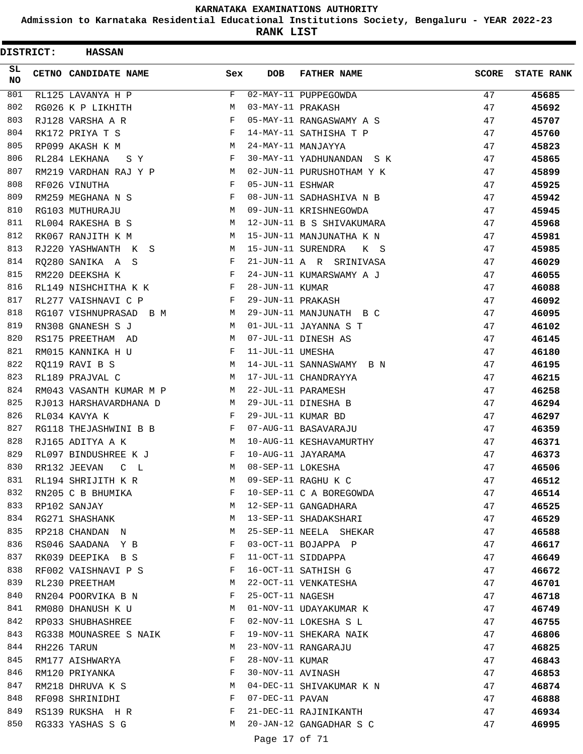**Admission to Karnataka Residential Educational Institutions Society, Bengaluru - YEAR 2022-23**

**RANK LIST**

| <b>DISTRICT:</b> | <b>HASSAN</b>           |     |                   |                           |              |                   |
|------------------|-------------------------|-----|-------------------|---------------------------|--------------|-------------------|
| SL.<br><b>NO</b> | CETNO CANDIDATE NAME    | Sex | <b>DOB</b>        | <b>FATHER NAME</b>        | <b>SCORE</b> | <b>STATE RANK</b> |
| 801              | RL125 LAVANYA H P       | F   |                   | 02-MAY-11 PUPPEGOWDA      | 47           | 45685             |
| 802              | RG026 K P LIKHITH       | M   | 03-MAY-11 PRAKASH |                           | 47           | 45692             |
| 803              | RJ128 VARSHA A R        | F   |                   | 05-MAY-11 RANGASWAMY A S  | 47           | 45707             |
| 804              | RK172 PRIYA T S         | F   |                   | 14-MAY-11 SATHISHA T P    | 47           | 45760             |
| 805              | RP099 AKASH K M         | М   |                   | 24-MAY-11 MANJAYYA        | 47           | 45823             |
| 806              | RL284 LEKHANA<br>S Y    | F   |                   | 30-MAY-11 YADHUNANDAN SK  | 47           | 45865             |
| 807              | RM219 VARDHAN RAJ Y P   | M   |                   | 02-JUN-11 PURUSHOTHAM Y K | 47           | 45899             |
| 808              | RF026 VINUTHA           | F   | 05-JUN-11 ESHWAR  |                           | 47           | 45925             |
| 809              | RM259 MEGHANA N S       | F   |                   | 08-JUN-11 SADHASHIVA N B  | 47           | 45942             |
| 810              | RG103 MUTHURAJU         | М   |                   | 09-JUN-11 KRISHNEGOWDA    | 47           | 45945             |
| 811              | RL004 RAKESHA B S       | М   |                   | 12-JUN-11 B S SHIVAKUMARA | 47           | 45968             |
| 812              | RK067 RANJITH K M       | М   |                   | 15-JUN-11 MANJUNATHA K N  | 47           | 45981             |
| 813              | RJ220 YASHWANTH K S     | M   |                   | 15-JUN-11 SURENDRA<br>K S | 47           | 45985             |
| 814              | RQ280 SANIKA A S        | F   |                   | 21-JUN-11 A R SRINIVASA   | 47           | 46029             |
| 815              | RM220 DEEKSHA K         | F   |                   | 24-JUN-11 KUMARSWAMY A J  | 47           | 46055             |
| 816              | RL149 NISHCHITHA K K    | F   | 28-JUN-11 KUMAR   |                           | 47           | 46088             |
| 817              | RL277 VAISHNAVI C P     | F   | 29-JUN-11 PRAKASH |                           | 47           | 46092             |
| 818              | RG107 VISHNUPRASAD B M  | М   |                   | 29-JUN-11 MANJUNATH B C   | 47           | 46095             |
| 819              | RN308 GNANESH S J       | M   |                   | 01-JUL-11 JAYANNA S T     | 47           | 46102             |
| 820              | RS175 PREETHAM AD       | М   |                   | 07-JUL-11 DINESH AS       | 47           | 46145             |
| 821              | RM015 KANNIKA H U       | F   | 11-JUL-11 UMESHA  |                           | 47           | 46180             |
| 822              | RO119 RAVI B S          | M   |                   | 14-JUL-11 SANNASWAMY B N  | 47           | 46195             |
| 823              | RL189 PRAJVAL C         | M   |                   | 17-JUL-11 CHANDRAYYA      | 47           | 46215             |
| 824              | RM043 VASANTH KUMAR M P | М   |                   | 22-JUL-11 PARAMESH        | 47           | 46258             |
| 825              | RJ013 HARSHAVARDHANA D  | M   |                   | 29-JUL-11 DINESHA B       | 47           | 46294             |
| 826              | RL034 KAVYA K           | F   |                   | 29-JUL-11 KUMAR BD        | 47           | 46297             |
| 827              | RG118 THEJASHWINI B B   | F   |                   | 07-AUG-11 BASAVARAJU      | 47           | 46359             |
| 828              | RJ165 ADITYA A K        | M   |                   | 10-AUG-11 KESHAVAMURTHY   | 47           | 46371             |
| 829              | RL097 BINDUSHREE K J    | F   |                   | 10-AUG-11 JAYARAMA        | 47           | 46373             |
| 830              | RR132 JEEVAN<br>C<br>L  | M   | 08-SEP-11 LOKESHA |                           | 47           | 46506             |
| 831              | RL194 SHRIJITH K R      | M   |                   | 09-SEP-11 RAGHU K C       | 47           | 46512             |
| 832              | RN205 C B BHUMIKA       | F   |                   | 10-SEP-11 C A BOREGOWDA   | 47           | 46514             |
| 833              | RP102 SANJAY            | M   |                   | 12-SEP-11 GANGADHARA      | 47           | 46525             |
| 834              | RG271 SHASHANK          | M   |                   | 13-SEP-11 SHADAKSHARI     | 47           | 46529             |
| 835              | RP218 CHANDAN N         | M   |                   | 25-SEP-11 NEELA SHEKAR    | 47           | 46588             |
| 836              | RS046 SAADANA Y B       | F   |                   | 03-OCT-11 BOJAPPA P       | 47           | 46617             |
| 837              | RK039 DEEPIKA B S       | F   |                   | 11-OCT-11 SIDDAPPA        | 47           | 46649             |
| 838              | RF002 VAISHNAVI P S     | F   |                   | 16-OCT-11 SATHISH G       | 47           |                   |
| 839              | RL230 PREETHAM          | М   |                   | 22-OCT-11 VENKATESHA      | 47           | 46672             |
| 840              |                         | F   | 25-OCT-11 NAGESH  |                           |              | 46701             |
| 841              | RN204 POORVIKA B N      |     |                   |                           | 47           | 46718             |
| 842              | RM080 DHANUSH K U       | M   |                   | 01-NOV-11 UDAYAKUMAR K    | 47           | 46749             |
| 843              | RP033 SHUBHASHREE       | F   |                   | 02-NOV-11 LOKESHA S L     | 47           | 46755             |
|                  | RG338 MOUNASREE S NAIK  | F   |                   | 19-NOV-11 SHEKARA NAIK    | 47           | 46806             |
| 844              | RH226 TARUN             | М   |                   | 23-NOV-11 RANGARAJU       | 47           | 46825             |
| 845              | RM177 AISHWARYA         | F   | 28-NOV-11 KUMAR   |                           | 47           | 46843             |
| 846              | RM120 PRIYANKA          | F   |                   | 30-NOV-11 AVINASH         | 47           | 46853             |
| 847              | RM218 DHRUVA K S        | M   |                   | 04-DEC-11 SHIVAKUMAR K N  | 47           | 46874             |
| 848              | RF098 SHRINIDHI         | F   | 07-DEC-11 PAVAN   |                           | 47           | 46888             |
| 849              | RS139 RUKSHA H R        | F   |                   | 21-DEC-11 RAJINIKANTH     | 47           | 46934             |
| 850              | RG333 YASHAS S G        | М   |                   | 20-JAN-12 GANGADHAR S C   | 47           | 46995             |

Page 17 of 71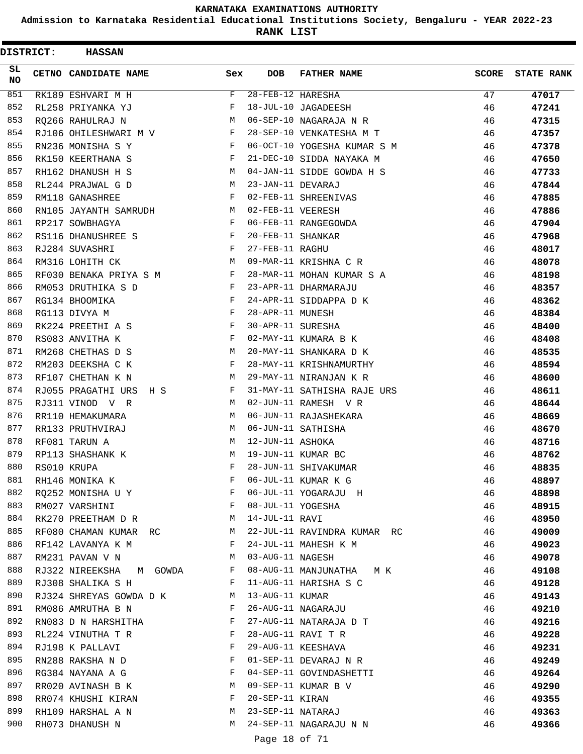**Admission to Karnataka Residential Educational Institutions Society, Bengaluru - YEAR 2022-23**

| <b>DISTRICT:</b> | <b>HASSAN</b>             |            |                   |                             |              |                   |
|------------------|---------------------------|------------|-------------------|-----------------------------|--------------|-------------------|
| SL<br><b>NO</b>  | CETNO CANDIDATE NAME      | Sex        | <b>DOB</b>        | <b>FATHER NAME</b>          | <b>SCORE</b> | <b>STATE RANK</b> |
| 851              | RK189 ESHVARI M H         | F          | 28-FEB-12 HARESHA |                             | 47           | 47017             |
| 852              | RL258 PRIYANKA YJ         | F          |                   | 18-JUL-10 JAGADEESH         | 46           | 47241             |
| 853              | RQ266 RAHULRAJ N          | M          |                   | 06-SEP-10 NAGARAJA N R      | 46           | 47315             |
| 854              | RJ106 OHILESHWARI M V     | F          |                   | 28-SEP-10 VENKATESHA M T    | 46           | 47357             |
| 855              | RN236 MONISHA S Y         | F          |                   | 06-OCT-10 YOGESHA KUMAR S M | 46           | 47378             |
| 856              | RK150 KEERTHANA S         | F          |                   | 21-DEC-10 SIDDA NAYAKA M    | 46           | 47650             |
| 857              | RH162 DHANUSH H S         | M          |                   | 04-JAN-11 SIDDE GOWDA H S   | 46           | 47733             |
| 858              | RL244 PRAJWAL G D         | M          | 23-JAN-11 DEVARAJ |                             | 46           | 47844             |
| 859              | RM118 GANASHREE           | F          |                   | 02-FEB-11 SHREENIVAS        | 46           | 47885             |
| 860              | RN105 JAYANTH SAMRUDH     | М          | 02-FEB-11 VEERESH |                             | 46           | 47886             |
| 861              | RP217 SOWBHAGYA           | F          |                   | 06-FEB-11 RANGEGOWDA        | 46           | 47904             |
| 862              | RS116 DHANUSHREE S        | F          | 20-FEB-11 SHANKAR |                             | 46           | 47968             |
| 863              | RJ284 SUVASHRI            | F          | 27-FEB-11 RAGHU   |                             | 46           | 48017             |
| 864              | RM316 LOHITH CK           | M          |                   | 09-MAR-11 KRISHNA C R       | 46           | 48078             |
| 865              | RF030 BENAKA PRIYA S M    | F          |                   | 28-MAR-11 MOHAN KUMAR S A   | 46           | 48198             |
| 866              | RM053 DRUTHIKA S D        | F          |                   | 23-APR-11 DHARMARAJU        | 46           | 48357             |
| 867              | RG134 BHOOMIKA            | F          |                   | 24-APR-11 SIDDAPPA D K      | 46           | 48362             |
| 868              | RG113 DIVYA M             | F          | 28-APR-11 MUNESH  |                             | 46           | 48384             |
| 869              | RK224 PREETHI A S         | $_{\rm F}$ | 30-APR-11 SURESHA |                             | 46           | 48400             |
| 870              | RS083 ANVITHA K           | F          |                   | 02-MAY-11 KUMARA B K        | 46           | 48408             |
| 871              | RM268 CHETHAS D S         | М          |                   | 20-MAY-11 SHANKARA D K      | 46           | 48535             |
| 872              | RM203 DEEKSHA C K         | F          |                   | 28-MAY-11 KRISHNAMURTHY     | 46           | 48594             |
| 873              | RF107 CHETHAN K N         | M          |                   | 29-MAY-11 NIRANJAN K R      | 46           | 48600             |
| 874              | RJ055 PRAGATHI URS<br>H S | F          |                   | 31-MAY-11 SATHISHA RAJE URS | 46           | 48611             |
| 875              | RJ311 VINOD V R           | M          |                   | 02-JUN-11 RAMESH V R        | 46           | 48644             |
| 876              | RR110 HEMAKUMARA          | М          |                   | 06-JUN-11 RAJASHEKARA       | 46           | 48669             |
| 877              | RR133 PRUTHVIRAJ          | M          |                   | 06-JUN-11 SATHISHA          | 46           | 48670             |
| 878              | RF081 TARUN A             | М          | 12-JUN-11 ASHOKA  |                             | 46           | 48716             |
| 879              | RP113 SHASHANK K          | M          |                   | 19-JUN-11 KUMAR BC          | 46           | 48762             |
| 880              | RS010 KRUPA               | F          |                   | 28-JUN-11 SHIVAKUMAR        | 46           | 48835             |
| 881              | RH146 MONIKA K            | F          |                   | 06-JUL-11 KUMAR K G         | 46           | 48897             |
| 882              | RO252 MONISHA U Y         | F          |                   | 06-JUL-11 YOGARAJU H        | 46           | 48898             |
| 883              | RM027 VARSHINI            | F          | 08-JUL-11 YOGESHA |                             | 46           | 48915             |
| 884              | RK270 PREETHAM D R        | M          | 14-JUL-11 RAVI    |                             | 46           | 48950             |
| 885              | RF080 CHAMAN KUMAR RC     | M          |                   | 22-JUL-11 RAVINDRA KUMAR RC | 46           | 49009             |
| 886              | RF142 LAVANYA K M         | F          |                   | 24-JUL-11 MAHESH K M        | 46           | 49023             |
| 887              | RM231 PAVAN V N           | М          | 03-AUG-11 NAGESH  |                             | 46           | 49078             |
| 888              | RJ322 NIREEKSHA M GOWDA   | F          |                   | 08-AUG-11 MANJUNATHA MK     | 46           | 49108             |
| 889              | RJ308 SHALIKA S H         | F          |                   | 11-AUG-11 HARISHA S C       | 46           | 49128             |
| 890              | RJ324 SHREYAS GOWDA D K   | M          | 13-AUG-11 KUMAR   |                             | 46           | 49143             |
| 891              | RM086 AMRUTHA B N         | F          |                   | 26-AUG-11 NAGARAJU          | 46           | 49210             |
| 892              | RN083 D N HARSHITHA       | F          |                   | 27-AUG-11 NATARAJA D T      | 46           | 49216             |
| 893              | RL224 VINUTHA T R         | F          |                   | 28-AUG-11 RAVI T R          | 46           | 49228             |
| 894              | RJ198 K PALLAVI           | F          |                   | 29-AUG-11 KEESHAVA          | 46           | 49231             |
| 895              | RN288 RAKSHA N D          | F          |                   | 01-SEP-11 DEVARAJ N R       | 46           | 49249             |
| 896              | RG384 NAYANA A G          | F          |                   | 04-SEP-11 GOVINDASHETTI     | 46           | 49264             |
| 897              | RR020 AVINASH B K         | М          |                   | 09-SEP-11 KUMAR B V         | 46           | 49290             |
| 898              | RR074 KHUSHI KIRAN        | F          | 20-SEP-11 KIRAN   |                             | 46           | 49355             |
| 899              | RH109 HARSHAL A N         | М          | 23-SEP-11 NATARAJ |                             | 46           | 49363             |
| 900              | RH073 DHANUSH N           | М          |                   | 24-SEP-11 NAGARAJU N N      | 46           | 49366             |
|                  |                           |            |                   |                             |              |                   |
|                  |                           |            | Page 18 of 71     |                             |              |                   |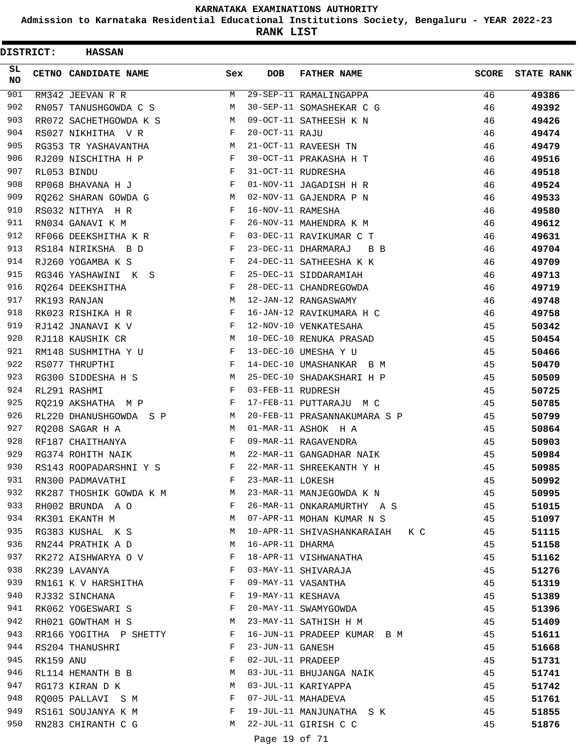**Admission to Karnataka Residential Educational Institutions Society, Bengaluru - YEAR 2022-23**

| <b>DISTRICT:</b> |             | <b>HASSAN</b>           |            |                   |                                |              |                   |
|------------------|-------------|-------------------------|------------|-------------------|--------------------------------|--------------|-------------------|
| SL.<br><b>NO</b> |             | CETNO CANDIDATE NAME    | Sex        | <b>DOB</b>        | <b>FATHER NAME</b>             | <b>SCORE</b> | <b>STATE RANK</b> |
| 901              |             | RM342 JEEVAN R R        | M          |                   | 29-SEP-11 RAMALINGAPPA         | 46           | 49386             |
| 902              |             | RN057 TANUSHGOWDA C S   | M          |                   | 30-SEP-11 SOMASHEKAR C G       | 46           | 49392             |
| 903              |             | RR072 SACHETHGOWDA K S  | M          |                   | 09-OCT-11 SATHEESH K N         | 46           | 49426             |
| 904              |             | RS027 NIKHITHA V R      | F          | 20-OCT-11 RAJU    |                                | 46           | 49474             |
| 905              |             | RG353 TR YASHAVANTHA    | М          |                   | 21-OCT-11 RAVEESH TN           | 46           | 49479             |
| 906              |             | RJ209 NISCHITHA H P     | F          |                   | 30-OCT-11 PRAKASHA H T         | 46           | 49516             |
| 907              | RL053 BINDU |                         | F          |                   | 31-OCT-11 RUDRESHA             | 46           | 49518             |
| 908              |             | RP068 BHAVANA H J       | F          |                   | 01-NOV-11 JAGADISH H R         | 46           | 49524             |
| 909              |             | RQ262 SHARAN GOWDA G    | М          |                   | 02-NOV-11 GAJENDRA P N         | 46           | 49533             |
| 910              |             | RS032 NITHYA H R        | F          | 16-NOV-11 RAMESHA |                                | 46           | 49580             |
| 911              |             | RN034 GANAVI K M        | $_{\rm F}$ |                   | 26-NOV-11 MAHENDRA K M         | 46           | 49612             |
| 912              |             | RF066 DEEKSHITHA K R    | F          |                   | 03-DEC-11 RAVIKUMAR C T        | 46           | 49631             |
| 913              |             | RS184 NIRIKSHA B D      | F          |                   | 23-DEC-11 DHARMARAJ<br>B B     | 46           | 49704             |
| 914              |             | RJ260 YOGAMBA K S       | F          |                   | 24-DEC-11 SATHEESHA K K        | 46           | 49709             |
| 915              |             | RG346 YASHAWINI K S     | F          |                   | 25-DEC-11 SIDDARAMIAH          | 46           | 49713             |
| 916              |             | RO264 DEEKSHITHA        | F          |                   | 28-DEC-11 CHANDREGOWDA         | 46           | 49719             |
| 917              |             | RK193 RANJAN            | M          |                   | 12-JAN-12 RANGASWAMY           | 46           | 49748             |
| 918              |             | RK023 RISHIKA H R       | F          |                   | 16-JAN-12 RAVIKUMARA H C       | 46           | 49758             |
| 919              |             | RJ142 JNANAVI K V       | F          |                   | 12-NOV-10 VENKATESAHA          | 45           | 50342             |
| 920              |             | RJ118 KAUSHIK CR        | М          |                   | 10-DEC-10 RENUKA PRASAD        | 45           | 50454             |
| 921              |             | RM148 SUSHMITHA Y U     | F          |                   | 13-DEC-10 UMESHA Y U           | 45           | 50466             |
| 922              |             | RS077 THRUPTHI          | F          |                   | 14-DEC-10 UMASHANKAR B M       | 45           | 50470             |
| 923              |             | RG300 SIDDESHA H S      | M          |                   | 25-DEC-10 SHADAKSHARI H P      | 45           | 50509             |
| 924              |             | RL291 RASHMI            | F          | 03-FEB-11 RUDRESH |                                | 45           | 50725             |
| 925              |             | RQ219 AKSHATHA M P      | F          |                   | 17-FEB-11 PUTTARAJU M C        | 45           | 50785             |
| 926              |             | RL220 DHANUSHGOWDA S P  | М          |                   | 20-FEB-11 PRASANNAKUMARA S P   | 45           | 50799             |
| 927              |             | RO208 SAGAR H A         | M          |                   | 01-MAR-11 ASHOK H A            | 45           | 50864             |
| 928              |             | RF187 CHAITHANYA        | F          |                   | 09-MAR-11 RAGAVENDRA           | 45           | 50903             |
| 929              |             | RG374 ROHITH NAIK       | M          |                   | 22-MAR-11 GANGADHAR NAIK       | 45           | 50984             |
| 930              |             | RS143 ROOPADARSHNI Y S  | F          |                   | 22-MAR-11 SHREEKANTH Y H       | 45           | 50985             |
| 931              |             | RN300 PADMAVATHI        | F          | 23-MAR-11 LOKESH  |                                | 45           | 50992             |
| 932              |             | RK287 THOSHIK GOWDA K M | M          |                   | 23-MAR-11 MANJEGOWDA K N       | 45           | 50995             |
| 933              |             | RH002 BRUNDA A O        | F          |                   | 26-MAR-11 ONKARAMURTHY A S     | 45           | 51015             |
| 934              |             | RK301 EKANTH M          | M          |                   | 07-APR-11 MOHAN KUMAR N S      | 45           | 51097             |
| 935              |             | RG383 KUSHAL K S        | М          |                   | 10-APR-11 SHIVASHANKARAIAH K C | 45           | 51115             |
| 936              |             | RN244 PRATHIK A D       | M          | 16-APR-11 DHARMA  |                                | 45           | 51158             |
| 937              |             | RK272 AISHWARYA O V     | F          |                   | 18-APR-11 VISHWANATHA          | 45           | 51162             |
| 938              |             | RK239 LAVANYA           | F          |                   | 03-MAY-11 SHIVARAJA            | 45           | 51276             |
| 939              |             | RN161 K V HARSHITHA     | F          |                   | 09-MAY-11 VASANTHA             | 45           | 51319             |
| 940              |             | RJ332 SINCHANA          | F          | 19-MAY-11 KESHAVA |                                | 45           | 51389             |
| 941              |             | RK062 YOGESWARI S       | F          |                   | 20-MAY-11 SWAMYGOWDA           | 45           | 51396             |
| 942              |             | RH021 GOWTHAM H S       | M          |                   | 23-MAY-11 SATHISH H M          | 45           | 51409             |
| 943              |             | RR166 YOGITHA P SHETTY  | F          |                   | 16-JUN-11 PRADEEP KUMAR B M    | 45           | 51611             |
| 944              |             | RS204 THANUSHRI         | F          | 23-JUN-11 GANESH  |                                | 45           | 51668             |
| 945              | RK159 ANU   |                         | F          | 02-JUL-11 PRADEEP |                                | 45           | 51731             |
| 946              |             | RL114 HEMANTH B B       | M          |                   | 03-JUL-11 BHUJANGA NAIK        | 45           | 51741             |
| 947              |             | RG173 KIRAN D K         | M          |                   | 03-JUL-11 KARIYAPPA            | 45           | 51742             |
| 948              |             | RQ005 PALLAVI S M       | F          |                   | 07-JUL-11 MAHADEVA             | 45           | 51761             |
| 949              |             | RS161 SOUJANYA K M      | F          |                   | 19-JUL-11 MANJUNATHA SK        | 45           | 51855             |
| 950              |             | RN283 CHIRANTH C G      | M          |                   | 22-JUL-11 GIRISH C C           | 45           | 51876             |
|                  |             |                         |            | Page 19 of 71     |                                |              |                   |
|                  |             |                         |            |                   |                                |              |                   |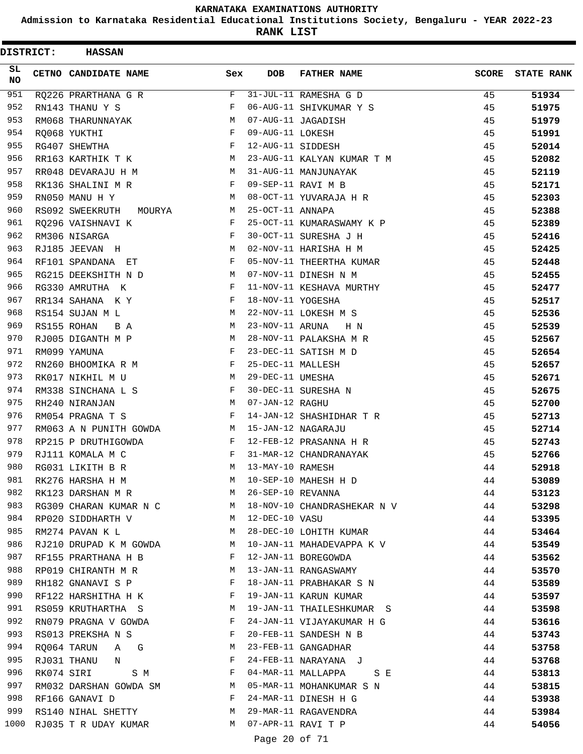**Admission to Karnataka Residential Educational Institutions Society, Bengaluru - YEAR 2022-23**

**RANK LIST**

| <b>DISTRICT:</b> | <b>HASSAN</b>             |     |                   |                             |              |                   |
|------------------|---------------------------|-----|-------------------|-----------------------------|--------------|-------------------|
| SL<br><b>NO</b>  | CETNO CANDIDATE NAME      | Sex | <b>DOB</b>        | <b>FATHER NAME</b>          | <b>SCORE</b> | <b>STATE RANK</b> |
| 951              | RQ226 PRARTHANA G R       | F   |                   | 31-JUL-11 RAMESHA G D       | 45           | 51934             |
| 952              | RN143 THANU Y S           | F   |                   | 06-AUG-11 SHIVKUMAR Y S     | 45           | 51975             |
| 953              | RM068 THARUNNAYAK         | M   |                   | 07-AUG-11 JAGADISH          | 45           | 51979             |
| 954              | RO068 YUKTHI              | F   | 09-AUG-11 LOKESH  |                             | 45           | 51991             |
| 955              | RG407 SHEWTHA             | F   | 12-AUG-11 SIDDESH |                             | 45           | 52014             |
| 956              | RR163 KARTHIK T K         | М   |                   | 23-AUG-11 KALYAN KUMAR T M  | 45           | 52082             |
| 957              | RR048 DEVARAJU H M        | M   |                   | 31-AUG-11 MANJUNAYAK        | 45           | 52119             |
| 958              | RK136 SHALINI M R         | F   |                   | 09-SEP-11 RAVI M B          | 45           | 52171             |
| 959              | RN050 MANU H Y            | М   |                   | 08-OCT-11 YUVARAJA H R      | 45           | 52303             |
| 960              | RS092 SWEEKRUTH<br>MOURYA | М   | 25-OCT-11 ANNAPA  |                             | 45           | 52388             |
| 961              | RQ296 VAISHNAVI K         | F   |                   | 25-OCT-11 KUMARASWAMY K P   | 45           | 52389             |
| 962              | RM306 NISARGA             | F   |                   | 30-OCT-11 SURESHA J H       | 45           | 52416             |
| 963              | RJ185 JEEVAN H            | М   |                   | 02-NOV-11 HARISHA H M       | 45           | 52425             |
| 964              | RF101 SPANDANA ET         | F   |                   | 05-NOV-11 THEERTHA KUMAR    | 45           | 52448             |
| 965              | RG215 DEEKSHITH N D       | M   |                   | 07-NOV-11 DINESH N M        | 45           | 52455             |
| 966              | RG330 AMRUTHA K           | F   |                   | 11-NOV-11 KESHAVA MURTHY    | 45           | 52477             |
| 967              | RR134 SAHANA K Y          | F   | 18-NOV-11 YOGESHA |                             | 45           | 52517             |
| 968              | RS154 SUJAN M L           | М   |                   | 22-NOV-11 LOKESH M S        | 45           | 52536             |
| 969              | RS155 ROHAN<br>B A        | М   | 23-NOV-11 ARUNA   | H N                         | 45           | 52539             |
| 970              | RJ005 DIGANTH M P         | М   |                   | 28-NOV-11 PALAKSHA M R      | 45           | 52567             |
| 971              | RM099 YAMUNA              | F   |                   | 23-DEC-11 SATISH M D        | 45           | 52654             |
| 972              | RN260 BHOOMIKA R M        | F   | 25-DEC-11 MALLESH |                             | 45           | 52657             |
| 973              | RK017 NIKHIL M U          | M   | 29-DEC-11 UMESHA  |                             | 45           | 52671             |
| 974              | RM338 SINCHANA L S        | F   |                   | 30-DEC-11 SURESHA N         | 45           | 52675             |
| 975              | RH240 NIRANJAN            | М   | 07-JAN-12 RAGHU   |                             | 45           | 52700             |
| 976              | RM054 PRAGNA T S          | F   |                   | 14-JAN-12 SHASHIDHAR T R    | 45           | 52713             |
| 977              | RM063 A N PUNITH GOWDA    | М   |                   | 15-JAN-12 NAGARAJU          | 45           | 52714             |
| 978              | RP215 P DRUTHIGOWDA       | F   |                   | 12-FEB-12 PRASANNA H R      | 45           | 52743             |
| 979              | RJ111 KOMALA M C          | F   |                   | 31-MAR-12 CHANDRANAYAK      | 45           | 52766             |
| 980              | RG031 LIKITH B R          | M   | 13-MAY-10 RAMESH  |                             | 44           | 52918             |
| 981              |                           | M   |                   | 10-SEP-10 MAHESH H D        |              | 53089             |
| 982              | RK276 HARSHA H M          |     | 26-SEP-10 REVANNA |                             | 44           |                   |
| 983              | RK123 DARSHAN M R         | M   |                   |                             | 44           | 53123             |
|                  | RG309 CHARAN KUMAR N C M  |     |                   | 18-NOV-10 CHANDRASHEKAR N V | 44           | 53298             |
| 984              | RP020 SIDDHARTH V         | M   | 12-DEC-10 VASU    |                             | 44           | 53395             |
| 985              | RM274 PAVAN K L           | M   |                   | 28-DEC-10 LOHITH KUMAR      | 44           | 53464             |
| 986              | RJ210 DRUPAD K M GOWDA    | M   |                   | 10-JAN-11 MAHADEVAPPA K V   | 44           | 53549             |
| 987              | RF155 PRARTHANA H B       | F   |                   | 12-JAN-11 BOREGOWDA         | 44           | 53562             |
| 988              | RP019 CHIRANTH M R        | M   |                   | 13-JAN-11 RANGASWAMY        | 44           | 53570             |
| 989              | RH182 GNANAVI S P         | F   |                   | 18-JAN-11 PRABHAKAR S N     | 44           | 53589             |
| 990              | RF122 HARSHITHA H K       | F   |                   | 19-JAN-11 KARUN KUMAR       | 44           | 53597             |
| 991              | RS059 KRUTHARTHA S        | M   |                   | 19-JAN-11 THAILESHKUMAR S   | 44           | 53598             |
| 992              | RN079 PRAGNA V GOWDA      | F   |                   | 24-JAN-11 VIJAYAKUMAR H G   | 44           | 53616             |
| 993              | RS013 PREKSHA N S         | F   |                   | 20-FEB-11 SANDESH N B       | 44           | 53743             |
| 994              | RQ064 TARUN A G           | М   |                   | 23-FEB-11 GANGADHAR         | 44           | 53758             |
| 995              | RJ031 THANU N             | F   |                   | 24-FEB-11 NARAYANA J        | 44           | 53768             |
| 996              | RK074 SIRI<br>S M         | F   |                   | 04-MAR-11 MALLAPPA<br>S E   | 44           | 53813             |
| 997              | RM032 DARSHAN GOWDA SM    | M   |                   | 05-MAR-11 MOHANKUMAR S N    | 44           | 53815             |
| 998              | RF166 GANAVI D            | F   |                   | 24-MAR-11 DINESH H G        | 44           | 53938             |
| 999              | RS140 NIHAL SHETTY        | M   |                   | 29-MAR-11 RAGAVENDRA        | 44           | 53984             |
| 1000             | RJ035 T R UDAY KUMAR      | M   |                   | 07-APR-11 RAVI T P          | 44           | 54056             |

Page 20 of 71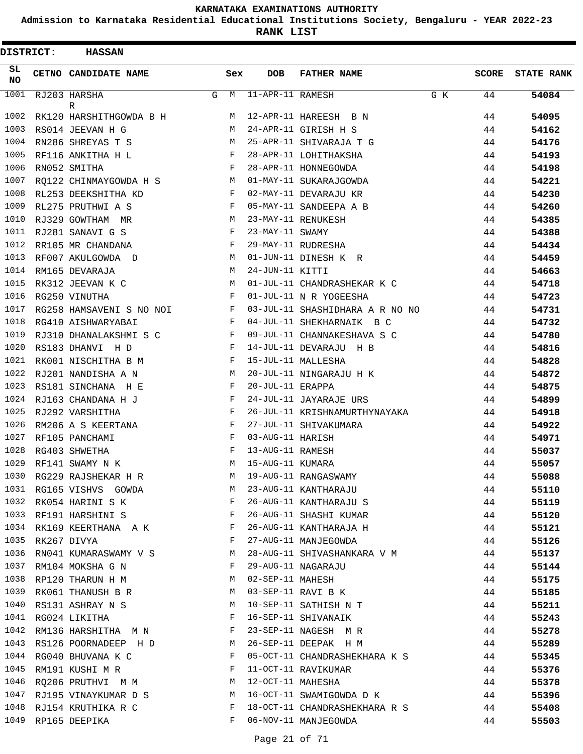**Admission to Karnataka Residential Educational Institutions Society, Bengaluru - YEAR 2022-23**

**RANK LIST**

| DISTRICT:       | <b>HASSAN</b>            |   |              |                        |                                 |     |              |                   |
|-----------------|--------------------------|---|--------------|------------------------|---------------------------------|-----|--------------|-------------------|
| SL<br><b>NO</b> | CETNO CANDIDATE NAME     |   | Sex          | <b>DOB</b>             | <b>FATHER NAME</b>              |     | <b>SCORE</b> | <b>STATE RANK</b> |
| 1001            | RJ203 HARSHA<br>R        | G | M            | $11 - APR - 11$ RAMESH |                                 | G K | 44           | 54084             |
| 1002            | RK120 HARSHITHGOWDA B H  |   | M            |                        | 12-APR-11 HAREESH B N           |     | 44           | 54095             |
| 1003            | RS014 JEEVAN H G         |   | M            |                        | 24-APR-11 GIRISH H S            |     | 44           | 54162             |
| 1004            | RN286 SHREYAS T S        |   | М            |                        | 25-APR-11 SHIVARAJA T G         |     | 44           | 54176             |
| 1005            | RF116 ANKITHA H L        |   | F            |                        | 28-APR-11 LOHITHAKSHA           |     | 44           | 54193             |
| 1006            | RN052 SMITHA             |   | F            |                        | 28-APR-11 HONNEGOWDA            |     | 44           | 54198             |
| 1007            | RQ122 CHINMAYGOWDA H S M |   |              |                        | 01-MAY-11 SUKARAJGOWDA          |     | 44           | 54221             |
| 1008            | RL253 DEEKSHITHA KD      |   | F            |                        | 02-MAY-11 DEVARAJU KR           |     | 44           | 54230             |
| 1009            | RL275 PRUTHWI A S        |   | $\mathbf{F}$ |                        | 05-MAY-11 SANDEEPA A B          |     | 44           | 54260             |
| 1010            | RJ329 GOWTHAM MR         |   | M            |                        | 23-MAY-11 RENUKESH              |     | 44           | 54385             |
| 1011            | RJ281 SANAVI G S         |   | F            | 23-MAY-11 SWAMY        |                                 |     | 44           | 54388             |
| 1012            | RR105 MR CHANDANA        |   | F            |                        | 29-MAY-11 RUDRESHA              |     | 44           | 54434             |
| 1013            | RF007 AKULGOWDA D        |   | M            |                        | 01-JUN-11 DINESH K R            |     | 44           | 54459             |
| 1014            | RM165 DEVARAJA           |   | М            | 24-JUN-11 KITTI        |                                 |     | 44           | 54663             |
| 1015            | RK312 JEEVAN K C         |   | M            |                        | 01-JUL-11 CHANDRASHEKAR K C     |     | 44           | 54718             |
| 1016            | RG250 VINUTHA            |   | F            |                        | 01-JUL-11 N R YOGEESHA          |     | 44           | 54723             |
| 1017            | RG258 HAMSAVENI S NO NOI |   | F            |                        | 03-JUL-11 SHASHIDHARA A R NO NO |     | 44           | 54731             |
| 1018            | RG410 AISHWARYABAI       |   | F            |                        | 04-JUL-11 SHEKHARNAIK B C       |     | 44           | 54732             |
| 1019            | RJ310 DHANALAKSHMI S C   |   | F            |                        | 09-JUL-11 CHANNAKESHAVA S C     |     | 44           | 54780             |
| 1020            | RS183 DHANVI H D         |   | $\mathbf{F}$ |                        | 14-JUL-11 DEVARAJU H B          |     | 44           | 54816             |
| 1021            | RK001 NISCHITHA B M      |   | F            |                        | 15-JUL-11 MALLESHA              |     | 44           | 54828             |
| 1022            | RJ201 NANDISHA A N       |   | М            |                        | 20-JUL-11 NINGARAJU H K         |     | 44           | 54872             |
| 1023            | RS181 SINCHANA H E       |   | F            | 20-JUL-11 ERAPPA       |                                 |     | 44           | 54875             |
| 1024            | RJ163 CHANDANA H J       |   | F            |                        | 24-JUL-11 JAYARAJE URS          |     | 44           | 54899             |
| 1025            | RJ292 VARSHITHA          |   | F            |                        | 26-JUL-11 KRISHNAMURTHYNAYAKA   |     | 44           | 54918             |
| 1026            | RM206 A S KEERTANA       |   | F            |                        | 27-JUL-11 SHIVAKUMARA           |     | 44           | 54922             |
| 1027            | RF105 PANCHAMI           |   | F            | 03-AUG-11 HARISH       |                                 |     | 44           | 54971             |
| 1028            | RG403 SHWETHA            |   | F            | 13-AUG-11 RAMESH       |                                 |     | 44           | 55037             |
| 1029            | RF141 SWAMY N K          |   | M            | 15-AUG-11 KUMARA       |                                 |     | 44           | 55057             |
| 1030            | RG229 RAJSHEKAR H R      |   | М            |                        | 19-AUG-11 RANGASWAMY            |     | 44           | 55088             |
| 1031            | RG165 VISHVS GOWDA       |   | M            |                        | 23-AUG-11 KANTHARAJU            |     | 44           | 55110             |
| 1032            | RK054 HARINI S K         |   | F            |                        | 26-AUG-11 KANTHARAJU S          |     | 44           | 55119             |
| 1033            | RF191 HARSHINI S         |   | $\mathbf{F}$ |                        | 26-AUG-11 SHASHI KUMAR          |     | 44           | 55120             |
| 1034            | RK169 KEERTHANA A K      |   | $\mathbf{F}$ |                        | 26-AUG-11 KANTHARAJA H          |     | 44           | 55121             |
| 1035            | RK267 DIVYA              |   | F            |                        | 27-AUG-11 MANJEGOWDA            |     | 44           | 55126             |
| 1036            | RN041 KUMARASWAMY V S    |   | M            |                        | 28-AUG-11 SHIVASHANKARA V M     |     | 44           | 55137             |
| 1037            | RM104 MOKSHA G N         |   | F            |                        | 29-AUG-11 NAGARAJU              |     | 44           | 55144             |
| 1038            | RP120 THARUN H M         |   | M            | 02-SEP-11 MAHESH       |                                 |     | 44           | 55175             |
| 1039            | RK061 THANUSH B R        |   | M            |                        | 03-SEP-11 RAVI B K              |     | 44           | 55185             |
| 1040            | RS131 ASHRAY N S         |   | М            |                        | 10-SEP-11 SATHISH N T           |     | 44           | 55211             |
| 1041            | RG024 LIKITHA            |   | F            |                        | 16-SEP-11 SHIVANAIK             |     | 44           | 55243             |
| 1042            | RM136 HARSHITHA M N      |   | F            |                        | 23-SEP-11 NAGESH MR             |     | 44           | 55278             |
| 1043            | RS126 POORNADEEP H D     |   | M            |                        | 26-SEP-11 DEEPAK H M            |     | 44           | 55289             |
| 1044            | RG040 BHUVANA K C        |   | $\mathbf{F}$ |                        | 05-OCT-11 CHANDRASHEKHARA K S   |     | 44           | 55345             |
| 1045            | RM191 KUSHI M R          |   | F            |                        | 11-OCT-11 RAVIKUMAR             |     | 44           | 55376             |
| 1046            | RQ206 PRUTHVI M M        |   | М            | 12-OCT-11 MAHESHA      |                                 |     | 44           | 55378             |
| 1047            | RJ195 VINAYKUMAR D S     |   | M            |                        | 16-OCT-11 SWAMIGOWDA D K        |     | 44           | 55396             |
| 1048            | RJ154 KRUTHIKA R C       |   | F            |                        | 18-OCT-11 CHANDRASHEKHARA R S   |     | 44           | 55408             |
| 1049            | RP165 DEEPIKA            |   | F            |                        | 06-NOV-11 MANJEGOWDA            |     | 44           | 55503             |
|                 |                          |   |              |                        |                                 |     |              |                   |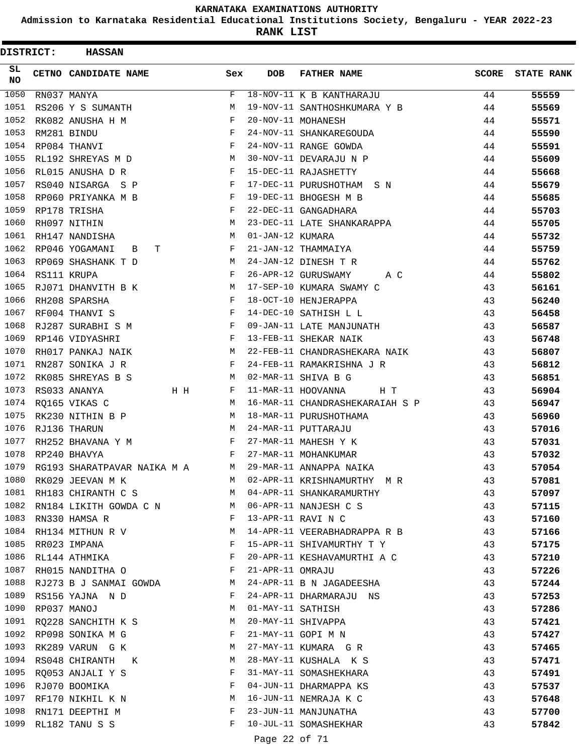**Admission to Karnataka Residential Educational Institutions Society, Bengaluru - YEAR 2022-23**

| <b>DISTRICT:</b> | <b>HASSAN</b>               |              |                   |                                 |              |                   |
|------------------|-----------------------------|--------------|-------------------|---------------------------------|--------------|-------------------|
| SL<br>NO.        | <b>CETNO CANDIDATE NAME</b> | Sex          | <b>DOB</b>        | <b>FATHER NAME</b>              | <b>SCORE</b> | <b>STATE RANK</b> |
| 1050             | RN037 MANYA                 | $\mathbf{F}$ |                   | 18-NOV-11 K B KANTHARAJU        | 44           | 55559             |
| 1051             | RS206 Y S SUMANTH           | M            |                   | 19-NOV-11 SANTHOSHKUMARA Y B    | 44           | 55569             |
| 1052             | RK082 ANUSHA H M            | F            |                   | 20-NOV-11 MOHANESH              | 44           | 55571             |
| 1053             | RM281 BINDU                 | F            |                   | 24-NOV-11 SHANKAREGOUDA         | 44           | 55590             |
| 1054             | RP084 THANVI                | F            |                   | 24-NOV-11 RANGE GOWDA           | 44           | 55591             |
| 1055             | RL192 SHREYAS M D           | M            |                   | 30-NOV-11 DEVARAJU N P          | 44           | 55609             |
| 1056             | RL015 ANUSHA D R            | F            |                   | 15-DEC-11 RAJASHETTY            | 44           | 55668             |
| 1057             | RS040 NISARGA S P           | F            |                   | 17-DEC-11 PURUSHOTHAM S N       | 44           | 55679             |
| 1058             | RP060 PRIYANKA M B          | F            |                   | 19-DEC-11 BHOGESH M B           | 44           | 55685             |
| 1059             | RP178 TRISHA                | F            |                   | 22-DEC-11 GANGADHARA            | 44           | 55703             |
| 1060             | RH097 NITHIN                | M            |                   | 23-DEC-11 LATE SHANKARAPPA      | 44           | 55705             |
| 1061             | RH147 NANDISHA              | M            | 01-JAN-12 KUMARA  |                                 | 44           | 55732             |
| 1062             | RP046 YOGAMANI<br>т<br>B    | F            |                   | 21-JAN-12 THAMMAIYA             | 44           | 55759             |
| 1063             | RP069 SHASHANK T D          | M            |                   | 24-JAN-12 DINESH T R            | 44           | 55762             |
| 1064             | RS111 KRUPA                 | F            |                   | 26-APR-12 GURUSWAMY<br>A C      | 44           | 55802             |
| 1065             | RJ071 DHANVITH B K          | М            |                   | 17-SEP-10 KUMARA SWAMY C        | 43           | 56161             |
| 1066             | RH208 SPARSHA               | F            |                   | 18-OCT-10 HENJERAPPA            | 43           | 56240             |
| 1067             | RF004 THANVI S              | F            |                   | 14-DEC-10 SATHISH L L           | 43           | 56458             |
| 1068             | RJ287 SURABHI S M           | $_{\rm F}$   |                   | 09-JAN-11 LATE MANJUNATH        | 43           | 56587             |
| 1069             | RP146 VIDYASHRI             | F            |                   | 13-FEB-11 SHEKAR NAIK           | 43           | 56748             |
| 1070             | RH017 PANKAJ NAIK           | M            |                   | 22-FEB-11 CHANDRASHEKARA NAIK   | 43           | 56807             |
| 1071             | RN287 SONIKA J R            | F            |                   | 24-FEB-11 RAMAKRISHNA J R       | 43           | 56812             |
| 1072             | RK085 SHREYAS B S           | M            |                   | 02-MAR-11 SHIVA B G             | 43           | 56851             |
| 1073             | RS033 ANANYA<br>H H         | F            |                   | 11-MAR-11 HOOVANNA<br>H T       | 43           | 56904             |
| 1074             | RQ165 VIKAS C               | M            |                   | 16-MAR-11 CHANDRASHEKARAIAH S P | 43           | 56947             |
| 1075             | RK230 NITHIN B P            | М            |                   | 18-MAR-11 PURUSHOTHAMA          | 43           | 56960             |
| 1076             | RJ136 THARUN                | M            |                   | 24-MAR-11 PUTTARAJU             | 43           | 57016             |
| 1077             | RH252 BHAVANA Y M           | F            |                   | 27-MAR-11 MAHESH Y K            | 43           | 57031             |
| 1078             | RP240 BHAVYA                | F            |                   | 27-MAR-11 MOHANKUMAR            | 43           | 57032             |
| 1079             | RG193 SHARATPAVAR NAIKA M A | М            |                   | 29-MAR-11 ANNAPPA NAIKA         | 43           | 57054             |
| 1080             | RK029 JEEVAN M K            | M            |                   | 02-APR-11 KRISHNAMURTHY M R     | 43           | 57081             |
| 1081             | RH183 CHIRANTH C S          | М            |                   | 04-APR-11 SHANKARAMURTHY        | 43           | 57097             |
| 1082             | RN184 LIKITH GOWDA C N      | M            |                   | 06-APR-11 NANJESH C S           | 43           | 57115             |
| 1083             | RN330 HAMSA R               | F            |                   | 13-APR-11 RAVI N C              | 43           | 57160             |
| 1084             | RH134 MITHUN R V            | М            |                   | 14-APR-11 VEERABHADRAPPA R B    | 43           | 57166             |
| 1085             | RR023 IMPANA                | F            |                   | 15-APR-11 SHIVAMURTHY T Y       | 43           | 57175             |
| 1086             | RL144 ATHMIKA               | F            |                   | 20-APR-11 KESHAVAMURTHI A C     | 43           | 57210             |
| 1087             | RH015 NANDITHA O            | F            | 21-APR-11 OMRAJU  |                                 | 43           | 57226             |
| 1088             | RJ273 B J SANMAI GOWDA      | М            |                   | 24-APR-11 B N JAGADEESHA        | 43           | 57244             |
| 1089             | RS156 YAJNA N D             | F            |                   | 24-APR-11 DHARMARAJU NS         | 43           | 57253             |
| 1090             |                             | М            | 01-MAY-11 SATHISH |                                 |              |                   |
| 1091             | RP037 MANOJ                 | М            |                   | 20-MAY-11 SHIVAPPA              | 43<br>43     | 57286             |
|                  | RQ228 SANCHITH K S          | F            |                   | 21-MAY-11 GOPI M N              |              | 57421             |
|                  | 1092 RP098 SONIKA M G       |              |                   |                                 | 43           | 57427             |
| 1093<br>1094     | RK289 VARUN G K             | М<br>М       |                   | 27-MAY-11 KUMARA G R            | 43           | 57465             |
|                  | RS048 CHIRANTH K            |              |                   | 28-MAY-11 KUSHALA K S           | 43           | 57471             |
| 1095<br>1096     | RQ053 ANJALI Y S            | F<br>F       |                   | 31-MAY-11 SOMASHEKHARA          | 43           | 57491             |
| 1097             | RJ070 BOOMIKA               |              |                   | 04-JUN-11 DHARMAPPA KS          | 43           | 57537             |
|                  | RF170 NIKHIL K N            | М<br>F       |                   | 16-JUN-11 NEMRAJA K C           | 43           | 57648             |
| 1098             | RN171 DEEPTHI M             |              |                   | 23-JUN-11 MANJUNATHA            | 43           | 57700             |
| 1099             | RL182 TANU S S              | F            |                   | 10-JUL-11 SOMASHEKHAR           | 43           | 57842             |
|                  |                             |              | Page 22 of 71     |                                 |              |                   |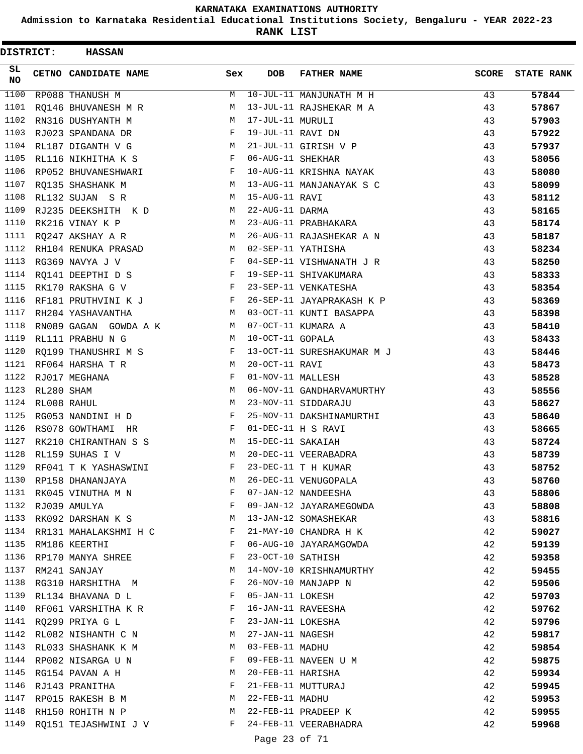**Admission to Karnataka Residential Educational Institutions Society, Bengaluru - YEAR 2022-23**

**RANK LIST**

| <b>DISTRICT:</b> |            | <b>HASSAN</b>              |              |                   |                            |              |                   |
|------------------|------------|----------------------------|--------------|-------------------|----------------------------|--------------|-------------------|
| SL.<br>NO        |            | CETNO CANDIDATE NAME       | Sex          | DOB               | <b>FATHER NAME</b>         | <b>SCORE</b> | <b>STATE RANK</b> |
| 1100             |            | RP088 THANUSH M            | М            |                   | $10$ -JUL-11 MANJUNATH M H | 43           | 57844             |
| 1101             |            | RO146 BHUVANESH M R        | М            |                   | 13-JUL-11 RAJSHEKAR M A    | 43           | 57867             |
| 1102             |            | RN316 DUSHYANTH M          | M            | 17-JUL-11 MURULI  |                            | 43           | 57903             |
| 1103             |            | RJ023 SPANDANA DR          | F            | 19-JUL-11 RAVI DN |                            | 43           | 57922             |
| 1104             |            | RL187 DIGANTH V G          | M            |                   | 21-JUL-11 GIRISH V P       | 43           | 57937             |
| 1105             |            | RL116 NIKHITHA K S         | F            | 06-AUG-11 SHEKHAR |                            | 43           | 58056             |
| 1106             |            | RP052 BHUVANESHWARI        | F            |                   | 10-AUG-11 KRISHNA NAYAK    | 43           | 58080             |
| 1107             |            | RQ135 SHASHANK M           | M            |                   | 13-AUG-11 MANJANAYAK S C   | 43           | 58099             |
| 1108             |            | RL132 SUJAN SR             | M            | 15-AUG-11 RAVI    |                            | 43           | 58112             |
| 1109             |            | RJ235 DEEKSHITH K D        | М            | 22-AUG-11 DARMA   |                            | 43           | 58165             |
| 1110             |            | RK216 VINAY K P            | М            |                   | 23-AUG-11 PRABHAKARA       | 43           | 58174             |
| 1111             |            | RQ247 AKSHAY A R           | M            |                   | 26-AUG-11 RAJASHEKAR A N   | 43           | 58187             |
| 1112             |            | RH104 RENUKA PRASAD        | M            |                   | 02-SEP-11 YATHISHA         | 43           | 58234             |
| 1113             |            | RG369 NAVYA J V            | $_{\rm F}$   |                   | 04-SEP-11 VISHWANATH J R   | 43           | 58250             |
| 1114             |            | RQ141 DEEPTHI D S          | F            |                   | 19-SEP-11 SHIVAKUMARA      | 43           | 58333             |
| 1115             |            | RK170 RAKSHA G V           | F            |                   | 23-SEP-11 VENKATESHA       | 43           | 58354             |
| 1116             |            | RF181 PRUTHVINI K J        | F            |                   | 26-SEP-11 JAYAPRAKASH K P  | 43           | 58369             |
| 1117             |            | RH204 YASHAVANTHA          | M            |                   | 03-OCT-11 KUNTI BASAPPA    | 43           | 58398             |
| 1118             |            | RN089 GAGAN GOWDA A K      | M            |                   | 07-OCT-11 KUMARA A         | 43           | 58410             |
| 1119             |            | RL111 PRABHU N G           | M            | 10-OCT-11 GOPALA  |                            | 43           | 58433             |
| 1120             |            | RQ199 THANUSHRI M S        | F            |                   | 13-OCT-11 SURESHAKUMAR M J | 43           | 58446             |
| 1121             |            | RF064 HARSHA T R           | М            | 20-OCT-11 RAVI    |                            | 43           | 58473             |
| 1122             |            | RJ017 MEGHANA              | F            | 01-NOV-11 MALLESH |                            | 43           | 58528             |
| 1123             | RL280 SHAM |                            | М            |                   | 06-NOV-11 GANDHARVAMURTHY  | 43           | 58556             |
| 1124             |            | RL008 RAHUL                | M            |                   | 23-NOV-11 SIDDARAJU        | 43           | 58627             |
| 1125             |            | RG053 NANDINI H D          | F            |                   | 25-NOV-11 DAKSHINAMURTHI   | 43           | 58640             |
| 1126             |            | RS078 GOWTHAMI HR          | $\mathbf{F}$ |                   | 01-DEC-11 H S RAVI         | 43           | 58665             |
| 1127             |            | RK210 CHIRANTHAN S S       | M            | 15-DEC-11 SAKAIAH |                            | 43           | 58724             |
| 1128             |            | RL159 SUHAS I V            | М            |                   | 20-DEC-11 VEERABADRA       | 43           | 58739             |
| 1129             |            | RF041 T K YASHASWINI       | F            |                   | 23-DEC-11 T H KUMAR        | 43           | 58752             |
| 1130             |            | RP158 DHANANJAYA           | М            |                   | 26-DEC-11 VENUGOPALA       | 43           | 58760             |
|                  |            | 1131 RK045 VINUTHA M N     | F            |                   | 07-JAN-12 NANDEESHA        | 43           | 58806             |
|                  |            | 1132 RJ039 AMULYA          | F            |                   | 09-JAN-12 JAYARAMEGOWDA    | 43           | 58808             |
|                  |            | 1133 RK092 DARSHAN K S     | M            |                   | 13-JAN-12 SOMASHEKAR       | 43           | 58816             |
|                  |            | 1134 RR131 MAHALAKSHMI H C | F            |                   | 21-MAY-10 CHANDRA H K      | 42           | 59027             |
| 1135             |            | RM186 KEERTHI              | F            |                   | 06-AUG-10 JAYARAMGOWDA     | 42           | 59139             |
| 1136             |            | RP170 MANYA SHREE          | F            |                   | 23-OCT-10 SATHISH          | 42           | 59358             |
| 1137             |            | RM241 SANJAY               | М            |                   | 14-NOV-10 KRISHNAMURTHY    | 42           | 59455             |
|                  |            | 1138 RG310 HARSHITHA M     | F            |                   | 26-NOV-10 MANJAPP N        | 42           | 59506             |
| 1139             |            | RL134 BHAVANA D L          | F            | 05-JAN-11 LOKESH  |                            | 42           | 59703             |
| 1140             |            | RF061 VARSHITHA K R        | F            |                   | 16-JAN-11 RAVEESHA         | 42           | 59762             |
|                  |            | 1141 RO299 PRIYA G L       | F            | 23-JAN-11 LOKESHA |                            | 42           | 59796             |
|                  |            | 1142 RL082 NISHANTH C N    | M            | 27-JAN-11 NAGESH  |                            | 42           | 59817             |
| 1143             |            | RL033 SHASHANK K M         | M            | 03-FEB-11 MADHU   |                            | 42           | 59854             |
| 1144             |            | RP002 NISARGA U N          | F            |                   | 09-FEB-11 NAVEEN U M       | 42           | 59875             |
| 1145             |            | RG154 PAVAN A H            | М            | 20-FEB-11 HARISHA |                            | 42           | 59934             |
|                  |            | 1146 RJ143 PRANITHA        | F            |                   | 21-FEB-11 MUTTURAJ         | 42           | 59945             |
| 1147             |            | RP015 RAKESH B M           | M            | 22-FEB-11 MADHU   |                            | 42           | 59953             |
| 1148             |            | RH150 ROHITH N P           | M            |                   | 22-FEB-11 PRADEEP K        | 42           | 59955             |
| 1149             |            | RQ151 TEJASHWINI J V       | F            |                   | 24-FEB-11 VEERABHADRA      | 42           | 59968             |
|                  |            |                            |              |                   |                            |              |                   |

Page 23 of 71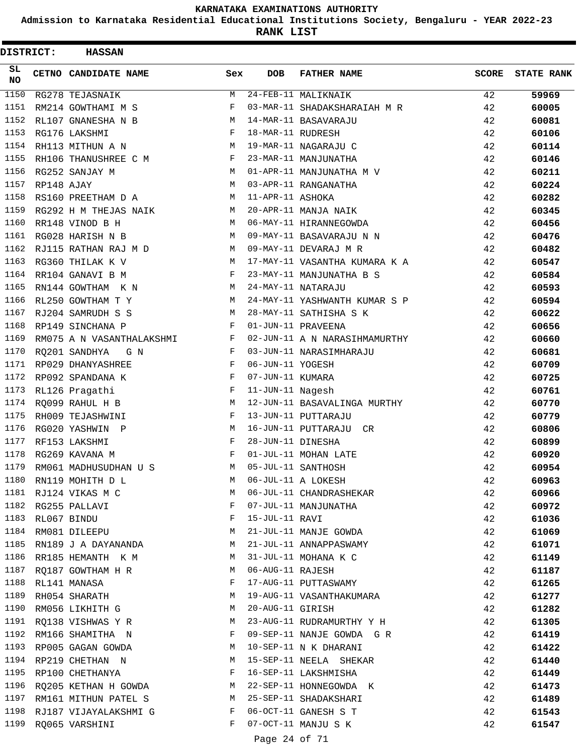**Admission to Karnataka Residential Educational Institutions Society, Bengaluru - YEAR 2022-23**

**RANK LIST**

| DISTRICT:           |            | <b>HASSAN</b>             |            |                   |                               |              |                   |
|---------------------|------------|---------------------------|------------|-------------------|-------------------------------|--------------|-------------------|
| SL.<br><b>NO</b>    |            | CETNO CANDIDATE NAME      | Sex        | <b>DOB</b>        | <b>FATHER NAME</b>            | <b>SCORE</b> | <b>STATE RANK</b> |
| $\frac{1150}{1150}$ |            | RG278 TEJASNAIK           | M          |                   | 24-FEB-11 MALIKNAIK           | 42           | 59969             |
| 1151                |            | RM214 GOWTHAMI M S        | F          |                   | 03-MAR-11 SHADAKSHARAIAH M R  | 42           | 60005             |
| 1152                |            | RL107 GNANESHA N B        | M          |                   | 14-MAR-11 BASAVARAJU          | 42           | 60081             |
| 1153                |            | RG176 LAKSHMI             | F          | 18-MAR-11 RUDRESH |                               | 42           | 60106             |
| 1154                |            | RH113 MITHUN A N          | M          |                   | 19-MAR-11 NAGARAJU C          | 42           | 60114             |
| 1155                |            | RH106 THANUSHREE C M      | F          |                   | 23-MAR-11 MANJUNATHA          | 42           | 60146             |
| 1156                |            | RG252 SANJAY M            | M          |                   | 01-APR-11 MANJUNATHA M V      | 42           | 60211             |
| 1157                | RP148 AJAY |                           | M          |                   | 03-APR-11 RANGANATHA          | 42           | 60224             |
| 1158                |            | RS160 PREETHAM D A        | M          | 11-APR-11 ASHOKA  |                               | 42           | 60282             |
| 1159                |            | RG292 H M THEJAS NAIK     | М          |                   | 20-APR-11 MANJA NAIK          | 42           | 60345             |
| 1160                |            | RR148 VINOD B H           | M          |                   | 06-MAY-11 HIRANNEGOWDA        | 42           | 60456             |
| 1161                |            | RG028 HARISH N B          | M          |                   | 09-MAY-11 BASAVARAJU N N      | 42           | 60476             |
| 1162                |            | RJ115 RATHAN RAJ M D      | M          |                   | 09-MAY-11 DEVARAJ M R         | 42           | 60482             |
| 1163                |            | RG360 THILAK K V          | М          |                   | 17-MAY-11 VASANTHA KUMARA K A | 42           | 60547             |
| 1164                |            | RR104 GANAVI B M          | F          |                   | 23-MAY-11 MANJUNATHA B S      | 42           | 60584             |
| 1165                |            | RN144 GOWTHAM K N         | M          |                   | 24-MAY-11 NATARAJU            | 42           | 60593             |
| 1166                |            | RL250 GOWTHAM T Y         | M          |                   | 24-MAY-11 YASHWANTH KUMAR S P | 42           | 60594             |
| 1167                |            | RJ204 SAMRUDH S S         | М          |                   | 28-MAY-11 SATHISHA S K        | 42           | 60622             |
| 1168                |            | RP149 SINCHANA P          | F          |                   | 01-JUN-11 PRAVEENA            | 42           | 60656             |
| 1169                |            | RM075 A N VASANTHALAKSHMI | F          |                   | 02-JUN-11 A N NARASIHMAMURTHY | 42           | 60660             |
| 1170                |            | RQ201 SANDHYA<br>G N      | F          |                   | 03-JUN-11 NARASIMHARAJU       | 42           | 60681             |
| 1171                |            | RP029 DHANYASHREE         | F          | 06-JUN-11 YOGESH  |                               | 42           | 60709             |
| 1172                |            | RP092 SPANDANA K          | $_{\rm F}$ | 07-JUN-11 KUMARA  |                               | 42           | 60725             |
| 1173                |            | RL126 Pragathi            | F          | 11-JUN-11 Nagesh  |                               | 42           | 60761             |
| 1174                |            | RQ099 RAHUL H B           | M          |                   | 12-JUN-11 BASAVALINGA MURTHY  | 42           | 60770             |
| 1175                |            | RH009 TEJASHWINI          | F          |                   | 13-JUN-11 PUTTARAJU           | 42           | 60779             |
| 1176                |            | RG020 YASHWIN P           | M          |                   | 16-JUN-11 PUTTARAJU CR        | 42           | 60806             |
| 1177                |            | RF153 LAKSHMI             | F          | 28-JUN-11 DINESHA |                               | 42           | 60899             |
| 1178                |            | RG269 KAVANA M            | F          |                   | 01-JUL-11 MOHAN LATE          | 42           | 60920             |
| 1179                |            | RM061 MADHUSUDHAN U S     | M          |                   | 05-JUL-11 SANTHOSH            | 42           | 60954             |
| 1180                |            | RN119 MOHITH D L          | М          |                   | 06-JUL-11 A LOKESH            | 42           | 60963             |
| 1181                |            | RJ124 VIKAS M C           | М          |                   | 06-JUL-11 CHANDRASHEKAR       | 42           | 60966             |
| 1182                |            | RG255 PALLAVI             | F          |                   | 07-JUL-11 MANJUNATHA          | 42           | 60972             |
| 1183                |            | RL067 BINDU               | F          | 15-JUL-11 RAVI    |                               | 42           | 61036             |
|                     |            | 1184 RM081 DILEEPU        | M          |                   | 21-JUL-11 MANJE GOWDA         | 42           | 61069             |
| 1185                |            | RN189 J A DAYANANDA       | М          |                   | 21-JUL-11 ANNAPPASWAMY        | 42           | 61071             |
| 1186                |            | RR185 HEMANTH K M         | М          |                   | 31-JUL-11 MOHANA K C          | 42           | 61149             |
| 1187                |            | RQ187 GOWTHAM H R         | М          | 06-AUG-11 RAJESH  |                               | 42           | 61187             |
| 1188                |            | RL141 MANASA              | F          |                   | 17-AUG-11 PUTTASWAMY          | 42           | 61265             |
| 1189                |            | RH054 SHARATH             | М          |                   | 19-AUG-11 VASANTHAKUMARA      | 42           | 61277             |
| 1190                |            | RM056 LIKHITH G           | М          | 20-AUG-11 GIRISH  |                               | 42           | 61282             |
| 1191                |            | RQ138 VISHWAS Y R         | М          |                   | 23-AUG-11 RUDRAMURTHY Y H     | 42           | 61305             |
|                     |            | 1192 RM166 SHAMITHA N     | F          |                   | 09-SEP-11 NANJE GOWDA G R     | 42           | 61419             |
| 1193                |            | RP005 GAGAN GOWDA         | М          |                   | 10-SEP-11 N K DHARANI         | 42           | 61422             |
| 1194                |            | RP219 CHETHAN N           | M          |                   | 15-SEP-11 NEELA SHEKAR        | 42           | 61440             |
| 1195                |            | RP100 CHETHANYA           | F          |                   | 16-SEP-11 LAKSHMISHA          | 42           | 61449             |
| 1196                |            | RQ205 KETHAN H GOWDA      | M          |                   | 22-SEP-11 HONNEGOWDA K        | 42           | 61473             |
| 1197                |            | RM161 MITHUN PATEL S      | М          |                   | 25-SEP-11 SHADAKSHARI         | 42           | 61489             |
| 1198                |            | RJ187 VIJAYALAKSHMI G     | F          |                   | 06-OCT-11 GANESH S T          | 42           | 61543             |
| 1199                |            | RQ065 VARSHINI            | F          |                   | 07-OCT-11 MANJU S K           | 42           | 61547             |
|                     |            |                           |            |                   |                               |              |                   |

Page 24 of 71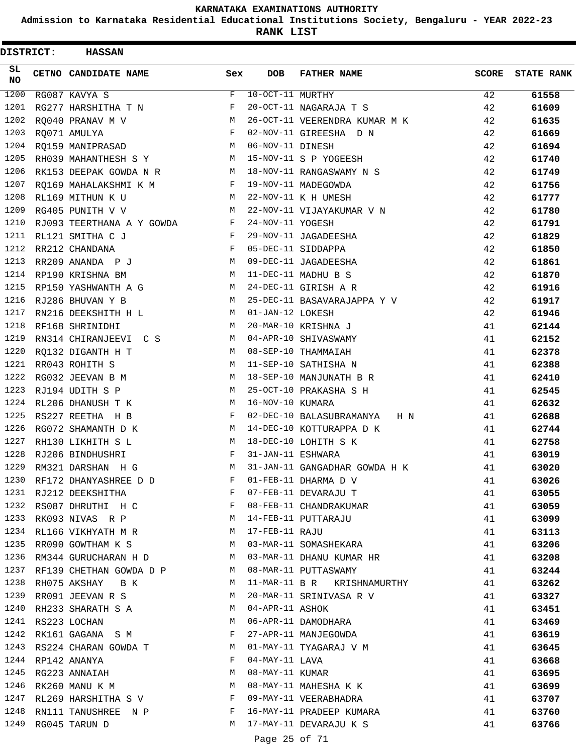**Admission to Karnataka Residential Educational Institutions Society, Bengaluru - YEAR 2022-23**

**RANK LIST**

| DISTRICT:       | <b>HASSAN</b>             |              |                   |                                 |              |                   |
|-----------------|---------------------------|--------------|-------------------|---------------------------------|--------------|-------------------|
| SL<br><b>NO</b> | CETNO CANDIDATE NAME      | Sex          | <b>DOB</b>        | <b>FATHER NAME</b>              | <b>SCORE</b> | <b>STATE RANK</b> |
| 1200            | RG087 KAVYA S             | $\mathbf{F}$ | 10-OCT-11 MURTHY  |                                 | 42           | 61558             |
| 1201            | RG277 HARSHITHA T N       | F            |                   | 20-OCT-11 NAGARAJA T S          | 42           | 61609             |
| 1202            | RO040 PRANAV M V          | M            |                   | 26-OCT-11 VEERENDRA KUMAR M K   | 42           | 61635             |
| 1203            | RO071 AMULYA              | F            |                   | 02-NOV-11 GIREESHA D N          | 42           | 61669             |
| 1204            | RQ159 MANIPRASAD          | М            | 06-NOV-11 DINESH  |                                 | 42           | 61694             |
| 1205            | RH039 MAHANTHESH S Y      | М            |                   | 15-NOV-11 S P YOGEESH           | 42           | 61740             |
| 1206            | RK153 DEEPAK GOWDA N R    | M            |                   | 18-NOV-11 RANGASWAMY N S        | 42           | 61749             |
| 1207            | RQ169 MAHALAKSHMI K M     | F            |                   | 19-NOV-11 MADEGOWDA             | 42           | 61756             |
| 1208            | RL169 MITHUN K U          | M            |                   | 22-NOV-11 K H UMESH             | 42           | 61777             |
| 1209            | RG405 PUNITH V V          | M            |                   | 22-NOV-11 VIJAYAKUMAR V N       | 42           | 61780             |
| 1210            | RJ093 TEERTHANA A Y GOWDA | $\mathbf{F}$ | 24-NOV-11 YOGESH  |                                 | 42           | 61791             |
| 1211            | RL121 SMITHA C J          | F            |                   | 29-NOV-11 JAGADEESHA            | 42           | 61829             |
| 1212            | RR212 CHANDANA            | F            |                   | 05-DEC-11 SIDDAPPA              | 42           | 61850             |
| 1213            | RR209 ANANDA P J          | M            |                   | 09-DEC-11 JAGADEESHA            | 42           | 61861             |
| 1214            | RP190 KRISHNA BM          | M            |                   | 11-DEC-11 MADHU B S             | 42           | 61870             |
| 1215            | RP150 YASHWANTH A G       | M            |                   | 24-DEC-11 GIRISH A R            | 42           | 61916             |
| 1216            | RJ286 BHUVAN Y B          | M            |                   | 25-DEC-11 BASAVARAJAPPA Y V     | 42           | 61917             |
| 1217            | RN216 DEEKSHITH H L       | М            | 01-JAN-12 LOKESH  |                                 | 42           | 61946             |
| 1218            | RF168 SHRINIDHI           | M            |                   | 20-MAR-10 KRISHNA J             | 41           | 62144             |
| 1219            | RN314 CHIRANJEEVI C S     | M            |                   | 04-APR-10 SHIVASWAMY            | 41           | 62152             |
| 1220            | RQ132 DIGANTH H T         | M            |                   | 08-SEP-10 THAMMAIAH             | 41           | 62378             |
| 1221            | RR043 ROHITH S            | М            |                   | 11-SEP-10 SATHISHA N            | 41           | 62388             |
| 1222            | RG032 JEEVAN B M          | M            |                   | 18-SEP-10 MANJUNATH B R         | 41           | 62410             |
| 1223            | RJ194 UDITH S P           | M            |                   | 25-OCT-10 PRAKASHA S H          | 41           | 62545             |
| 1224            | RL206 DHANUSH T K         | M            | 16-NOV-10 KUMARA  |                                 | 41           | 62632             |
| 1225            | RS227 REETHA H B          | F            |                   | 02-DEC-10 BALASUBRAMANYA<br>H N | 41           | 62688             |
| 1226            | RG072 SHAMANTH D K        | M            |                   | 14-DEC-10 KOTTURAPPA D K        | 41           | 62744             |
| 1227            | RH130 LIKHITH S L         | M            |                   | 18-DEC-10 LOHITH S K            | 41           | 62758             |
| 1228            | RJ206 BINDHUSHRI          | F            | 31-JAN-11 ESHWARA |                                 | 41           | 63019             |
| 1229            | RM321 DARSHAN H G         | M            |                   | 31-JAN-11 GANGADHAR GOWDA H K   | 41           | 63020             |
| 1230            | RF172 DHANYASHREE D D     | F            |                   | 01-FEB-11 DHARMA D V            | 41           | 63026             |
| 1231            | RJ212 DEEKSHITHA          | $\mathbf{F}$ |                   | 07-FEB-11 DEVARAJU T            | 41           | 63055             |
| 1232            | RS087 DHRUTHI H C         | F            |                   | 08-FEB-11 CHANDRAKUMAR          | 41           | 63059             |
| 1233            | RK093 NIVAS R P           | М            |                   | 14-FEB-11 PUTTARAJU             | 41           | 63099             |
| 1234            | RL166 VIKHYATH M R        | M            | 17-FEB-11 RAJU    |                                 | 41           | 63113             |
| 1235            | RR090 GOWTHAM K S         | M            |                   | 03-MAR-11 SOMASHEKARA           | 41           | 63206             |
| 1236            | RM344 GURUCHARAN H D      | M            |                   | 03-MAR-11 DHANU KUMAR HR        | 41           | 63208             |
| 1237            | RF139 CHETHAN GOWDA D P   | M            |                   | 08-MAR-11 PUTTASWAMY            | 41           | 63244             |
| 1238            | RH075 AKSHAY B K          | М            |                   | 11-MAR-11 B R KRISHNAMURTHY     | 41           | 63262             |
| 1239            | RR091 JEEVAN R S          | М            |                   | 20-MAR-11 SRINIVASA R V         | 41           | 63327             |
| 1240            | RH233 SHARATH S A         | M            | 04-APR-11 ASHOK   |                                 | 41           | 63451             |
| 1241            | RS223 LOCHAN              | М            |                   | 06-APR-11 DAMODHARA             | 41           | 63469             |
| 1242            | RK161 GAGANA S M          | F            |                   | 27-APR-11 MANJEGOWDA            | 41           | 63619             |
| 1243            | RS224 CHARAN GOWDA T      | M            |                   | 01-MAY-11 TYAGARAJ V M          | 41           | 63645             |
| 1244            | RP142 ANANYA              | F            | $04$ -MAY-11 LAVA |                                 | 41           | 63668             |
| 1245            | RG223 ANNAIAH             | М            | 08-MAY-11 KUMAR   |                                 | 41           | 63695             |
| 1246            | RK260 MANU K M            | М            |                   | 08-MAY-11 MAHESHA K K           | 41           | 63699             |
| 1247            | RL269 HARSHITHA S V       | F            |                   | 09-MAY-11 VEERABHADRA           | 41           | 63707             |
| 1248            | RN111 TANUSHREE N P       | F            |                   | 16-MAY-11 PRADEEP KUMARA        | 41           | 63760             |
| 1249            | RG045 TARUN D             | M            |                   | 17-MAY-11 DEVARAJU K S          | 41           | 63766             |
|                 |                           |              |                   |                                 |              |                   |

Page 25 of 71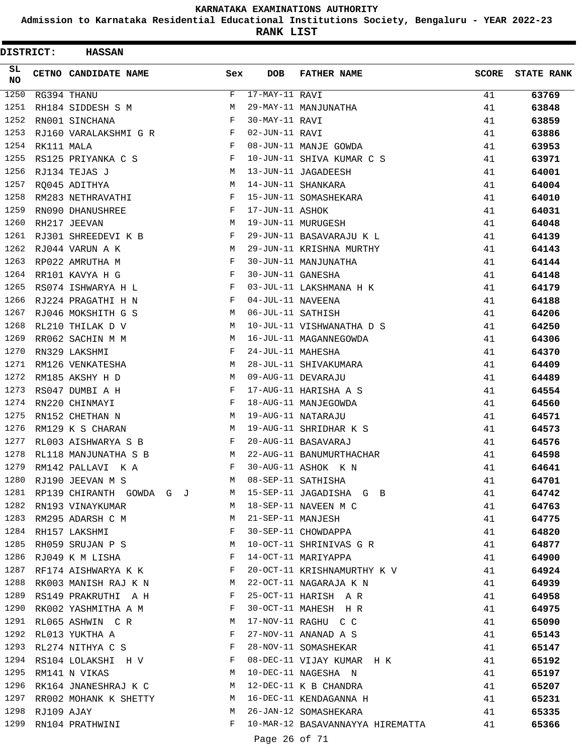**Admission to Karnataka Residential Educational Institutions Society, Bengaluru - YEAR 2022-23**

**RANK LIST**

| DISTRICT:        |            | <b>HASSAN</b>                 |              |                   |                                  |              |                   |
|------------------|------------|-------------------------------|--------------|-------------------|----------------------------------|--------------|-------------------|
| SL.<br><b>NO</b> |            | CETNO CANDIDATE NAME          | Sex          | <b>DOB</b>        | <b>FATHER NAME</b>               | <b>SCORE</b> | <b>STATE RANK</b> |
| 1250             |            | RG394 THANU                   | F            | $17-MAY-11$ RAVI  |                                  | 41           | 63769             |
| 1251             |            | RH184 SIDDESH S M             | M            |                   | 29-MAY-11 MANJUNATHA             | 41           | 63848             |
| 1252             |            | RN001 SINCHANA                | F            | 30-MAY-11 RAVI    |                                  | 41           | 63859             |
| 1253             |            | RJ160 VARALAKSHMI G R         | F            | 02-JUN-11 RAVI    |                                  | 41           | 63886             |
| 1254             | RK111 MALA |                               | F            |                   | 08-JUN-11 MANJE GOWDA            | 41           | 63953             |
| 1255             |            | RS125 PRIYANKA C S            | F            |                   | 10-JUN-11 SHIVA KUMAR C S        | 41           | 63971             |
| 1256             |            | RJ134 TEJAS J                 | M            |                   | 13-JUN-11 JAGADEESH              | 41           | 64001             |
| 1257             |            | RQ045 ADITHYA                 | M            |                   | 14-JUN-11 SHANKARA               | 41           | 64004             |
| 1258             |            | RM283 NETHRAVATHI             | F            |                   | 15-JUN-11 SOMASHEKARA            | 41           | 64010             |
| 1259             |            | RN090 DHANUSHREE              | F            | 17-JUN-11 ASHOK   |                                  | 41           | 64031             |
| 1260             |            | RH217 JEEVAN                  | M            |                   | 19-JUN-11 MURUGESH               | 41           | 64048             |
| 1261             |            | RJ301 SHREEDEVI K B           | F            |                   | 29-JUN-11 BASAVARAJU K L         | 41           | 64139             |
| 1262             |            | RJ044 VARUN A K               | M            |                   | 29-JUN-11 KRISHNA MURTHY         | 41           | 64143             |
| 1263             |            | RP022 AMRUTHA M               | F            |                   | 30-JUN-11 MANJUNATHA             | 41           | 64144             |
| 1264             |            | RR101 KAVYA H G               | F            | 30-JUN-11 GANESHA |                                  | 41           | 64148             |
| 1265             |            | RS074 ISHWARYA H L            | F            |                   | 03-JUL-11 LAKSHMANA H K          | 41           | 64179             |
| 1266             |            | RJ224 PRAGATHI H N            | F            | 04-JUL-11 NAVEENA |                                  | 41           | 64188             |
| 1267             |            | RJ046 MOKSHITH G S            | М            | 06-JUL-11 SATHISH |                                  | 41           | 64206             |
| 1268             |            | RL210 THILAK D V              | M            |                   | 10-JUL-11 VISHWANATHA D S        | 41           | 64250             |
| 1269             |            | RR062 SACHIN M M              | М            |                   | 16-JUL-11 MAGANNEGOWDA           | 41           | 64306             |
| 1270             |            | RN329 LAKSHMI                 | F            | 24-JUL-11 MAHESHA |                                  | 41           | 64370             |
| 1271             |            | RM126 VENKATESHA              | М            |                   | 28-JUL-11 SHIVAKUMARA            | 41           | 64409             |
| 1272             |            | RM185 AKSHY H D               | M            |                   | 09-AUG-11 DEVARAJU               | 41           | 64489             |
| 1273             |            | RS047 DUMBI A H               | F            |                   | 17-AUG-11 HARISHA A S            | 41           | 64554             |
| 1274             |            | RN220 CHINMAYI                | F            |                   | 18-AUG-11 MANJEGOWDA             | 41           | 64560             |
| 1275             |            | RN152 CHETHAN N               | М            |                   | 19-AUG-11 NATARAJU               | 41           | 64571             |
| 1276             |            | RM129 K S CHARAN              | M            |                   | 19-AUG-11 SHRIDHAR K S           | 41           | 64573             |
| 1277             |            | RL003 AISHWARYA S B           | F            |                   | 20-AUG-11 BASAVARAJ              | 41           | 64576             |
| 1278             |            | RL118 MANJUNATHA S B          | M            |                   | 22-AUG-11 BANUMURTHACHAR         | 41           | 64598             |
| 1279             |            | RM142 PALLAVI K A             | F            |                   | 30-AUG-11 ASHOK KN               | 41           | 64641             |
| 1280             |            | RJ190 JEEVAN M S              | M            |                   | 08-SEP-11 SATHISHA               | 41           | 64701             |
|                  |            | 1281 RP139 CHIRANTH GOWDA G J | M            |                   | 15-SEP-11 JAGADISHA G B          | 41           | 64742             |
| 1282             |            | RN193 VINAYKUMAR              | M            |                   | 18-SEP-11 NAVEEN M C             | 41           | 64763             |
| 1283             |            | RM295 ADARSH C M              | M            | 21-SEP-11 MANJESH |                                  | 41           | 64775             |
|                  |            | 1284 RH157 LAKSHMI            | $\mathbf{F}$ |                   | 30-SEP-11 CHOWDAPPA              | 41           | 64820             |
| 1285             |            | RH059 SRUJAN P S              | M            |                   | 10-OCT-11 SHRINIVAS G R          | 41           | 64877             |
| 1286             |            | RJ049 K M LISHA               | F            |                   | 14-OCT-11 MARIYAPPA              | 41           | 64900             |
| 1287             |            | RF174 AISHWARYA K K           | F            |                   | 20-OCT-11 KRISHNAMURTHY K V      | 41           | 64924             |
| 1288             |            | RK003 MANISH RAJ K N          | M            |                   | 22-OCT-11 NAGARAJA K N           | 41           | 64939             |
| 1289             |            | RS149 PRAKRUTHI A H           | F            |                   | 25-OCT-11 HARISH A R             | 41           | 64958             |
| 1290             |            | RK002 YASHMITHA A M           | F            |                   | 30-OCT-11 MAHESH H R             | 41           | 64975             |
| 1291             |            | RL065 ASHWIN CR               | M            |                   | 17-NOV-11 RAGHU C C              | 41           | 65090             |
| 1292             |            | RL013 YUKTHA A                | F            |                   | 27-NOV-11 ANANAD A S             | 41           | 65143             |
| 1293             |            | RL274 NITHYA C S              | F            |                   | 28-NOV-11 SOMASHEKAR             | 41           | 65147             |
| 1294             |            | RS104 LOLAKSHI H V            | F            |                   | 08-DEC-11 VIJAY KUMAR H K        | 41           | 65192             |
| 1295             |            | RM141 N VIKAS                 | М            |                   | 10-DEC-11 NAGESHA N              | 41           | 65197             |
| 1296             |            | RK164 JNANESHRAJ K C          | M            |                   | 12-DEC-11 K B CHANDRA            | 41           | 65207             |
| 1297             |            | RR002 MOHANK K SHETTY         | M            |                   | 16-DEC-11 KENDAGANNA H           | 41           | 65231             |
| 1298             | RJ109 AJAY |                               | M            |                   | 26-JAN-12 SOMASHEKARA            | 41           | 65335             |
| 1299             |            | RN104 PRATHWINI               | F            |                   | 10-MAR-12 BASAVANNAYYA HIREMATTA | 41           | 65366             |
|                  |            |                               |              |                   |                                  |              |                   |

Page 26 of 71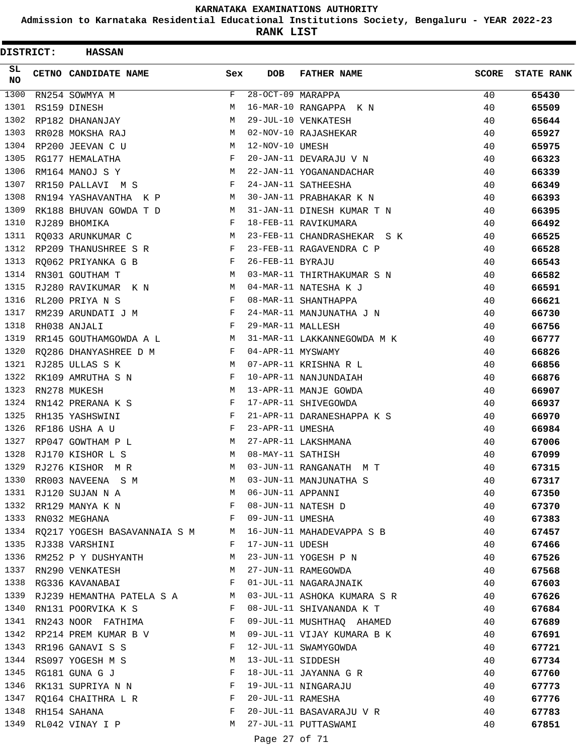**Admission to Karnataka Residential Educational Institutions Society, Bengaluru - YEAR 2022-23**

**RANK LIST**

| DISTRICT:        | <b>HASSAN</b>                |            |                     |                             |              |                   |
|------------------|------------------------------|------------|---------------------|-----------------------------|--------------|-------------------|
| SL.<br><b>NO</b> | <b>CETNO CANDIDATE NAME</b>  | Sex        | <b>DOB</b>          | <b>FATHER NAME</b>          | <b>SCORE</b> | <b>STATE RANK</b> |
| 1300             | RN254 SOWMYA M               | F          | $28-OCT-09$ MARAPPA |                             | 40           | 65430             |
| 1301             | RS159 DINESH                 | M          |                     | 16-MAR-10 RANGAPPA K N      | 40           | 65509             |
| 1302             | RP182 DHANANJAY              | M          |                     | 29-JUL-10 VENKATESH         | 40           | 65644             |
| 1303             | RR028 MOKSHA RAJ             | М          |                     | 02-NOV-10 RAJASHEKAR        | 40           | 65927             |
| 1304             | RP200 JEEVAN C U             | М          | 12-NOV-10 UMESH     |                             | 40           | 65975             |
| 1305             | RG177 HEMALATHA              | F          |                     | 20-JAN-11 DEVARAJU V N      | 40           | 66323             |
| 1306             | RM164 MANOJ S Y              | M          |                     | 22-JAN-11 YOGANANDACHAR     | 40           | 66339             |
| 1307             | RR150 PALLAVI M S            | F          |                     | 24-JAN-11 SATHEESHA         | 40           | 66349             |
| 1308             | RN194 YASHAVANTHA K P        | М          |                     | 30-JAN-11 PRABHAKAR K N     | 40           | 66393             |
| 1309             | RK188 BHUVAN GOWDA T D       | M          |                     | 31-JAN-11 DINESH KUMAR T N  | 40           | 66395             |
| 1310             | RJ289 BHOMIKA                | F          |                     | 18-FEB-11 RAVIKUMARA        | 40           | 66492             |
| 1311             | RQ033 ARUNKUMAR C            | М          |                     | 23-FEB-11 CHANDRASHEKAR S K | 40           | 66525             |
| 1312             | RP209 THANUSHREE S R         | F          |                     | 23-FEB-11 RAGAVENDRA C P    | 40           | 66528             |
| 1313             | RQ062 PRIYANKA G B           | F          | 26-FEB-11 BYRAJU    |                             | 40           | 66543             |
| 1314             | RN301 GOUTHAM T              | M          |                     | 03-MAR-11 THIRTHAKUMAR S N  | 40           | 66582             |
| 1315             | RJ280 RAVIKUMAR K N          | М          |                     | 04-MAR-11 NATESHA K J       | 40           | 66591             |
| 1316             | RL200 PRIYA N S              | F          |                     | 08-MAR-11 SHANTHAPPA        | 40           | 66621             |
| 1317             | RM239 ARUNDATI J M           | F          |                     | 24-MAR-11 MANJUNATHA J N    | 40           | 66730             |
| 1318             | RH038 ANJALI                 | $_{\rm F}$ | 29-MAR-11 MALLESH   |                             | 40           | 66756             |
| 1319             | RR145 GOUTHAMGOWDA A L       | M          |                     | 31-MAR-11 LAKKANNEGOWDA M K | 40           | 66777             |
| 1320             | RQ286 DHANYASHREE D M        | F          | 04-APR-11 MYSWAMY   |                             | 40           | 66826             |
| 1321             | RJ285 ULLAS S K              | M          |                     | 07-APR-11 KRISHNA R L       | 40           | 66856             |
| 1322             | RK109 AMRUTHA S N            | F          |                     | 10-APR-11 NANJUNDAIAH       | 40           | 66876             |
| 1323             | RN278 MUKESH                 | М          |                     | 13-APR-11 MANJE GOWDA       | 40           | 66907             |
| 1324             | RN142 PRERANA K S            | F          |                     | 17-APR-11 SHIVEGOWDA        | 40           | 66937             |
| 1325             | RH135 YASHSWINI              | F          |                     | 21-APR-11 DARANESHAPPA K S  | 40           | 66970             |
| 1326             | RF186 USHA A U               | $_{\rm F}$ | 23-APR-11 UMESHA    |                             | 40           | 66984             |
| 1327             | RP047 GOWTHAM P L            | М          |                     | 27-APR-11 LAKSHMANA         | 40           | 67006             |
| 1328             | RJ170 KISHOR L S             | M          | 08-MAY-11 SATHISH   |                             | 40           | 67099             |
| 1329             | RJ276 KISHOR MR              | M          |                     | 03-JUN-11 RANGANATH M T     | 40           | 67315             |
| 1330             | RR003 NAVEENA S M            | M          |                     | 03-JUN-11 MANJUNATHA S      | 40           | 67317             |
| 1331             | RJ120 SUJAN N A              | M          | 06-JUN-11 APPANNI   |                             | 40           | 67350             |
| 1332             | RR129 MANYA K N              | F          |                     | 08-JUN-11 NATESH D          | 40           | 67370             |
| 1333             | RN032 MEGHANA                | F          | 09-JUN-11 UMESHA    |                             | 40           | 67383             |
| 1334             | RQ217 YOGESH BASAVANNAIA S M | M          |                     | 16-JUN-11 MAHADEVAPPA S B   | 40           | 67457             |
| 1335             | RJ338 VARSHINI               | F          | 17-JUN-11 UDESH     |                             | 40           | 67466             |
| 1336             | RM252 P Y DUSHYANTH          | М          |                     | 23-JUN-11 YOGESH P N        | 40           | 67526             |
| 1337             | RN290 VENKATESH              | М          |                     | 27-JUN-11 RAMEGOWDA         | 40           | 67568             |
| 1338             | RG336 KAVANABAI              | F          |                     | 01-JUL-11 NAGARAJNAIK       | 40           | 67603             |
| 1339             | RJ239 HEMANTHA PATELA S A    | M          |                     | 03-JUL-11 ASHOKA KUMARA S R | 40           | 67626             |
| 1340             | RN131 POORVIKA K S           | F          |                     | 08-JUL-11 SHIVANANDA K T    | 40           | 67684             |
| 1341             | RN243 NOOR FATHIMA           | F          |                     | 09-JUL-11 MUSHTHAQ AHAMED   | 40           | 67689             |
| 1342             | RP214 PREM KUMAR B V         | M          |                     | 09-JUL-11 VIJAY KUMARA B K  | 40           | 67691             |
| 1343             | RR196 GANAVI S S             | F          |                     | 12-JUL-11 SWAMYGOWDA        | 40           | 67721             |
| 1344             | RS097 YOGESH M S             | М          | 13-JUL-11 SIDDESH   |                             | 40           | 67734             |
| 1345             | RG181 GUNA G J               | F          |                     | 18-JUL-11 JAYANNA G R       | 40           | 67760             |
| 1346             | RK131 SUPRIYA N N            | F          |                     | 19-JUL-11 NINGARAJU         | 40           | 67773             |
| 1347             | RO164 CHAITHRA L R           | F          | 20-JUL-11 RAMESHA   |                             | 40           | 67776             |
| 1348             | RH154 SAHANA                 | F          |                     | 20-JUL-11 BASAVARAJU V R    | 40           | 67783             |
| 1349             | RL042 VINAY I P              | М          |                     | 27-JUL-11 PUTTASWAMI        | 40           | 67851             |
|                  |                              |            |                     |                             |              |                   |

Page 27 of 71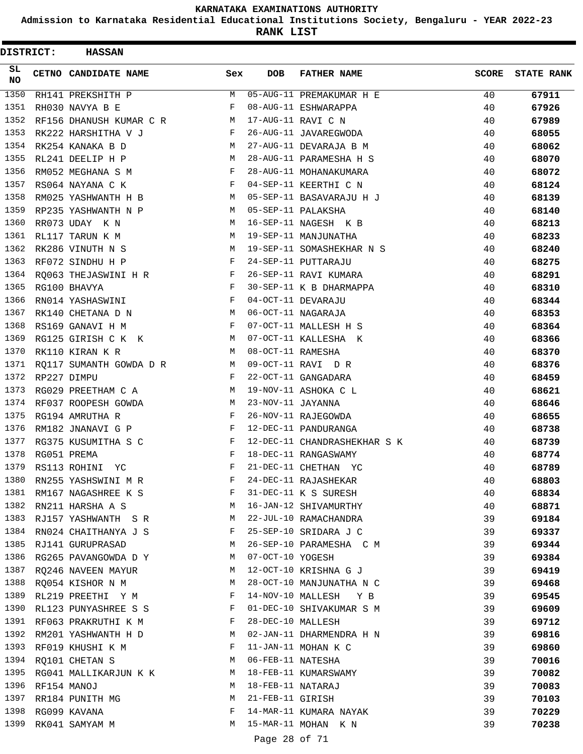**Admission to Karnataka Residential Educational Institutions Society, Bengaluru - YEAR 2022-23**

**RANK LIST**

| <b>DISTRICT:</b> | <b>HASSAN</b>                |              |                   |                              |              |                   |
|------------------|------------------------------|--------------|-------------------|------------------------------|--------------|-------------------|
| SL.<br>NO.       | <b>CETNO CANDIDATE NAME</b>  | Sex          | <b>DOB</b>        | <b>FATHER NAME</b>           | <b>SCORE</b> | <b>STATE RANK</b> |
| 1350             | RH141 PREKSHITH P            | M            |                   | 05-AUG-11 PREMAKUMAR H E     | 40           | 67911             |
| 1351             | RH030 NAVYA B E              | F            |                   | 08-AUG-11 ESHWARAPPA         | 40           | 67926             |
| 1352             | RF156 DHANUSH KUMAR C R M    |              |                   | 17-AUG-11 RAVI C N           | 40           | 67989             |
| 1353             | RK222 HARSHITHA V J          | F            |                   | 26-AUG-11 JAVAREGWODA        | 40           | 68055             |
| 1354             | RK254 KANAKA B D             | M            |                   | 27-AUG-11 DEVARAJA B M       | 40           | 68062             |
| 1355             | RL241 DEELIP H P             | M            |                   | 28-AUG-11 PARAMESHA H S      | 40           | 68070             |
| 1356             | RM052 MEGHANA S M            | F            |                   | 28-AUG-11 MOHANAKUMARA       | 40           | 68072             |
| 1357             | RS064 NAYANA C K             | F            |                   | 04-SEP-11 KEERTHI C N        | 40           | 68124             |
| 1358             | RM025 YASHWANTH H B          | M            |                   | 05-SEP-11 BASAVARAJU H J     | 40           | 68139             |
| 1359             | RP235 YASHWANTH N P          | M            |                   | 05-SEP-11 PALAKSHA           | 40           | 68140             |
| 1360             | RR073 UDAY K N               | М            |                   | 16-SEP-11 NAGESH K B         | 40           | 68213             |
| 1361             | RL117 TARUN K M              | М            |                   | 19-SEP-11 MANJUNATHA         | 40           | 68233             |
| 1362             | RK286 VINUTH N S             | M            |                   | 19-SEP-11 SOMASHEKHAR N S    | 40           | 68240             |
| 1363             | RF072 SINDHU H P             | F            |                   | 24-SEP-11 PUTTARAJU          | 40           | 68275             |
| 1364             | RO063 THEJASWINI H R         | F            |                   | 26-SEP-11 RAVI KUMARA        | 40           | 68291             |
| 1365             | RG100 BHAVYA                 | F            |                   | 30-SEP-11 K B DHARMAPPA      | 40           | 68310             |
| 1366             | RN014 YASHASWINI             | F            |                   | 04-OCT-11 DEVARAJU           | 40           | 68344             |
| 1367             | RK140 CHETANA D N            | M            |                   | 06-OCT-11 NAGARAJA           | 40           | 68353             |
| 1368             | RS169 GANAVI H M             | $\mathbf{F}$ |                   | 07-OCT-11 MALLESH H S        | 40           | 68364             |
| 1369             | RG125 GIRISH C K K           | M            |                   | 07-OCT-11 KALLESHA K         | 40           | 68366             |
| 1370             | RK110 KIRAN K R              | M            | 08-OCT-11 RAMESHA |                              | 40           | 68370             |
| 1371             | RQ117 SUMANTH GOWDA D R      | M            |                   | 09-OCT-11 RAVI DR            | 40           | 68376             |
| 1372             | RP227 DIMPU                  | $_{\rm F}$   |                   | 22-OCT-11 GANGADARA          | 40           | 68459             |
| 1373             | RG029 PREETHAM C A           | М            |                   | 19-NOV-11 ASHOKA C L         | 40           | 68621             |
| 1374             | RF037 ROOPESH GOWDA          | M            | 23-NOV-11 JAYANNA |                              | 40           | 68646             |
| 1375             | RG194 AMRUTHA R              | F            |                   | 26-NOV-11 RAJEGOWDA          | 40           | 68655             |
| 1376             | RM182 JNANAVI G P            | F            |                   | 12-DEC-11 PANDURANGA         | 40           | 68738             |
| 1377             | RG375 KUSUMITHA S C          | F            |                   | 12-DEC-11 CHANDRASHEKHAR S K | 40           | 68739             |
| 1378             | RG051 PREMA                  | $_{\rm F}$   |                   | 18-DEC-11 RANGASWAMY         | 40           | 68774             |
| 1379             | RS113 ROHINI<br>YC           | $_{\rm F}$   |                   | 21-DEC-11 CHETHAN YC         | 40           | 68789             |
| 1380             | RN255 YASHSWINI M R          | F            |                   | 24-DEC-11 RAJASHEKAR         | 40           | 68803             |
| 1381             | RM167 NAGASHREE K S          | F            |                   | 31-DEC-11 K S SURESH         | 40           | 68834             |
| 1382             | <b>N</b><br>RN211 HARSHA A S |              |                   | 16-JAN-12 SHIVAMURTHY        | 40           | 68871             |
|                  | 1383 RJ157 YASHWANTH S R     | M            |                   | 22-JUL-10 RAMACHANDRA        | 39           | 69184             |
| 1384             | RN024 CHAITHANYA J S         | F            |                   | 25-SEP-10 SRIDARA J C        | 39           | 69337             |
| 1385             | RJ141 GURUPRASAD             | M            |                   | 26-SEP-10 PARAMESHA C M      | 39           | 69344             |
| 1386             | RG265 PAVANGOWDA D Y         | M            | 07-OCT-10 YOGESH  |                              | 39           | 69384             |
| 1387             | RQ246 NAVEEN MAYUR           | M            |                   | 12-OCT-10 KRISHNA G J        | 39           | 69419             |
| 1388             | RQ054 KISHOR N M             | M            |                   | 28-OCT-10 MANJUNATHA N C     | 39           | 69468             |
| 1389             | RL219 PREETHI Y M            | F            |                   | 14-NOV-10 MALLESH Y B        | 39           | 69545             |
| 1390             | RL123 PUNYASHREE S S         | F            |                   | 01-DEC-10 SHIVAKUMAR S M     | 39           | 69609             |
|                  | 1391 RF063 PRAKRUTHI K M     | F            | 28-DEC-10 MALLESH |                              | 39           | 69712             |
| 1392             | RM201 YASHWANTH H D          | M            |                   | 02-JAN-11 DHARMENDRA H N     | 39           | 69816             |
| 1393             | RF019 KHUSHI K M             | F            |                   | 11-JAN-11 MOHAN K C          | 39           | 69860             |
| 1394             | RQ101 CHETAN S               | M            | 06-FEB-11 NATESHA |                              | 39           | 70016             |
| 1395             | RG041 MALLIKARJUN K K        | М            |                   | 18-FEB-11 KUMARSWAMY         | 39           | 70082             |
| 1396             | RF154 MANOJ                  | M            | 18-FEB-11 NATARAJ |                              | 39           | 70083             |
| 1397             | RR184 PUNITH MG              | M            | 21-FEB-11 GIRISH  |                              | 39           | 70103             |
| 1398             | RG099 KAVANA                 | F            |                   | 14-MAR-11 KUMARA NAYAK       | 39           | 70229             |
| 1399             | RK041 SAMYAM M               | M            |                   | 15-MAR-11 MOHAN K N          | 39           | 70238             |
|                  |                              |              |                   |                              |              |                   |

Page 28 of 71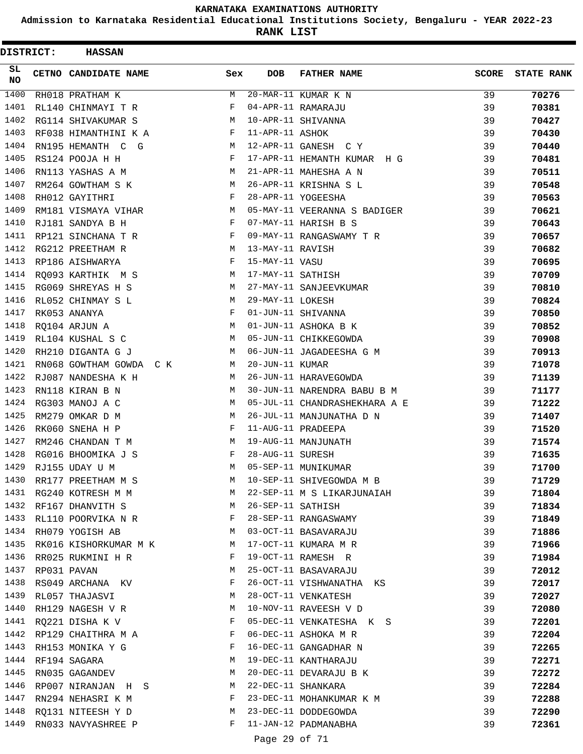**Admission to Karnataka Residential Educational Institutions Society, Bengaluru - YEAR 2022-23**

**RANK LIST**

| DISTRICT:         | <b>HASSAN</b>           |     |                   |                               |              |                   |
|-------------------|-------------------------|-----|-------------------|-------------------------------|--------------|-------------------|
| SL.<br><b>NO</b>  | CETNO CANDIDATE NAME    | Sex | <b>DOB</b>        | <b>FATHER NAME</b>            | <b>SCORE</b> | <b>STATE RANK</b> |
| $\overline{1400}$ | RH018 PRATHAM K         | М   |                   | 20-MAR-11 KUMAR K N           | 39           | 70276             |
| 1401              | RL140 CHINMAYI T R      | F   |                   | 04-APR-11 RAMARAJU            | 39           | 70381             |
| 1402              | RG114 SHIVAKUMAR S      | M   |                   | 10-APR-11 SHIVANNA            | 39           | 70427             |
| 1403              | RF038 HIMANTHINI K A    | F   | 11-APR-11 ASHOK   |                               | 39           | 70430             |
| 1404              | RN195 HEMANTH C G       | М   |                   | 12-APR-11 GANESH C Y          | 39           | 70440             |
| 1405              | RS124 POOJA H H         | F   |                   | 17-APR-11 HEMANTH KUMAR H G   | 39           | 70481             |
| 1406              | RN113 YASHAS A M        | M   |                   | 21-APR-11 MAHESHA A N         | 39           | 70511             |
| 1407              | RM264 GOWTHAM S K       | M   |                   | 26-APR-11 KRISHNA S L         | 39           | 70548             |
| 1408              | RH012 GAYITHRI          | F   |                   | 28-APR-11 YOGEESHA            | 39           | 70563             |
| 1409              | RM181 VISMAYA VIHAR     | М   |                   | 05-MAY-11 VEERANNA S BADIGER  | 39           | 70621             |
| 1410              | RJ181 SANDYA B H        | F   |                   | 07-MAY-11 HARISH B S          | 39           | 70643             |
| 1411              | RP121 SINCHANA T R      | F   |                   | 09-MAY-11 RANGASWAMY T R      | 39           | 70657             |
| 1412              | RG212 PREETHAM R        | М   | 13-MAY-11 RAVISH  |                               | 39           | 70682             |
| 1413              | RP186 AISHWARYA         | F   | 15-MAY-11 VASU    |                               | 39           | 70695             |
| 1414              | RO093 KARTHIK M S       | M   | 17-MAY-11 SATHISH |                               | 39           | 70709             |
| 1415              | RG069 SHREYAS H S       | M   |                   | 27-MAY-11 SANJEEVKUMAR        | 39           | 70810             |
| 1416              | RL052 CHINMAY S L       | М   | 29-MAY-11 LOKESH  |                               | 39           | 70824             |
| 1417              | RK053 ANANYA            | F   |                   | 01-JUN-11 SHIVANNA            | 39           | 70850             |
| 1418              | RO104 ARJUN A           | M   |                   | 01-JUN-11 ASHOKA B K          | 39           | 70852             |
| 1419              | RL104 KUSHAL S C        | M   |                   | 05-JUN-11 CHIKKEGOWDA         | 39           | 70908             |
| 1420              | RH210 DIGANTA G J       | M   |                   | 06-JUN-11 JAGADEESHA G M      | 39           | 70913             |
| 1421              | RN068 GOWTHAM GOWDA C K | М   | 20-JUN-11 KUMAR   |                               | 39           | 71078             |
| 1422              | RJ087 NANDESHA K H      | M   |                   | 26-JUN-11 HARAVEGOWDA         | 39           | 71139             |
| 1423              | RN118 KIRAN B N         | M   |                   | 30-JUN-11 NARENDRA BABU B M   | 39           | 71177             |
| 1424              | RG303 MANOJ A C         | M   |                   | 05-JUL-11 CHANDRASHEKHARA A E | 39           | 71222             |
| 1425              | RM279 OMKAR D M         | М   |                   | 26-JUL-11 MANJUNATHA D N      | 39           | 71407             |
| 1426              | RK060 SNEHA H P         | F   |                   | 11-AUG-11 PRADEEPA            | 39           | 71520             |
| 1427              | RM246 CHANDAN T M       | М   |                   | 19-AUG-11 MANJUNATH           | 39           | 71574             |
| 1428              | RG016 BHOOMIKA J S      | F   | 28-AUG-11 SURESH  |                               | 39           | 71635             |
| 1429              | RJ155 UDAY U M          | М   |                   | 05-SEP-11 MUNIKUMAR           | 39           | 71700             |
| 1430              | RR177 PREETHAM M S      | M   |                   | 10-SEP-11 SHIVEGOWDA M B      | 39           | 71729             |
| 1431              | RG240 KOTRESH M M       | M   |                   | 22-SEP-11 M S LIKARJUNAIAH    | 39           | 71804             |
| 1432              | RF167 DHANVITH S        | M   | 26-SEP-11 SATHISH |                               | 39           | 71834             |
| 1433              | RL110 POORVIKA N R      | F   |                   | 28-SEP-11 RANGASWAMY          | 39           | 71849             |
|                   | 1434 RH079 YOGISH AB    | M   |                   | 03-OCT-11 BASAVARAJU          | 39           | 71886             |
| 1435              | RK016 KISHORKUMAR M K   | М   |                   | 17-OCT-11 KUMARA M R          | 39           | 71966             |
| 1436              | RR025 RUKMINI H R       | F   |                   | 19-OCT-11 RAMESH R            | 39           | 71984             |
| 1437              | RP031 PAVAN             | М   |                   | 25-OCT-11 BASAVARAJU          | 39           | 72012             |
| 1438              | RS049 ARCHANA KV        | F   |                   | 26-OCT-11 VISHWANATHA KS      | 39           | 72017             |
| 1439              | RL057 THAJASVI          | М   |                   | 28-OCT-11 VENKATESH           | 39           | 72027             |
| 1440              | RH129 NAGESH V R        | М   |                   | 10-NOV-11 RAVEESH V D         | 39           | 72080             |
| 1441              | RQ221 DISHA K V         | F   |                   | 05-DEC-11 VENKATESHA K S      | 39           | 72201             |
|                   | 1442 RP129 CHAITHRA M A | F   |                   | 06-DEC-11 ASHOKA M R          | 39           | 72204             |
| 1443              | RH153 MONIKA Y G        | F   |                   | 16-DEC-11 GANGADHAR N         | 39           | 72265             |
| 1444              | RF194 SAGARA            | М   |                   | 19-DEC-11 KANTHARAJU          | 39           | 72271             |
| 1445              | RN035 GAGANDEV          | М   |                   | 20-DEC-11 DEVARAJU B K        | 39           | 72272             |
| 1446              | RP007 NIRANJAN H S      | М   |                   | 22-DEC-11 SHANKARA            | 39           | 72284             |
| 1447              | RN294 NEHASRI K M       | F   |                   | 23-DEC-11 MOHANKUMAR K M      | 39           | 72288             |
| 1448              | RQ131 NITEESH Y D       | М   |                   | 23-DEC-11 DODDEGOWDA          | 39           | 72290             |
| 1449              | RN033 NAVYASHREE P      | F   |                   | 11-JAN-12 PADMANABHA          | 39           | 72361             |
|                   |                         |     | Page 29 of 71     |                               |              |                   |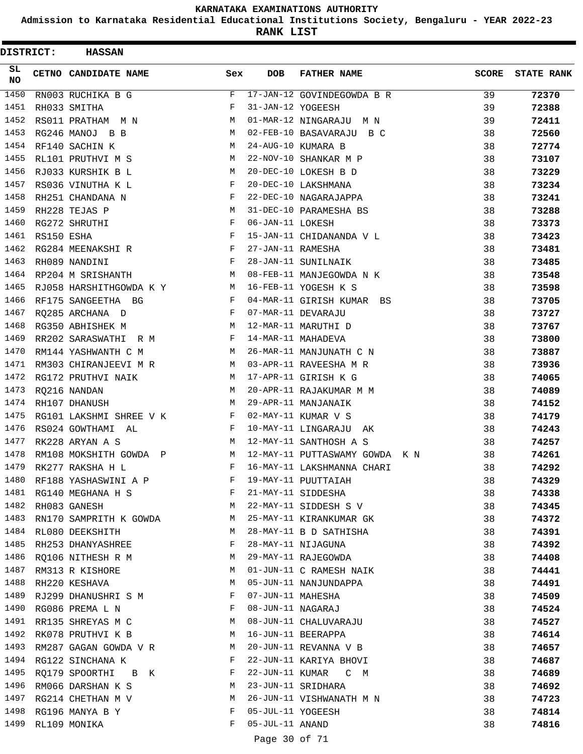**Admission to Karnataka Residential Educational Institutions Society, Bengaluru - YEAR 2022-23**

**RANK LIST**

| DISTRICT: |            | <b>HASSAN</b>                 |                                                                 |                   |                                |              |                   |
|-----------|------------|-------------------------------|-----------------------------------------------------------------|-------------------|--------------------------------|--------------|-------------------|
| SL.<br>NO |            | CETNO CANDIDATE NAME          | Sex                                                             | <b>DOB</b>        | <b>FATHER NAME</b>             | <b>SCORE</b> | <b>STATE RANK</b> |
| 1450      |            | RN003 RUCHIKA B G             | F                                                               |                   | 17-JAN-12 GOVINDEGOWDA B R     | 39           | 72370             |
| 1451      |            | RH033 SMITHA                  | F                                                               | 31-JAN-12 YOGEESH |                                | 39           | 72388             |
| 1452      |            | RS011 PRATHAM M N             | М                                                               |                   | 01-MAR-12 NINGARAJU M N        | 39           | 72411             |
| 1453      |            | RG246 MANOJ B B               | М                                                               |                   | 02-FEB-10 BASAVARAJU B C       | 38           | 72560             |
| 1454      |            | RF140 SACHIN K                | М                                                               |                   | 24-AUG-10 KUMARA B             | 38           | 72774             |
| 1455      |            | RL101 PRUTHVI M S             | М                                                               |                   | 22-NOV-10 SHANKAR M P          | 38           | 73107             |
| 1456      |            | RJ033 KURSHIK B L             | М                                                               |                   | 20-DEC-10 LOKESH B D           | 38           | 73229             |
| 1457      |            | RS036 VINUTHA K L             | F                                                               |                   | 20-DEC-10 LAKSHMANA            | 38           | 73234             |
| 1458      |            | RH251 CHANDANA N              | F                                                               |                   | 22-DEC-10 NAGARAJAPPA          | 38           | 73241             |
| 1459      |            | RH228 TEJAS P                 | М                                                               |                   | 31-DEC-10 PARAMESHA BS         | 38           | 73288             |
| 1460      |            | RG272 SHRUTHI                 | $_{\rm F}$                                                      | 06-JAN-11 LOKESH  |                                | 38           | 73373             |
| 1461      | RS150 ESHA |                               | $_{\rm F}$                                                      |                   | 15-JAN-11 CHIDANANDA V L       | 38           | 73423             |
| 1462      |            | RG284 MEENAKSHI R             | F                                                               | 27-JAN-11 RAMESHA |                                | 38           | 73481             |
| 1463      |            | RH089 NANDINI                 | $\mathbf{F}$                                                    |                   | 28-JAN-11 SUNILNAIK            | 38           | 73485             |
| 1464      |            | RP204 M SRISHANTH             | М                                                               |                   | 08-FEB-11 MANJEGOWDA N K       | 38           | 73548             |
| 1465      |            | RJ058 HARSHITHGOWDA K Y       | M                                                               |                   | 16-FEB-11 YOGESH K S           | 38           | 73598             |
| 1466      |            | RF175 SANGEETHA BG            | $\mathbf{F}$                                                    |                   | 04-MAR-11 GIRISH KUMAR BS      | 38           | 73705             |
| 1467      |            | RQ285 ARCHANA D               | F                                                               |                   | 07-MAR-11 DEVARAJU             | 38           | 73727             |
| 1468      |            | RG350 ABHISHEK M              | М                                                               |                   | 12-MAR-11 MARUTHI D            | 38           | 73767             |
| 1469      |            | RR202 SARASWATHI R M          | F                                                               |                   | 14-MAR-11 MAHADEVA             | 38           | 73800             |
| 1470      |            | RM144 YASHWANTH C M           | M                                                               |                   | 26-MAR-11 MANJUNATH C N        | 38           | 73887             |
| 1471      |            | RM303 CHIRANJEEVI M R         | M                                                               |                   | 03-APR-11 RAVEESHA M R         | 38           | 73936             |
| 1472      |            | RG172 PRUTHVI NAIK            | M                                                               |                   | 17-APR-11 GIRISH K G           | 38           | 74065             |
| 1473      |            | RQ216 NANDAN                  | М                                                               |                   | 20-APR-11 RAJAKUMAR M M        | 38           | 74089             |
| 1474      |            | RH107 DHANUSH                 | M                                                               |                   | 29-APR-11 MANJANAIK            | 38           | 74152             |
| 1475      |            | RG101 LAKSHMI SHREE V K       | F                                                               |                   | 02-MAY-11 KUMAR V S            | 38           | 74179             |
| 1476      |            | RS024 GOWTHAMI AL             | F                                                               |                   | 10-MAY-11 LINGARAJU AK         | 38           | 74243             |
| 1477      |            | RK228 ARYAN A S               | M                                                               |                   | 12-MAY-11 SANTHOSH A S         | 38           | 74257             |
| 1478      |            | RM108 MOKSHITH GOWDA P        | M                                                               |                   | 12-MAY-11 PUTTASWAMY GOWDA K N | 38           | 74261             |
| 1479      |            | RK277 RAKSHA H L              | F                                                               |                   | 16-MAY-11 LAKSHMANNA CHARI     | 38           | 74292             |
|           |            | 1480 RF188 YASHASWINI A P     | F                                                               |                   | 19-MAY-11 PUUTTAIAH            | 38           | 74329             |
|           |            | 1481 RG140 MEGHANA H S F      |                                                                 |                   | 21-MAY-11 SIDDESHA             | 38           | 74338             |
| 1482      |            | RH083 GANESH                  | $M_{\rm H}$                                                     |                   | 22-MAY-11 SIDDESH S V          | 38           | 74345             |
|           |            | 1483 RN170 SAMPRITH K GOWDA M |                                                                 |                   | 25-MAY-11 KIRANKUMAR GK        | 38           | 74372             |
|           |            | 1484 RL080 DEEKSHITH          | M                                                               |                   | 28-MAY-11 B D SATHISHA         | 38           | 74391             |
| 1485      |            | RH253 DHANYASHREE             | F                                                               |                   | 28-MAY-11 NIJAGUNA             | 38           | 74392             |
| 1486      |            | RQ106 NITHESH R M             | M                                                               |                   | 29-MAY-11 RAJEGOWDA            | 38           | 74408             |
|           |            | 1487 RM313 R KISHORE          | М                                                               |                   | 01-JUN-11 C RAMESH NAIK        | 38           | 74441             |
|           |            | 1488 RH220 KESHAVA            | М                                                               |                   | 05-JUN-11 NANJUNDAPPA          | 38           | 74491             |
| 1489      |            | RJ299 DHANUSHRI S M           | F                                                               | 07-JUN-11 MAHESHA |                                | 38           | 74509             |
| 1490      |            | RG086 PREMA L N               | $\mathbf{F}$ and $\mathbf{F}$ and $\mathbf{F}$ and $\mathbf{F}$ | 08-JUN-11 NAGARAJ |                                | 38           | 74524             |
|           |            | 1491 RR135 SHREYAS M C        | M                                                               |                   | 08-JUN-11 CHALUVARAJU          | 38           | 74527             |
|           |            | 1492 RK078 PRUTHVI K B        | M                                                               |                   | 16-JUN-11 BEERAPPA             | 38           | 74614             |
| 1493      |            | RM287 GAGAN GOWDA V R         | M                                                               |                   | 20-JUN-11 REVANNA V B          | 38           | 74657             |
| 1494      |            | RG122 SINCHANA K              | F                                                               |                   | 22-JUN-11 KARIYA BHOVI         | 38           | 74687             |
|           |            | 1495 RQ179 SPOORTHI B K       | F                                                               |                   | 22-JUN-11 KUMAR C M            | 38           | 74689             |
| 1496      |            | RM066 DARSHAN K S             | M                                                               |                   | 23-JUN-11 SRIDHARA             | 38           | 74692             |
| 1497      |            | RG214 CHETHAN M V             | M                                                               |                   | 26-JUN-11 VISHWANATH M N       | 38           | 74723             |
| 1498      |            | RG196 MANYA B Y               | F                                                               | 05-JUL-11 YOGEESH |                                | 38           | 74814             |
| 1499      |            | RL109 MONIKA                  | F                                                               | 05-JUL-11 ANAND   |                                | 38           | 74816             |
|           |            |                               |                                                                 | Page 30 of 71     |                                |              |                   |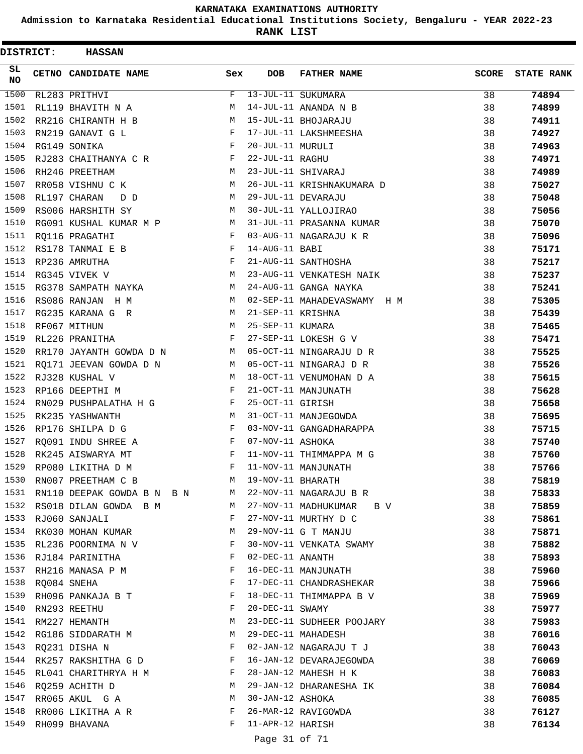**Admission to Karnataka Residential Educational Institutions Society, Bengaluru - YEAR 2022-23**

| <b>DISTRICT:</b> | <b>HASSAN</b>               |            |                   |                             |              |                   |
|------------------|-----------------------------|------------|-------------------|-----------------------------|--------------|-------------------|
| SL.<br><b>NO</b> | <b>CETNO CANDIDATE NAME</b> | Sex        | <b>DOB</b>        | <b>FATHER NAME</b>          | <b>SCORE</b> | <b>STATE RANK</b> |
| 1500             | RL283 PRITHVI               | F          |                   | 13-JUL-11 SUKUMARA          | 38           | 74894             |
| 1501             | RL119 BHAVITH N A           | М          |                   | 14-JUL-11 ANANDA N B        | 38           | 74899             |
| 1502             | RR216 CHIRANTH H B          | М          |                   | 15-JUL-11 BHOJARAJU         | 38           | 74911             |
| 1503             | RN219 GANAVI G L            | F          |                   | 17-JUL-11 LAKSHMEESHA       | 38           | 74927             |
| 1504             | RG149 SONIKA                | F          | 20-JUL-11 MURULI  |                             | 38           | 74963             |
| 1505             | RJ283 CHAITHANYA C R        | F          | 22-JUL-11 RAGHU   |                             | 38           | 74971             |
| 1506             | RH246 PREETHAM              | M          |                   | 23-JUL-11 SHIVARAJ          | 38           | 74989             |
| 1507             | RR058 VISHNU C K            | M          |                   | 26-JUL-11 KRISHNAKUMARA D   | 38           | 75027             |
| 1508             | RL197 CHARAN<br>D D         | M          |                   | 29-JUL-11 DEVARAJU          | 38           | 75048             |
| 1509             | RS006 HARSHITH SY           | M          |                   | 30-JUL-11 YALLOJIRAO        | 38           | 75056             |
| 1510             | RG091 KUSHAL KUMAR M P      | M          |                   | 31-JUL-11 PRASANNA KUMAR    | 38           | 75070             |
| 1511             | RO116 PRAGATHI              | F          |                   | 03-AUG-11 NAGARAJU K R      | 38           | 75096             |
| 1512             | RS178 TANMAI E B            | $_{\rm F}$ | 14-AUG-11 BABI    |                             | 38           | 75171             |
| 1513             | RP236 AMRUTHA               | F          |                   | 21-AUG-11 SANTHOSHA         | 38           | 75217             |
| 1514             | RG345 VIVEK V               | M          |                   | 23-AUG-11 VENKATESH NAIK    | 38           | 75237             |
| 1515             | RG378 SAMPATH NAYKA         | М          |                   | 24-AUG-11 GANGA NAYKA       | 38           | 75241             |
| 1516             | RS086 RANJAN H M            | M          |                   | 02-SEP-11 MAHADEVASWAMY H M | 38           | 75305             |
| 1517             | RG235 KARANA G R            | М          | 21-SEP-11 KRISHNA |                             | 38           | 75439             |
| 1518             | RF067 MITHUN                | M          | 25-SEP-11 KUMARA  |                             | 38           | 75465             |
| 1519             | RL226 PRANITHA              | F          |                   | 27-SEP-11 LOKESH G V        | 38           | 75471             |
| 1520             | RR170 JAYANTH GOWDA D N     | M          |                   | 05-OCT-11 NINGARAJU D R     | 38           | 75525             |
| 1521             | RQ171 JEEVAN GOWDA D N      | M          |                   | 05-OCT-11 NINGARAJ D R      | 38           | 75526             |
| 1522             | RJ328 KUSHAL V              | M          |                   | 18-OCT-11 VENUMOHAN D A     | 38           | 75615             |
| 1523             | RP166 DEEPTHI M             | F          |                   | 21-OCT-11 MANJUNATH         | 38           | 75628             |
| 1524             | RN029 PUSHPALATHA H G       | F          | 25-OCT-11 GIRISH  |                             | 38           | 75658             |
| 1525             | RK235 YASHWANTH             | М          |                   | 31-OCT-11 MANJEGOWDA        | 38           | 75695             |
| 1526             | RP176 SHILPA D G            | F          |                   | 03-NOV-11 GANGADHARAPPA     | 38           | 75715             |
| 1527             | RQ091 INDU SHREE A          | F          | 07-NOV-11 ASHOKA  |                             | 38           | 75740             |
| 1528             | RK245 AISWARYA MT           | F          |                   | 11-NOV-11 THIMMAPPA M G     | 38           | 75760             |
| 1529             | RP080 LIKITHA D M           | F          |                   | 11-NOV-11 MANJUNATH         | 38           | 75766             |
| 1530             | RN007 PREETHAM C B          | M          | 19-NOV-11 BHARATH |                             | 38           | 75819             |
| 1531             | RN110 DEEPAK GOWDA B N B N  | M          |                   | 22-NOV-11 NAGARAJU B R      | 38           | 75833             |
| 1532             | RS018 DILAN GOWDA B M       | M          |                   | 27-NOV-11 MADHUKUMAR<br>B V | 38           | 75859             |
| 1533             | RJ060 SANJALI               | F          |                   | 27-NOV-11 MURTHY D C        | 38           | 75861             |
| 1534             | RK030 MOHAN KUMAR           | М          |                   | 29-NOV-11 G T MANJU         | 38           | 75871             |
| 1535             | RL236 POORNIMA N V          | F          |                   | 30-NOV-11 VENKATA SWAMY     | 38           | 75882             |
| 1536             | RJ184 PARINITHA             | F          | 02-DEC-11 ANANTH  |                             | 38           | 75893             |
| 1537             | RH216 MANASA P M            | F          |                   | 16-DEC-11 MANJUNATH         | 38           | 75960             |
| 1538             | RQ084 SNEHA                 | F          |                   | 17-DEC-11 CHANDRASHEKAR     | 38           | 75966             |
| 1539             | RH096 PANKAJA B T           | F          |                   | 18-DEC-11 THIMMAPPA B V     | 38           | 75969             |
| 1540             | RN293 REETHU                | F          | 20-DEC-11 SWAMY   |                             | 38           | 75977             |
| 1541             | RM227 HEMANTH               | М          |                   | 23-DEC-11 SUDHEER POOJARY   | 38           | 75983             |
| 1542             | RG186 SIDDARATH M           | М          |                   | 29-DEC-11 MAHADESH          | 38           | 76016             |
| 1543             | RQ231 DISHA N               | F          |                   | 02-JAN-12 NAGARAJU T J      | 38           | 76043             |
| 1544             | RK257 RAKSHITHA G D         | F          |                   | 16-JAN-12 DEVARAJEGOWDA     | 38           | 76069             |
| 1545             | RL041 CHARITHRYA H M        | F          |                   | 28-JAN-12 MAHESH H K        | 38           | 76083             |
| 1546             | RQ259 ACHITH D              | М          |                   | 29-JAN-12 DHARANESHA IK     | 38           | 76084             |
| 1547             | RR065 AKUL G A              | М          | 30-JAN-12 ASHOKA  |                             | 38           | 76085             |
| 1548             | RR006 LIKITHA A R           | F          |                   | 26-MAR-12 RAVIGOWDA         | 38           | 76127             |
| 1549             | RH099 BHAVANA               | F          | 11-APR-12 HARISH  |                             | 38           | 76134             |
|                  |                             |            | Page 31 of 71     |                             |              |                   |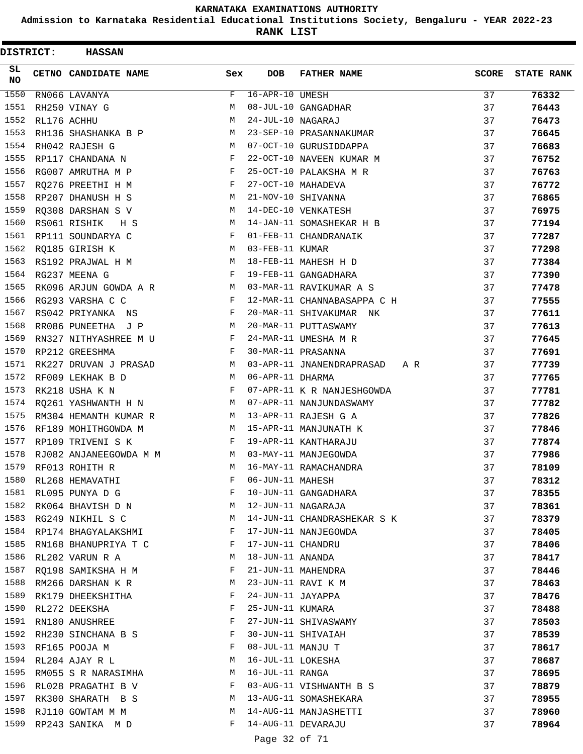**Admission to Karnataka Residential Educational Institutions Society, Bengaluru - YEAR 2022-23**

**RANK LIST**

| DISTRICT: | <b>HASSAN</b>          |            |                       |                               |              |                   |
|-----------|------------------------|------------|-----------------------|-------------------------------|--------------|-------------------|
| SL.<br>NO | CETNO CANDIDATE NAME   | Sex        | <b>DOB</b>            | <b>FATHER NAME</b>            | <b>SCORE</b> | <b>STATE RANK</b> |
| 1550      | RN066 LAVANYA          | F          | $16 - APR - 10$ UMESH |                               | 37           | 76332             |
| 1551      | RH250 VINAY G          | M          |                       | 08-JUL-10 GANGADHAR           | 37           | 76443             |
| 1552      | RL176 ACHHU            | M          | 24-JUL-10 NAGARAJ     |                               | 37           | 76473             |
| 1553      | RH136 SHASHANKA B P    | М          |                       | 23-SEP-10 PRASANNAKUMAR       | 37           | 76645             |
| 1554      | RH042 RAJESH G         | M          |                       | 07-OCT-10 GURUSIDDAPPA        | 37           | 76683             |
| 1555      | RP117 CHANDANA N       | $_{\rm F}$ |                       | 22-OCT-10 NAVEEN KUMAR M      | 37           | 76752             |
| 1556      | RG007 AMRUTHA M P      | F          |                       | 25-OCT-10 PALAKSHA M R        | 37           | 76763             |
| 1557      | RQ276 PREETHI H M      | F          |                       | 27-OCT-10 MAHADEVA            | 37           | 76772             |
| 1558      | RP207 DHANUSH H S      | M          |                       | 21-NOV-10 SHIVANNA            | 37           | 76865             |
| 1559      | RQ308 DARSHAN S V      | M          |                       | 14-DEC-10 VENKATESH           | 37           | 76975             |
| 1560      | RS061 RISHIK<br>H S    | M          |                       | 14-JAN-11 SOMASHEKAR H B      | 37           | 77194             |
| 1561      | RP111 SOUNDARYA C      | F          |                       | 01-FEB-11 CHANDRANAIK         | 37           | 77287             |
| 1562      | RQ185 GIRISH K         | M          | 03-FEB-11 KUMAR       |                               | 37           | 77298             |
| 1563      | RS192 PRAJWAL H M      | M          |                       | 18-FEB-11 MAHESH H D          | 37           | 77384             |
| 1564      | RG237 MEENA G          | F          |                       | 19-FEB-11 GANGADHARA          | 37           | 77390             |
| 1565      | RK096 ARJUN GOWDA A R  | M          |                       | 03-MAR-11 RAVIKUMAR A S       | 37           | 77478             |
| 1566      | RG293 VARSHA C C       | F          |                       | 12-MAR-11 CHANNABASAPPA C H   | 37           | 77555             |
| 1567      | RS042 PRIYANKA NS      | F          |                       | 20-MAR-11 SHIVAKUMAR NK       | 37           | 77611             |
| 1568      | RR086 PUNEETHA J P     | M          |                       | 20-MAR-11 PUTTASWAMY          | 37           | 77613             |
| 1569      | RN327 NITHYASHREE M U  | F          |                       | 24-MAR-11 UMESHA M R          | 37           | 77645             |
| 1570      | RP212 GREESHMA         | F          |                       | 30-MAR-11 PRASANNA            | 37           | 77691             |
| 1571      | RK227 DRUVAN J PRASAD  | M          |                       | 03-APR-11 JNANENDRAPRASAD A R | 37           | 77739             |
| 1572      | RF009 LEKHAK B D       | M          | 06-APR-11 DHARMA      |                               | 37           | 77765             |
| 1573      | RK218 USHA K N         | F          |                       | 07-APR-11 K R NANJESHGOWDA    | 37           | 77781             |
| 1574      | RQ261 YASHWANTH H N    | M          |                       | 07-APR-11 NANJUNDASWAMY       | 37           | 77782             |
| 1575      | RM304 HEMANTH KUMAR R  | M          |                       | 13-APR-11 RAJESH G A          | 37           | 77826             |
| 1576      | RF189 MOHITHGOWDA M    | M          |                       | 15-APR-11 MANJUNATH K         | 37           | 77846             |
| 1577      | RP109 TRIVENI S K      | F          |                       | 19-APR-11 KANTHARAJU          | 37           | 77874             |
| 1578      | RJ082 ANJANEEGOWDA M M | M          |                       | 03-MAY-11 MANJEGOWDA          | 37           | 77986             |
| 1579      | RF013 ROHITH R         | M          |                       | 16-MAY-11 RAMACHANDRA         | 37           | 78109             |
| 1580      | RL268 HEMAVATHI        | F          | 06-JUN-11 MAHESH      |                               | 37           | 78312             |
| 1581      | RL095 PUNYA D G        | F          |                       | 10-JUN-11 GANGADHARA          | 37           | 78355             |
| 1582      | RK064 BHAVISH D N      | М          |                       | 12-JUN-11 NAGARAJA            | 37           | 78361             |
|           | 1583 RG249 NIKHIL S C  | M          |                       | 14-JUN-11 CHANDRASHEKAR S K   | 37           | 78379             |
| 1584      | RP174 BHAGYALAKSHMI    | F          |                       | 17-JUN-11 NANJEGOWDA          | 37           | 78405             |
| 1585      | RN168 BHANUPRIYA T C   | F          | 17-JUN-11 CHANDRU     |                               | 37           | 78406             |
| 1586      | RL202 VARUN R A        | М          | 18-JUN-11 ANANDA      |                               | 37           | 78417             |
| 1587      | RQ198 SAMIKSHA H M     | F          |                       | 21-JUN-11 MAHENDRA            | 37           | 78446             |
| 1588      | RM266 DARSHAN K R      | М          |                       | 23-JUN-11 RAVI K M            | 37           | 78463             |
| 1589      | RK179 DHEEKSHITHA      | F          | 24-JUN-11 JAYAPPA     |                               | 37           | 78476             |
| 1590      | RL272 DEEKSHA          | F          | 25-JUN-11 KUMARA      |                               | 37           | 78488             |
|           | 1591 RN180 ANUSHREE    | F          |                       | 27-JUN-11 SHIVASWAMY          | 37           | 78503             |
| 1592      | RH230 SINCHANA B S     | F          |                       | 30-JUN-11 SHIVAIAH            | 37           | 78539             |
| 1593      | RF165 POOJA M          | F          | 08-JUL-11 MANJU T     |                               | 37           | 78617             |
| 1594      | RL204 AJAY R L         | М          | 16-JUL-11 LOKESHA     |                               | 37           | 78687             |
| 1595      | RM055 S R NARASIMHA    | M          | 16-JUL-11 RANGA       |                               | 37           | 78695             |
| 1596      | RL028 PRAGATHI B V     | F          |                       | 03-AUG-11 VISHWANTH B S       | 37           | 78879             |
| 1597      | RK300 SHARATH B S      | M          |                       | 13-AUG-11 SOMASHEKARA         | 37           | 78955             |
| 1598      | RJ110 GOWTAM M M       | М          |                       | 14-AUG-11 MANJASHETTI         | 37           | 78960             |
| 1599      | RP243 SANIKA M D       | F          |                       | 14-AUG-11 DEVARAJU            | 37           | 78964             |
|           |                        |            |                       |                               |              |                   |

Page 32 of 71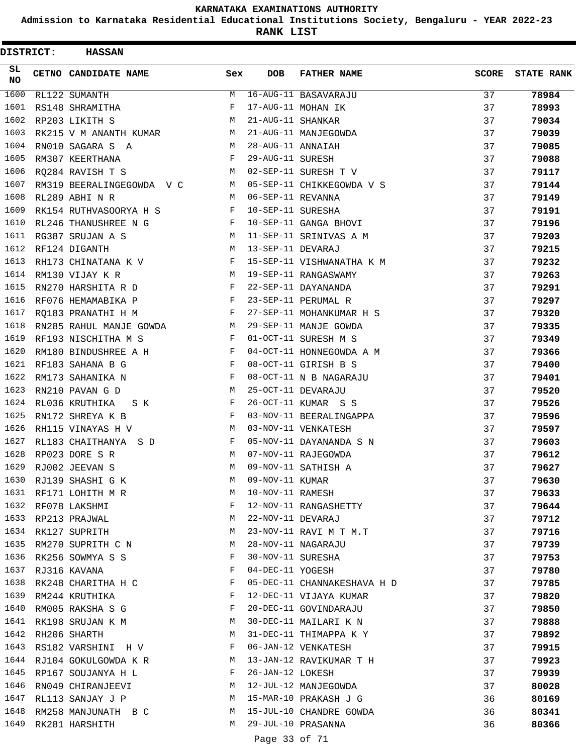**Admission to Karnataka Residential Educational Institutions Society, Bengaluru - YEAR 2022-23**

| DISTRICT: | <b>HASSAN</b>             |              |                   |                             |              |                   |
|-----------|---------------------------|--------------|-------------------|-----------------------------|--------------|-------------------|
| SL.<br>NO | CETNO CANDIDATE NAME      | Sex          | <b>DOB</b>        | <b>FATHER NAME</b>          | <b>SCORE</b> | <b>STATE RANK</b> |
| 1600      | RL122 SUMANTH             | М            |                   | 16-AUG-11 BASAVARAJU        | 37           | 78984             |
| 1601      | RS148 SHRAMITHA           | F            |                   | 17-AUG-11 MOHAN IK          | 37           | 78993             |
| 1602      | RP203 LIKITH S            | М            | 21-AUG-11 SHANKAR |                             | 37           | 79034             |
| 1603      | RK215 V M ANANTH KUMAR    | M            |                   | 21-AUG-11 MANJEGOWDA        | 37           | 79039             |
| 1604      | RN010 SAGARA S A          | M            | 28-AUG-11 ANNAIAH |                             | 37           | 79085             |
| 1605      | RM307 KEERTHANA           | F            | 29-AUG-11 SURESH  |                             | 37           | 79088             |
| 1606      | RQ284 RAVISH T S          | M            |                   | 02-SEP-11 SURESH T V        | 37           | 79117             |
| 1607      | RM319 BEERALINGEGOWDA V C | M            |                   | 05-SEP-11 CHIKKEGOWDA V S   | 37           | 79144             |
| 1608      | RL289 ABHI N R            | M            | 06-SEP-11 REVANNA |                             | 37           | 79149             |
| 1609      | RK154 RUTHVASOORYA H S    | $_{\rm F}$   | 10-SEP-11 SURESHA |                             | 37           | 79191             |
| 1610      | RL246 THANUSHREE N G F    |              |                   | 10-SEP-11 GANGA BHOVI       | 37           | 79196             |
| 1611      | RG387 SRUJAN A S          | M            |                   | 11-SEP-11 SRINIVAS A M      | 37           | 79203             |
| 1612      | RF124 DIGANTH             | M            | 13-SEP-11 DEVARAJ |                             | 37           | 79215             |
| 1613      | RH173 CHINATANA K V       | F            |                   | 15-SEP-11 VISHWANATHA K M   | 37           | 79232             |
| 1614      | RM130 VIJAY K R           | М            |                   | 19-SEP-11 RANGASWAMY        | 37           | 79263             |
| 1615      | RN270 HARSHITA R D        | F            |                   | 22-SEP-11 DAYANANDA         | 37           | 79291             |
| 1616      | RF076 HEMAMABIKA P        | F            |                   | 23-SEP-11 PERUMAL R         | 37           | 79297             |
| 1617      | RQ183 PRANATHI H M        | $\mathbf{F}$ |                   | 27-SEP-11 MOHANKUMAR H S    | 37           | 79320             |
| 1618      | RN285 RAHUL MANJE GOWDA M |              |                   | 29-SEP-11 MANJE GOWDA       | 37           | 79335             |
| 1619      | RF193 NISCHITHA M S       | F            |                   | 01-OCT-11 SURESH M S        | 37           | 79349             |
| 1620      | RM180 BINDUSHREE A H      | F            |                   | 04-OCT-11 HONNEGOWDA A M    | 37           | 79366             |
| 1621      | RF183 SAHANA B G          | $\mathbf{F}$ |                   | 08-OCT-11 GIRISH B S        | 37           | 79400             |
| 1622      | RM173 SAHANIKA N          | F            |                   | 08-OCT-11 N B NAGARAJU      | 37           | 79401             |
| 1623      | RN210 PAVAN G D           | M            |                   | 25-OCT-11 DEVARAJU          | 37           | 79520             |
| 1624      | RL036 KRUTHIKA<br>S K     | F            |                   | 26-OCT-11 KUMAR S S         | 37           | 79526             |
| 1625      | RN172 SHREYA K B          | F            |                   | 03-NOV-11 BEERALINGAPPA     | 37           | 79596             |
| 1626      | RH115 VINAYAS H V         | М            |                   | 03-NOV-11 VENKATESH         | 37           | 79597             |
| 1627      | RL183 CHAITHANYA S D      | F            |                   | 05-NOV-11 DAYANANDA S N     | 37           | 79603             |
| 1628      | RP023 DORE S R            | M            |                   | 07-NOV-11 RAJEGOWDA         | 37           | 79612             |
| 1629      | RJ002 JEEVAN S            | M            |                   | 09-NOV-11 SATHISH A         | 37           | 79627             |
|           | 1630 RJ139 SHASHI G K     | M            | 09-NOV-11 KUMAR   |                             | 37           | 79630             |
| 1631      | RF171 LOHITH M R          | М            | 10-NOV-11 RAMESH  |                             | 37           | 79633             |
|           | 1632 RF078 LAKSHMI        | F            |                   | 12-NOV-11 RANGASHETTY       | 37           | 79644             |
|           | 1633 RP213 PRAJWAL        | М            | 22-NOV-11 DEVARAJ |                             | 37           | 79712             |
|           | 1634 RK127 SUPRITH        | М            |                   | 23-NOV-11 RAVI M T M.T      | 37           | 79716             |
| 1635      | RM270 SUPRITH C N         | М            |                   | 28-NOV-11 NAGARAJU          | 37           | 79739             |
| 1636      | RK256 SOWMYA S S          | F            | 30-NOV-11 SURESHA |                             | 37           | 79753             |
| 1637      | RJ316 KAVANA              | F            | 04-DEC-11 YOGESH  |                             | 37           | 79780             |
| 1638      | RK248 CHARITHA H C        | F            |                   | 05-DEC-11 CHANNAKESHAVA H D | 37           | 79785             |
| 1639      | RM244 KRUTHIKA            | F            |                   | 12-DEC-11 VIJAYA KUMAR      | 37           | 79820             |
| 1640      | RM005 RAKSHA S G          | F            |                   | 20-DEC-11 GOVINDARAJU       | 37           | 79850             |
|           | 1641 RK198 SRUJAN K M     | M            |                   | 30-DEC-11 MAILARI K N       | 37           | 79888             |
| 1642      | RH206 SHARTH              | M            |                   | 31-DEC-11 THIMAPPA K Y      | 37           | 79892             |
| 1643      | RS182 VARSHINI H V        | F            |                   | 06-JAN-12 VENKATESH         | 37           | 79915             |
| 1644      | RJ104 GOKULGOWDA K R      | М            |                   | 13-JAN-12 RAVIKUMAR T H     | 37           | 79923             |
| 1645      | RP167 SOUJANYA H L        | F            | 26-JAN-12 LOKESH  |                             | 37           | 79939             |
| 1646      | RN049 CHIRANJEEVI         | M            |                   | 12-JUL-12 MANJEGOWDA        | 37           | 80028             |
| 1647      | RL113 SANJAY J P          | М            |                   | 15-MAR-10 PRAKASH J G       | 36           | 80169             |
| 1648      | RM258 MANJUNATH B C       | М            |                   | 15-JUL-10 CHANDRE GOWDA     | 36           | 80341             |
| 1649      | RK281 HARSHITH            | M            |                   | 29-JUL-10 PRASANNA          | 36           | 80366             |
|           |                           |              |                   |                             |              |                   |
|           |                           |              | Page 33 of 71     |                             |              |                   |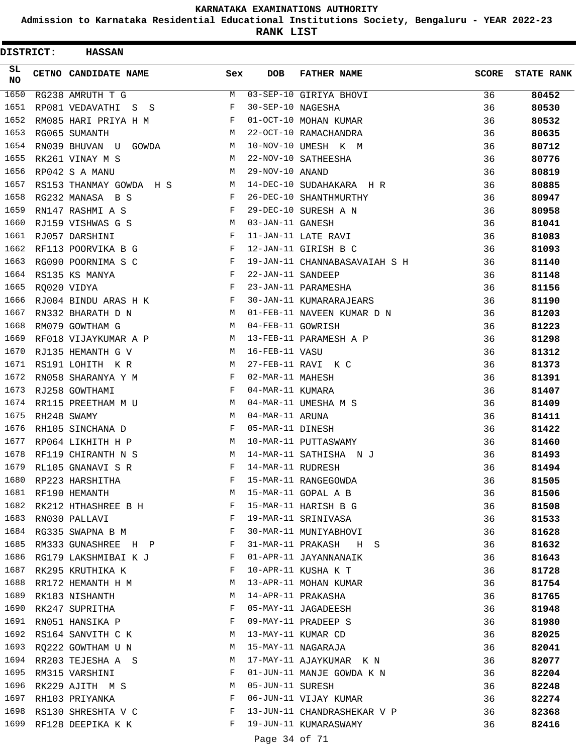**Admission to Karnataka Residential Educational Institutions Society, Bengaluru - YEAR 2022-23**

**RANK LIST**

ı

| <b>DISTRICT:</b> | <b>HASSAN</b>           |              |                   |                               |              |                   |
|------------------|-------------------------|--------------|-------------------|-------------------------------|--------------|-------------------|
| SL.<br>NO        | CETNO CANDIDATE NAME    | Sex          | <b>DOB</b>        | <b>FATHER NAME</b>            | <b>SCORE</b> | <b>STATE RANK</b> |
| 1650             | RG238 AMRUTH T G        | М            |                   | 03-SEP-10 GIRIYA BHOVI        | 36           | 80452             |
| 1651             | RP081 VEDAVATHI S S     | F            | 30-SEP-10 NAGESHA |                               | 36           | 80530             |
| 1652             | RM085 HARI PRIYA H M    | F            |                   | 01-OCT-10 MOHAN KUMAR         | 36           | 80532             |
| 1653             | RG065 SUMANTH           | M            |                   | 22-OCT-10 RAMACHANDRA         | 36           | 80635             |
| 1654             | RN039 BHUVAN U GOWDA    | M            |                   | 10-NOV-10 UMESH K M           | 36           | 80712             |
| 1655             | RK261 VINAY M S         | M            |                   | 22-NOV-10 SATHEESHA           | 36           | 80776             |
| 1656             | RP042 S A MANU          | M            | 29-NOV-10 ANAND   |                               | 36           | 80819             |
| 1657             | RS153 THANMAY GOWDA H S | M            |                   | 14-DEC-10 SUDAHAKARA H R      | 36           | 80885             |
| 1658             | RG232 MANASA B S        | F            |                   | 26-DEC-10 SHANTHMURTHY        | 36           | 80947             |
| 1659             | RN147 RASHMI A S        | F            |                   | 29-DEC-10 SURESH A N          | 36           | 80958             |
| 1660             | RJ159 VISHWAS G S       | M            | 03-JAN-11 GANESH  |                               | 36           | 81041             |
| 1661             | RJ057 DARSHINI          | F            |                   | 11-JAN-11 LATE RAVI           | 36           | 81083             |
| 1662             | RF113 POORVIKA B G      | F            |                   | 12-JAN-11 GIRISH B C          | 36           | 81093             |
| 1663             | RG090 POORNIMA S C      | F            |                   | 19-JAN-11 CHANNABASAVAIAH S H | 36           | 81140             |
| 1664             | RS135 KS MANYA          | F            | 22-JAN-11 SANDEEP |                               | 36           | 81148             |
| 1665             | RQ020 VIDYA             | F            |                   | 23-JAN-11 PARAMESHA           | 36           | 81156             |
| 1666             | RJ004 BINDU ARAS H K    | F            |                   | 30-JAN-11 KUMARARAJEARS       | 36           | 81190             |
| 1667             | RN332 BHARATH D N       | M            |                   | 01-FEB-11 NAVEEN KUMAR D N    | 36           | 81203             |
| 1668             | RM079 GOWTHAM G         | M            | 04-FEB-11 GOWRISH |                               | 36           | 81223             |
| 1669             | RF018 VIJAYKUMAR A P    | M            |                   | 13-FEB-11 PARAMESH A P        | 36           | 81298             |
| 1670             | RJ135 HEMANTH G V       | M            | 16-FEB-11 VASU    |                               | 36           | 81312             |
| 1671             | RS191 LOHITH KR         | M            |                   | 27-FEB-11 RAVI K C            | 36           | 81373             |
| 1672             | RN058 SHARANYA Y M      | F            | 02-MAR-11 MAHESH  |                               | 36           | 81391             |
| 1673             | RJ258 GOWTHAMI          | F            | 04-MAR-11 KUMARA  |                               | 36           | 81407             |
| 1674             | RR115 PREETHAM M U      | M            |                   | 04-MAR-11 UMESHA M S          | 36           | 81409             |
| 1675             | RH248 SWAMY             | M            | 04-MAR-11 ARUNA   |                               | 36           | 81411             |
| 1676             | RH105 SINCHANA D        | F            | 05-MAR-11 DINESH  |                               | 36           | 81422             |
| 1677             | RP064 LIKHITH H P       | М            |                   | 10-MAR-11 PUTTASWAMY          | 36           | 81460             |
| 1678             | RF119 CHIRANTH N S      | M            |                   | 14-MAR-11 SATHISHA NJ         | 36           | 81493             |
| 1679             | RL105 GNANAVI S R       | F            | 14-MAR-11 RUDRESH |                               | 36           | 81494             |
| 1680             | RP223 HARSHITHA         | F            |                   | 15-MAR-11 RANGEGOWDA          | 36           | 81505             |
| 1681             | RF190 HEMANTH           | M            |                   | 15-MAR-11 GOPAL A B           | 36           | 81506             |
| 1682             | RK212 HTHASHREE B H     | F            |                   | 15-MAR-11 HARISH B G          | 36           | 81508             |
| 1683             | RN030 PALLAVI           | $\mathbf{F}$ |                   | 19-MAR-11 SRINIVASA           | 36           | 81533             |
| 1684             | RG335 SWAPNA B M        | F            |                   | 30-MAR-11 MUNIYABHOVI         | 36           | 81628             |
| 1685             | RM333 GUNASHREE H P     | F            |                   | 31-MAR-11 PRAKASH H S         | 36           | 81632             |
| 1686             | RG179 LAKSHMIBAI K J    | F            |                   | 01-APR-11 JAYANNANAIK         | 36           | 81643             |
| 1687             | RK295 KRUTHIKA K        | F            |                   | 10-APR-11 KUSHA K T           | 36           | 81728             |
| 1688             | RR172 HEMANTH H M       | M            |                   | 13-APR-11 MOHAN KUMAR         | 36           | 81754             |
| 1689             | RK183 NISHANTH          | М            |                   | 14-APR-11 PRAKASHA            | 36           | 81765             |
| 1690             | RK247 SUPRITHA          | $\mathbf{F}$ |                   | 05-MAY-11 JAGADEESH           | 36           | 81948             |
| 1691             | RN051 HANSIKA P         | $\mathbf{F}$ |                   | 09-MAY-11 PRADEEP S           | 36           | 81980             |
| 1692             | RS164 SANVITH C K       | M            |                   | 13-MAY-11 KUMAR CD            | 36           | 82025             |
| 1693             | RQ222 GOWTHAM U N       | М            |                   | 15-MAY-11 NAGARAJA            | 36           | 82041             |
| 1694             | RR203 TEJESHA A S       | M            |                   | 17-MAY-11 AJAYKUMAR K N       | 36           | 82077             |
| 1695             | RM315 VARSHINI          | F            |                   | 01-JUN-11 MANJE GOWDA K N     | 36           | 82204             |
| 1696             | RK229 AJITH M S         | М            | 05-JUN-11 SURESH  |                               | 36           | 82248             |
| 1697             | RH103 PRIYANKA          | F            |                   | 06-JUN-11 VIJAY KUMAR         | 36           | 82274             |
| 1698             | RS130 SHRESHTA V C      | F            |                   | 13-JUN-11 CHANDRASHEKAR V P   | 36           | 82368             |
| 1699             | RF128 DEEPIKA K K       | F            |                   | 19-JUN-11 KUMARASWAMY         | 36           | 82416             |
|                  |                         |              |                   |                               |              |                   |
|                  |                         |              | Page 34 of 71     |                               |              |                   |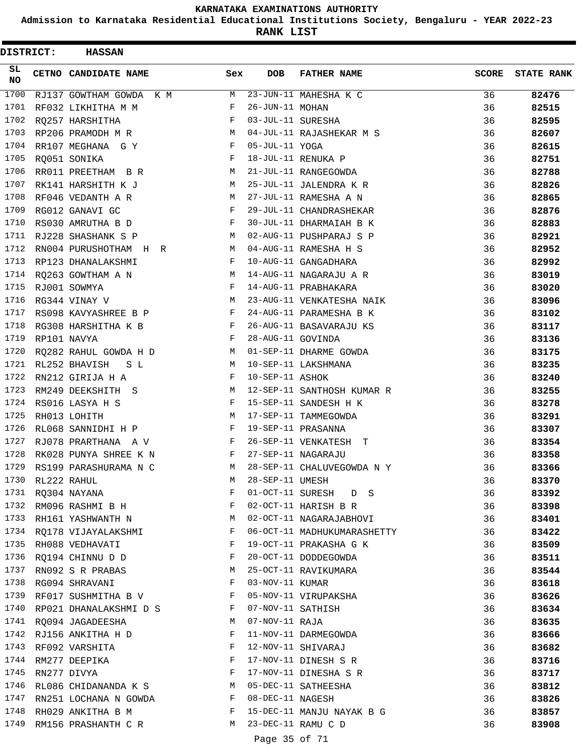**Admission to Karnataka Residential Educational Institutions Society, Bengaluru - YEAR 2022-23**

**RANK LIST**

| <b>DISTRICT:</b> | <b>HASSAN</b>            |              |                   |                             |              |                   |
|------------------|--------------------------|--------------|-------------------|-----------------------------|--------------|-------------------|
| SL<br>NO         | CETNO CANDIDATE NAME     | Sex          | <b>DOB</b>        | <b>FATHER NAME</b>          | <b>SCORE</b> | <b>STATE RANK</b> |
| 1700             | RJ137 GOWTHAM GOWDA K M  | М            |                   | 23-JUN-11 MAHESHA K C       | 36           | 82476             |
| 1701             | RF032 LIKHITHA M M       | F            | 26-JUN-11 MOHAN   |                             | 36           | 82515             |
| 1702             | RO257 HARSHITHA          | F            | 03-JUL-11 SURESHA |                             | 36           | 82595             |
| 1703             | RP206 PRAMODH M R        | M            |                   | 04-JUL-11 RAJASHEKAR M S    | 36           | 82607             |
| 1704             | RR107 MEGHANA G Y        | $\mathbf{F}$ | 05-JUL-11 YOGA    |                             | 36           | 82615             |
| 1705             | RQ051 SONIKA             | F            |                   | 18-JUL-11 RENUKA P          | 36           | 82751             |
| 1706             | RR011 PREETHAM B R       | М            |                   | 21-JUL-11 RANGEGOWDA        | 36           | 82788             |
| 1707             | RK141 HARSHITH K J       | M            |                   | 25-JUL-11 JALENDRA K R      | 36           | 82826             |
| 1708             | RF046 VEDANTH A R        | М            |                   | 27-JUL-11 RAMESHA A N       | 36           | 82865             |
| 1709             | RG012 GANAVI GC          | F            |                   | 29-JUL-11 CHANDRASHEKAR     | 36           | 82876             |
| 1710             | RS030 AMRUTHA B D        | $\mathbf{F}$ |                   | 30-JUL-11 DHARMAIAH B K     | 36           | 82883             |
| 1711             | RJ228 SHASHANK S P       | M            |                   | 02-AUG-11 PUSHPARAJ S P     | 36           | 82921             |
| 1712             | RN004 PURUSHOTHAM H R    | M            |                   | 04-AUG-11 RAMESHA H S       | 36           | 82952             |
| 1713             | RP123 DHANALAKSHMI       | F            |                   | 10-AUG-11 GANGADHARA        | 36           | 82992             |
| 1714             | RQ263 GOWTHAM A N        | M            |                   | 14-AUG-11 NAGARAJU A R      | 36           | 83019             |
| 1715             | RJ001 SOWMYA             | F            |                   | 14-AUG-11 PRABHAKARA        | 36           | 83020             |
| 1716             | RG344 VINAY V            | M            |                   | 23-AUG-11 VENKATESHA NAIK   | 36           | 83096             |
| 1717             | RS098 KAVYASHREE B P     | F            |                   | 24-AUG-11 PARAMESHA B K     | 36           | 83102             |
| 1718             | RG308 HARSHITHA K B      | F            |                   | 26-AUG-11 BASAVARAJU KS     | 36           | 83117             |
| 1719             | RP101 NAVYA              | F            | 28-AUG-11 GOVINDA |                             | 36           | 83136             |
| 1720             | RQ282 RAHUL GOWDA H D    | M            |                   | 01-SEP-11 DHARME GOWDA      | 36           | 83175             |
| 1721             | RL252 BHAVISH<br>S L     | M            |                   | 10-SEP-11 LAKSHMANA         | 36           | 83235             |
| 1722             | RN212 GIRIJA H A         | F            | 10-SEP-11 ASHOK   |                             | 36           | 83240             |
| 1723             | RM249 DEEKSHITH S        | M            |                   | 12-SEP-11 SANTHOSH KUMAR R  | 36           | 83255             |
| 1724             | RS016 LASYA H S          | F            |                   | 15-SEP-11 SANDESH H K       | 36           | 83278             |
| 1725             | RH013 LOHITH             | М            |                   | 17-SEP-11 TAMMEGOWDA        | 36           | 83291             |
| 1726             | RL068 SANNIDHI H P       | F            |                   | 19-SEP-11 PRASANNA          | 36           | 83307             |
| 1727             | RJ078 PRARTHANA A V      | F            |                   | 26-SEP-11 VENKATESH T       | 36           | 83354             |
| 1728             | RK028 PUNYA SHREE K N    | F            |                   | 27-SEP-11 NAGARAJU          | 36           | 83358             |
| 1729             | RS199 PARASHURAMA N C    | M            |                   | 28-SEP-11 CHALUVEGOWDA N Y  | 36           | 83366             |
| 1730             | RL222 RAHUL              | M            | 28-SEP-11 UMESH   |                             | 36           | 83370             |
|                  | 1731 RQ304 NAYANA        | F            |                   | 01-OCT-11 SURESH D S        | 36           | 83392             |
|                  | 1732 RM096 RASHMI B H    | F            |                   | 02-OCT-11 HARISH B R        | 36           | 83398             |
|                  | 1733 RH161 YASHWANTH N   | M            |                   | 02-OCT-11 NAGARAJABHOVI     | 36           | 83401             |
|                  | 1734 RQ178 VIJAYALAKSHMI | F            |                   | 06-OCT-11 MADHUKUMARASHETTY | 36           | 83422             |
| 1735             | RH088 VEDHAVATI          | F            |                   | 19-OCT-11 PRAKASHA G K      | 36           | 83509             |
| 1736             | RQ194 CHINNU D D         | F            |                   | 20-OCT-11 DODDEGOWDA        | 36           | 83511             |
| 1737             | RN092 S R PRABAS         | M            |                   | 25-OCT-11 RAVIKUMARA        | 36           | 83544             |
| 1738             | RG094 SHRAVANI           | F            | 03-NOV-11 KUMAR   |                             | 36           | 83618             |
| 1739             | RF017 SUSHMITHA B V      | F            |                   | 05-NOV-11 VIRUPAKSHA        | 36           | 83626             |
| 1740             | RP021 DHANALAKSHMI D S F |              | 07-NOV-11 SATHISH |                             | 36           | 83634             |
|                  | 1741 RQ094 JAGADEESHA    | M            | 07-NOV-11 RAJA    |                             | 36           | 83635             |
|                  | 1742 RJ156 ANKITHA H D   | F            |                   | 11-NOV-11 DARMEGOWDA        | 36           | 83666             |
| 1743             | RF092 VARSHITA           | F            |                   | 12-NOV-11 SHIVARAJ          | 36           | 83682             |
| 1744             | RM277 DEEPIKA            | F            |                   | 17-NOV-11 DINESH S R        | 36           | 83716             |
| 1745             | RN277 DIVYA              | F            |                   | 17-NOV-11 DINESHA S R       | 36           | 83717             |
| 1746             | RL086 CHIDANANDA K S     | M            |                   | 05-DEC-11 SATHEESHA         | 36           | 83812             |
| 1747             | RN251 LOCHANA N GOWDA    | F            | 08-DEC-11 NAGESH  |                             | 36           | 83826             |
| 1748             | RH029 ANKITHA B M        | F            |                   | 15-DEC-11 MANJU NAYAK B G   | 36           | 83857             |
| 1749             | RM156 PRASHANTH C R      | M            |                   | 23-DEC-11 RAMU C D          | 36           | 83908             |
|                  |                          |              | Page 35 of 71     |                             |              |                   |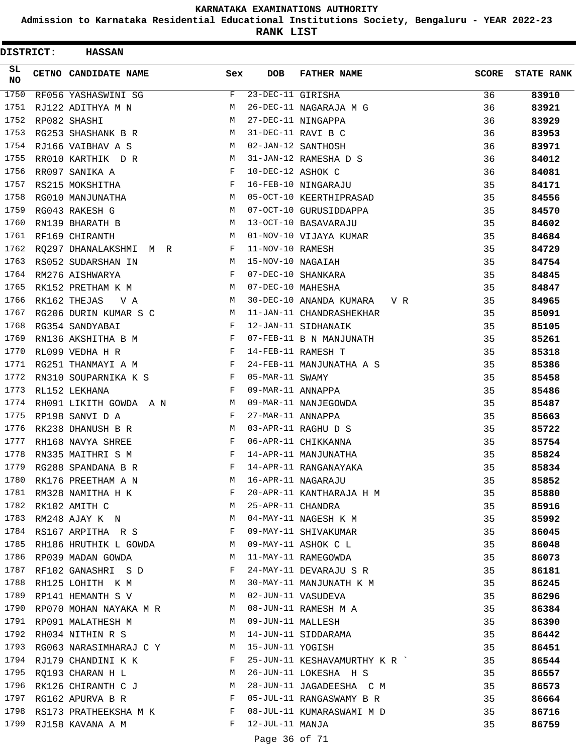**Admission to Karnataka Residential Educational Institutions Society, Bengaluru - YEAR 2022-23**

| <b>DISTRICT:</b> | <b>HASSAN</b>          |     |                   |                               |              |                   |
|------------------|------------------------|-----|-------------------|-------------------------------|--------------|-------------------|
| SL.<br>NO        | CETNO CANDIDATE NAME   | Sex | <b>DOB</b>        | <b>FATHER NAME</b>            | <b>SCORE</b> | <b>STATE RANK</b> |
| 1750             | RF056 YASHASWINI SG    | F   | 23-DEC-11 GIRISHA |                               | 36           | 83910             |
| 1751             | RJ122 ADITHYA M N      | М   |                   | 26-DEC-11 NAGARAJA M G        | 36           | 83921             |
| 1752             | RP082 SHASHI           | M   |                   | 27-DEC-11 NINGAPPA            | 36           | 83929             |
| 1753             | RG253 SHASHANK B R     | М   |                   | 31-DEC-11 RAVI B C            | 36           | 83953             |
| 1754             | RJ166 VAIBHAV A S      | M   |                   | 02-JAN-12 SANTHOSH            | 36           | 83971             |
| 1755             | RR010 KARTHIK D R      | M   |                   | 31-JAN-12 RAMESHA D S         | 36           | 84012             |
| 1756             | RR097 SANIKA A         | F   | 10-DEC-12 ASHOK C |                               | 36           | 84081             |
| 1757             | RS215 MOKSHITHA        | F   |                   | 16-FEB-10 NINGARAJU           | 35           | 84171             |
| 1758             | RG010 MANJUNATHA       | М   |                   | 05-OCT-10 KEERTHIPRASAD       | 35           | 84556             |
| 1759             | RG043 RAKESH G         | М   |                   | 07-OCT-10 GURUSIDDAPPA        | 35           | 84570             |
| 1760             | RN139 BHARATH B        | М   |                   | 13-OCT-10 BASAVARAJU          | 35           | 84602             |
| 1761             | RF169 CHIRANTH         | М   |                   | 01-NOV-10 VIJAYA KUMAR        | 35           | 84684             |
| 1762             | RQ297 DHANALAKSHMI M R | F   | 11-NOV-10 RAMESH  |                               | 35           | 84729             |
| 1763             | RS052 SUDARSHAN IN     | M   | 15-NOV-10 NAGAIAH |                               | 35           | 84754             |
| 1764             | RM276 AISHWARYA        | F   |                   | 07-DEC-10 SHANKARA            | 35           | 84845             |
| 1765             | RK152 PRETHAM K M      | М   | 07-DEC-10 MAHESHA |                               | 35           | 84847             |
| 1766             | RK162 THEJAS<br>V A    | М   |                   | 30-DEC-10 ANANDA KUMARA V R   | 35           | 84965             |
| 1767             | RG206 DURIN KUMAR S C  | М   |                   | 11-JAN-11 CHANDRASHEKHAR      | 35           | 85091             |
| 1768             | RG354 SANDYABAI        | F   |                   | 12-JAN-11 SIDHANAIK           | 35           | 85105             |
| 1769             | RN136 AKSHITHA B M     | F   |                   | 07-FEB-11 B N MANJUNATH       | 35           | 85261             |
| 1770             | RL099 VEDHA H R        | F   |                   | 14-FEB-11 RAMESH T            | 35           | 85318             |
| 1771             | RG251 THANMAYI A M     | F   |                   | 24-FEB-11 MANJUNATHA A S      | 35           | 85386             |
| 1772             | RN310 SOUPARNIKA K S   | F   | 05-MAR-11 SWAMY   |                               | 35           | 85458             |
| 1773             | RL152 LEKHANA          | F   | 09-MAR-11 ANNAPPA |                               | 35           | 85486             |
| 1774             | RH091 LIKITH GOWDA A N | M   |                   | 09-MAR-11 NANJEGOWDA          | 35           | 85487             |
| 1775             | RP198 SANVI D A        | F   | 27-MAR-11 ANNAPPA |                               | 35           | 85663             |
| 1776             | RK238 DHANUSH B R      | M   |                   | 03-APR-11 RAGHU D S           | 35           | 85722             |
| 1777             | RH168 NAVYA SHREE      | F   |                   | 06-APR-11 CHIKKANNA           | 35           | 85754             |
| 1778             | RN335 MAITHRI S M      | F   |                   | 14-APR-11 MANJUNATHA          | 35           | 85824             |
| 1779             | RG288 SPANDANA B R     | F   |                   | 14-APR-11 RANGANAYAKA         | 35           | 85834             |
| 1780             | RK176 PREETHAM A N     | М   |                   | 16-APR-11 NAGARAJU            | 35           | 85852             |
| 1781             | RM328 NAMITHA H K      | F   |                   | 20-APR-11 KANTHARAJA H M      | 35           | 85880             |
| 1782             | RK102 AMITH C          | М   | 25-APR-11 CHANDRA |                               | 35           | 85916             |
| 1783             | RM248 AJAY K N         | M   |                   | 04-MAY-11 NAGESH K M          | 35           | 85992             |
|                  | 1784 RS167 ARPITHA R S | F   |                   | 09-MAY-11 SHIVAKUMAR          | 35           | 86045             |
| 1785             | RH186 HRUTHIK L GOWDA  | M   |                   | 09-MAY-11 ASHOK C L           | 35           | 86048             |
| 1786             | RP039 MADAN GOWDA      | М   |                   | 11-MAY-11 RAMEGOWDA           | 35           | 86073             |
| 1787             | RF102 GANASHRI S D     | F   |                   | 24-MAY-11 DEVARAJU S R        | 35           | 86181             |
| 1788             | RH125 LOHITH K M       | М   |                   | 30-MAY-11 MANJUNATH K M       | 35           | 86245             |
| 1789             | RP141 HEMANTH S V      | M   |                   | 02-JUN-11 VASUDEVA            | 35           | 86296             |
| 1790             | RP070 MOHAN NAYAKA M R | M   |                   | 08-JUN-11 RAMESH M A          | 35           | 86384             |
| 1791             | RP091 MALATHESH M      | M   | 09-JUN-11 MALLESH |                               | 35           | 86390             |
|                  | 1792 RH034 NITHIN R S  | М   |                   | 14-JUN-11 SIDDARAMA           | 35           | 86442             |
| 1793             | RG063 NARASIMHARAJ C Y | M   | 15-JUN-11 YOGISH  |                               | 35           | 86451             |
| 1794             | RJ179 CHANDINI K K     | F   |                   | 25-JUN-11 KESHAVAMURTHY K R ` | 35           | 86544             |
| 1795             | RQ193 CHARAN H L       | М   |                   | 26-JUN-11 LOKESHA H S         | 35           | 86557             |
| 1796             | RK126 CHIRANTH C J     | М   |                   | 28-JUN-11 JAGADEESHA C M      | 35           | 86573             |
| 1797             | RG162 APURVA B R       | F   |                   | 05-JUL-11 RANGASWAMY B R      | 35           | 86664             |
| 1798             | RS173 PRATHEEKSHA M K  | F   |                   | 08-JUL-11 KUMARASWAMI M D     | 35           | 86716             |
| 1799             | RJ158 KAVANA A M       | F   | 12-JUL-11 MANJA   |                               | 35           | 86759             |
|                  |                        |     | Page 36 of 71     |                               |              |                   |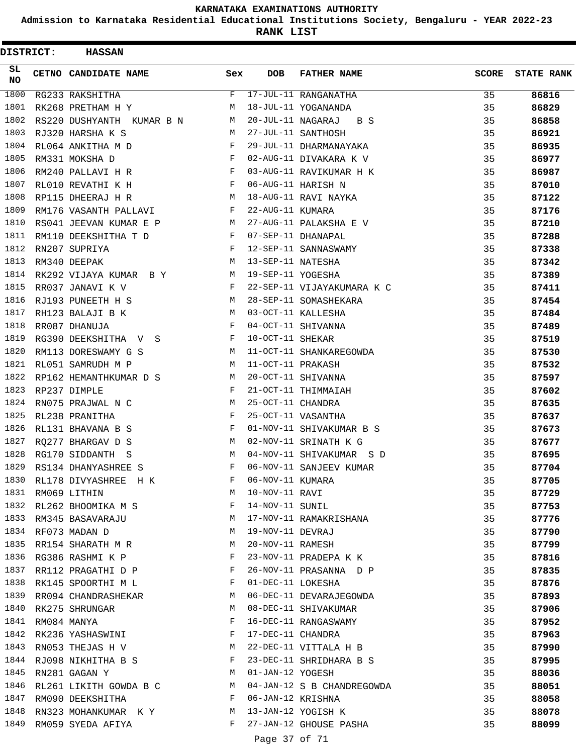**Admission to Karnataka Residential Educational Institutions Society, Bengaluru - YEAR 2022-23**

**RANK LIST**

ı

| <b>DISTRICT:</b> | <b>HASSAN</b>             |     |                   |                            |              |                   |
|------------------|---------------------------|-----|-------------------|----------------------------|--------------|-------------------|
| SL.<br><b>NO</b> | CETNO CANDIDATE NAME      | Sex | <b>DOB</b>        | <b>FATHER NAME</b>         | <b>SCORE</b> | <b>STATE RANK</b> |
| 1800             | RG233 RAKSHITHA           | F   |                   | 17-JUL-11 RANGANATHA       | 35           | 86816             |
| 1801             | RK268 PRETHAM H Y         | M   |                   | 18-JUL-11 YOGANANDA        | 35           | 86829             |
| 1802             | RS220 DUSHYANTH KUMAR B N | M   | 20-JUL-11 NAGARAJ | B S                        | 35           | 86858             |
| 1803             | RJ320 HARSHA K S          | M   |                   | 27-JUL-11 SANTHOSH         | 35           | 86921             |
| 1804             | RL064 ANKITHA M D         | F   |                   | 29-JUL-11 DHARMANAYAKA     | 35           | 86935             |
| 1805             | RM331 MOKSHA D            | F   |                   | 02-AUG-11 DIVAKARA K V     | 35           | 86977             |
| 1806             | RM240 PALLAVI H R         | F   |                   | 03-AUG-11 RAVIKUMAR H K    | 35           | 86987             |
| 1807             | RL010 REVATHI K H         | F   |                   | 06-AUG-11 HARISH N         | 35           | 87010             |
| 1808             | RP115 DHEERAJ H R         | М   |                   | 18-AUG-11 RAVI NAYKA       | 35           | 87122             |
| 1809             | RM176 VASANTH PALLAVI     | F   | 22-AUG-11 KUMARA  |                            | 35           | 87176             |
| 1810             | RS041 JEEVAN KUMAR E P    | M   |                   | 27-AUG-11 PALAKSHA E V     | 35           | 87210             |
| 1811             | RM110 DEEKSHITHA T D      | F   |                   | 07-SEP-11 DHANAPAL         | 35           | 87288             |
| 1812             | RN207 SUPRIYA             | F   |                   | 12-SEP-11 SANNASWAMY       | 35           | 87338             |
| 1813             | RM340 DEEPAK              | M   | 13-SEP-11 NATESHA |                            | 35           | 87342             |
| 1814             | RK292 VIJAYA KUMAR BY     | M   | 19-SEP-11 YOGESHA |                            | 35           | 87389             |
| 1815             | RR037 JANAVI K V          | F   |                   | 22-SEP-11 VIJAYAKUMARA K C | 35           | 87411             |
| 1816             | RJ193 PUNEETH H S         | M   |                   | 28-SEP-11 SOMASHEKARA      | 35           | 87454             |
| 1817             | RH123 BALAJI B K          | M   |                   | 03-OCT-11 KALLESHA         | 35           | 87484             |
| 1818             | RR087 DHANUJA             | F   |                   | 04-OCT-11 SHIVANNA         | 35           | 87489             |
| 1819             | RG390 DEEKSHITHA V S      | F   | 10-OCT-11 SHEKAR  |                            | 35           | 87519             |
| 1820             | RM113 DORESWAMY G S       | M   |                   | 11-OCT-11 SHANKAREGOWDA    | 35           | 87530             |
| 1821             | RL051 SAMRUDH M P         | M   | 11-OCT-11 PRAKASH |                            | 35           | 87532             |
| 1822             | RP162 HEMANTHKUMAR D S    | М   |                   | 20-OCT-11 SHIVANNA         | 35           | 87597             |
| 1823             | RP237 DIMPLE              | F   |                   | 21-OCT-11 THIMMAIAH        | 35           | 87602             |
| 1824             | RN075 PRAJWAL N C         | М   | 25-OCT-11 CHANDRA |                            | 35           | 87635             |
| 1825             | RL238 PRANITHA            | F   |                   | 25-OCT-11 VASANTHA         | 35           | 87637             |
| 1826             | RL131 BHAVANA B S         | F   |                   | 01-NOV-11 SHIVAKUMAR B S   | 35           | 87673             |
| 1827             | RQ277 BHARGAV D S         | M   |                   | 02-NOV-11 SRINATH K G      | 35           | 87677             |
| 1828             | RG170 SIDDANTH S          | М   |                   | 04-NOV-11 SHIVAKUMAR S D   | 35           | 87695             |
| 1829             | RS134 DHANYASHREE S       | F   |                   | 06-NOV-11 SANJEEV KUMAR    | 35           | 87704             |
| 1830             | RL178 DIVYASHREE H K      | F   | 06-NOV-11 KUMARA  |                            | 35           | 87705             |
| 1831             | RM069 LITHIN              | M   | 10-NOV-11 RAVI    |                            | 35           | 87729             |
| 1832             | RL262 BHOOMIKA M S        | F   | 14-NOV-11 SUNIL   |                            | 35           | 87753             |
| 1833             | RM345 BASAVARAJU          | M   |                   | 17-NOV-11 RAMAKRISHANA     | 35           | 87776             |
| 1834             | RF073 MADAN D             | M   | 19-NOV-11 DEVRAJ  |                            | 35           | 87790             |
| 1835             | RR154 SHARATH M R         | М   | 20-NOV-11 RAMESH  |                            | 35           | 87799             |
| 1836             | RG386 RASHMI K P          | F   |                   | 23-NOV-11 PRADEPA K K      | 35           | 87816             |
| 1837             | RR112 PRAGATHI D P        | F   |                   | 26-NOV-11 PRASANNA D P     | 35           | 87835             |
| 1838             | RK145 SPOORTHI M L        | F   | 01-DEC-11 LOKESHA |                            | 35           | 87876             |
| 1839             | RR094 CHANDRASHEKAR       | M   |                   | 06-DEC-11 DEVARAJEGOWDA    | 35           | 87893             |
| 1840             | RK275 SHRUNGAR            | M   |                   | 08-DEC-11 SHIVAKUMAR       | 35           |                   |
| 1841             |                           | F   |                   | 16-DEC-11 RANGASWAMY       |              | 87906             |
| 1842             | RM084 MANYA               | F   |                   |                            | 35           | 87952             |
|                  | RK236 YASHASWINI          |     | 17-DEC-11 CHANDRA |                            | 35           | 87963             |
| 1843             | RN053 THEJAS H V          | M   |                   | 22-DEC-11 VITTALA H B      | 35           | 87990             |
| 1844             | RJ098 NIKHITHA B S        | F   |                   | 23-DEC-11 SHRIDHARA B S    | 35           | 87995             |
| 1845             | RN281 GAGAN Y             | M   | 01-JAN-12 YOGESH  |                            | 35           | 88036             |
| 1846             | RL261 LIKITH GOWDA B C    | M   |                   | 04-JAN-12 S B CHANDREGOWDA | 35           | 88051             |
| 1847             | RM090 DEEKSHITHA          | F   | 06-JAN-12 KRISHNA |                            | 35           | 88058             |
| 1848             | RN323 MOHANKUMAR KY       | M   |                   | 13-JAN-12 YOGISH K         | 35           | 88078             |
| 1849             | RM059 SYEDA AFIYA         | F   |                   | 27-JAN-12 GHOUSE PASHA     | 35           | 88099             |
|                  |                           |     | Page 37 of 71     |                            |              |                   |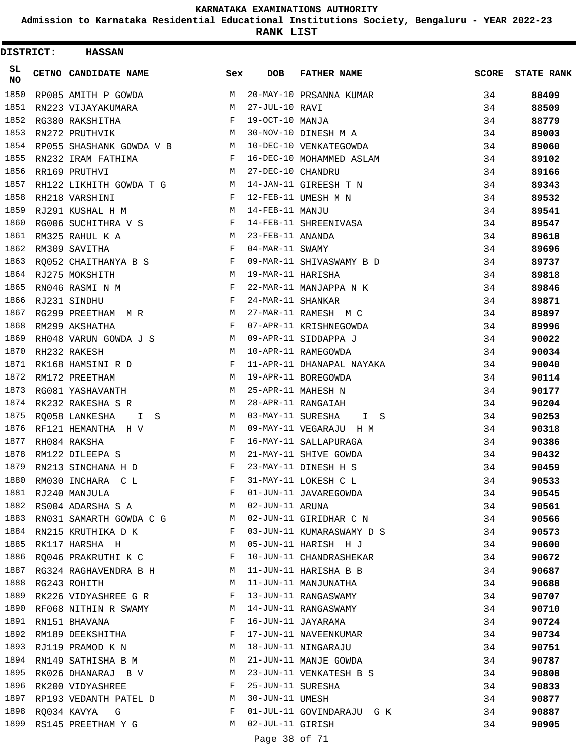**Admission to Karnataka Residential Educational Institutions Society, Bengaluru - YEAR 2022-23**

**RANK LIST**

| SL.<br>CETNO CANDIDATE NAME<br><b>DOB</b><br><b>FATHER NAME</b><br><b>SCORE</b><br>Sex<br><b>NO</b><br>1850<br>20-MAY-10 PRSANNA KUMAR<br>M<br>34<br>RP085 AMITH P GOWDA<br>88409<br>1851<br>27-JUL-10 RAVI<br>RN223 VIJAYAKUMARA<br>M<br>34<br>88509<br>1852<br>F<br>19-OCT-10 MANJA<br>RG380 RAKSHITHA<br>34<br>88779<br>1853<br>30-NOV-10 DINESH M A<br>RN272 PRUTHVIK<br>М<br>34<br>89003<br>1854<br>10-DEC-10 VENKATEGOWDA<br>RP055 SHASHANK GOWDA V B<br>34<br>M<br>89060<br>1855<br>16-DEC-10 MOHAMMED ASLAM<br>RN232 IRAM FATHIMA<br>F<br>34<br>89102<br>1856<br>27-DEC-10 CHANDRU<br>RR169 PRUTHVI<br>M<br>34<br>89166<br>1857<br>RH122 LIKHITH GOWDA T G<br>14-JAN-11 GIREESH T N<br>34<br>89343<br>M<br>1858<br>12-FEB-11 UMESH M N<br>RH218 VARSHINI<br>F<br>34<br>89532<br>1859<br>14-FEB-11 MANJU<br>RJ291 KUSHAL H M<br>М<br>34<br>89541<br>1860<br>RG006 SUCHITHRA V S<br>$\mathbf{F}$<br>14-FEB-11 SHREENIVASA<br>34<br>89547<br>1861<br>RM325 RAHUL K A<br>M<br>23-FEB-11 ANANDA<br>34<br>89618<br>1862<br>F<br>RM309 SAVITHA<br>04-MAR-11 SWAMY<br>34<br>89696<br>RQ052 CHAITHANYA B S<br>1863<br>09-MAR-11 SHIVASWAMY B D<br>$\mathbf{F}$<br>34<br>89737<br>1864<br>RJ275 MOKSHITH<br>M<br>19-MAR-11 HARISHA<br>34<br>89818<br>1865<br>RN046 RASMI N M<br>F<br>22-MAR-11 MANJAPPA N K<br>34<br>89846<br>1866<br>F<br>24-MAR-11 SHANKAR<br>RJ231 SINDHU<br>34<br>89871<br>1867<br>27-MAR-11 RAMESH M C<br>RG299 PREETHAM MR<br>M<br>34<br>89897<br>1868<br>F<br>RM299 AKSHATHA<br>07-APR-11 KRISHNEGOWDA<br>34<br>89996<br>1869<br>RH048 VARUN GOWDA J S<br>М<br>09-APR-11 SIDDAPPA J<br>34<br>90022<br>1870<br>RH232 RAKESH<br>M<br>10-APR-11 RAMEGOWDA<br>34<br>90034<br>1871<br>RK168 HAMSINI R D<br>$\mathbf{F}$<br>11-APR-11 DHANAPAL NAYAKA<br>34<br>90040<br>1872<br>M<br>19-APR-11 BOREGOWDA<br>34<br>RM172 PREETHAM<br>90114<br>1873<br>25-APR-11 MAHESH N<br>34<br>90177<br>RG081 YASHAVANTH<br>M<br>1874<br>28-APR-11 RANGAIAH<br>RK232 RAKESHA S R<br>34<br>90204<br>M<br>1875<br>03-MAY-11 SURESHA<br>RQ058 LANKESHA<br>34<br>90253<br>M<br>I S<br>I.<br>- S<br>1876<br>M<br>09-MAY-11 VEGARAJU H M<br>RF121 HEMANTHA H V<br>34<br>90318<br>1877<br>F<br>16-MAY-11 SALLAPURAGA<br>90386<br>RH084 RAKSHA<br>34<br>1878<br>21-MAY-11 SHIVE GOWDA<br>RM122 DILEEPA S<br>M<br>34<br>90432<br>1879<br>RN213 SINCHANA H D<br>F<br>23-MAY-11 DINESH H S<br>34<br>90459<br>1880<br>31-MAY-11 LOKESH C L<br>RM030 INCHARA C L<br>F<br>90533<br>34<br>1881<br>01-JUN-11 JAVAREGOWDA<br>RJ240 MANJULA<br>F<br>34<br>90545<br>1882<br>02-JUN-11 ARUNA<br>RS004 ADARSHA S A<br>М<br>34<br>90561<br>1883<br>02-JUN-11 GIRIDHAR C N<br>RN031 SAMARTH GOWDA C G<br>34<br>M<br>90566<br>1884<br>03-JUN-11 KUMARASWAMY D S<br>RN215 KRUTHIKA D K<br>F<br>34<br>90573<br>1885<br>05-JUN-11 HARISH H J<br>RK117 HARSHA H<br>34<br>90600<br>М<br>1886<br>10-JUN-11 CHANDRASHEKAR<br>RQ046 PRAKRUTHI K C<br>F<br>34<br>90672<br>1887<br>11-JUN-11 HARISHA B B<br>RG324 RAGHAVENDRA B H<br>34<br>90687<br>М<br>1888<br>11-JUN-11 MANJUNATHA<br>RG243 ROHITH<br>M<br>34<br>90688<br>1889<br>13-JUN-11 RANGASWAMY<br>F<br>34<br>RK226 VIDYASHREE G R<br>90707<br>1890<br>14-JUN-11 RANGASWAMY<br>RF068 NITHIN R SWAMY<br>34<br>М<br>90710<br>1891<br>16-JUN-11 JAYARAMA<br>RN151 BHAVANA<br>F<br>34<br>90724<br>1892<br>17-JUN-11 NAVEENKUMAR<br>F<br>34<br>RM189 DEEKSHITHA<br>90734<br>1893<br>18-JUN-11 NINGARAJU<br>RJ119 PRAMOD K N<br>34<br>М<br>90751<br>1894<br>21-JUN-11 MANJE GOWDA<br>RN149 SATHISHA B M<br>34<br>90787<br>М<br>1895<br>23-JUN-11 VENKATESH B S<br>RK026 DHANARAJ B V<br>34<br>90808<br>М<br>1896<br>25-JUN-11 SURESHA<br>F<br>34<br>RK200 VIDYASHREE<br>90833<br>1897<br>30-JUN-11 UMESH<br>34<br>RP193 VEDANTH PATEL D<br>М<br>90877<br>1898<br>01-JUL-11 GOVINDARAJU G K<br>RQ034 KAVYA G<br>F<br>34<br>90887<br>1899<br>02-JUL-11 GIRISH<br>RS145 PREETHAM Y G<br>М<br>34<br>90905<br>Page 38 of 71 | DISTRICT: | <b>HASSAN</b> |  |  |                   |
|-------------------------------------------------------------------------------------------------------------------------------------------------------------------------------------------------------------------------------------------------------------------------------------------------------------------------------------------------------------------------------------------------------------------------------------------------------------------------------------------------------------------------------------------------------------------------------------------------------------------------------------------------------------------------------------------------------------------------------------------------------------------------------------------------------------------------------------------------------------------------------------------------------------------------------------------------------------------------------------------------------------------------------------------------------------------------------------------------------------------------------------------------------------------------------------------------------------------------------------------------------------------------------------------------------------------------------------------------------------------------------------------------------------------------------------------------------------------------------------------------------------------------------------------------------------------------------------------------------------------------------------------------------------------------------------------------------------------------------------------------------------------------------------------------------------------------------------------------------------------------------------------------------------------------------------------------------------------------------------------------------------------------------------------------------------------------------------------------------------------------------------------------------------------------------------------------------------------------------------------------------------------------------------------------------------------------------------------------------------------------------------------------------------------------------------------------------------------------------------------------------------------------------------------------------------------------------------------------------------------------------------------------------------------------------------------------------------------------------------------------------------------------------------------------------------------------------------------------------------------------------------------------------------------------------------------------------------------------------------------------------------------------------------------------------------------------------------------------------------------------------------------------------------------------------------------------------------------------------------------------------------------------------------------------------------------------------------------------------------------------------------------------------------------------------------------------------------------------------------------------------------------------------------------------------------------------------------------------------------------------------------------------------------------------------------------------------------------------------------------------------------------------------------------------------------------------------------------------------------------------------------------------------------------------------------------|-----------|---------------|--|--|-------------------|
|                                                                                                                                                                                                                                                                                                                                                                                                                                                                                                                                                                                                                                                                                                                                                                                                                                                                                                                                                                                                                                                                                                                                                                                                                                                                                                                                                                                                                                                                                                                                                                                                                                                                                                                                                                                                                                                                                                                                                                                                                                                                                                                                                                                                                                                                                                                                                                                                                                                                                                                                                                                                                                                                                                                                                                                                                                                                                                                                                                                                                                                                                                                                                                                                                                                                                                                                                                                                                                                                                                                                                                                                                                                                                                                                                                                                                                                                                                                                           |           |               |  |  | <b>STATE RANK</b> |
|                                                                                                                                                                                                                                                                                                                                                                                                                                                                                                                                                                                                                                                                                                                                                                                                                                                                                                                                                                                                                                                                                                                                                                                                                                                                                                                                                                                                                                                                                                                                                                                                                                                                                                                                                                                                                                                                                                                                                                                                                                                                                                                                                                                                                                                                                                                                                                                                                                                                                                                                                                                                                                                                                                                                                                                                                                                                                                                                                                                                                                                                                                                                                                                                                                                                                                                                                                                                                                                                                                                                                                                                                                                                                                                                                                                                                                                                                                                                           |           |               |  |  |                   |
|                                                                                                                                                                                                                                                                                                                                                                                                                                                                                                                                                                                                                                                                                                                                                                                                                                                                                                                                                                                                                                                                                                                                                                                                                                                                                                                                                                                                                                                                                                                                                                                                                                                                                                                                                                                                                                                                                                                                                                                                                                                                                                                                                                                                                                                                                                                                                                                                                                                                                                                                                                                                                                                                                                                                                                                                                                                                                                                                                                                                                                                                                                                                                                                                                                                                                                                                                                                                                                                                                                                                                                                                                                                                                                                                                                                                                                                                                                                                           |           |               |  |  |                   |
|                                                                                                                                                                                                                                                                                                                                                                                                                                                                                                                                                                                                                                                                                                                                                                                                                                                                                                                                                                                                                                                                                                                                                                                                                                                                                                                                                                                                                                                                                                                                                                                                                                                                                                                                                                                                                                                                                                                                                                                                                                                                                                                                                                                                                                                                                                                                                                                                                                                                                                                                                                                                                                                                                                                                                                                                                                                                                                                                                                                                                                                                                                                                                                                                                                                                                                                                                                                                                                                                                                                                                                                                                                                                                                                                                                                                                                                                                                                                           |           |               |  |  |                   |
|                                                                                                                                                                                                                                                                                                                                                                                                                                                                                                                                                                                                                                                                                                                                                                                                                                                                                                                                                                                                                                                                                                                                                                                                                                                                                                                                                                                                                                                                                                                                                                                                                                                                                                                                                                                                                                                                                                                                                                                                                                                                                                                                                                                                                                                                                                                                                                                                                                                                                                                                                                                                                                                                                                                                                                                                                                                                                                                                                                                                                                                                                                                                                                                                                                                                                                                                                                                                                                                                                                                                                                                                                                                                                                                                                                                                                                                                                                                                           |           |               |  |  |                   |
|                                                                                                                                                                                                                                                                                                                                                                                                                                                                                                                                                                                                                                                                                                                                                                                                                                                                                                                                                                                                                                                                                                                                                                                                                                                                                                                                                                                                                                                                                                                                                                                                                                                                                                                                                                                                                                                                                                                                                                                                                                                                                                                                                                                                                                                                                                                                                                                                                                                                                                                                                                                                                                                                                                                                                                                                                                                                                                                                                                                                                                                                                                                                                                                                                                                                                                                                                                                                                                                                                                                                                                                                                                                                                                                                                                                                                                                                                                                                           |           |               |  |  |                   |
|                                                                                                                                                                                                                                                                                                                                                                                                                                                                                                                                                                                                                                                                                                                                                                                                                                                                                                                                                                                                                                                                                                                                                                                                                                                                                                                                                                                                                                                                                                                                                                                                                                                                                                                                                                                                                                                                                                                                                                                                                                                                                                                                                                                                                                                                                                                                                                                                                                                                                                                                                                                                                                                                                                                                                                                                                                                                                                                                                                                                                                                                                                                                                                                                                                                                                                                                                                                                                                                                                                                                                                                                                                                                                                                                                                                                                                                                                                                                           |           |               |  |  |                   |
|                                                                                                                                                                                                                                                                                                                                                                                                                                                                                                                                                                                                                                                                                                                                                                                                                                                                                                                                                                                                                                                                                                                                                                                                                                                                                                                                                                                                                                                                                                                                                                                                                                                                                                                                                                                                                                                                                                                                                                                                                                                                                                                                                                                                                                                                                                                                                                                                                                                                                                                                                                                                                                                                                                                                                                                                                                                                                                                                                                                                                                                                                                                                                                                                                                                                                                                                                                                                                                                                                                                                                                                                                                                                                                                                                                                                                                                                                                                                           |           |               |  |  |                   |
|                                                                                                                                                                                                                                                                                                                                                                                                                                                                                                                                                                                                                                                                                                                                                                                                                                                                                                                                                                                                                                                                                                                                                                                                                                                                                                                                                                                                                                                                                                                                                                                                                                                                                                                                                                                                                                                                                                                                                                                                                                                                                                                                                                                                                                                                                                                                                                                                                                                                                                                                                                                                                                                                                                                                                                                                                                                                                                                                                                                                                                                                                                                                                                                                                                                                                                                                                                                                                                                                                                                                                                                                                                                                                                                                                                                                                                                                                                                                           |           |               |  |  |                   |
|                                                                                                                                                                                                                                                                                                                                                                                                                                                                                                                                                                                                                                                                                                                                                                                                                                                                                                                                                                                                                                                                                                                                                                                                                                                                                                                                                                                                                                                                                                                                                                                                                                                                                                                                                                                                                                                                                                                                                                                                                                                                                                                                                                                                                                                                                                                                                                                                                                                                                                                                                                                                                                                                                                                                                                                                                                                                                                                                                                                                                                                                                                                                                                                                                                                                                                                                                                                                                                                                                                                                                                                                                                                                                                                                                                                                                                                                                                                                           |           |               |  |  |                   |
|                                                                                                                                                                                                                                                                                                                                                                                                                                                                                                                                                                                                                                                                                                                                                                                                                                                                                                                                                                                                                                                                                                                                                                                                                                                                                                                                                                                                                                                                                                                                                                                                                                                                                                                                                                                                                                                                                                                                                                                                                                                                                                                                                                                                                                                                                                                                                                                                                                                                                                                                                                                                                                                                                                                                                                                                                                                                                                                                                                                                                                                                                                                                                                                                                                                                                                                                                                                                                                                                                                                                                                                                                                                                                                                                                                                                                                                                                                                                           |           |               |  |  |                   |
|                                                                                                                                                                                                                                                                                                                                                                                                                                                                                                                                                                                                                                                                                                                                                                                                                                                                                                                                                                                                                                                                                                                                                                                                                                                                                                                                                                                                                                                                                                                                                                                                                                                                                                                                                                                                                                                                                                                                                                                                                                                                                                                                                                                                                                                                                                                                                                                                                                                                                                                                                                                                                                                                                                                                                                                                                                                                                                                                                                                                                                                                                                                                                                                                                                                                                                                                                                                                                                                                                                                                                                                                                                                                                                                                                                                                                                                                                                                                           |           |               |  |  |                   |
|                                                                                                                                                                                                                                                                                                                                                                                                                                                                                                                                                                                                                                                                                                                                                                                                                                                                                                                                                                                                                                                                                                                                                                                                                                                                                                                                                                                                                                                                                                                                                                                                                                                                                                                                                                                                                                                                                                                                                                                                                                                                                                                                                                                                                                                                                                                                                                                                                                                                                                                                                                                                                                                                                                                                                                                                                                                                                                                                                                                                                                                                                                                                                                                                                                                                                                                                                                                                                                                                                                                                                                                                                                                                                                                                                                                                                                                                                                                                           |           |               |  |  |                   |
|                                                                                                                                                                                                                                                                                                                                                                                                                                                                                                                                                                                                                                                                                                                                                                                                                                                                                                                                                                                                                                                                                                                                                                                                                                                                                                                                                                                                                                                                                                                                                                                                                                                                                                                                                                                                                                                                                                                                                                                                                                                                                                                                                                                                                                                                                                                                                                                                                                                                                                                                                                                                                                                                                                                                                                                                                                                                                                                                                                                                                                                                                                                                                                                                                                                                                                                                                                                                                                                                                                                                                                                                                                                                                                                                                                                                                                                                                                                                           |           |               |  |  |                   |
|                                                                                                                                                                                                                                                                                                                                                                                                                                                                                                                                                                                                                                                                                                                                                                                                                                                                                                                                                                                                                                                                                                                                                                                                                                                                                                                                                                                                                                                                                                                                                                                                                                                                                                                                                                                                                                                                                                                                                                                                                                                                                                                                                                                                                                                                                                                                                                                                                                                                                                                                                                                                                                                                                                                                                                                                                                                                                                                                                                                                                                                                                                                                                                                                                                                                                                                                                                                                                                                                                                                                                                                                                                                                                                                                                                                                                                                                                                                                           |           |               |  |  |                   |
|                                                                                                                                                                                                                                                                                                                                                                                                                                                                                                                                                                                                                                                                                                                                                                                                                                                                                                                                                                                                                                                                                                                                                                                                                                                                                                                                                                                                                                                                                                                                                                                                                                                                                                                                                                                                                                                                                                                                                                                                                                                                                                                                                                                                                                                                                                                                                                                                                                                                                                                                                                                                                                                                                                                                                                                                                                                                                                                                                                                                                                                                                                                                                                                                                                                                                                                                                                                                                                                                                                                                                                                                                                                                                                                                                                                                                                                                                                                                           |           |               |  |  |                   |
|                                                                                                                                                                                                                                                                                                                                                                                                                                                                                                                                                                                                                                                                                                                                                                                                                                                                                                                                                                                                                                                                                                                                                                                                                                                                                                                                                                                                                                                                                                                                                                                                                                                                                                                                                                                                                                                                                                                                                                                                                                                                                                                                                                                                                                                                                                                                                                                                                                                                                                                                                                                                                                                                                                                                                                                                                                                                                                                                                                                                                                                                                                                                                                                                                                                                                                                                                                                                                                                                                                                                                                                                                                                                                                                                                                                                                                                                                                                                           |           |               |  |  |                   |
|                                                                                                                                                                                                                                                                                                                                                                                                                                                                                                                                                                                                                                                                                                                                                                                                                                                                                                                                                                                                                                                                                                                                                                                                                                                                                                                                                                                                                                                                                                                                                                                                                                                                                                                                                                                                                                                                                                                                                                                                                                                                                                                                                                                                                                                                                                                                                                                                                                                                                                                                                                                                                                                                                                                                                                                                                                                                                                                                                                                                                                                                                                                                                                                                                                                                                                                                                                                                                                                                                                                                                                                                                                                                                                                                                                                                                                                                                                                                           |           |               |  |  |                   |
|                                                                                                                                                                                                                                                                                                                                                                                                                                                                                                                                                                                                                                                                                                                                                                                                                                                                                                                                                                                                                                                                                                                                                                                                                                                                                                                                                                                                                                                                                                                                                                                                                                                                                                                                                                                                                                                                                                                                                                                                                                                                                                                                                                                                                                                                                                                                                                                                                                                                                                                                                                                                                                                                                                                                                                                                                                                                                                                                                                                                                                                                                                                                                                                                                                                                                                                                                                                                                                                                                                                                                                                                                                                                                                                                                                                                                                                                                                                                           |           |               |  |  |                   |
|                                                                                                                                                                                                                                                                                                                                                                                                                                                                                                                                                                                                                                                                                                                                                                                                                                                                                                                                                                                                                                                                                                                                                                                                                                                                                                                                                                                                                                                                                                                                                                                                                                                                                                                                                                                                                                                                                                                                                                                                                                                                                                                                                                                                                                                                                                                                                                                                                                                                                                                                                                                                                                                                                                                                                                                                                                                                                                                                                                                                                                                                                                                                                                                                                                                                                                                                                                                                                                                                                                                                                                                                                                                                                                                                                                                                                                                                                                                                           |           |               |  |  |                   |
|                                                                                                                                                                                                                                                                                                                                                                                                                                                                                                                                                                                                                                                                                                                                                                                                                                                                                                                                                                                                                                                                                                                                                                                                                                                                                                                                                                                                                                                                                                                                                                                                                                                                                                                                                                                                                                                                                                                                                                                                                                                                                                                                                                                                                                                                                                                                                                                                                                                                                                                                                                                                                                                                                                                                                                                                                                                                                                                                                                                                                                                                                                                                                                                                                                                                                                                                                                                                                                                                                                                                                                                                                                                                                                                                                                                                                                                                                                                                           |           |               |  |  |                   |
|                                                                                                                                                                                                                                                                                                                                                                                                                                                                                                                                                                                                                                                                                                                                                                                                                                                                                                                                                                                                                                                                                                                                                                                                                                                                                                                                                                                                                                                                                                                                                                                                                                                                                                                                                                                                                                                                                                                                                                                                                                                                                                                                                                                                                                                                                                                                                                                                                                                                                                                                                                                                                                                                                                                                                                                                                                                                                                                                                                                                                                                                                                                                                                                                                                                                                                                                                                                                                                                                                                                                                                                                                                                                                                                                                                                                                                                                                                                                           |           |               |  |  |                   |
|                                                                                                                                                                                                                                                                                                                                                                                                                                                                                                                                                                                                                                                                                                                                                                                                                                                                                                                                                                                                                                                                                                                                                                                                                                                                                                                                                                                                                                                                                                                                                                                                                                                                                                                                                                                                                                                                                                                                                                                                                                                                                                                                                                                                                                                                                                                                                                                                                                                                                                                                                                                                                                                                                                                                                                                                                                                                                                                                                                                                                                                                                                                                                                                                                                                                                                                                                                                                                                                                                                                                                                                                                                                                                                                                                                                                                                                                                                                                           |           |               |  |  |                   |
|                                                                                                                                                                                                                                                                                                                                                                                                                                                                                                                                                                                                                                                                                                                                                                                                                                                                                                                                                                                                                                                                                                                                                                                                                                                                                                                                                                                                                                                                                                                                                                                                                                                                                                                                                                                                                                                                                                                                                                                                                                                                                                                                                                                                                                                                                                                                                                                                                                                                                                                                                                                                                                                                                                                                                                                                                                                                                                                                                                                                                                                                                                                                                                                                                                                                                                                                                                                                                                                                                                                                                                                                                                                                                                                                                                                                                                                                                                                                           |           |               |  |  |                   |
|                                                                                                                                                                                                                                                                                                                                                                                                                                                                                                                                                                                                                                                                                                                                                                                                                                                                                                                                                                                                                                                                                                                                                                                                                                                                                                                                                                                                                                                                                                                                                                                                                                                                                                                                                                                                                                                                                                                                                                                                                                                                                                                                                                                                                                                                                                                                                                                                                                                                                                                                                                                                                                                                                                                                                                                                                                                                                                                                                                                                                                                                                                                                                                                                                                                                                                                                                                                                                                                                                                                                                                                                                                                                                                                                                                                                                                                                                                                                           |           |               |  |  |                   |
|                                                                                                                                                                                                                                                                                                                                                                                                                                                                                                                                                                                                                                                                                                                                                                                                                                                                                                                                                                                                                                                                                                                                                                                                                                                                                                                                                                                                                                                                                                                                                                                                                                                                                                                                                                                                                                                                                                                                                                                                                                                                                                                                                                                                                                                                                                                                                                                                                                                                                                                                                                                                                                                                                                                                                                                                                                                                                                                                                                                                                                                                                                                                                                                                                                                                                                                                                                                                                                                                                                                                                                                                                                                                                                                                                                                                                                                                                                                                           |           |               |  |  |                   |
|                                                                                                                                                                                                                                                                                                                                                                                                                                                                                                                                                                                                                                                                                                                                                                                                                                                                                                                                                                                                                                                                                                                                                                                                                                                                                                                                                                                                                                                                                                                                                                                                                                                                                                                                                                                                                                                                                                                                                                                                                                                                                                                                                                                                                                                                                                                                                                                                                                                                                                                                                                                                                                                                                                                                                                                                                                                                                                                                                                                                                                                                                                                                                                                                                                                                                                                                                                                                                                                                                                                                                                                                                                                                                                                                                                                                                                                                                                                                           |           |               |  |  |                   |
|                                                                                                                                                                                                                                                                                                                                                                                                                                                                                                                                                                                                                                                                                                                                                                                                                                                                                                                                                                                                                                                                                                                                                                                                                                                                                                                                                                                                                                                                                                                                                                                                                                                                                                                                                                                                                                                                                                                                                                                                                                                                                                                                                                                                                                                                                                                                                                                                                                                                                                                                                                                                                                                                                                                                                                                                                                                                                                                                                                                                                                                                                                                                                                                                                                                                                                                                                                                                                                                                                                                                                                                                                                                                                                                                                                                                                                                                                                                                           |           |               |  |  |                   |
|                                                                                                                                                                                                                                                                                                                                                                                                                                                                                                                                                                                                                                                                                                                                                                                                                                                                                                                                                                                                                                                                                                                                                                                                                                                                                                                                                                                                                                                                                                                                                                                                                                                                                                                                                                                                                                                                                                                                                                                                                                                                                                                                                                                                                                                                                                                                                                                                                                                                                                                                                                                                                                                                                                                                                                                                                                                                                                                                                                                                                                                                                                                                                                                                                                                                                                                                                                                                                                                                                                                                                                                                                                                                                                                                                                                                                                                                                                                                           |           |               |  |  |                   |
|                                                                                                                                                                                                                                                                                                                                                                                                                                                                                                                                                                                                                                                                                                                                                                                                                                                                                                                                                                                                                                                                                                                                                                                                                                                                                                                                                                                                                                                                                                                                                                                                                                                                                                                                                                                                                                                                                                                                                                                                                                                                                                                                                                                                                                                                                                                                                                                                                                                                                                                                                                                                                                                                                                                                                                                                                                                                                                                                                                                                                                                                                                                                                                                                                                                                                                                                                                                                                                                                                                                                                                                                                                                                                                                                                                                                                                                                                                                                           |           |               |  |  |                   |
|                                                                                                                                                                                                                                                                                                                                                                                                                                                                                                                                                                                                                                                                                                                                                                                                                                                                                                                                                                                                                                                                                                                                                                                                                                                                                                                                                                                                                                                                                                                                                                                                                                                                                                                                                                                                                                                                                                                                                                                                                                                                                                                                                                                                                                                                                                                                                                                                                                                                                                                                                                                                                                                                                                                                                                                                                                                                                                                                                                                                                                                                                                                                                                                                                                                                                                                                                                                                                                                                                                                                                                                                                                                                                                                                                                                                                                                                                                                                           |           |               |  |  |                   |
|                                                                                                                                                                                                                                                                                                                                                                                                                                                                                                                                                                                                                                                                                                                                                                                                                                                                                                                                                                                                                                                                                                                                                                                                                                                                                                                                                                                                                                                                                                                                                                                                                                                                                                                                                                                                                                                                                                                                                                                                                                                                                                                                                                                                                                                                                                                                                                                                                                                                                                                                                                                                                                                                                                                                                                                                                                                                                                                                                                                                                                                                                                                                                                                                                                                                                                                                                                                                                                                                                                                                                                                                                                                                                                                                                                                                                                                                                                                                           |           |               |  |  |                   |
|                                                                                                                                                                                                                                                                                                                                                                                                                                                                                                                                                                                                                                                                                                                                                                                                                                                                                                                                                                                                                                                                                                                                                                                                                                                                                                                                                                                                                                                                                                                                                                                                                                                                                                                                                                                                                                                                                                                                                                                                                                                                                                                                                                                                                                                                                                                                                                                                                                                                                                                                                                                                                                                                                                                                                                                                                                                                                                                                                                                                                                                                                                                                                                                                                                                                                                                                                                                                                                                                                                                                                                                                                                                                                                                                                                                                                                                                                                                                           |           |               |  |  |                   |
|                                                                                                                                                                                                                                                                                                                                                                                                                                                                                                                                                                                                                                                                                                                                                                                                                                                                                                                                                                                                                                                                                                                                                                                                                                                                                                                                                                                                                                                                                                                                                                                                                                                                                                                                                                                                                                                                                                                                                                                                                                                                                                                                                                                                                                                                                                                                                                                                                                                                                                                                                                                                                                                                                                                                                                                                                                                                                                                                                                                                                                                                                                                                                                                                                                                                                                                                                                                                                                                                                                                                                                                                                                                                                                                                                                                                                                                                                                                                           |           |               |  |  |                   |
|                                                                                                                                                                                                                                                                                                                                                                                                                                                                                                                                                                                                                                                                                                                                                                                                                                                                                                                                                                                                                                                                                                                                                                                                                                                                                                                                                                                                                                                                                                                                                                                                                                                                                                                                                                                                                                                                                                                                                                                                                                                                                                                                                                                                                                                                                                                                                                                                                                                                                                                                                                                                                                                                                                                                                                                                                                                                                                                                                                                                                                                                                                                                                                                                                                                                                                                                                                                                                                                                                                                                                                                                                                                                                                                                                                                                                                                                                                                                           |           |               |  |  |                   |
|                                                                                                                                                                                                                                                                                                                                                                                                                                                                                                                                                                                                                                                                                                                                                                                                                                                                                                                                                                                                                                                                                                                                                                                                                                                                                                                                                                                                                                                                                                                                                                                                                                                                                                                                                                                                                                                                                                                                                                                                                                                                                                                                                                                                                                                                                                                                                                                                                                                                                                                                                                                                                                                                                                                                                                                                                                                                                                                                                                                                                                                                                                                                                                                                                                                                                                                                                                                                                                                                                                                                                                                                                                                                                                                                                                                                                                                                                                                                           |           |               |  |  |                   |
|                                                                                                                                                                                                                                                                                                                                                                                                                                                                                                                                                                                                                                                                                                                                                                                                                                                                                                                                                                                                                                                                                                                                                                                                                                                                                                                                                                                                                                                                                                                                                                                                                                                                                                                                                                                                                                                                                                                                                                                                                                                                                                                                                                                                                                                                                                                                                                                                                                                                                                                                                                                                                                                                                                                                                                                                                                                                                                                                                                                                                                                                                                                                                                                                                                                                                                                                                                                                                                                                                                                                                                                                                                                                                                                                                                                                                                                                                                                                           |           |               |  |  |                   |
|                                                                                                                                                                                                                                                                                                                                                                                                                                                                                                                                                                                                                                                                                                                                                                                                                                                                                                                                                                                                                                                                                                                                                                                                                                                                                                                                                                                                                                                                                                                                                                                                                                                                                                                                                                                                                                                                                                                                                                                                                                                                                                                                                                                                                                                                                                                                                                                                                                                                                                                                                                                                                                                                                                                                                                                                                                                                                                                                                                                                                                                                                                                                                                                                                                                                                                                                                                                                                                                                                                                                                                                                                                                                                                                                                                                                                                                                                                                                           |           |               |  |  |                   |
|                                                                                                                                                                                                                                                                                                                                                                                                                                                                                                                                                                                                                                                                                                                                                                                                                                                                                                                                                                                                                                                                                                                                                                                                                                                                                                                                                                                                                                                                                                                                                                                                                                                                                                                                                                                                                                                                                                                                                                                                                                                                                                                                                                                                                                                                                                                                                                                                                                                                                                                                                                                                                                                                                                                                                                                                                                                                                                                                                                                                                                                                                                                                                                                                                                                                                                                                                                                                                                                                                                                                                                                                                                                                                                                                                                                                                                                                                                                                           |           |               |  |  |                   |
|                                                                                                                                                                                                                                                                                                                                                                                                                                                                                                                                                                                                                                                                                                                                                                                                                                                                                                                                                                                                                                                                                                                                                                                                                                                                                                                                                                                                                                                                                                                                                                                                                                                                                                                                                                                                                                                                                                                                                                                                                                                                                                                                                                                                                                                                                                                                                                                                                                                                                                                                                                                                                                                                                                                                                                                                                                                                                                                                                                                                                                                                                                                                                                                                                                                                                                                                                                                                                                                                                                                                                                                                                                                                                                                                                                                                                                                                                                                                           |           |               |  |  |                   |
|                                                                                                                                                                                                                                                                                                                                                                                                                                                                                                                                                                                                                                                                                                                                                                                                                                                                                                                                                                                                                                                                                                                                                                                                                                                                                                                                                                                                                                                                                                                                                                                                                                                                                                                                                                                                                                                                                                                                                                                                                                                                                                                                                                                                                                                                                                                                                                                                                                                                                                                                                                                                                                                                                                                                                                                                                                                                                                                                                                                                                                                                                                                                                                                                                                                                                                                                                                                                                                                                                                                                                                                                                                                                                                                                                                                                                                                                                                                                           |           |               |  |  |                   |
|                                                                                                                                                                                                                                                                                                                                                                                                                                                                                                                                                                                                                                                                                                                                                                                                                                                                                                                                                                                                                                                                                                                                                                                                                                                                                                                                                                                                                                                                                                                                                                                                                                                                                                                                                                                                                                                                                                                                                                                                                                                                                                                                                                                                                                                                                                                                                                                                                                                                                                                                                                                                                                                                                                                                                                                                                                                                                                                                                                                                                                                                                                                                                                                                                                                                                                                                                                                                                                                                                                                                                                                                                                                                                                                                                                                                                                                                                                                                           |           |               |  |  |                   |
|                                                                                                                                                                                                                                                                                                                                                                                                                                                                                                                                                                                                                                                                                                                                                                                                                                                                                                                                                                                                                                                                                                                                                                                                                                                                                                                                                                                                                                                                                                                                                                                                                                                                                                                                                                                                                                                                                                                                                                                                                                                                                                                                                                                                                                                                                                                                                                                                                                                                                                                                                                                                                                                                                                                                                                                                                                                                                                                                                                                                                                                                                                                                                                                                                                                                                                                                                                                                                                                                                                                                                                                                                                                                                                                                                                                                                                                                                                                                           |           |               |  |  |                   |
|                                                                                                                                                                                                                                                                                                                                                                                                                                                                                                                                                                                                                                                                                                                                                                                                                                                                                                                                                                                                                                                                                                                                                                                                                                                                                                                                                                                                                                                                                                                                                                                                                                                                                                                                                                                                                                                                                                                                                                                                                                                                                                                                                                                                                                                                                                                                                                                                                                                                                                                                                                                                                                                                                                                                                                                                                                                                                                                                                                                                                                                                                                                                                                                                                                                                                                                                                                                                                                                                                                                                                                                                                                                                                                                                                                                                                                                                                                                                           |           |               |  |  |                   |
|                                                                                                                                                                                                                                                                                                                                                                                                                                                                                                                                                                                                                                                                                                                                                                                                                                                                                                                                                                                                                                                                                                                                                                                                                                                                                                                                                                                                                                                                                                                                                                                                                                                                                                                                                                                                                                                                                                                                                                                                                                                                                                                                                                                                                                                                                                                                                                                                                                                                                                                                                                                                                                                                                                                                                                                                                                                                                                                                                                                                                                                                                                                                                                                                                                                                                                                                                                                                                                                                                                                                                                                                                                                                                                                                                                                                                                                                                                                                           |           |               |  |  |                   |
|                                                                                                                                                                                                                                                                                                                                                                                                                                                                                                                                                                                                                                                                                                                                                                                                                                                                                                                                                                                                                                                                                                                                                                                                                                                                                                                                                                                                                                                                                                                                                                                                                                                                                                                                                                                                                                                                                                                                                                                                                                                                                                                                                                                                                                                                                                                                                                                                                                                                                                                                                                                                                                                                                                                                                                                                                                                                                                                                                                                                                                                                                                                                                                                                                                                                                                                                                                                                                                                                                                                                                                                                                                                                                                                                                                                                                                                                                                                                           |           |               |  |  |                   |
|                                                                                                                                                                                                                                                                                                                                                                                                                                                                                                                                                                                                                                                                                                                                                                                                                                                                                                                                                                                                                                                                                                                                                                                                                                                                                                                                                                                                                                                                                                                                                                                                                                                                                                                                                                                                                                                                                                                                                                                                                                                                                                                                                                                                                                                                                                                                                                                                                                                                                                                                                                                                                                                                                                                                                                                                                                                                                                                                                                                                                                                                                                                                                                                                                                                                                                                                                                                                                                                                                                                                                                                                                                                                                                                                                                                                                                                                                                                                           |           |               |  |  |                   |
|                                                                                                                                                                                                                                                                                                                                                                                                                                                                                                                                                                                                                                                                                                                                                                                                                                                                                                                                                                                                                                                                                                                                                                                                                                                                                                                                                                                                                                                                                                                                                                                                                                                                                                                                                                                                                                                                                                                                                                                                                                                                                                                                                                                                                                                                                                                                                                                                                                                                                                                                                                                                                                                                                                                                                                                                                                                                                                                                                                                                                                                                                                                                                                                                                                                                                                                                                                                                                                                                                                                                                                                                                                                                                                                                                                                                                                                                                                                                           |           |               |  |  |                   |
|                                                                                                                                                                                                                                                                                                                                                                                                                                                                                                                                                                                                                                                                                                                                                                                                                                                                                                                                                                                                                                                                                                                                                                                                                                                                                                                                                                                                                                                                                                                                                                                                                                                                                                                                                                                                                                                                                                                                                                                                                                                                                                                                                                                                                                                                                                                                                                                                                                                                                                                                                                                                                                                                                                                                                                                                                                                                                                                                                                                                                                                                                                                                                                                                                                                                                                                                                                                                                                                                                                                                                                                                                                                                                                                                                                                                                                                                                                                                           |           |               |  |  |                   |
|                                                                                                                                                                                                                                                                                                                                                                                                                                                                                                                                                                                                                                                                                                                                                                                                                                                                                                                                                                                                                                                                                                                                                                                                                                                                                                                                                                                                                                                                                                                                                                                                                                                                                                                                                                                                                                                                                                                                                                                                                                                                                                                                                                                                                                                                                                                                                                                                                                                                                                                                                                                                                                                                                                                                                                                                                                                                                                                                                                                                                                                                                                                                                                                                                                                                                                                                                                                                                                                                                                                                                                                                                                                                                                                                                                                                                                                                                                                                           |           |               |  |  |                   |
|                                                                                                                                                                                                                                                                                                                                                                                                                                                                                                                                                                                                                                                                                                                                                                                                                                                                                                                                                                                                                                                                                                                                                                                                                                                                                                                                                                                                                                                                                                                                                                                                                                                                                                                                                                                                                                                                                                                                                                                                                                                                                                                                                                                                                                                                                                                                                                                                                                                                                                                                                                                                                                                                                                                                                                                                                                                                                                                                                                                                                                                                                                                                                                                                                                                                                                                                                                                                                                                                                                                                                                                                                                                                                                                                                                                                                                                                                                                                           |           |               |  |  |                   |
|                                                                                                                                                                                                                                                                                                                                                                                                                                                                                                                                                                                                                                                                                                                                                                                                                                                                                                                                                                                                                                                                                                                                                                                                                                                                                                                                                                                                                                                                                                                                                                                                                                                                                                                                                                                                                                                                                                                                                                                                                                                                                                                                                                                                                                                                                                                                                                                                                                                                                                                                                                                                                                                                                                                                                                                                                                                                                                                                                                                                                                                                                                                                                                                                                                                                                                                                                                                                                                                                                                                                                                                                                                                                                                                                                                                                                                                                                                                                           |           |               |  |  |                   |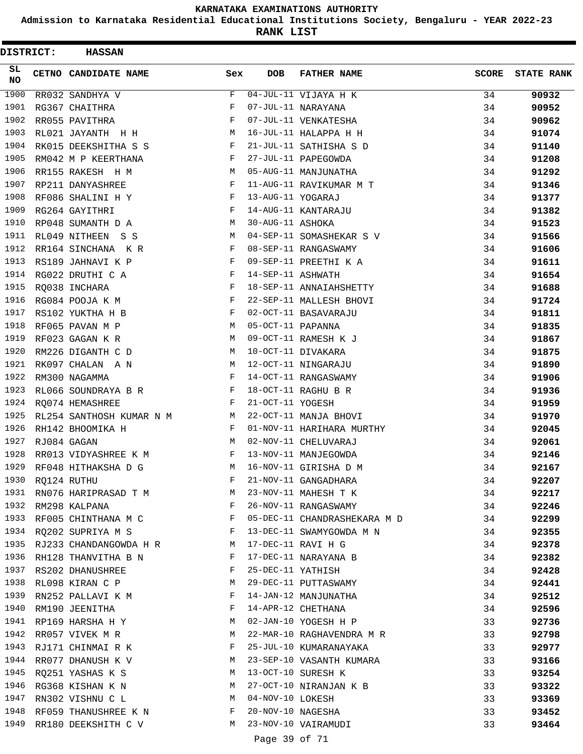**Admission to Karnataka Residential Educational Institutions Society, Bengaluru - YEAR 2022-23**

**RANK LIST**

| <b>DISTRICT:</b> | <b>HASSAN</b>                   |                                                |                   |                                                         |              |                   |
|------------------|---------------------------------|------------------------------------------------|-------------------|---------------------------------------------------------|--------------|-------------------|
| SL.<br>NO        | CETNO CANDIDATE NAME            | Sex                                            | <b>DOB</b>        | <b>FATHER NAME</b>                                      | <b>SCORE</b> | <b>STATE RANK</b> |
| 1900             | RR032 SANDHYA V                 | F                                              |                   | $04$ -JUL-11 VIJAYA H K                                 | 34           | 90932             |
| 1901             | RG367 CHAITHRA                  | F                                              |                   | 07-JUL-11 NARAYANA                                      | 34           | 90952             |
| 1902             | RR055 PAVITHRA                  | F                                              |                   | 07-JUL-11 VENKATESHA                                    | 34           | 90962             |
| 1903             | RL021 JAYANTH H H               | M                                              |                   | 16-JUL-11 HALAPPA H H                                   | 34           | 91074             |
| 1904             | RK015 DEEKSHITHA S S            | F                                              |                   | 21-JUL-11 SATHISHA S D                                  | 34           | 91140             |
| 1905             | RM042 M P KEERTHANA             | F                                              |                   | 27-JUL-11 PAPEGOWDA                                     | 34           | 91208             |
| 1906             | RR155 RAKESH H M                | M                                              |                   | 05-AUG-11 MANJUNATHA                                    | 34           | 91292             |
| 1907             | RP211 DANYASHREE                | F                                              |                   | 11-AUG-11 RAVIKUMAR M T                                 | 34           | 91346             |
| 1908             | RF086 SHALINI H Y               | F                                              | 13-AUG-11 YOGARAJ |                                                         | 34           | 91377             |
| 1909             | RG264 GAYITHRI                  | F                                              |                   | 14-AUG-11 KANTARAJU                                     | 34           | 91382             |
| 1910             | RP048 SUMANTH D A               | M                                              | 30-AUG-11 ASHOKA  |                                                         | 34           | 91523             |
| 1911             | RL049 NITHEEN S S               | M                                              |                   | 04-SEP-11 SOMASHEKAR S V                                | 34           | 91566             |
| 1912             | RR164 SINCHANA KR               | F                                              |                   | 08-SEP-11 RANGASWAMY                                    | 34           | 91606             |
| 1913             | RS189 JAHNAVI K P               | F                                              |                   | 09-SEP-11 PREETHI K A                                   | 34           | 91611             |
| 1914             | RG022 DRUTHI C A                | F                                              | 14-SEP-11 ASHWATH |                                                         | 34           | 91654             |
| 1915             | RQ038 INCHARA                   | F                                              |                   | 18-SEP-11 ANNAIAHSHETTY                                 | 34           | 91688             |
| 1916             | RG084 POOJA K M                 | F                                              |                   | 22-SEP-11 MALLESH BHOVI                                 | 34           | 91724             |
| 1917             | RS102 YUKTHA H B                | F                                              |                   | 02-OCT-11 BASAVARAJU                                    | 34           | 91811             |
| 1918             | RF065 PAVAN M P                 | M                                              | 05-OCT-11 PAPANNA |                                                         | 34           | 91835             |
| 1919             | RF023 GAGAN K R                 | M                                              |                   | 09-OCT-11 RAMESH K J                                    | 34           | 91867             |
| 1920             | RM226 DIGANTH C D               | M                                              |                   | 10-OCT-11 DIVAKARA                                      | 34           | 91875             |
| 1921             | RK097 CHALAN A N                | M                                              |                   | 12-OCT-11 NINGARAJU                                     | 34           | 91890             |
| 1922             | RM300 NAGAMMA                   | F                                              |                   | 14-OCT-11 RANGASWAMY                                    | 34           | 91906             |
| 1923             | RL066 SOUNDRAYA B R             | F                                              |                   | 18-OCT-11 RAGHU B R                                     | 34           | 91936             |
| 1924             | RQ074 HEMASHREE                 | F                                              | 21-OCT-11 YOGESH  |                                                         | 34           | 91959             |
| 1925             | RL254 SANTHOSH KUMAR N M M      |                                                |                   | 22-OCT-11 MANJA BHOVI                                   | 34           | 91970             |
| 1926             | RH142 BHOOMIKA H                | F                                              |                   | 01-NOV-11 HARIHARA MURTHY                               | 34           | 92045             |
| 1927             | RJ084 GAGAN                     | M                                              |                   | 02-NOV-11 CHELUVARAJ                                    | 34           | 92061             |
| 1928             | RR013 VIDYASHREE K M            | $\mathbf{F}$ and $\mathbf{F}$ and $\mathbf{F}$ |                   | 13-NOV-11 MANJEGOWDA                                    | 34           | 92146             |
| 1929             | RF048 HITHAKSHA D G             | M                                              |                   | 16-NOV-11 GIRISHA D M                                   | 34           | 92167             |
| 1930             | RQ124 RUTHU                     | F                                              |                   | 21-NOV-11 GANGADHARA                                    | 34           | 92207             |
| 1931             | RN076 HARIPRASAD T M            | M                                              |                   | 23-NOV-11 MAHESH T K                                    | 34           | 92217             |
|                  | 1932 RM298 KALPANA              | <b>Example 20</b>                              |                   | 26-NOV-11 RANGASWAMY                                    | 34           | 92246             |
|                  |                                 |                                                |                   | 1933 RF005 CHINTHANA M C F 05-DEC-11 CHANDRASHEKARA M D | 34           | 92299             |
|                  | 1934 RQ202 SUPRIYA M S F        |                                                |                   | 13-DEC-11 SWAMYGOWDA M N                                | 34           | 92355             |
| 1935             | RJ233 CHANDANGOWDA H R M        |                                                |                   | 17-DEC-11 RAVI H G                                      | 34           | 92378             |
| 1936             | RH128 THANVITHA B N $F$         |                                                |                   | 17-DEC-11 NARAYANA B                                    | 34           | 92382             |
|                  | 1937 RS202 DHANUSHREE           | F                                              | 25-DEC-11 YATHISH |                                                         | 34           | 92428             |
| 1938             | RL098 KIRAN C P                 | M                                              |                   | 29-DEC-11 PUTTASWAMY                                    | 34           | 92441             |
| 1939             | RN252 PALLAVI K M               | F                                              |                   | 14-JAN-12 MANJUNATHA                                    | 34           | 92512             |
| 1940             | RM190 JEENITHA                  | $\mathbf{F}$                                   |                   | 14-APR-12 CHETHANA                                      | 34           | 92596             |
|                  | 1941 RP169 HARSHA H Y           | M                                              |                   | 02-JAN-10 YOGESH H P                                    | 33           | 92736             |
| 1942             | RR057 VIVEK M R                 | M                                              |                   | 22-MAR-10 RAGHAVENDRA M R                               | 33           | 92798             |
| 1943             | RJ171 CHINMAI R K               | F                                              |                   | 25-JUL-10 KUMARANAYAKA                                  | 33           | 92977             |
| 1944             | RR077 DHANUSH K V               | M                                              |                   | 23-SEP-10 VASANTH KUMARA                                | 33           | 93166             |
| 1945             | RQ251 YASHAS K S                | M                                              |                   | 13-OCT-10 SURESH K                                      | 33           | 93254             |
| 1946             | RG368 KISHAN K N                | M                                              |                   | 27-OCT-10 NIRANJAN K B                                  | 33           | 93322             |
| 1947             | RN302 VISHNU C L<br>$\mathbf M$ |                                                | 04-NOV-10 LOKESH  |                                                         | 33           | 93369             |
| 1948             | RF059 THANUSHREE K N F          |                                                | 20-NOV-10 NAGESHA |                                                         | 33           | 93452             |
| 1949             | RR180 DEEKSHITH C V             | M                                              |                   | 23-NOV-10 VAIRAMUDI                                     | 33           | 93464             |
|                  |                                 |                                                | Page 39 of 71     |                                                         |              |                   |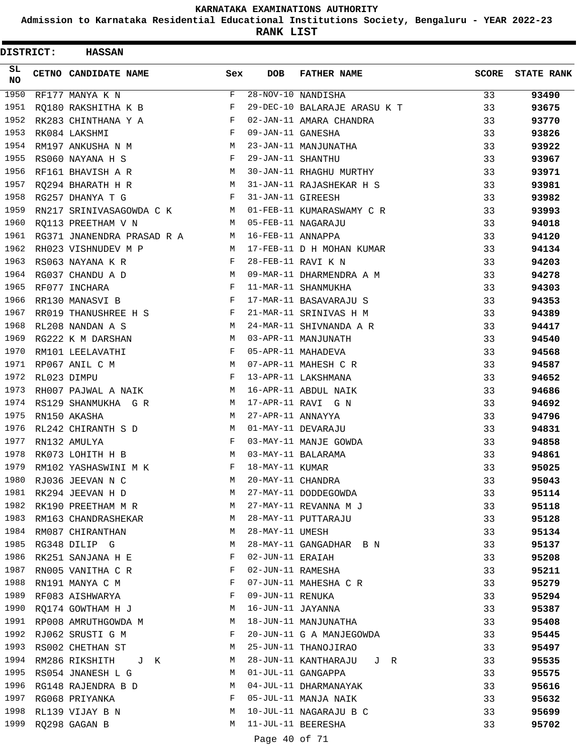**Admission to Karnataka Residential Educational Institutions Society, Bengaluru - YEAR 2022-23**

**RANK LIST**

| DISTRICT: | <b>HASSAN</b>               |              |                   |                              |              |                   |
|-----------|-----------------------------|--------------|-------------------|------------------------------|--------------|-------------------|
| SL.<br>NO | <b>CETNO CANDIDATE NAME</b> | Sex          | <b>DOB</b>        | <b>FATHER NAME</b>           | <b>SCORE</b> | <b>STATE RANK</b> |
| 1950      | RF177 MANYA K N             | $\mathbf{F}$ |                   | 28-NOV-10 NANDISHA           | 33           | 93490             |
| 1951      | RQ180 RAKSHITHA K B         | F            |                   | 29-DEC-10 BALARAJE ARASU K T | 33           | 93675             |
| 1952      | RK283 CHINTHANA Y A         | F            |                   | 02-JAN-11 AMARA CHANDRA      | 33           | 93770             |
| 1953      | RK084 LAKSHMI               | F            | 09-JAN-11 GANESHA |                              | 33           | 93826             |
| 1954      | RM197 ANKUSHA N M           | М            |                   | 23-JAN-11 MANJUNATHA         | 33           | 93922             |
| 1955      | RS060 NAYANA H S            | $\mathbf{F}$ | 29-JAN-11 SHANTHU |                              | 33           | 93967             |
| 1956      | RF161 BHAVISH A R           | M            |                   | 30-JAN-11 RHAGHU MURTHY      | 33           | 93971             |
| 1957      | RQ294 BHARATH H R           | M            |                   | 31-JAN-11 RAJASHEKAR H S     | 33           | 93981             |
| 1958      | RG257 DHANYA T G            | F            | 31-JAN-11 GIREESH |                              | 33           | 93982             |
| 1959      | RN217 SRINIVASAGOWDA C K    | <b>M</b>     |                   | 01-FEB-11 KUMARASWAMY C R    | 33           | 93993             |
| 1960      | RO113 PREETHAM V N          | M            |                   | 05-FEB-11 NAGARAJU           | 33           | 94018             |
| 1961      | RG371 JNANENDRA PRASAD R A  | M            | 16-FEB-11 ANNAPPA |                              | 33           | 94120             |
| 1962      | RH023 VISHNUDEV M P         | M            |                   | 17-FEB-11 D H MOHAN KUMAR    | 33           | 94134             |
| 1963      | RS063 NAYANA K R            | F            |                   | 28-FEB-11 RAVI K N           | 33           | 94203             |
| 1964      | RG037 CHANDU A D            | M            |                   | 09-MAR-11 DHARMENDRA A M     | 33           | 94278             |
| 1965      | RF077 INCHARA               | F            |                   | 11-MAR-11 SHANMUKHA          | 33           | 94303             |
| 1966      | RR130 MANASVI B             | F            |                   | 17-MAR-11 BASAVARAJU S       | 33           | 94353             |
| 1967      | RR019 THANUSHREE H S        | $\mathbf{F}$ |                   | 21-MAR-11 SRINIVAS H M       | 33           | 94389             |
| 1968      | RL208 NANDAN A S            | M            |                   | 24-MAR-11 SHIVNANDA A R      | 33           | 94417             |
| 1969      | RG222 K M DARSHAN           | M            |                   | 03-APR-11 MANJUNATH          | 33           | 94540             |
| 1970      | RM101 LEELAVATHI            | F            |                   | 05-APR-11 MAHADEVA           | 33           | 94568             |
| 1971      | RP067 ANIL C M              | M            |                   | 07-APR-11 MAHESH C R         | 33           | 94587             |
| 1972      | RL023 DIMPU                 | $_{\rm F}$   |                   | 13-APR-11 LAKSHMANA          | 33           | 94652             |
| 1973      | RH007 PAJWAL A NAIK         | М            |                   | 16-APR-11 ABDUL NAIK         | 33           | 94686             |
| 1974      | RS129 SHANMUKHA G R         | M            |                   | 17-APR-11 RAVI G N           | 33           | 94692             |
| 1975      | RN150 AKASHA                | М            | 27-APR-11 ANNAYYA |                              | 33           | 94796             |
| 1976      | RL242 CHIRANTH S D          | М            |                   | 01-MAY-11 DEVARAJU           | 33           | 94831             |
| 1977      | RN132 AMULYA                | $\mathbf{F}$ |                   | 03-MAY-11 MANJE GOWDA        | 33           | 94858             |
| 1978      | RK073 LOHITH H B            | М            |                   | 03-MAY-11 BALARAMA           | 33           | 94861             |
| 1979      | RM102 YASHASWINI M K        | F            | 18-MAY-11 KUMAR   |                              | 33           | 95025             |
| 1980      | RJ036 JEEVAN N C            | M            | 20-MAY-11 CHANDRA |                              | 33           | 95043             |
| 1981      | RK294 JEEVAN H D            | М            |                   | 27-MAY-11 DODDEGOWDA         | 33           | 95114             |
| 1982      | RK190 PREETHAM M R          | M            |                   | 27-MAY-11 REVANNA M J        | 33           | 95118             |
| 1983      | RM163 CHANDRASHEKAR         | М            |                   | 28-MAY-11 PUTTARAJU          | 33           | 95128             |
| 1984      | RM087 CHIRANTHAN            | М            | 28-MAY-11 UMESH   |                              | 33           | 95134             |
| 1985      | RG348 DILIP G               | М            |                   | 28-MAY-11 GANGADHAR B N      | 33           | 95137             |
| 1986      | RK251 SANJANA H E           | F            | 02-JUN-11 ERAIAH  |                              | 33           | 95208             |
| 1987      | RN005 VANITHA C R           | F            | 02-JUN-11 RAMESHA |                              | 33           | 95211             |
| 1988      | RN191 MANYA C M             | F            |                   | 07-JUN-11 MAHESHA C R        | 33           | 95279             |
| 1989      | RF083 AISHWARYA             | F            | 09-JUN-11 RENUKA  |                              | 33           | 95294             |
| 1990      | RQ174 GOWTHAM H J           | М            | 16-JUN-11 JAYANNA |                              | 33           | 95387             |
| 1991      | RP008 AMRUTHGOWDA M         | М            |                   | 18-JUN-11 MANJUNATHA         | 33           | 95408             |
| 1992      | RJ062 SRUSTI G M            | F            |                   | 20-JUN-11 G A MANJEGOWDA     | 33           | 95445             |
| 1993      | RS002 CHETHAN ST            | М            |                   | 25-JUN-11 THANOJIRAO         | 33           | 95497             |
| 1994      | RM286 RIKSHITH<br>J K       | М            |                   | 28-JUN-11 KANTHARAJU J R     | 33           | 95535             |
| 1995      | RS054 JNANESH L G           | М            |                   | 01-JUL-11 GANGAPPA           | 33           | 95575             |
| 1996      | RG148 RAJENDRA B D          | М            |                   | 04-JUL-11 DHARMANAYAK        | 33           | 95616             |
| 1997      | RG068 PRIYANKA              | F            |                   | 05-JUL-11 MANJA NAIK         | 33           | 95632             |
| 1998      | RL139 VIJAY B N             | М            |                   | 10-JUL-11 NAGARAJU B C       | 33           | 95699             |
| 1999      | RQ298 GAGAN B               | М            |                   | 11-JUL-11 BEERESHA           | 33           | 95702             |
|           |                             |              |                   |                              |              |                   |

Page 40 of 71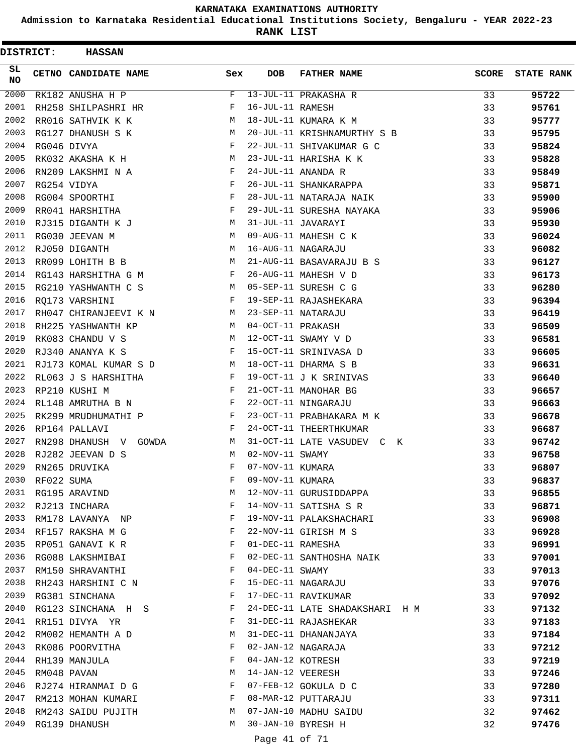**Admission to Karnataka Residential Educational Institutions Society, Bengaluru - YEAR 2022-23**

**RANK LIST**

| <b>DISTRICT:</b> |                 | <b>HASSAN</b>           |        |                   |                                             |              |                   |
|------------------|-----------------|-------------------------|--------|-------------------|---------------------------------------------|--------------|-------------------|
| SL.<br>NO        |                 | CETNO CANDIDATE NAME    | Sex    | <b>DOB</b>        | <b>FATHER NAME</b>                          | <b>SCORE</b> | <b>STATE RANK</b> |
| 2000             |                 | RK182 ANUSHA H P        | F      |                   | 13-JUL-11 PRAKASHA R                        | 33           | 95722             |
| 2001             |                 | RH258 SHILPASHRI HR     | F      | 16-JUL-11 RAMESH  |                                             | 33           | 95761             |
| 2002             |                 | RR016 SATHVIK K K       | М      |                   | 18-JUL-11 KUMARA K M                        | 33           | 95777             |
| 2003             |                 | RG127 DHANUSH S K       | M      |                   | 20-JUL-11 KRISHNAMURTHY S B                 | 33           | 95795             |
| 2004             |                 | RG046 DIVYA             | F      |                   | 22-JUL-11 SHIVAKUMAR G C                    | 33           | 95824             |
| 2005             |                 | RK032 AKASHA K H        | M      |                   | 23-JUL-11 HARISHA K K                       | 33           | 95828             |
| 2006             |                 | RN209 LAKSHMI N A       | F      |                   | 24-JUL-11 ANANDA R                          | 33           | 95849             |
| 2007             |                 | RG254 VIDYA             | F      |                   | 26-JUL-11 SHANKARAPPA                       | 33           | 95871             |
| 2008             |                 | RG004 SPOORTHI          | F      |                   | 28-JUL-11 NATARAJA NAIK                     | 33           | 95900             |
| 2009             |                 | RR041 HARSHITHA         | F      |                   | 29-JUL-11 SURESHA NAYAKA                    | 33           | 95906             |
| 2010             |                 | RJ315 DIGANTH K J       | M      |                   | 31-JUL-11 JAVARAYI                          | 33           | 95930             |
| 2011             |                 | RG030 JEEVAN M          | M      |                   | 09-AUG-11 MAHESH C K                        | 33           | 96024             |
| 2012             |                 | RJ050 DIGANTH           | М      |                   | 16-AUG-11 NAGARAJU                          | 33           | 96082             |
| 2013             |                 | RR099 LOHITH B B        | M      |                   | 21-AUG-11 BASAVARAJU B S                    | 33           | 96127             |
| 2014             |                 | RG143 HARSHITHA G M     | F      |                   | 26-AUG-11 MAHESH V D                        | 33           | 96173             |
| 2015             |                 | RG210 YASHWANTH C S     | M      |                   | 05-SEP-11 SURESH C G                        | 33           | 96280             |
| 2016             |                 | RQ173 VARSHINI          | F      |                   | 19-SEP-11 RAJASHEKARA                       | 33           | 96394             |
| 2017             |                 | RH047 CHIRANJEEVI K N   | M      |                   | 23-SEP-11 NATARAJU                          | 33           | 96419             |
| 2018             |                 | RH225 YASHWANTH KP      | M      | 04-OCT-11 PRAKASH |                                             | 33           | 96509             |
| 2019             |                 | RK083 CHANDU V S        | M      |                   | 12-OCT-11 SWAMY V D                         | 33           | 96581             |
| 2020             |                 | RJ340 ANANYA K S        | F      |                   | 15-OCT-11 SRINIVASA D                       | 33           | 96605             |
| 2021             |                 | RJ173 KOMAL KUMAR S D   | M      |                   | 18-OCT-11 DHARMA S B                        | 33           | 96631             |
| 2022             |                 | RL063 J S HARSHITHA     | F      |                   | 19-OCT-11 J K SRINIVAS                      | 33           | 96640             |
| 2023             |                 | RP210 KUSHI M           | F      |                   | 21-OCT-11 MANOHAR BG                        | 33           | 96657             |
| 2024             |                 | RL148 AMRUTHA B N       | F      |                   | 22-OCT-11 NINGARAJU                         | 33           | 96663             |
| 2025             |                 | RK299 MRUDHUMATHI P     | F      |                   | 23-OCT-11 PRABHAKARA M K                    | 33           | 96678             |
| 2026             |                 | RP164 PALLAVI           | F      |                   | 24-OCT-11 THEERTHKUMAR                      | 33           | 96687             |
| 2027             |                 | RN298 DHANUSH V GOWDA   | М      |                   | 31-OCT-11 LATE VASUDEV C K                  | 33           | 96742             |
| 2028             |                 | RJ282 JEEVAN D S        | M      | 02-NOV-11 SWAMY   |                                             | 33           | 96758             |
| 2029             |                 | RN265 DRUVIKA           | F      | 07-NOV-11 KUMARA  |                                             | 33           | 96807             |
|                  | 2030 RF022 SUMA |                         | F      | 09-NOV-11 KUMARA  |                                             | 33           | 96837             |
|                  |                 | 2031 RG195 ARAVIND      | М      |                   | 12-NOV-11 GURUSIDDAPPA                      | 33           | 96855             |
|                  |                 | 2032 RJ213 INCHARA      | F      |                   | 14-NOV-11 SATISHA S R                       | 33           | 96871             |
|                  |                 | 2033 RM178 LAVANYA NP   | F      |                   | 19-NOV-11 PALAKSHACHARI                     | 33           | 96908             |
|                  |                 | 2034 RF157 RAKSHA M G   | F      |                   | 22-NOV-11 GIRISH M S                        | 33           | 96928             |
| 2035             |                 | RP051 GANAVI K R        | F      | 01-DEC-11 RAMESHA |                                             | 33           | 96991             |
| 2036             |                 | RG088 LAKSHMIBAI        | F      |                   | 02-DEC-11 SANTHOSHA NAIK                    | 33           | 97001             |
| 2037             |                 | RM150 SHRAVANTHI        | F      | 04-DEC-11 SWAMY   |                                             | 33           | 97013             |
|                  |                 | 2038 RH243 HARSHINI C N | F      |                   | 15-DEC-11 NAGARAJU                          | 33           | 97076             |
| 2039             |                 | RG381 SINCHANA          | F      |                   | 17-DEC-11 RAVIKUMAR                         | 33           | 97092             |
| 2040             |                 | RG123 SINCHANA H S      | F      |                   | 24-DEC-11 LATE SHADAKSHARI H M              | 33           | 97132             |
|                  |                 | 2041 RR151 DIVYA YR     | F      |                   | 31-DEC-11 RAJASHEKAR                        | 33           | 97183             |
| 2042             |                 | RM002 HEMANTH A D       | М      |                   | 31-DEC-11 DHANANJAYA                        | 33           | 97184             |
| 2043             |                 | RK086 POORVITHA         | F      |                   | 02-JAN-12 NAGARAJA                          | 33           | 97212             |
| 2044             |                 | RH139 MANJULA           | F      |                   | 04-JAN-12 KOTRESH                           | 33           | 97219             |
| 2045             |                 | RM048 PAVAN             | М      | 14-JAN-12 VEERESH |                                             | 33           | 97246             |
| 2046             |                 | RJ274 HIRANMAI D G      | F      |                   | 07-FEB-12 GOKULA D C                        | 33           | 97280             |
| 2047             |                 | RM213 MOHAN KUMARI      | F      |                   | 08-MAR-12 PUTTARAJU                         | 33           | 97311             |
| 2048<br>2049     |                 | RM243 SAIDU PUJITH      | М<br>M |                   | 07-JAN-10 MADHU SAIDU<br>30-JAN-10 BYRESH H | 32           | 97462             |
|                  |                 | RG139 DHANUSH           |        |                   |                                             | 32           | 97476             |
|                  |                 |                         |        | Page 41 of 71     |                                             |              |                   |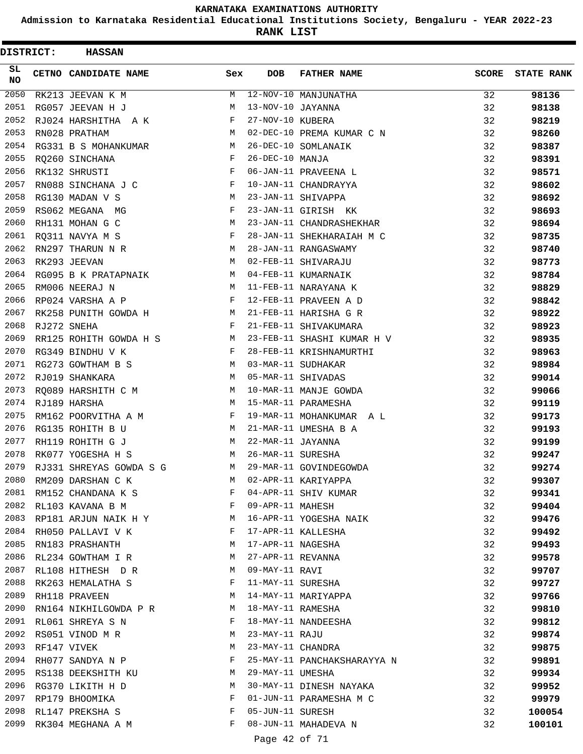**Admission to Karnataka Residential Educational Institutions Society, Bengaluru - YEAR 2022-23**

**RANK LIST**

| DISTRICT: | <b>HASSAN</b>             |              |                   |                             |              |                   |
|-----------|---------------------------|--------------|-------------------|-----------------------------|--------------|-------------------|
| SL.<br>NO | CETNO CANDIDATE NAME      | Sex          | <b>DOB</b>        | <b>FATHER NAME</b>          | <b>SCORE</b> | <b>STATE RANK</b> |
| 2050      | RK213 JEEVAN K M          | М            |                   | 12-NOV-10 MANJUNATHA        | 32           | 98136             |
| 2051      | RG057 JEEVAN H J          | М            | 13-NOV-10 JAYANNA |                             | 32           | 98138             |
| 2052      | RJ024 HARSHITHA A K       | F            | 27-NOV-10 KUBERA  |                             | 32           | 98219             |
| 2053      | RN028 PRATHAM             | М            |                   | 02-DEC-10 PREMA KUMAR C N   | 32           | 98260             |
| 2054      | RG331 B S MOHANKUMAR      | М            |                   | 26-DEC-10 SOMLANAIK         | 32           | 98387             |
| 2055      | RQ260 SINCHANA            | F            | 26-DEC-10 MANJA   |                             | 32           | 98391             |
| 2056      | RK132 SHRUSTI             | F            |                   | 06-JAN-11 PRAVEENA L        | 32           | 98571             |
| 2057      | RN088 SINCHANA J C        | F            |                   | 10-JAN-11 CHANDRAYYA        | 32           | 98602             |
| 2058      | RG130 MADAN V S           | М            |                   | 23-JAN-11 SHIVAPPA          | 32           | 98692             |
| 2059      | RS062 MEGANA MG           | F            |                   | 23-JAN-11 GIRISH KK         | 32           | 98693             |
| 2060      | RH131 MOHAN G C           | М            |                   | 23-JAN-11 CHANDRASHEKHAR    | 32           | 98694             |
| 2061      | RQ311 NAVYA M S           | F            |                   | 28-JAN-11 SHEKHARAIAH M C   | 32           | 98735             |
| 2062      | RN297 THARUN N R          | М            |                   | 28-JAN-11 RANGASWAMY        | 32           | 98740             |
| 2063      | RK293 JEEVAN              | М            |                   | 02-FEB-11 SHIVARAJU         | 32           | 98773             |
| 2064      | RG095 B K PRATAPNAIK      | M            |                   | 04-FEB-11 KUMARNAIK         | 32           | 98784             |
| 2065      | RM006 NEERAJ N            | M            |                   | 11-FEB-11 NARAYANA K        | 32           | 98829             |
| 2066      | RP024 VARSHA A P          | F            |                   | 12-FEB-11 PRAVEEN A D       | 32           | 98842             |
| 2067      | RK258 PUNITH GOWDA H      | M            |                   | 21-FEB-11 HARISHA G R       | 32           | 98922             |
| 2068      | RJ272 SNEHA               | F            |                   | 21-FEB-11 SHIVAKUMARA       | 32           | 98923             |
| 2069      | RR125 ROHITH GOWDA H S    | M            |                   | 23-FEB-11 SHASHI KUMAR H V  | 32           | 98935             |
| 2070      | RG349 BINDHU V K          | $\mathbf{F}$ |                   | 28-FEB-11 KRISHNAMURTHI     | 32           | 98963             |
| 2071      | RG273 GOWTHAM B S         | M            |                   | 03-MAR-11 SUDHAKAR          | 32           | 98984             |
| 2072      | RJ019 SHANKARA            | M            |                   | 05-MAR-11 SHIVADAS          | 32           | 99014             |
| 2073      | RQ089 HARSHITH C M        | M            |                   | 10-MAR-11 MANJE GOWDA       | 32           | 99066             |
| 2074      | RJ189 HARSHA              | M            |                   | 15-MAR-11 PARAMESHA         | 32           | 99119             |
| 2075      | RM162 POORVITHA A M       | F            |                   | 19-MAR-11 MOHANKUMAR A L    | 32           | 99173             |
| 2076      | RG135 ROHITH B U          | M            |                   | 21-MAR-11 UMESHA B A        | 32           | 99193             |
| 2077      | RH119 ROHITH G J          | M            | 22-MAR-11 JAYANNA |                             | 32           | 99199             |
| 2078      | RK077 YOGESHA H S         | M            | 26-MAR-11 SURESHA |                             | 32           | 99247             |
| 2079      | RJ331 SHREYAS GOWDA S G   | М            |                   | 29-MAR-11 GOVINDEGOWDA      | 32           | 99274             |
|           | 2080 RM209 DARSHAN C K    | M            |                   | 02-APR-11 KARIYAPPA         | 32           | 99307             |
| 2081      | RM152 CHANDANA K S        | F            |                   | 04-APR-11 SHIV KUMAR        | 32           | 99341             |
|           | 2082 RL103 KAVANA B M     | F            | 09-APR-11 MAHESH  |                             | 32           | 99404             |
|           | 2083 RP181 ARJUN NAIK H Y | M            |                   | 16-APR-11 YOGESHA NAIK      | 32           | 99476             |
|           | 2084 RH050 PALLAVI V K    | F            |                   | 17-APR-11 KALLESHA          | 32           | 99492             |
| 2085      | RN183 PRASHANTH           | M            | 17-APR-11 NAGESHA |                             | 32           | 99493             |
| 2086      | RL234 GOWTHAM I R         | M            | 27-APR-11 REVANNA |                             | 32           | 99578             |
| 2087      | RL108 HITHESH D R         | M            | 09-MAY-11 RAVI    |                             | 32           | 99707             |
|           | 2088 RK263 HEMALATHA S    | F            | 11-MAY-11 SURESHA |                             | 32           | 99727             |
| 2089      | RH118 PRAVEEN             | М            |                   | 14-MAY-11 MARIYAPPA         | 32           | 99766             |
| 2090      | RN164 NIKHILGOWDA P R     | M            | 18-MAY-11 RAMESHA |                             | 32           |                   |
|           | 2091 RL061 SHREYA S N     | F            |                   | 18-MAY-11 NANDEESHA         | 32           | 99810             |
|           |                           |              | 23-MAY-11 RAJU    |                             |              | 99812             |
| 2093      | 2092 RS051 VINOD M R      | М<br>M       |                   | 23-MAY-11 CHANDRA           | 32           | 99874             |
| 2094      | RF147 VIVEK               | F            |                   | 25-MAY-11 PANCHAKSHARAYYA N | 32           | 99875             |
|           | RH077 SANDYA N P          |              |                   |                             | 32           | 99891             |
|           | 2095 RS138 DEEKSHITH KU   | M            | 29-MAY-11 UMESHA  |                             | 32           | 99934             |
|           | 2096 RG370 LIKITH H D     | M            |                   | 30-MAY-11 DINESH NAYAKA     | 32           | 99952             |
|           | 2097 RP179 BHOOMIKA       | F            |                   | 01-JUN-11 PARAMESHA M C     | 32           | 99979             |
| 2098      | RL147 PREKSHA S           | F            | 05-JUN-11 SURESH  |                             | 32           | 100054            |
| 2099      | RK304 MEGHANA A M         | F            |                   | 08-JUN-11 MAHADEVA N        | 32           | 100101            |
|           |                           |              | Page 42 of 71     |                             |              |                   |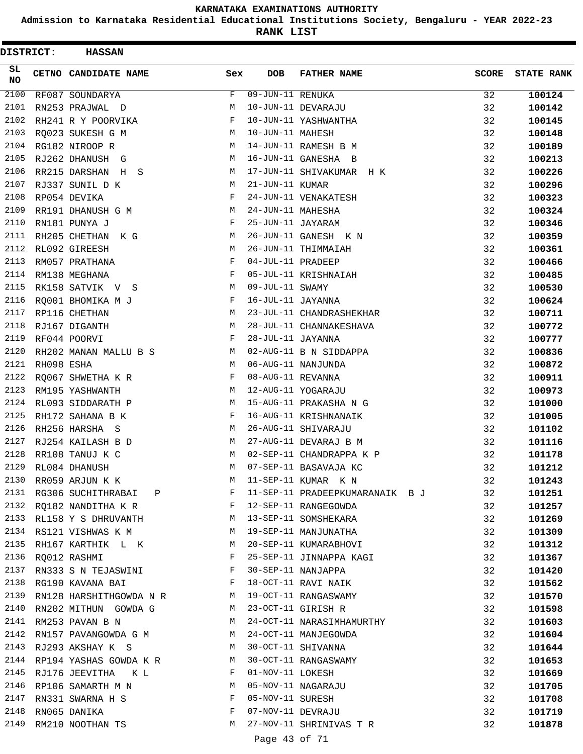**Admission to Karnataka Residential Educational Institutions Society, Bengaluru - YEAR 2022-23**

**RANK LIST**

| DISTRICT:       |            | <b>HASSAN</b>                     |              |                   |                                 |              |                   |
|-----------------|------------|-----------------------------------|--------------|-------------------|---------------------------------|--------------|-------------------|
| SL<br><b>NO</b> |            | CETNO CANDIDATE NAME              | Sex          | DOB               | <b>FATHER NAME</b>              | <b>SCORE</b> | <b>STATE RANK</b> |
| 2100            |            | RF087 SOUNDARYA                   | F            | 09-JUN-11 RENUKA  |                                 | 32           | 100124            |
| 2101            |            | RN253 PRAJWAL D                   | М            |                   | 10-JUN-11 DEVARAJU              | 32           | 100142            |
| 2102            |            | RH241 R Y POORVIKA                | F            |                   | 10-JUN-11 YASHWANTHA            | 32           | 100145            |
| 2103            |            | RQ023 SUKESH G M                  | М            | 10-JUN-11 MAHESH  |                                 | 32           | 100148            |
| 2104            |            | RG182 NIROOP R                    | М            |                   | 14-JUN-11 RAMESH B M            | 32           | 100189            |
| 2105            |            | RJ262 DHANUSH G                   | М            |                   | 16-JUN-11 GANESHA B             | 32           | 100213            |
| 2106            |            | RR215 DARSHAN<br>H S              | М            |                   | 17-JUN-11 SHIVAKUMAR H K        | 32           | 100226            |
| 2107            |            | RJ337 SUNIL D K                   | М            | 21-JUN-11 KUMAR   |                                 | 32           | 100296            |
| 2108            |            | RP054 DEVIKA                      | F            |                   | 24-JUN-11 VENAKATESH            | 32           | 100323            |
| 2109            |            | RR191 DHANUSH G M                 | М            | 24-JUN-11 MAHESHA |                                 | 32           | 100324            |
| 2110            |            | RN181 PUNYA J                     | F            | 25-JUN-11 JAYARAM |                                 | 32           | 100346            |
| 2111            |            | RH205 CHETHAN K G                 | М            |                   | 26-JUN-11 GANESH K N            | 32           | 100359            |
| 2112            |            | RL092 GIREESH                     | М            |                   | 26-JUN-11 THIMMAIAH             | 32           | 100361            |
| 2113            |            | RM057 PRATHANA                    | F            | 04-JUL-11 PRADEEP |                                 | 32           | 100466            |
| 2114            |            | RM138 MEGHANA                     | F            |                   | 05-JUL-11 KRISHNAIAH            | 32           | 100485            |
| 2115            |            | RK158 SATVIK V S                  | М            | 09-JUL-11 SWAMY   |                                 | 32           | 100530            |
| 2116            |            | RQ001 BHOMIKA M J                 | F            | 16-JUL-11 JAYANNA |                                 | 32           | 100624            |
| 2117            |            | RP116 CHETHAN                     | М            |                   | 23-JUL-11 CHANDRASHEKHAR        | 32           | 100711            |
| 2118            |            | RJ167 DIGANTH                     | М            |                   | 28-JUL-11 CHANNAKESHAVA         | 32           | 100772            |
| 2119            |            | RF044 POORVI                      | F            | 28-JUL-11 JAYANNA |                                 | 32           | 100777            |
| 2120            |            | RH202 MANAN MALLU B S             | М            |                   | 02-AUG-11 B N SIDDAPPA          | 32           | 100836            |
| 2121            | RH098 ESHA |                                   | М            |                   | 06-AUG-11 NANJUNDA              | 32           | 100872            |
| 2122            |            | RO067 SHWETHA K R                 | F            | 08-AUG-11 REVANNA |                                 | 32           | 100911            |
| 2123            |            | RM195 YASHWANTH                   | М            |                   | 12-AUG-11 YOGARAJU              | 32           | 100973            |
| 2124            |            | RL093 SIDDARATH P                 | М            |                   | 15-AUG-11 PRAKASHA N G          | 32           | 101000            |
| 2125            |            | RH172 SAHANA B K                  | F            |                   | 16-AUG-11 KRISHNANAIK           | 32           | 101005            |
| 2126            |            | RH256 HARSHA S                    | M            |                   | 26-AUG-11 SHIVARAJU             | 32           | 101102            |
| 2127            |            | RJ254 KAILASH B D                 | М            |                   | 27-AUG-11 DEVARAJ B M           | 32           | 101116            |
| 2128            |            | RR108 TANUJ K C                   | M            |                   | 02-SEP-11 CHANDRAPPA K P        | 32           | 101178            |
| 2129            |            | RL084 DHANUSH                     | M            |                   | 07-SEP-11 BASAVAJA KC           | 32           | 101212            |
| 2130            |            | RR059 ARJUN K K                   | М            |                   | 11-SEP-11 KUMAR K N             | 32           | 101243            |
| 2131            |            | RG306 SUCHITHRABAI P              | F            |                   | 11-SEP-11 PRADEEPKUMARANAIK B J | 32           | 101251            |
| 2132            |            | RQ182 NANDITHA K R                | F            |                   | 12-SEP-11 RANGEGOWDA            | 32           | 101257            |
|                 |            | 2133 RL158 Y S DHRUVANTH          | M            |                   | 13-SEP-11 SOMSHEKARA            | 32           |                   |
|                 |            | 2134 RS121 VISHWAS K M            | M            |                   | 19-SEP-11 MANJUNATHA            | 32           | 101269            |
| 2135            |            |                                   | M            |                   | 20-SEP-11 KUMARABHOVI           | 32           | 101309            |
| 2136            |            | RH167 KARTHIK L K<br>RO012 RASHMI | F            |                   | 25-SEP-11 JINNAPPA KAGI         | 32           | 101312            |
| 2137            |            | RN333 S N TEJASWINI               | F            |                   | 30-SEP-11 NANJAPPA              |              | 101367            |
| 2138            |            |                                   | $\mathbf{F}$ |                   |                                 | 32           | 101420            |
|                 |            | RG190 KAVANA BAI                  |              |                   | 18-OCT-11 RAVI NAIK             | 32           | 101562            |
| 2139            |            | RN128 HARSHITHGOWDA N R M         |              |                   | 19-OCT-11 RANGASWAMY            | 32           | 101570            |
| 2140            |            | RN202 MITHUN GOWDA G              | M            |                   | 23-OCT-11 GIRISH R              | 32           | 101598            |
| 2141            |            | RM253 PAVAN B N                   | М            |                   | 24-OCT-11 NARASIMHAMURTHY       | 32           | 101603            |
| 2142            |            | RN157 PAVANGOWDA G M              | M            |                   | 24-OCT-11 MANJEGOWDA            | 32           | 101604            |
| 2143            |            | RJ293 AKSHAY K S                  | M            |                   | 30-OCT-11 SHIVANNA              | 32           | 101644            |
| 2144            |            | RP194 YASHAS GOWDA K R            | M            |                   | 30-OCT-11 RANGASWAMY            | 32           | 101653            |
| 2145            |            | RJ176 JEEVITHA KL                 | F            | 01-NOV-11 LOKESH  |                                 | 32           | 101669            |
| 2146            |            | RP106 SAMARTH M N                 | M            |                   | 05-NOV-11 NAGARAJU              | 32           | 101705            |
| 2147            |            | RN331 SWARNA H S                  | F            | 05-NOV-11 SURESH  |                                 | 32           | 101708            |
| 2148            |            | RN065 DANIKA                      | F            |                   | 07-NOV-11 DEVRAJU               | 32           | 101719            |
| 2149            |            | RM210 NOOTHAN TS                  | M            |                   | 27-NOV-11 SHRINIVAS T R         | 32           | 101878            |

Page 43 of 71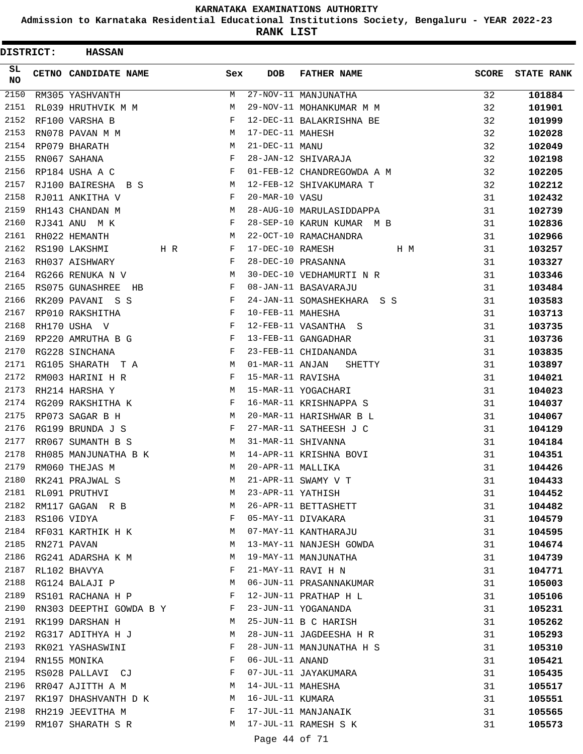**Admission to Karnataka Residential Educational Institutions Society, Bengaluru - YEAR 2022-23**

**RANK LIST**

| DISTRICT: |                  | <b>HASSAN</b>             |              |                    |                            |              |                   |
|-----------|------------------|---------------------------|--------------|--------------------|----------------------------|--------------|-------------------|
| SL.<br>NO |                  | CETNO CANDIDATE NAME      | Sex          | <b>DOB</b>         | <b>FATHER NAME</b>         | <b>SCORE</b> | <b>STATE RANK</b> |
| 2150      |                  | RM305 YASHVANTH           | М            |                    | 27-NOV-11 MANJUNATHA       | 32           | 101884            |
| 2151      |                  | RL039 HRUTHVIK M M        | М            |                    | 29-NOV-11 MOHANKUMAR M M   | 32           | 101901            |
| 2152      |                  | RF100 VARSHA B            | F            |                    | 12-DEC-11 BALAKRISHNA BE   | 32           | 101999            |
| 2153      |                  | RN078 PAVAN M M           | M            | 17-DEC-11 MAHESH   |                            | 32           | 102028            |
| 2154      |                  | RP079 BHARATH             | М            | 21-DEC-11 MANU     |                            | 32           | 102049            |
| 2155      |                  | RN067 SAHANA              | F            |                    | 28-JAN-12 SHIVARAJA        | 32           | 102198            |
| 2156      |                  | RP184 USHA A C            | F            |                    | 01-FEB-12 CHANDREGOWDA A M | 32           | 102205            |
| 2157      |                  | RJ100 BAIRESHA B S        | M            |                    | 12-FEB-12 SHIVAKUMARA T    | 32           | 102212            |
| 2158      |                  | RJ011 ANKITHA V           | F            | 20-MAR-10 VASU     |                            | 31           | 102432            |
| 2159      |                  | RH143 CHANDAN M           | M            |                    | 28-AUG-10 MARULASIDDAPPA   | 31           | 102739            |
| 2160      |                  | RJ341 ANU MK              | F            |                    | 28-SEP-10 KARUN KUMAR M B  | 31           | 102836            |
| 2161      |                  | RH022 HEMANTH             | M            |                    | 22-OCT-10 RAMACHANDRA      | 31           | 102966            |
| 2162      |                  | RS190 LAKSHMI             | F<br>H R     | 17-DEC-10 RAMESH   | H M                        | 31           | 103257            |
| 2163      |                  | RH037 AISHWARY            | F            |                    | 28-DEC-10 PRASANNA         | 31           | 103327            |
| 2164      |                  | RG266 RENUKA N V          | М            |                    | 30-DEC-10 VEDHAMURTI N R   | 31           | 103346            |
| 2165      |                  | RS075 GUNASHREE HB        | F            |                    | 08-JAN-11 BASAVARAJU       | 31           | 103484            |
| 2166      |                  | RK209 PAVANI S S          | F            |                    | 24-JAN-11 SOMASHEKHARA S S | 31           | 103583            |
| 2167      |                  | RP010 RAKSHITHA           | F            | 10-FEB-11 MAHESHA  |                            | 31           | 103713            |
| 2168      |                  | RH170 USHA V              | $\mathbf{F}$ |                    | 12-FEB-11 VASANTHA S       | 31           | 103735            |
| 2169      |                  | RP220 AMRUTHA B G         | F            |                    | 13-FEB-11 GANGADHAR        | 31           | 103736            |
| 2170      |                  | RG228 SINCHANA            | F            |                    | 23-FEB-11 CHIDANANDA       | 31           | 103835            |
| 2171      |                  | RG105 SHARATH T A         | М            | 01-MAR-11 ANJAN    | SHETTY                     | 31           | 103897            |
| 2172      |                  | RM003 HARINI H R          | F            | 15-MAR-11 RAVISHA  |                            | 31           | 104021            |
| 2173      |                  | RH214 HARSHA Y            | M            |                    | 15-MAR-11 YOGACHARI        | 31           | 104023            |
| 2174      |                  | RG209 RAKSHITHA K         | F            |                    | 16-MAR-11 KRISHNAPPA S     | 31           | 104037            |
| 2175      |                  | RP073 SAGAR B H           | M            |                    | 20-MAR-11 HARISHWAR B L    | 31           | 104067            |
| 2176      |                  | RG199 BRUNDA J S          | F            |                    | 27-MAR-11 SATHEESH J C     | 31           | 104129            |
| 2177      |                  | RR067 SUMANTH B S         | М            | 31-MAR-11 SHIVANNA |                            | 31           | 104184            |
| 2178      |                  | RH085 MANJUNATHA B K      | M            |                    | 14-APR-11 KRISHNA BOVI     | 31           | 104351            |
| 2179      |                  | RM060 THEJAS M            | M            | 20-APR-11 MALLIKA  |                            | 31           | 104426            |
| 2180      |                  | RK241 PRAJWAL S           | М            |                    | 21-APR-11 SWAMY V T        | 31           | 104433            |
|           |                  | 2181 RL091 PRUTHVI        | М            | 23-APR-11 YATHISH  |                            | 31           | 104452            |
| 2182      |                  | RM117 GAGAN R B           | M            |                    | 26-APR-11 BETTASHETT       | 31           | 104482            |
|           | 2183 RS106 VIDYA |                           | F            |                    | 05-MAY-11 DIVAKARA         | 31           | 104579            |
|           |                  | 2184 RF031 KARTHIK H K    | M            |                    | 07-MAY-11 KANTHARAJU       | 31           | 104595            |
| 2185      |                  | RN271 PAVAN               | М            |                    | 13-MAY-11 NANJESH GOWDA    | 31           | 104674            |
| 2186      |                  | RG241 ADARSHA K M         | М            |                    | 19-MAY-11 MANJUNATHA       | 31           | 104739            |
| 2187      |                  | RL102 BHAVYA              | F            |                    | 21-MAY-11 RAVI H N         | 31           | 104771            |
|           |                  | 2188 RG124 BALAJI P       | М            |                    | 06-JUN-11 PRASANNAKUMAR    | 31           | 105003            |
| 2189      |                  | RS101 RACHANA H P         | F            |                    | 12-JUN-11 PRATHAP H L      | 31           | 105106            |
| 2190      |                  | RN303 DEEPTHI GOWDA B Y F |              |                    | 23-JUN-11 YOGANANDA        | 31           | 105231            |
|           |                  | 2191 RK199 DARSHAN H      | M            |                    | 25-JUN-11 B C HARISH       | 31           | 105262            |
|           |                  | 2192 RG317 ADITHYA H J    | М            |                    | 28-JUN-11 JAGDEESHA H R    | 31           | 105293            |
| 2193      |                  | RK021 YASHASWINI          | F            |                    | 28-JUN-11 MANJUNATHA H S   | 31           | 105310            |
| 2194      |                  | RN155 MONIKA              | F            | 06-JUL-11 ANAND    |                            | 31           | 105421            |
| 2195      |                  | RS028 PALLAVI CJ          | F            |                    | 07-JUL-11 JAYAKUMARA       | 31           | 105435            |
| 2196      |                  | RR047 AJITTH A M          | M            | 14-JUL-11 MAHESHA  |                            | 31           | 105517            |
| 2197      |                  | RK197 DHASHVANTH D K      | M            | 16-JUL-11 KUMARA   |                            | 31           | 105551            |
| 2198      |                  | RH219 JEEVITHA M          | F            |                    | 17-JUL-11 MANJANAIK        | 31           | 105565            |
| 2199      |                  | RM107 SHARATH S R         |              |                    | M 17-JUL-11 RAMESH S K     | 31           | 105573            |
|           |                  |                           |              |                    |                            |              |                   |

Page 44 of 71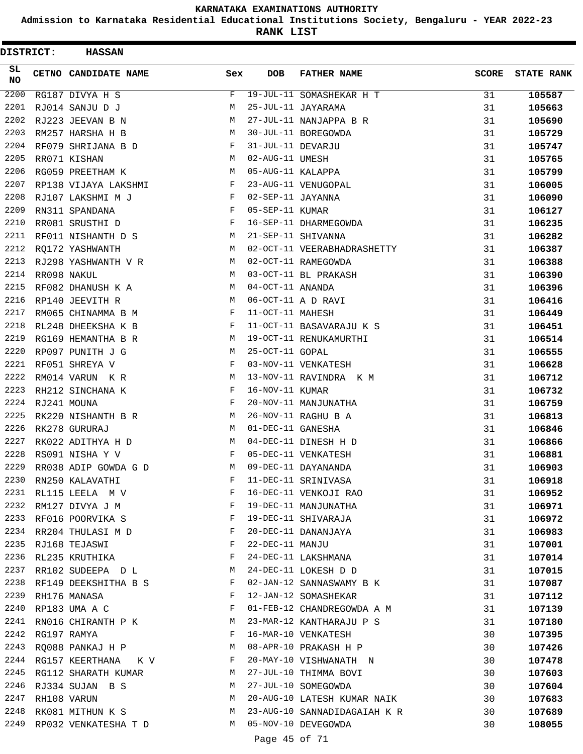**Admission to Karnataka Residential Educational Institutions Society, Bengaluru - YEAR 2022-23**

**RANK LIST**

| DISTRICT:       |             | <b>HASSAN</b>          |            |                   |                              |              |                   |
|-----------------|-------------|------------------------|------------|-------------------|------------------------------|--------------|-------------------|
| SL<br><b>NO</b> |             | CETNO CANDIDATE NAME   | Sex        | DOB               | <b>FATHER NAME</b>           | <b>SCORE</b> | <b>STATE RANK</b> |
| 2200            |             | RG187 DIVYA H S        | F          |                   | 19-JUL-11 SOMASHEKAR H T     | 31           | 105587            |
| 2201            |             | RJ014 SANJU D J        | М          |                   | 25-JUL-11 JAYARAMA           | 31           | 105663            |
| 2202            |             | RJ223 JEEVAN B N       | M          |                   | 27-JUL-11 NANJAPPA B R       | 31           | 105690            |
| 2203            |             | RM257 HARSHA H B       | М          |                   | 30-JUL-11 BOREGOWDA          | 31           | 105729            |
| 2204            |             | RF079 SHRIJANA B D     | F          | 31-JUL-11 DEVARJU |                              | 31           | 105747            |
| 2205            |             | RR071 KISHAN           | М          | 02-AUG-11 UMESH   |                              | 31           | 105765            |
| 2206            |             | RG059 PREETHAM K       | M          | 05-AUG-11 KALAPPA |                              | 31           | 105799            |
| 2207            |             | RP138 VIJAYA LAKSHMI   | F          |                   | 23-AUG-11 VENUGOPAL          | 31           | 106005            |
| 2208            |             | RJ107 LAKSHMI M J      | F          | 02-SEP-11 JAYANNA |                              | 31           | 106090            |
| 2209            |             | RN311 SPANDANA         | F          | 05-SEP-11 KUMAR   |                              | 31           | 106127            |
| 2210            |             | RR081 SRUSTHI D        | F          |                   | 16-SEP-11 DHARMEGOWDA        | 31           | 106235            |
| 2211            |             | RF011 NISHANTH D S     | М          |                   | 21-SEP-11 SHIVANNA           | 31           | 106282            |
| 2212            |             | RQ172 YASHWANTH        | М          |                   | 02-OCT-11 VEERABHADRASHETTY  | 31           | 106387            |
| 2213            |             | RJ298 YASHWANTH V R    | М          |                   | 02-OCT-11 RAMEGOWDA          | 31           | 106388            |
| 2214            | RR098 NAKUL |                        | M          |                   | 03-OCT-11 BL PRAKASH         | 31           | 106390            |
| 2215            |             | RF082 DHANUSH K A      | M          | 04-OCT-11 ANANDA  |                              | 31           | 106396            |
| 2216            |             | RP140 JEEVITH R        | M          |                   | 06-OCT-11 A D RAVI           | 31           | 106416            |
| 2217            |             | RM065 CHINAMMA B M     | F          | 11-OCT-11 MAHESH  |                              | 31           | 106449            |
| 2218            |             | RL248 DHEEKSHA K B     | F          |                   | 11-OCT-11 BASAVARAJU K S     | 31           | 106451            |
| 2219            |             | RG169 HEMANTHA B R     | M          |                   | 19-OCT-11 RENUKAMURTHI       | 31           | 106514            |
| 2220            |             | RP097 PUNITH J G       | М          | 25-OCT-11 GOPAL   |                              | 31           | 106555            |
| 2221            |             | RF051 SHREYA V         | F          |                   | 03-NOV-11 VENKATESH          | 31           | 106628            |
| 2222            |             | RM014 VARUN KR         | M          |                   | 13-NOV-11 RAVINDRA K M       | 31           | 106712            |
| 2223            |             | RH212 SINCHANA K       | F          | 16-NOV-11 KUMAR   |                              | 31           | 106732            |
| 2224            |             | RJ241 MOUNA            | F          |                   | 20-NOV-11 MANJUNATHA         | 31           | 106759            |
| 2225            |             | RK220 NISHANTH B R     | М          |                   | 26-NOV-11 RAGHU B A          | 31           | 106813            |
| 2226            |             | RK278 GURURAJ          | M          | 01-DEC-11 GANESHA |                              | 31           | 106846            |
| 2227            |             | RK022 ADITHYA H D      | M          |                   | 04-DEC-11 DINESH H D         | 31           | 106866            |
| 2228            |             | RS091 NISHA Y V        | F          |                   | 05-DEC-11 VENKATESH          | 31           | 106881            |
| 2229            |             | RR038 ADIP GOWDA G D   | М          |                   | 09-DEC-11 DAYANANDA          | 31           | 106903            |
| 2230            |             | RN250 KALAVATHI        | F          |                   | 11-DEC-11 SRINIVASA          | 31           | 106918            |
| 2231            |             | RL115 LEELA M V        | F          |                   | 16-DEC-11 VENKOJI RAO        | 31           | 106952            |
| 2232            |             | RM127 DIVYA J M        | F          |                   | 19-DEC-11 MANJUNATHA         | 31           | 106971            |
| 2233            |             | RF016 POORVIKA S       | F          |                   | 19-DEC-11 SHIVARAJA          | 31           | 106972            |
|                 |             | 2234 RR204 THULASI M D | F          |                   | 20-DEC-11 DANANJAYA          | 31           | 106983            |
| 2235            |             | RJ168 TEJASWI          | F          | 22-DEC-11 MANJU   |                              | 31           | 107001            |
| 2236            |             | RL235 KRUTHIKA         | F          |                   | 24-DEC-11 LAKSHMANA          | 31           | 107014            |
| 2237            |             | RR102 SUDEEPA D L      | М          |                   | 24-DEC-11 LOKESH D D         | 31           | 107015            |
| 2238            |             | RF149 DEEKSHITHA B S   | $_{\rm F}$ |                   | 02-JAN-12 SANNASWAMY B K     | 31           | 107087            |
| 2239            |             | RH176 MANASA           | F          |                   | 12-JAN-12 SOMASHEKAR         | 31           | 107112            |
| 2240            |             | RP183 UMA A C          | F          |                   | 01-FEB-12 CHANDREGOWDA A M   | 31           | 107139            |
| 2241            |             | RN016 CHIRANTH P K     | M          |                   | 23-MAR-12 KANTHARAJU P S     | 31           | 107180            |
| 2242            |             | RG197 RAMYA            | F          |                   | 16-MAR-10 VENKATESH          | 30           | 107395            |
| 2243            |             | RQ088 PANKAJ H P       | M          |                   | 08-APR-10 PRAKASH H P        | 30           | 107426            |
| 2244            |             | RG157 KEERTHANA KV     | F          |                   | 20-MAY-10 VISHWANATH N       | 30           | 107478            |
| 2245            |             | RG112 SHARATH KUMAR    | M          |                   | 27-JUL-10 THIMMA BOVI        | 30           | 107603            |
| 2246            |             | RJ334 SUJAN B S        | М          |                   | 27-JUL-10 SOMEGOWDA          | 30           | 107604            |
| 2247            |             | RH108 VARUN            | М          |                   | 20-AUG-10 LATESH KUMAR NAIK  | 30           | 107683            |
| 2248            |             | RK081 MITHUN K S       | М          |                   | 23-AUG-10 SANNADIDAGAIAH K R | 30           | 107689            |
| 2249            |             | RP032 VENKATESHA T D   | M          |                   | 05-NOV-10 DEVEGOWDA          | 30           | 108055            |
|                 |             |                        |            |                   |                              |              |                   |

Page 45 of 71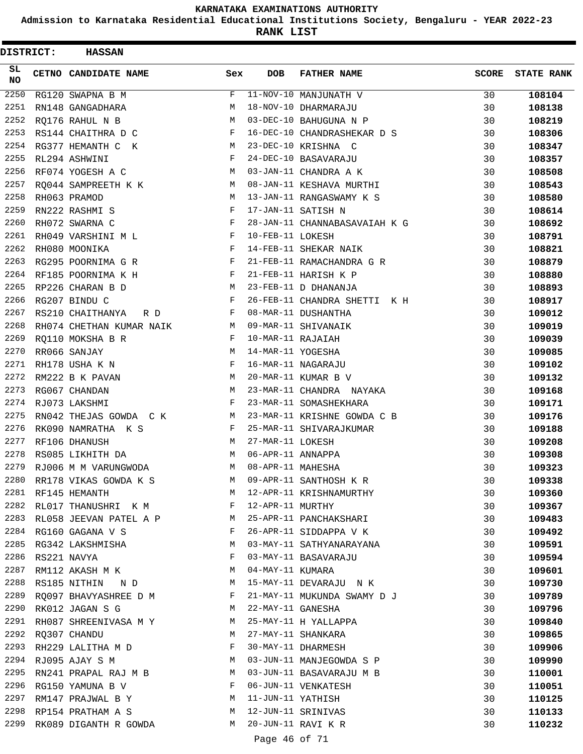**Admission to Karnataka Residential Educational Institutions Society, Bengaluru - YEAR 2022-23**

| DISTRICT:       | <b>HASSAN</b>            |     |                   |                               |              |                   |
|-----------------|--------------------------|-----|-------------------|-------------------------------|--------------|-------------------|
| SL<br><b>NO</b> | CETNO CANDIDATE NAME     | Sex | <b>DOB</b>        | <b>FATHER NAME</b>            | <b>SCORE</b> | <b>STATE RANK</b> |
| 2250            | RG120 SWAPNA B M         | F   |                   | 11-NOV-10 MANJUNATH V         | 30           | 108104            |
| 2251            | RN148 GANGADHARA         | М   |                   | 18-NOV-10 DHARMARAJU          | 30           | 108138            |
| 2252            | RQ176 RAHUL N B          | М   |                   | 03-DEC-10 BAHUGUNA N P        | 30           | 108219            |
| 2253            | RS144 CHAITHRA D C       | F   |                   | 16-DEC-10 CHANDRASHEKAR D S   | 30           | 108306            |
| 2254            | RG377 HEMANTH C K        | М   |                   | 23-DEC-10 KRISHNA C           | 30           | 108347            |
| 2255            | RL294 ASHWINI            | F   |                   | 24-DEC-10 BASAVARAJU          | 30           | 108357            |
| 2256            | RF074 YOGESH A C         | M   |                   | 03-JAN-11 CHANDRA A K         | 30           | 108508            |
| 2257            | RO044 SAMPREETH K K      | М   |                   | 08-JAN-11 KESHAVA MURTHI      | 30           | 108543            |
| 2258            | RH063 PRAMOD             | М   |                   | 13-JAN-11 RANGASWAMY K S      | 30           | 108580            |
| 2259            | RN222 RASHMI S           | F   |                   | 17-JAN-11 SATISH N            | 30           | 108614            |
| 2260            | RH072 SWARNA C           | F   |                   | 28-JAN-11 CHANNABASAVAIAH K G | 30           | 108692            |
| 2261            | RH049 VARSHINI M L       | F   | 10-FEB-11 LOKESH  |                               | 30           | 108791            |
| 2262            | RH080 MOONIKA            | F   |                   | 14-FEB-11 SHEKAR NAIK         | 30           | 108821            |
| 2263            | RG295 POORNIMA G R       | F   |                   | 21-FEB-11 RAMACHANDRA G R     | 30           | 108879            |
| 2264            | RF185 POORNIMA K H       | F   |                   | 21-FEB-11 HARISH K P          | 30           | 108880            |
| 2265            | RP226 CHARAN B D         | M   |                   | 23-FEB-11 D DHANANJA          | 30           | 108893            |
| 2266            | RG207 BINDU C            | F   |                   | 26-FEB-11 CHANDRA SHETTI K H  | 30           | 108917            |
| 2267            | RS210 CHAITHANYA<br>R D  | F   |                   | 08-MAR-11 DUSHANTHA           | 30           | 109012            |
| 2268            | RH074 CHETHAN KUMAR NAIK | M   |                   | 09-MAR-11 SHIVANAIK           | 30           | 109019            |
| 2269            | RO110 MOKSHA B R         | F   | 10-MAR-11 RAJAIAH |                               | 30           | 109039            |
| 2270            | RR066 SANJAY             | M   | 14-MAR-11 YOGESHA |                               | 30           | 109085            |
| 2271            | RH178 USHA K N           | F   |                   | 16-MAR-11 NAGARAJU            | 30           | 109102            |
| 2272            | RM222 B K PAVAN          | M   |                   | 20-MAR-11 KUMAR B V           | 30           | 109132            |
| 2273            | RG067 CHANDAN            | М   |                   | 23-MAR-11 CHANDRA NAYAKA      | 30           | 109168            |
| 2274            | RJ073 LAKSHMI            | F   |                   | 23-MAR-11 SOMASHEKHARA        | 30           | 109171            |
| 2275            | RN042 THEJAS GOWDA C K   | M   |                   | 23-MAR-11 KRISHNE GOWDA C B   | 30           | 109176            |
| 2276            | RK090 NAMRATHA K S       | F   |                   | 25-MAR-11 SHIVARAJKUMAR       | 30           | 109188            |
| 2277            | RF106 DHANUSH            | M   | 27-MAR-11 LOKESH  |                               | 30           | 109208            |
| 2278            | RS085 LIKHITH DA         | М   | 06-APR-11 ANNAPPA |                               | 30           | 109308            |
| 2279            | RJ006 M M VARUNGWODA     | М   | 08-APR-11 MAHESHA |                               | 30           | 109323            |
| 2280            | RR178 VIKAS GOWDA K S    | M   |                   | 09-APR-11 SANTHOSH K R        | 30           | 109338            |
| 2281            | RF145 HEMANTH            | M   |                   | 12-APR-11 KRISHNAMURTHY       | 30           | 109360            |
| 2282            | RL017 THANUSHRI K M      | F   | 12-APR-11 MURTHY  |                               | 30           | 109367            |
| 2283            | RL058 JEEVAN PATEL A P M |     |                   | 25-APR-11 PANCHAKSHARI        | 30           | 109483            |
|                 | 2284 RG160 GAGANA V S    | F   |                   | 26-APR-11 SIDDAPPA V K        | 30           | 109492            |
| 2285            | RG342 LAKSHMISHA         | M   |                   | 03-MAY-11 SATHYANARAYANA      | 30           | 109591            |
| 2286            | RS221 NAVYA              | F   |                   | 03-MAY-11 BASAVARAJU          | 30           | 109594            |
| 2287            | RM112 AKASH M K          | M   | 04-MAY-11 KUMARA  |                               | 30           | 109601            |
| 2288            | RS185 NITHIN ND          | M   |                   | 15-MAY-11 DEVARAJU N K        | 30           | 109730            |
| 2289            | RQ097 BHAVYASHREE D M    | F   |                   | 21-MAY-11 MUKUNDA SWAMY D J   | 30           | 109789            |
| 2290            | RK012 JAGAN S G          | M   | 22-MAY-11 GANESHA |                               | 30           | 109796            |
| 2291            | RH087 SHREENIVASA M Y    | M   |                   | 25-MAY-11 H YALLAPPA          | 30           | 109840            |
| 2292            | RQ307 CHANDU             | M   |                   | 27-MAY-11 SHANKARA            | 30           | 109865            |
| 2293            | RH229 LALITHA M D        | F   |                   | 30-MAY-11 DHARMESH            | 30           | 109906            |
| 2294            | RJ095 AJAY S M           | М   |                   | 03-JUN-11 MANJEGOWDA S P      | 30           | 109990            |
| 2295            | RN241 PRAPAL RAJ M B     | M   |                   | 03-JUN-11 BASAVARAJU M B      | 30           | 110001            |
| 2296            | RG150 YAMUNA B V         | F   |                   | 06-JUN-11 VENKATESH           | 30           | 110051            |
| 2297            | RM147 PRAJWAL B Y        | M   | 11-JUN-11 YATHISH |                               | 30           | 110125            |
| 2298            | RP154 PRATHAM A S        | M   |                   | 12-JUN-11 SRINIVAS            | 30           | 110133            |
| 2299            | RK089 DIGANTH R GOWDA    | M   |                   | 20-JUN-11 RAVI K R            | 30           | 110232            |
|                 |                          |     |                   |                               |              |                   |
|                 |                          |     | Page 46 of 71     |                               |              |                   |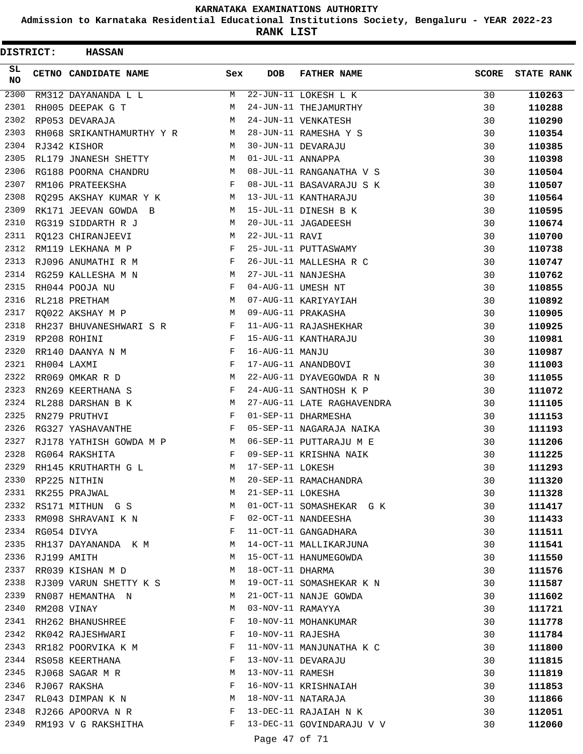**Admission to Karnataka Residential Educational Institutions Society, Bengaluru - YEAR 2022-23**

| SL.<br>CETNO CANDIDATE NAME<br><b>DOB</b><br><b>FATHER NAME</b><br><b>SCORE</b><br>Sex<br><b>NO</b><br>2300<br>22-JUN-11 LOKESH L K<br>M<br>RM312 DAYANANDA L L<br>30<br>2301<br>24-JUN-11 THEJAMURTHY<br>30<br>RH005 DEEPAK G T<br>M<br>2302<br>24-JUN-11 VENKATESH<br>RP053 DEVARAJA<br>M<br>30<br>2303<br>RH068 SRIKANTHAMURTHY Y R<br>28-JUN-11 RAMESHA Y S<br>30<br>М<br>2304<br>RJ342 KISHOR<br>30-JUN-11 DEVARAJU<br>30<br>M<br>2305<br>01-JUL-11 ANNAPPA<br>RL179 JNANESH SHETTY<br>М<br>30<br>2306<br>08-JUL-11 RANGANATHA V S<br>RG188 POORNA CHANDRU<br>30<br>M<br>2307<br>RM106 PRATEEKSHA<br>F<br>08-JUL-11 BASAVARAJU S K<br>30<br>2308<br>RQ295 AKSHAY KUMAR Y K<br>13-JUL-11 KANTHARAJU<br>30<br>М<br>2309<br>15-JUL-11 DINESH B K<br>RK171 JEEVAN GOWDA B<br>30<br>М<br>2310<br>20-JUL-11 JAGADEESH<br>RG319 SIDDARTH R J<br>M<br>30<br>2311<br>22-JUL-11 RAVI<br>RO123 CHIRANJEEVI<br>М<br>30<br>2312<br>F<br>RM119 LEKHANA M P<br>25-JUL-11 PUTTASWAMY<br>30<br>2313<br>RJ096 ANUMATHI R M<br>26-JUL-11 MALLESHA R C<br>F<br>30<br>2314<br>27-JUL-11 NANJESHA<br>RG259 KALLESHA M N<br>M<br>30<br>2315<br>04-AUG-11 UMESH NT<br>RH044 POOJA NU<br>F<br>30<br>2316<br>07-AUG-11 KARIYAYIAH<br>RL218 PRETHAM<br>M<br>30<br>2317<br>09-AUG-11 PRAKASHA<br>RQ022 AKSHAY M P<br>М<br>30<br>2318<br>F<br>11-AUG-11 RAJASHEKHAR<br>30<br>RH237 BHUVANESHWARI S R<br>2319<br>RP208 ROHINI<br>F<br>15-AUG-11 KANTHARAJU<br>30<br>2320<br>$_{\rm F}$<br>16-AUG-11 MANJU<br>RR140 DAANYA N M<br>30<br>2321<br>17-AUG-11 ANANDBOVI<br>RH004 LAXMI<br>F<br>30<br>2322<br>RR069 OMKAR R D<br>M<br>22-AUG-11 DYAVEGOWDA R N<br>30<br>2323<br>RN269 KEERTHANA S<br>F<br>24-AUG-11 SANTHOSH K P<br>30<br>2324<br>RL288 DARSHAN B K<br>27-AUG-11 LATE RAGHAVENDRA<br>30<br>М<br>2325<br>01-SEP-11 DHARMESHA<br>RN279 PRUTHVI<br>F<br>30<br>2326<br>F<br>05-SEP-11 NAGARAJA NAIKA<br>30<br>RG327 YASHAVANTHE<br>2327<br>RJ178 YATHISH GOWDA M P<br>06-SEP-11 PUTTARAJU M E<br>M<br>30<br>111206<br>2328<br>09-SEP-11 KRISHNA NAIK<br>RG064 RAKSHITA<br>F<br>30<br>2329<br>17-SEP-11 LOKESH<br>RH145 KRUTHARTH G L<br>M<br>30<br>2330 RP225 NITHIN<br>20-SEP-11 RAMACHANDRA<br>111320<br>М<br>30<br>2331 RK255 PRAJWAL<br>21-SEP-11 LOKESHA<br>30<br>М<br>RS171 MITHUN G S<br>2332<br>01-OCT-11 SOMASHEKAR G K<br>М<br>30<br>2333<br>RM098 SHRAVANI K N<br>02-OCT-11 NANDEESHA<br>F<br>30<br>111433<br>2334 RG054 DIVYA<br>11-OCT-11 GANGADHARA<br>F<br>30<br>111511<br>2335<br>RH137 DAYANANDA K M<br>14-OCT-11 MALLIKARJUNA<br>M<br>30<br>111541<br>2336<br>15-OCT-11 HANUMEGOWDA<br>30<br>RJ199 AMITH<br>M<br>2337<br>RR039 KISHAN M D<br>18-OCT-11 DHARMA<br>M<br>30<br>111576<br>2338<br>19-OCT-11 SOMASHEKAR K N<br>RJ309 VARUN SHETTY K S<br>M<br>30<br>111587<br>2339<br>21-OCT-11 NANJE GOWDA<br>30<br>RN087 HEMANTHA N<br>M<br>111602<br>2340<br>03-NOV-11 RAMAYYA<br>RM208 VINAY<br>М<br>30<br>111721<br>RH262 BHANUSHREE<br>2341<br>10-NOV-11 MOHANKUMAR<br>F<br>30<br>111778<br>2342 RK042 RAJESHWARI<br>10-NOV-11 RAJESHA<br>F<br>30<br>111784<br>2343<br>11-NOV-11 MANJUNATHA K C<br>RR182 POORVIKA K M<br>F<br>30<br>111800<br>2344<br>13-NOV-11 DEVARAJU<br>RS058 KEERTHANA<br>F<br>30<br>2345<br>13-NOV-11 RAMESH<br>RJ068 SAGAR M R<br>М<br>30<br>111819<br>2346<br>16-NOV-11 KRISHNAIAH<br>RJ067 RAKSHA<br>F<br>30<br>111853<br>RL043 DIMPAN K N<br>2347<br>18-NOV-11 NATARAJA<br>М<br>30<br>111866<br>2348<br>RJ266 APOORVA N R<br>13-DEC-11 RAJAIAH N K<br>F<br>30<br>112051<br>RM193 V G RAKSHITHA<br>2349<br>13-DEC-11 GOVINDARAJU V V<br>F<br>30<br>112060<br>Page 47 of 71 | <b>DISTRICT:</b> | <b>HASSAN</b> |  |  |                   |
|-----------------------------------------------------------------------------------------------------------------------------------------------------------------------------------------------------------------------------------------------------------------------------------------------------------------------------------------------------------------------------------------------------------------------------------------------------------------------------------------------------------------------------------------------------------------------------------------------------------------------------------------------------------------------------------------------------------------------------------------------------------------------------------------------------------------------------------------------------------------------------------------------------------------------------------------------------------------------------------------------------------------------------------------------------------------------------------------------------------------------------------------------------------------------------------------------------------------------------------------------------------------------------------------------------------------------------------------------------------------------------------------------------------------------------------------------------------------------------------------------------------------------------------------------------------------------------------------------------------------------------------------------------------------------------------------------------------------------------------------------------------------------------------------------------------------------------------------------------------------------------------------------------------------------------------------------------------------------------------------------------------------------------------------------------------------------------------------------------------------------------------------------------------------------------------------------------------------------------------------------------------------------------------------------------------------------------------------------------------------------------------------------------------------------------------------------------------------------------------------------------------------------------------------------------------------------------------------------------------------------------------------------------------------------------------------------------------------------------------------------------------------------------------------------------------------------------------------------------------------------------------------------------------------------------------------------------------------------------------------------------------------------------------------------------------------------------------------------------------------------------------------------------------------------------------------------------------------------------------------------------------------------------------------------------------------------------------------------------------------------------------------------------------------------------------------------------------------------------------------------------------------------------------------------------------------------------------------------------|------------------|---------------|--|--|-------------------|
|                                                                                                                                                                                                                                                                                                                                                                                                                                                                                                                                                                                                                                                                                                                                                                                                                                                                                                                                                                                                                                                                                                                                                                                                                                                                                                                                                                                                                                                                                                                                                                                                                                                                                                                                                                                                                                                                                                                                                                                                                                                                                                                                                                                                                                                                                                                                                                                                                                                                                                                                                                                                                                                                                                                                                                                                                                                                                                                                                                                                                                                                                                                                                                                                                                                                                                                                                                                                                                                                                                                                                                                                     |                  |               |  |  | <b>STATE RANK</b> |
|                                                                                                                                                                                                                                                                                                                                                                                                                                                                                                                                                                                                                                                                                                                                                                                                                                                                                                                                                                                                                                                                                                                                                                                                                                                                                                                                                                                                                                                                                                                                                                                                                                                                                                                                                                                                                                                                                                                                                                                                                                                                                                                                                                                                                                                                                                                                                                                                                                                                                                                                                                                                                                                                                                                                                                                                                                                                                                                                                                                                                                                                                                                                                                                                                                                                                                                                                                                                                                                                                                                                                                                                     |                  |               |  |  | 110263            |
|                                                                                                                                                                                                                                                                                                                                                                                                                                                                                                                                                                                                                                                                                                                                                                                                                                                                                                                                                                                                                                                                                                                                                                                                                                                                                                                                                                                                                                                                                                                                                                                                                                                                                                                                                                                                                                                                                                                                                                                                                                                                                                                                                                                                                                                                                                                                                                                                                                                                                                                                                                                                                                                                                                                                                                                                                                                                                                                                                                                                                                                                                                                                                                                                                                                                                                                                                                                                                                                                                                                                                                                                     |                  |               |  |  | 110288            |
|                                                                                                                                                                                                                                                                                                                                                                                                                                                                                                                                                                                                                                                                                                                                                                                                                                                                                                                                                                                                                                                                                                                                                                                                                                                                                                                                                                                                                                                                                                                                                                                                                                                                                                                                                                                                                                                                                                                                                                                                                                                                                                                                                                                                                                                                                                                                                                                                                                                                                                                                                                                                                                                                                                                                                                                                                                                                                                                                                                                                                                                                                                                                                                                                                                                                                                                                                                                                                                                                                                                                                                                                     |                  |               |  |  | 110290            |
|                                                                                                                                                                                                                                                                                                                                                                                                                                                                                                                                                                                                                                                                                                                                                                                                                                                                                                                                                                                                                                                                                                                                                                                                                                                                                                                                                                                                                                                                                                                                                                                                                                                                                                                                                                                                                                                                                                                                                                                                                                                                                                                                                                                                                                                                                                                                                                                                                                                                                                                                                                                                                                                                                                                                                                                                                                                                                                                                                                                                                                                                                                                                                                                                                                                                                                                                                                                                                                                                                                                                                                                                     |                  |               |  |  | 110354            |
|                                                                                                                                                                                                                                                                                                                                                                                                                                                                                                                                                                                                                                                                                                                                                                                                                                                                                                                                                                                                                                                                                                                                                                                                                                                                                                                                                                                                                                                                                                                                                                                                                                                                                                                                                                                                                                                                                                                                                                                                                                                                                                                                                                                                                                                                                                                                                                                                                                                                                                                                                                                                                                                                                                                                                                                                                                                                                                                                                                                                                                                                                                                                                                                                                                                                                                                                                                                                                                                                                                                                                                                                     |                  |               |  |  | 110385            |
|                                                                                                                                                                                                                                                                                                                                                                                                                                                                                                                                                                                                                                                                                                                                                                                                                                                                                                                                                                                                                                                                                                                                                                                                                                                                                                                                                                                                                                                                                                                                                                                                                                                                                                                                                                                                                                                                                                                                                                                                                                                                                                                                                                                                                                                                                                                                                                                                                                                                                                                                                                                                                                                                                                                                                                                                                                                                                                                                                                                                                                                                                                                                                                                                                                                                                                                                                                                                                                                                                                                                                                                                     |                  |               |  |  | 110398            |
|                                                                                                                                                                                                                                                                                                                                                                                                                                                                                                                                                                                                                                                                                                                                                                                                                                                                                                                                                                                                                                                                                                                                                                                                                                                                                                                                                                                                                                                                                                                                                                                                                                                                                                                                                                                                                                                                                                                                                                                                                                                                                                                                                                                                                                                                                                                                                                                                                                                                                                                                                                                                                                                                                                                                                                                                                                                                                                                                                                                                                                                                                                                                                                                                                                                                                                                                                                                                                                                                                                                                                                                                     |                  |               |  |  | 110504            |
|                                                                                                                                                                                                                                                                                                                                                                                                                                                                                                                                                                                                                                                                                                                                                                                                                                                                                                                                                                                                                                                                                                                                                                                                                                                                                                                                                                                                                                                                                                                                                                                                                                                                                                                                                                                                                                                                                                                                                                                                                                                                                                                                                                                                                                                                                                                                                                                                                                                                                                                                                                                                                                                                                                                                                                                                                                                                                                                                                                                                                                                                                                                                                                                                                                                                                                                                                                                                                                                                                                                                                                                                     |                  |               |  |  | 110507            |
|                                                                                                                                                                                                                                                                                                                                                                                                                                                                                                                                                                                                                                                                                                                                                                                                                                                                                                                                                                                                                                                                                                                                                                                                                                                                                                                                                                                                                                                                                                                                                                                                                                                                                                                                                                                                                                                                                                                                                                                                                                                                                                                                                                                                                                                                                                                                                                                                                                                                                                                                                                                                                                                                                                                                                                                                                                                                                                                                                                                                                                                                                                                                                                                                                                                                                                                                                                                                                                                                                                                                                                                                     |                  |               |  |  | 110564            |
|                                                                                                                                                                                                                                                                                                                                                                                                                                                                                                                                                                                                                                                                                                                                                                                                                                                                                                                                                                                                                                                                                                                                                                                                                                                                                                                                                                                                                                                                                                                                                                                                                                                                                                                                                                                                                                                                                                                                                                                                                                                                                                                                                                                                                                                                                                                                                                                                                                                                                                                                                                                                                                                                                                                                                                                                                                                                                                                                                                                                                                                                                                                                                                                                                                                                                                                                                                                                                                                                                                                                                                                                     |                  |               |  |  | 110595            |
|                                                                                                                                                                                                                                                                                                                                                                                                                                                                                                                                                                                                                                                                                                                                                                                                                                                                                                                                                                                                                                                                                                                                                                                                                                                                                                                                                                                                                                                                                                                                                                                                                                                                                                                                                                                                                                                                                                                                                                                                                                                                                                                                                                                                                                                                                                                                                                                                                                                                                                                                                                                                                                                                                                                                                                                                                                                                                                                                                                                                                                                                                                                                                                                                                                                                                                                                                                                                                                                                                                                                                                                                     |                  |               |  |  | 110674            |
|                                                                                                                                                                                                                                                                                                                                                                                                                                                                                                                                                                                                                                                                                                                                                                                                                                                                                                                                                                                                                                                                                                                                                                                                                                                                                                                                                                                                                                                                                                                                                                                                                                                                                                                                                                                                                                                                                                                                                                                                                                                                                                                                                                                                                                                                                                                                                                                                                                                                                                                                                                                                                                                                                                                                                                                                                                                                                                                                                                                                                                                                                                                                                                                                                                                                                                                                                                                                                                                                                                                                                                                                     |                  |               |  |  | 110700            |
|                                                                                                                                                                                                                                                                                                                                                                                                                                                                                                                                                                                                                                                                                                                                                                                                                                                                                                                                                                                                                                                                                                                                                                                                                                                                                                                                                                                                                                                                                                                                                                                                                                                                                                                                                                                                                                                                                                                                                                                                                                                                                                                                                                                                                                                                                                                                                                                                                                                                                                                                                                                                                                                                                                                                                                                                                                                                                                                                                                                                                                                                                                                                                                                                                                                                                                                                                                                                                                                                                                                                                                                                     |                  |               |  |  | 110738            |
|                                                                                                                                                                                                                                                                                                                                                                                                                                                                                                                                                                                                                                                                                                                                                                                                                                                                                                                                                                                                                                                                                                                                                                                                                                                                                                                                                                                                                                                                                                                                                                                                                                                                                                                                                                                                                                                                                                                                                                                                                                                                                                                                                                                                                                                                                                                                                                                                                                                                                                                                                                                                                                                                                                                                                                                                                                                                                                                                                                                                                                                                                                                                                                                                                                                                                                                                                                                                                                                                                                                                                                                                     |                  |               |  |  | 110747            |
|                                                                                                                                                                                                                                                                                                                                                                                                                                                                                                                                                                                                                                                                                                                                                                                                                                                                                                                                                                                                                                                                                                                                                                                                                                                                                                                                                                                                                                                                                                                                                                                                                                                                                                                                                                                                                                                                                                                                                                                                                                                                                                                                                                                                                                                                                                                                                                                                                                                                                                                                                                                                                                                                                                                                                                                                                                                                                                                                                                                                                                                                                                                                                                                                                                                                                                                                                                                                                                                                                                                                                                                                     |                  |               |  |  | 110762            |
|                                                                                                                                                                                                                                                                                                                                                                                                                                                                                                                                                                                                                                                                                                                                                                                                                                                                                                                                                                                                                                                                                                                                                                                                                                                                                                                                                                                                                                                                                                                                                                                                                                                                                                                                                                                                                                                                                                                                                                                                                                                                                                                                                                                                                                                                                                                                                                                                                                                                                                                                                                                                                                                                                                                                                                                                                                                                                                                                                                                                                                                                                                                                                                                                                                                                                                                                                                                                                                                                                                                                                                                                     |                  |               |  |  | 110855            |
|                                                                                                                                                                                                                                                                                                                                                                                                                                                                                                                                                                                                                                                                                                                                                                                                                                                                                                                                                                                                                                                                                                                                                                                                                                                                                                                                                                                                                                                                                                                                                                                                                                                                                                                                                                                                                                                                                                                                                                                                                                                                                                                                                                                                                                                                                                                                                                                                                                                                                                                                                                                                                                                                                                                                                                                                                                                                                                                                                                                                                                                                                                                                                                                                                                                                                                                                                                                                                                                                                                                                                                                                     |                  |               |  |  | 110892            |
|                                                                                                                                                                                                                                                                                                                                                                                                                                                                                                                                                                                                                                                                                                                                                                                                                                                                                                                                                                                                                                                                                                                                                                                                                                                                                                                                                                                                                                                                                                                                                                                                                                                                                                                                                                                                                                                                                                                                                                                                                                                                                                                                                                                                                                                                                                                                                                                                                                                                                                                                                                                                                                                                                                                                                                                                                                                                                                                                                                                                                                                                                                                                                                                                                                                                                                                                                                                                                                                                                                                                                                                                     |                  |               |  |  | 110905            |
|                                                                                                                                                                                                                                                                                                                                                                                                                                                                                                                                                                                                                                                                                                                                                                                                                                                                                                                                                                                                                                                                                                                                                                                                                                                                                                                                                                                                                                                                                                                                                                                                                                                                                                                                                                                                                                                                                                                                                                                                                                                                                                                                                                                                                                                                                                                                                                                                                                                                                                                                                                                                                                                                                                                                                                                                                                                                                                                                                                                                                                                                                                                                                                                                                                                                                                                                                                                                                                                                                                                                                                                                     |                  |               |  |  | 110925            |
|                                                                                                                                                                                                                                                                                                                                                                                                                                                                                                                                                                                                                                                                                                                                                                                                                                                                                                                                                                                                                                                                                                                                                                                                                                                                                                                                                                                                                                                                                                                                                                                                                                                                                                                                                                                                                                                                                                                                                                                                                                                                                                                                                                                                                                                                                                                                                                                                                                                                                                                                                                                                                                                                                                                                                                                                                                                                                                                                                                                                                                                                                                                                                                                                                                                                                                                                                                                                                                                                                                                                                                                                     |                  |               |  |  | 110981            |
|                                                                                                                                                                                                                                                                                                                                                                                                                                                                                                                                                                                                                                                                                                                                                                                                                                                                                                                                                                                                                                                                                                                                                                                                                                                                                                                                                                                                                                                                                                                                                                                                                                                                                                                                                                                                                                                                                                                                                                                                                                                                                                                                                                                                                                                                                                                                                                                                                                                                                                                                                                                                                                                                                                                                                                                                                                                                                                                                                                                                                                                                                                                                                                                                                                                                                                                                                                                                                                                                                                                                                                                                     |                  |               |  |  | 110987            |
|                                                                                                                                                                                                                                                                                                                                                                                                                                                                                                                                                                                                                                                                                                                                                                                                                                                                                                                                                                                                                                                                                                                                                                                                                                                                                                                                                                                                                                                                                                                                                                                                                                                                                                                                                                                                                                                                                                                                                                                                                                                                                                                                                                                                                                                                                                                                                                                                                                                                                                                                                                                                                                                                                                                                                                                                                                                                                                                                                                                                                                                                                                                                                                                                                                                                                                                                                                                                                                                                                                                                                                                                     |                  |               |  |  | 111003            |
|                                                                                                                                                                                                                                                                                                                                                                                                                                                                                                                                                                                                                                                                                                                                                                                                                                                                                                                                                                                                                                                                                                                                                                                                                                                                                                                                                                                                                                                                                                                                                                                                                                                                                                                                                                                                                                                                                                                                                                                                                                                                                                                                                                                                                                                                                                                                                                                                                                                                                                                                                                                                                                                                                                                                                                                                                                                                                                                                                                                                                                                                                                                                                                                                                                                                                                                                                                                                                                                                                                                                                                                                     |                  |               |  |  | 111055            |
|                                                                                                                                                                                                                                                                                                                                                                                                                                                                                                                                                                                                                                                                                                                                                                                                                                                                                                                                                                                                                                                                                                                                                                                                                                                                                                                                                                                                                                                                                                                                                                                                                                                                                                                                                                                                                                                                                                                                                                                                                                                                                                                                                                                                                                                                                                                                                                                                                                                                                                                                                                                                                                                                                                                                                                                                                                                                                                                                                                                                                                                                                                                                                                                                                                                                                                                                                                                                                                                                                                                                                                                                     |                  |               |  |  | 111072            |
|                                                                                                                                                                                                                                                                                                                                                                                                                                                                                                                                                                                                                                                                                                                                                                                                                                                                                                                                                                                                                                                                                                                                                                                                                                                                                                                                                                                                                                                                                                                                                                                                                                                                                                                                                                                                                                                                                                                                                                                                                                                                                                                                                                                                                                                                                                                                                                                                                                                                                                                                                                                                                                                                                                                                                                                                                                                                                                                                                                                                                                                                                                                                                                                                                                                                                                                                                                                                                                                                                                                                                                                                     |                  |               |  |  | 111105            |
|                                                                                                                                                                                                                                                                                                                                                                                                                                                                                                                                                                                                                                                                                                                                                                                                                                                                                                                                                                                                                                                                                                                                                                                                                                                                                                                                                                                                                                                                                                                                                                                                                                                                                                                                                                                                                                                                                                                                                                                                                                                                                                                                                                                                                                                                                                                                                                                                                                                                                                                                                                                                                                                                                                                                                                                                                                                                                                                                                                                                                                                                                                                                                                                                                                                                                                                                                                                                                                                                                                                                                                                                     |                  |               |  |  | 111153            |
|                                                                                                                                                                                                                                                                                                                                                                                                                                                                                                                                                                                                                                                                                                                                                                                                                                                                                                                                                                                                                                                                                                                                                                                                                                                                                                                                                                                                                                                                                                                                                                                                                                                                                                                                                                                                                                                                                                                                                                                                                                                                                                                                                                                                                                                                                                                                                                                                                                                                                                                                                                                                                                                                                                                                                                                                                                                                                                                                                                                                                                                                                                                                                                                                                                                                                                                                                                                                                                                                                                                                                                                                     |                  |               |  |  | 111193            |
|                                                                                                                                                                                                                                                                                                                                                                                                                                                                                                                                                                                                                                                                                                                                                                                                                                                                                                                                                                                                                                                                                                                                                                                                                                                                                                                                                                                                                                                                                                                                                                                                                                                                                                                                                                                                                                                                                                                                                                                                                                                                                                                                                                                                                                                                                                                                                                                                                                                                                                                                                                                                                                                                                                                                                                                                                                                                                                                                                                                                                                                                                                                                                                                                                                                                                                                                                                                                                                                                                                                                                                                                     |                  |               |  |  |                   |
|                                                                                                                                                                                                                                                                                                                                                                                                                                                                                                                                                                                                                                                                                                                                                                                                                                                                                                                                                                                                                                                                                                                                                                                                                                                                                                                                                                                                                                                                                                                                                                                                                                                                                                                                                                                                                                                                                                                                                                                                                                                                                                                                                                                                                                                                                                                                                                                                                                                                                                                                                                                                                                                                                                                                                                                                                                                                                                                                                                                                                                                                                                                                                                                                                                                                                                                                                                                                                                                                                                                                                                                                     |                  |               |  |  | 111225            |
|                                                                                                                                                                                                                                                                                                                                                                                                                                                                                                                                                                                                                                                                                                                                                                                                                                                                                                                                                                                                                                                                                                                                                                                                                                                                                                                                                                                                                                                                                                                                                                                                                                                                                                                                                                                                                                                                                                                                                                                                                                                                                                                                                                                                                                                                                                                                                                                                                                                                                                                                                                                                                                                                                                                                                                                                                                                                                                                                                                                                                                                                                                                                                                                                                                                                                                                                                                                                                                                                                                                                                                                                     |                  |               |  |  | 111293            |
|                                                                                                                                                                                                                                                                                                                                                                                                                                                                                                                                                                                                                                                                                                                                                                                                                                                                                                                                                                                                                                                                                                                                                                                                                                                                                                                                                                                                                                                                                                                                                                                                                                                                                                                                                                                                                                                                                                                                                                                                                                                                                                                                                                                                                                                                                                                                                                                                                                                                                                                                                                                                                                                                                                                                                                                                                                                                                                                                                                                                                                                                                                                                                                                                                                                                                                                                                                                                                                                                                                                                                                                                     |                  |               |  |  |                   |
|                                                                                                                                                                                                                                                                                                                                                                                                                                                                                                                                                                                                                                                                                                                                                                                                                                                                                                                                                                                                                                                                                                                                                                                                                                                                                                                                                                                                                                                                                                                                                                                                                                                                                                                                                                                                                                                                                                                                                                                                                                                                                                                                                                                                                                                                                                                                                                                                                                                                                                                                                                                                                                                                                                                                                                                                                                                                                                                                                                                                                                                                                                                                                                                                                                                                                                                                                                                                                                                                                                                                                                                                     |                  |               |  |  | 111328            |
|                                                                                                                                                                                                                                                                                                                                                                                                                                                                                                                                                                                                                                                                                                                                                                                                                                                                                                                                                                                                                                                                                                                                                                                                                                                                                                                                                                                                                                                                                                                                                                                                                                                                                                                                                                                                                                                                                                                                                                                                                                                                                                                                                                                                                                                                                                                                                                                                                                                                                                                                                                                                                                                                                                                                                                                                                                                                                                                                                                                                                                                                                                                                                                                                                                                                                                                                                                                                                                                                                                                                                                                                     |                  |               |  |  | 111417            |
|                                                                                                                                                                                                                                                                                                                                                                                                                                                                                                                                                                                                                                                                                                                                                                                                                                                                                                                                                                                                                                                                                                                                                                                                                                                                                                                                                                                                                                                                                                                                                                                                                                                                                                                                                                                                                                                                                                                                                                                                                                                                                                                                                                                                                                                                                                                                                                                                                                                                                                                                                                                                                                                                                                                                                                                                                                                                                                                                                                                                                                                                                                                                                                                                                                                                                                                                                                                                                                                                                                                                                                                                     |                  |               |  |  |                   |
|                                                                                                                                                                                                                                                                                                                                                                                                                                                                                                                                                                                                                                                                                                                                                                                                                                                                                                                                                                                                                                                                                                                                                                                                                                                                                                                                                                                                                                                                                                                                                                                                                                                                                                                                                                                                                                                                                                                                                                                                                                                                                                                                                                                                                                                                                                                                                                                                                                                                                                                                                                                                                                                                                                                                                                                                                                                                                                                                                                                                                                                                                                                                                                                                                                                                                                                                                                                                                                                                                                                                                                                                     |                  |               |  |  |                   |
|                                                                                                                                                                                                                                                                                                                                                                                                                                                                                                                                                                                                                                                                                                                                                                                                                                                                                                                                                                                                                                                                                                                                                                                                                                                                                                                                                                                                                                                                                                                                                                                                                                                                                                                                                                                                                                                                                                                                                                                                                                                                                                                                                                                                                                                                                                                                                                                                                                                                                                                                                                                                                                                                                                                                                                                                                                                                                                                                                                                                                                                                                                                                                                                                                                                                                                                                                                                                                                                                                                                                                                                                     |                  |               |  |  |                   |
|                                                                                                                                                                                                                                                                                                                                                                                                                                                                                                                                                                                                                                                                                                                                                                                                                                                                                                                                                                                                                                                                                                                                                                                                                                                                                                                                                                                                                                                                                                                                                                                                                                                                                                                                                                                                                                                                                                                                                                                                                                                                                                                                                                                                                                                                                                                                                                                                                                                                                                                                                                                                                                                                                                                                                                                                                                                                                                                                                                                                                                                                                                                                                                                                                                                                                                                                                                                                                                                                                                                                                                                                     |                  |               |  |  | 111550            |
|                                                                                                                                                                                                                                                                                                                                                                                                                                                                                                                                                                                                                                                                                                                                                                                                                                                                                                                                                                                                                                                                                                                                                                                                                                                                                                                                                                                                                                                                                                                                                                                                                                                                                                                                                                                                                                                                                                                                                                                                                                                                                                                                                                                                                                                                                                                                                                                                                                                                                                                                                                                                                                                                                                                                                                                                                                                                                                                                                                                                                                                                                                                                                                                                                                                                                                                                                                                                                                                                                                                                                                                                     |                  |               |  |  |                   |
|                                                                                                                                                                                                                                                                                                                                                                                                                                                                                                                                                                                                                                                                                                                                                                                                                                                                                                                                                                                                                                                                                                                                                                                                                                                                                                                                                                                                                                                                                                                                                                                                                                                                                                                                                                                                                                                                                                                                                                                                                                                                                                                                                                                                                                                                                                                                                                                                                                                                                                                                                                                                                                                                                                                                                                                                                                                                                                                                                                                                                                                                                                                                                                                                                                                                                                                                                                                                                                                                                                                                                                                                     |                  |               |  |  |                   |
|                                                                                                                                                                                                                                                                                                                                                                                                                                                                                                                                                                                                                                                                                                                                                                                                                                                                                                                                                                                                                                                                                                                                                                                                                                                                                                                                                                                                                                                                                                                                                                                                                                                                                                                                                                                                                                                                                                                                                                                                                                                                                                                                                                                                                                                                                                                                                                                                                                                                                                                                                                                                                                                                                                                                                                                                                                                                                                                                                                                                                                                                                                                                                                                                                                                                                                                                                                                                                                                                                                                                                                                                     |                  |               |  |  |                   |
|                                                                                                                                                                                                                                                                                                                                                                                                                                                                                                                                                                                                                                                                                                                                                                                                                                                                                                                                                                                                                                                                                                                                                                                                                                                                                                                                                                                                                                                                                                                                                                                                                                                                                                                                                                                                                                                                                                                                                                                                                                                                                                                                                                                                                                                                                                                                                                                                                                                                                                                                                                                                                                                                                                                                                                                                                                                                                                                                                                                                                                                                                                                                                                                                                                                                                                                                                                                                                                                                                                                                                                                                     |                  |               |  |  |                   |
|                                                                                                                                                                                                                                                                                                                                                                                                                                                                                                                                                                                                                                                                                                                                                                                                                                                                                                                                                                                                                                                                                                                                                                                                                                                                                                                                                                                                                                                                                                                                                                                                                                                                                                                                                                                                                                                                                                                                                                                                                                                                                                                                                                                                                                                                                                                                                                                                                                                                                                                                                                                                                                                                                                                                                                                                                                                                                                                                                                                                                                                                                                                                                                                                                                                                                                                                                                                                                                                                                                                                                                                                     |                  |               |  |  |                   |
|                                                                                                                                                                                                                                                                                                                                                                                                                                                                                                                                                                                                                                                                                                                                                                                                                                                                                                                                                                                                                                                                                                                                                                                                                                                                                                                                                                                                                                                                                                                                                                                                                                                                                                                                                                                                                                                                                                                                                                                                                                                                                                                                                                                                                                                                                                                                                                                                                                                                                                                                                                                                                                                                                                                                                                                                                                                                                                                                                                                                                                                                                                                                                                                                                                                                                                                                                                                                                                                                                                                                                                                                     |                  |               |  |  |                   |
|                                                                                                                                                                                                                                                                                                                                                                                                                                                                                                                                                                                                                                                                                                                                                                                                                                                                                                                                                                                                                                                                                                                                                                                                                                                                                                                                                                                                                                                                                                                                                                                                                                                                                                                                                                                                                                                                                                                                                                                                                                                                                                                                                                                                                                                                                                                                                                                                                                                                                                                                                                                                                                                                                                                                                                                                                                                                                                                                                                                                                                                                                                                                                                                                                                                                                                                                                                                                                                                                                                                                                                                                     |                  |               |  |  |                   |
|                                                                                                                                                                                                                                                                                                                                                                                                                                                                                                                                                                                                                                                                                                                                                                                                                                                                                                                                                                                                                                                                                                                                                                                                                                                                                                                                                                                                                                                                                                                                                                                                                                                                                                                                                                                                                                                                                                                                                                                                                                                                                                                                                                                                                                                                                                                                                                                                                                                                                                                                                                                                                                                                                                                                                                                                                                                                                                                                                                                                                                                                                                                                                                                                                                                                                                                                                                                                                                                                                                                                                                                                     |                  |               |  |  | 111815            |
|                                                                                                                                                                                                                                                                                                                                                                                                                                                                                                                                                                                                                                                                                                                                                                                                                                                                                                                                                                                                                                                                                                                                                                                                                                                                                                                                                                                                                                                                                                                                                                                                                                                                                                                                                                                                                                                                                                                                                                                                                                                                                                                                                                                                                                                                                                                                                                                                                                                                                                                                                                                                                                                                                                                                                                                                                                                                                                                                                                                                                                                                                                                                                                                                                                                                                                                                                                                                                                                                                                                                                                                                     |                  |               |  |  |                   |
|                                                                                                                                                                                                                                                                                                                                                                                                                                                                                                                                                                                                                                                                                                                                                                                                                                                                                                                                                                                                                                                                                                                                                                                                                                                                                                                                                                                                                                                                                                                                                                                                                                                                                                                                                                                                                                                                                                                                                                                                                                                                                                                                                                                                                                                                                                                                                                                                                                                                                                                                                                                                                                                                                                                                                                                                                                                                                                                                                                                                                                                                                                                                                                                                                                                                                                                                                                                                                                                                                                                                                                                                     |                  |               |  |  |                   |
|                                                                                                                                                                                                                                                                                                                                                                                                                                                                                                                                                                                                                                                                                                                                                                                                                                                                                                                                                                                                                                                                                                                                                                                                                                                                                                                                                                                                                                                                                                                                                                                                                                                                                                                                                                                                                                                                                                                                                                                                                                                                                                                                                                                                                                                                                                                                                                                                                                                                                                                                                                                                                                                                                                                                                                                                                                                                                                                                                                                                                                                                                                                                                                                                                                                                                                                                                                                                                                                                                                                                                                                                     |                  |               |  |  |                   |
|                                                                                                                                                                                                                                                                                                                                                                                                                                                                                                                                                                                                                                                                                                                                                                                                                                                                                                                                                                                                                                                                                                                                                                                                                                                                                                                                                                                                                                                                                                                                                                                                                                                                                                                                                                                                                                                                                                                                                                                                                                                                                                                                                                                                                                                                                                                                                                                                                                                                                                                                                                                                                                                                                                                                                                                                                                                                                                                                                                                                                                                                                                                                                                                                                                                                                                                                                                                                                                                                                                                                                                                                     |                  |               |  |  |                   |
|                                                                                                                                                                                                                                                                                                                                                                                                                                                                                                                                                                                                                                                                                                                                                                                                                                                                                                                                                                                                                                                                                                                                                                                                                                                                                                                                                                                                                                                                                                                                                                                                                                                                                                                                                                                                                                                                                                                                                                                                                                                                                                                                                                                                                                                                                                                                                                                                                                                                                                                                                                                                                                                                                                                                                                                                                                                                                                                                                                                                                                                                                                                                                                                                                                                                                                                                                                                                                                                                                                                                                                                                     |                  |               |  |  |                   |
|                                                                                                                                                                                                                                                                                                                                                                                                                                                                                                                                                                                                                                                                                                                                                                                                                                                                                                                                                                                                                                                                                                                                                                                                                                                                                                                                                                                                                                                                                                                                                                                                                                                                                                                                                                                                                                                                                                                                                                                                                                                                                                                                                                                                                                                                                                                                                                                                                                                                                                                                                                                                                                                                                                                                                                                                                                                                                                                                                                                                                                                                                                                                                                                                                                                                                                                                                                                                                                                                                                                                                                                                     |                  |               |  |  |                   |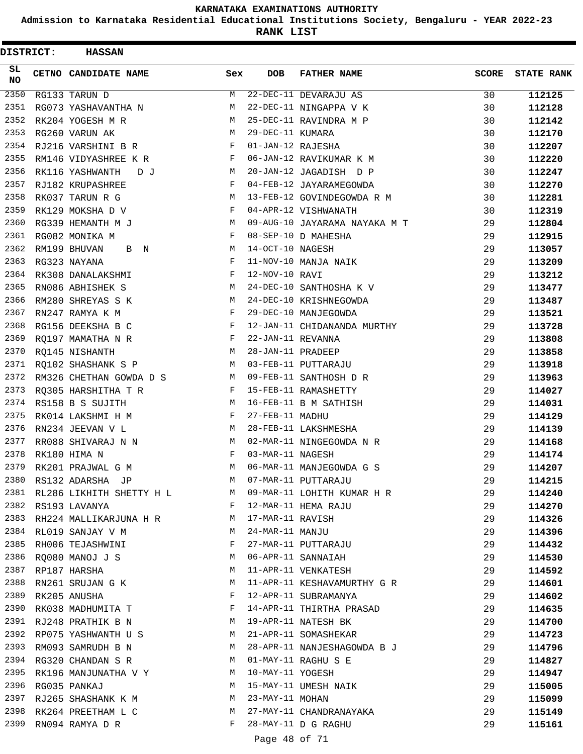**Admission to Karnataka Residential Educational Institutions Society, Bengaluru - YEAR 2022-23**

**RANK LIST**

| DISTRICT:       | <b>HASSAN</b>                   |              |                   |                                          |       |                   |
|-----------------|---------------------------------|--------------|-------------------|------------------------------------------|-------|-------------------|
| SL<br><b>NO</b> | CETNO CANDIDATE NAME            | Sex          | <b>DOB</b>        | <b>FATHER NAME</b>                       | SCORE | <b>STATE RANK</b> |
| 2350            | RG133 TARUN D                   | М            |                   | 22-DEC-11 DEVARAJU AS                    | 30    | 112125            |
| 2351            | RG073 YASHAVANTHA N             | М            |                   | 22-DEC-11 NINGAPPA V K                   | 30    | 112128            |
| 2352            | RK204 YOGESH M R                | М            |                   | 25-DEC-11 RAVINDRA M P                   | 30    | 112142            |
| 2353            | RG260 VARUN AK                  | М            | 29-DEC-11 KUMARA  |                                          | 30    | 112170            |
| 2354            | RJ216 VARSHINI B R              | F            | 01-JAN-12 RAJESHA |                                          | 30    | 112207            |
| 2355            | RM146 VIDYASHREE K R            | F            |                   | 06-JAN-12 RAVIKUMAR K M                  | 30    | 112220            |
| 2356            | RK116 YASHWANTH<br>DJ           | M            |                   | 20-JAN-12 JAGADISH D P                   | 30    | 112247            |
| 2357            | RJ182 KRUPASHREE                | F            |                   | 04-FEB-12 JAYARAMEGOWDA                  | 30    | 112270            |
| 2358            | RK037 TARUN R G                 | M            |                   | 13-FEB-12 GOVINDEGOWDA R M               | 30    | 112281            |
| 2359            | RK129 MOKSHA D V                | F            |                   | 04-APR-12 VISHWANATH                     | 30    | 112319            |
| 2360            | RG339 HEMANTH M J               | M            |                   | 09-AUG-10 JAYARAMA NAYAKA M T            | 29    | 112804            |
| 2361            | RG082 MONIKA M                  | F            |                   | 08-SEP-10 D MAHESHA                      | 29    | 112915            |
| 2362            | RM199 BHUVAN<br>B N             | М            | 14-OCT-10 NAGESH  |                                          | 29    | 113057            |
| 2363            | RG323 NAYANA                    | F            |                   | 11-NOV-10 MANJA NAIK                     | 29    | 113209            |
| 2364            | RK308 DANALAKSHMI               | F            | 12-NOV-10 RAVI    |                                          | 29    | 113212            |
| 2365            | RN086 ABHISHEK S                | М            |                   | 24-DEC-10 SANTHOSHA K V                  | 29    | 113477            |
| 2366            | RM280 SHREYAS S K               | М            |                   | 24-DEC-10 KRISHNEGOWDA                   | 29    | 113487            |
| 2367            | RN247 RAMYA K M                 | F            |                   | 29-DEC-10 MANJEGOWDA                     | 29    | 113521            |
| 2368            | RG156 DEEKSHA B C               | F            |                   | 12-JAN-11 CHIDANANDA MURTHY              | 29    | 113728            |
| 2369            | RQ197 MAMATHA N R               | F            | 22-JAN-11 REVANNA |                                          | 29    | 113808            |
| 2370            | RQ145 NISHANTH                  | M            | 28-JAN-11 PRADEEP |                                          | 29    | 113858            |
| 2371            | RQ102 SHASHANK S P              | M            |                   | 03-FEB-11 PUTTARAJU                      | 29    | 113918            |
| 2372            | RM326 CHETHAN GOWDA D S         | M            |                   | 09-FEB-11 SANTHOSH D R                   | 29    | 113963            |
| 2373            | RQ305 HARSHITHA T R             | F            |                   | 15-FEB-11 RAMASHETTY                     | 29    | 114027            |
| 2374            | RS158 B S SUJITH                | M            |                   | 16-FEB-11 B M SATHISH                    | 29    | 114031            |
| 2375            | RK014 LAKSHMI H M               | F            | 27-FEB-11 MADHU   |                                          | 29    | 114129            |
| 2376            | RN234 JEEVAN V L                | М            |                   | 28-FEB-11 LAKSHMESHA                     | 29    | 114139            |
| 2377            | RR088 SHIVARAJ N N              | M            |                   | 02-MAR-11 NINGEGOWDA N R                 | 29    | 114168            |
| 2378            | RK180 HIMA N                    | F            | 03-MAR-11 NAGESH  |                                          | 29    | 114174            |
| 2379            | RK201 PRAJWAL G M               | M            |                   | 06-MAR-11 MANJEGOWDA G S                 | 29    | 114207            |
|                 | 2380 RS132 ADARSHA JP           | M            |                   | 07-MAR-11 PUTTARAJU                      | 29    | 114215            |
|                 | 2381 RL286 LIKHITH SHETTY H L M |              |                   | 09-MAR-11 LOHITH KUMAR H R               | 29    | 114240            |
|                 | 2382 RS193 LAVANYA              | $\mathbf{F}$ |                   | 12-MAR-11 HEMA RAJU                      | 29    | 114270            |
|                 | 2383 RH224 MALLIKARJUNA H R M   |              | 17-MAR-11 RAVISH  |                                          | 29    | 114326            |
|                 | 2384 RL019 SANJAY V M           | M            | 24-MAR-11 MANJU   |                                          | 29    | 114396            |
| 2385            | RH006 TEJASHWINI                | F            |                   | 24-MAR-11 MANJU<br>27-MAR-11 PUTTARAJU   | 29    | 114432            |
| 2386            | RQ080 MANOJ J S                 | М            |                   | 06-APR-11 SANNAIAH                       | 29    | 114530            |
|                 | 2387 RP187 HARSHA               | М            |                   | 11-APR-11 VENKATESH                      | 29    | 114592            |
| 2388            | RN261 SRUJAN G K                | M            |                   | 11-APR-11 KESHAVAMURTHY G R              | 29    | 114601            |
| 2389            | RK205 ANUSHA                    | F            |                   | 12-APR-11 SUBRAMANYA                     | 29    | 114602            |
| 2390            | RK038 MADHUMITA T               |              |                   | 14-APR-11 THIRTHA PRASAD                 | 29    | 114635            |
|                 | M<br>2391 RJ248 PRATHIK B N     |              |                   | 19-APR-11 NATESH BK                      | 29    | 114700            |
|                 | 2392 RP075 YASHWANTH U S        | M            |                   | 21-APR-11 SOMASHEKAR                     | 29    | 114723            |
| 2393            | RM093 SAMRUDH B N               | M            |                   | 28-APR-11 NANJESHAGOWDA B J              | 29    | 114796            |
| 2394            | RG320 CHANDAN S R               | М            |                   | 01-MAY-11 RAGHU S E                      | 29    | 114827            |
| 2395            | RK196 MANJUNATHA V Y M          |              |                   |                                          | 29    | 114947            |
| 2396            | RG035 PANKAJ                    | M            |                   |                                          | 29    | 115005            |
| 2397            | RJ265 SHASHANK K M              |              |                   | 10-MAY-11 YOGESH<br>15-MAY-11 UMESH NAIK | 29    | 115099            |
| 2398            | RK264 PREETHAM L C              | M            |                   | 27-MAY-11 CHANDRANAYAKA                  | 29    | 115149            |
| 2399            | RN094 RAMYA D R                 | F            |                   | 28-MAY-11 D G RAGHU                      | 29    | 115161            |
|                 |                                 |              |                   |                                          |       |                   |

Page 48 of 71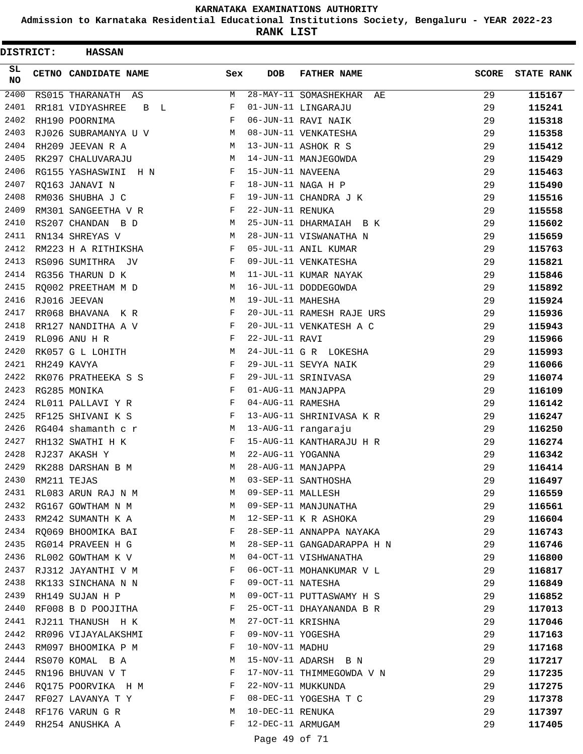**Admission to Karnataka Residential Educational Institutions Society, Bengaluru - YEAR 2022-23**

| <b>DISTRICT:</b> |             | <b>HASSAN</b>           |     |                   |                             |              |                   |
|------------------|-------------|-------------------------|-----|-------------------|-----------------------------|--------------|-------------------|
| SL<br><b>NO</b>  |             | CETNO CANDIDATE NAME    | Sex | DOB               | <b>FATHER NAME</b>          | <b>SCORE</b> | <b>STATE RANK</b> |
| $\frac{2400}{ }$ |             | RS015 THARANATH AS      | М   |                   | 28-MAY-11 SOMASHEKHAR<br>AЕ | 29           | 115167            |
| 2401             |             | RR181 VIDYASHREE<br>B L | F   |                   | 01-JUN-11 LINGARAJU         | 29           | 115241            |
| 2402             |             | RH190 POORNIMA          | F   |                   | 06-JUN-11 RAVI NAIK         | 29           | 115318            |
| 2403             |             | RJ026 SUBRAMANYA U V    | М   |                   | 08-JUN-11 VENKATESHA        | 29           | 115358            |
| 2404             |             | RH209 JEEVAN R A        | М   |                   | 13-JUN-11 ASHOK R S         | 29           | 115412            |
| 2405             |             | RK297 CHALUVARAJU       | М   |                   | 14-JUN-11 MANJEGOWDA        | 29           | 115429            |
| 2406             |             | RG155 YASHASWINI H N    | F   | 15-JUN-11 NAVEENA |                             | 29           | 115463            |
| 2407             |             | RQ163 JANAVI N          | F   |                   | 18-JUN-11 NAGA H P          | 29           | 115490            |
| 2408             |             | RM036 SHUBHA J C        | F   |                   | 19-JUN-11 CHANDRA J K       | 29           | 115516            |
| 2409             |             | RM301 SANGEETHA V R     | F   | 22-JUN-11 RENUKA  |                             | 29           | 115558            |
| 2410             |             | RS207 CHANDAN B D       | М   |                   | 25-JUN-11 DHARMAIAH B K     | 29           | 115602            |
| 2411             |             | RN134 SHREYAS V         | М   |                   | 28-JUN-11 VISWANATHA N      | 29           | 115659            |
| 2412             |             | RM223 H A RITHIKSHA     | F   |                   | 05-JUL-11 ANIL KUMAR        | 29           | 115763            |
| 2413             |             | RS096 SUMITHRA JV       | F   |                   | 09-JUL-11 VENKATESHA        | 29           | 115821            |
| 2414             |             | RG356 THARUN D K        | М   |                   | 11-JUL-11 KUMAR NAYAK       | 29           | 115846            |
| 2415             |             | RQ002 PREETHAM M D      | М   |                   | 16-JUL-11 DODDEGOWDA        | 29           | 115892            |
| 2416             |             | RJ016 JEEVAN            | M   | 19-JUL-11 MAHESHA |                             | 29           | 115924            |
| 2417             |             | RR068 BHAVANA K R       | F   |                   | 20-JUL-11 RAMESH RAJE URS   | 29           | 115936            |
| 2418             |             | RR127 NANDITHA A V      | F   |                   | 20-JUL-11 VENKATESH A C     | 29           | 115943            |
| 2419             |             | RL096 ANU H R           | F   | 22-JUL-11 RAVI    |                             | 29           | 115966            |
| 2420             |             | RK057 G L LOHITH        | М   |                   | 24-JUL-11 G R LOKESHA       | 29           | 115993            |
| 2421             |             | RH249 KAVYA             | F   |                   | 29-JUL-11 SEVYA NAIK        | 29           | 116066            |
| 2422             |             | RK076 PRATHEEKA S S     | F   |                   | 29-JUL-11 SRINIVASA         | 29           | 116074            |
| 2423             |             | RG285 MONIKA            | F   |                   | 01-AUG-11 MANJAPPA          | 29           | 116109            |
| 2424             |             | RL011 PALLAVI Y R       | F   | 04-AUG-11 RAMESHA |                             | 29           | 116142            |
| 2425             |             | RF125 SHIVANI K S       | F   |                   | 13-AUG-11 SHRINIVASA K R    | 29           | 116247            |
| 2426             |             | RG404 shamanth c r      | М   |                   | 13-AUG-11 rangaraju         | 29           | 116250            |
| 2427             |             | RH132 SWATHI H K        | F   |                   | 15-AUG-11 KANTHARAJU H R    | 29           | 116274            |
| 2428             |             | RJ237 AKASH Y           | M   | 22-AUG-11 YOGANNA |                             | 29           | 116342            |
| 2429             |             | RK288 DARSHAN B M       | M   |                   | 28-AUG-11 MANJAPPA          | 29           | 116414            |
| 2430             | RM211 TEJAS |                         | M   |                   | 03-SEP-11 SANTHOSHA         | 29           | 116497            |
| 2431             |             | RL083 ARUN RAJ N M      | M   | 09-SEP-11 MALLESH |                             | 29           | 116559            |
| 2432             |             | RG167 GOWTHAM N M       | М   |                   | 09-SEP-11 MANJUNATHA        | 29           | 116561            |
| 2433             |             | RM242 SUMANTH K A       | М   |                   | 12-SEP-11 K R ASHOKA        | 29           | 116604            |
| 2434             |             | RO069 BHOOMIKA BAI      | F   |                   | 28-SEP-11 ANNAPPA NAYAKA    | 29           | 116743            |
| 2435             |             | RG014 PRAVEEN H G       | M   |                   | 28-SEP-11 GANGADARAPPA H N  | 29           | 116746            |
| 2436             |             | RL002 GOWTHAM K V       | М   |                   | 04-OCT-11 VISHWANATHA       | 29           | 116800            |
| 2437             |             | RJ312 JAYANTHI V M      | F   |                   | 06-OCT-11 MOHANKUMAR V L    | 29           | 116817            |
| 2438             |             | RK133 SINCHANA N N      | F   | 09-OCT-11 NATESHA |                             | 29           | 116849            |
| 2439             |             | RH149 SUJAN H P         | М   |                   | 09-OCT-11 PUTTASWAMY H S    | 29           | 116852            |
| 2440             |             | RF008 B D POOJITHA      | F   |                   | 25-OCT-11 DHAYANANDA B R    | 29           | 117013            |
| 2441             |             | RJ211 THANUSH H K       | М   | 27-OCT-11 KRISHNA |                             | 29           | 117046            |
| 2442             |             | RR096 VIJAYALAKSHMI     | F   | 09-NOV-11 YOGESHA |                             | 29           | 117163            |
| 2443             |             | RM097 BHOOMIKA P M      | F   | 10-NOV-11 MADHU   |                             | 29           | 117168            |
| 2444             |             | RS070 KOMAL B A         | М   |                   | 15-NOV-11 ADARSH B N        | 29           | 117217            |
| 2445             |             | RN196 BHUVAN V T        | F   |                   | 17-NOV-11 THIMMEGOWDA V N   | 29           | 117235            |
| 2446             |             | RQ175 POORVIKA H M      | F   |                   | 22-NOV-11 MUKKUNDA          | 29           | 117275            |
| 2447             |             | RF027 LAVANYA T Y       | F   |                   | 08-DEC-11 YOGESHA T C       | 29           | 117378            |
| 2448             |             | RF176 VARUN G R         | M   | 10-DEC-11 RENUKA  |                             | 29           | 117397            |
| 2449             |             | RH254 ANUSHKA A         | F   | 12-DEC-11 ARMUGAM |                             | 29           | 117405            |
|                  |             |                         |     | Page 49 of 71     |                             |              |                   |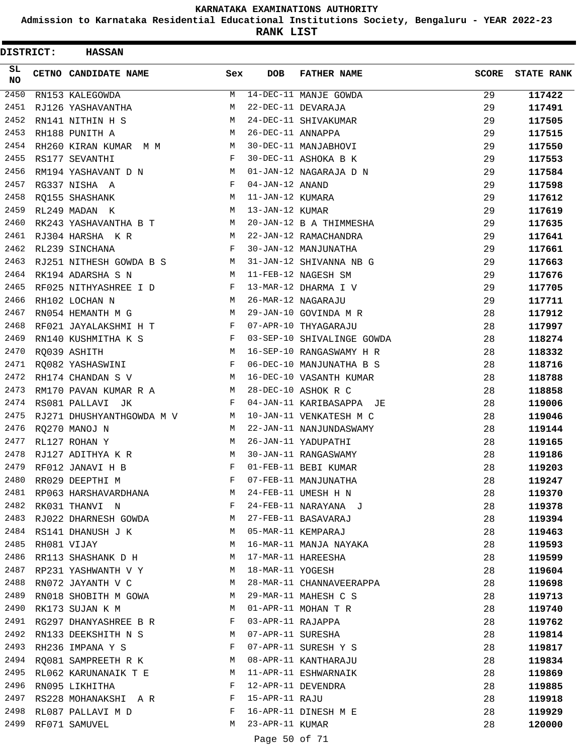**Admission to Karnataka Residential Educational Institutions Society, Bengaluru - YEAR 2022-23**

**RANK LIST**

| DISTRICT:        | <b>HASSAN</b>             |              |                   |                            |              |                   |
|------------------|---------------------------|--------------|-------------------|----------------------------|--------------|-------------------|
| SL.<br><b>NO</b> | CETNO CANDIDATE NAME      | Sex          | <b>DOB</b>        | <b>FATHER NAME</b>         | <b>SCORE</b> | <b>STATE RANK</b> |
| $\frac{2450}{ }$ | RN153 KALEGOWDA           | M            |                   | 14-DEC-11 MANJE GOWDA      | 29           | 117422            |
| 2451             | RJ126 YASHAVANTHA         | M            |                   | 22-DEC-11 DEVARAJA         | 29           | 117491            |
| 2452             | RN141 NITHIN H S          | M            |                   | 24-DEC-11 SHIVAKUMAR       | 29           | 117505            |
| 2453             | RH188 PUNITH A            | М            | 26-DEC-11 ANNAPPA |                            | 29           | 117515            |
| 2454             | RH260 KIRAN KUMAR M M     | M            |                   | 30-DEC-11 MANJABHOVI       | 29           | 117550            |
| 2455             | RS177 SEVANTHI            | F            |                   | 30-DEC-11 ASHOKA B K       | 29           | 117553            |
| 2456             | RM194 YASHAVANT D N       | M            |                   | 01-JAN-12 NAGARAJA D N     | 29           | 117584            |
| 2457             | RG337 NISHA A             | F            | 04-JAN-12 ANAND   |                            | 29           | 117598            |
| 2458             | RQ155 SHASHANK            | M            | 11-JAN-12 KUMARA  |                            | 29           | 117612            |
| 2459             | RL249 MADAN K             | М            | 13-JAN-12 KUMAR   |                            | 29           | 117619            |
| 2460             | RK243 YASHAVANTHA B T     | M            |                   | 20-JAN-12 B A THIMMESHA    | 29           | 117635            |
| 2461             | RJ304 HARSHA KR           | M            |                   | 22-JAN-12 RAMACHANDRA      | 29           | 117641            |
| 2462             | RL239 SINCHANA            | F            |                   | 30-JAN-12 MANJUNATHA       | 29           | 117661            |
| 2463             | RJ251 NITHESH GOWDA B S M |              |                   | 31-JAN-12 SHIVANNA NB G    | 29           | 117663            |
| 2464             | RK194 ADARSHA S N         | M            |                   | 11-FEB-12 NAGESH SM        | 29           | 117676            |
| 2465             | RF025 NITHYASHREE I D     | F            |                   | 13-MAR-12 DHARMA I V       | 29           | 117705            |
| 2466             | RH102 LOCHAN N            | M            |                   | 26-MAR-12 NAGARAJU         | 29           | 117711            |
| 2467             | RN054 HEMANTH M G         | М            |                   | 29-JAN-10 GOVINDA M R      | 28           | 117912            |
| 2468             | RF021 JAYALAKSHMI H T     | $\mathbf{F}$ |                   | 07-APR-10 THYAGARAJU       | 28           | 117997            |
| 2469             | RN140 KUSHMITHA K S       | F            |                   | 03-SEP-10 SHIVALINGE GOWDA | 28           | 118274            |
| 2470             | RQ039 ASHITH              | M            |                   | 16-SEP-10 RANGASWAMY H R   | 28           | 118332            |
| 2471             | RO082 YASHASWINI          | F            |                   | 06-DEC-10 MANJUNATHA B S   | 28           | 118716            |
| 2472             | RH174 CHANDAN S V         | M            |                   | 16-DEC-10 VASANTH KUMAR    | 28           | 118788            |
| 2473             | RM170 PAVAN KUMAR R A     | M            |                   | 28-DEC-10 ASHOK R C        | 28           | 118858            |
| 2474             | RS081 PALLAVI JK          | F            |                   | 04-JAN-11 KARIBASAPPA JE   | 28           | 119006            |
| 2475             | RJ271 DHUSHYANTHGOWDA M V | M            |                   | 10-JAN-11 VENKATESH M C    | 28           | 119046            |
| 2476             | RQ270 MANOJ N             | M            |                   | 22-JAN-11 NANJUNDASWAMY    | 28           | 119144            |
| 2477             | RL127 ROHAN Y             | M            |                   | 26-JAN-11 YADUPATHI        | 28           | 119165            |
| 2478             | RJ127 ADITHYA K R         | M            |                   | 30-JAN-11 RANGASWAMY       | 28           | 119186            |
| 2479             | RF012 JANAVI H B          | F            |                   | 01-FEB-11 BEBI KUMAR       | 28           | 119203            |
| 2480             | RR029 DEEPTHI M           | F            |                   | 07-FEB-11 MANJUNATHA       | 28           | 119247            |
| 2481             | RP063 HARSHAVARDHANA      | M            |                   | 24-FEB-11 UMESH H N        | 28           | 119370            |
| 2482             | RK031 THANVI N            | F            |                   | 24-FEB-11 NARAYANA J       | 28           | 119378            |
| 2483             | RJ022 DHARNESH GOWDA      | М            |                   | 27-FEB-11 BASAVARAJ        | 28           | 119394            |
|                  | 2484 RS141 DHANUSH J K    | М            |                   | 05-MAR-11 KEMPARAJ         | 28           | 119463            |
| 2485             | RH081 VIJAY               | M            |                   | 16-MAR-11 MANJA NAYAKA     | 28           | 119593            |
| 2486             | RR113 SHASHANK D H        | М            |                   | 17-MAR-11 HAREESHA         | 28           | 119599            |
| 2487             | RP231 YASHWANTH V Y       | M            | 18-MAR-11 YOGESH  |                            | 28           | 119604            |
| 2488             | RN072 JAYANTH V C         | M            |                   | 28-MAR-11 CHANNAVEERAPPA   | 28           | 119698            |
| 2489             | RN018 SHOBITH M GOWA      | M            |                   | 29-MAR-11 MAHESH C S       | 28           | 119713            |
| 2490             | RK173 SUJAN K M           | М            |                   | 01-APR-11 MOHAN T R        | 28           | 119740            |
| 2491             | RG297 DHANYASHREE B R     | F            | 03-APR-11 RAJAPPA |                            | 28           | 119762            |
| 2492             | RN133 DEEKSHITH N S       | М            | 07-APR-11 SURESHA |                            | 28           | 119814            |
| 2493             | RH236 IMPANA Y S          | F            |                   | 07-APR-11 SURESH Y S       | 28           | 119817            |
| 2494             | RQ081 SAMPREETH R K       | M            |                   | 08-APR-11 KANTHARAJU       | 28           | 119834            |
| 2495             | RL062 KARUNANAIK T E      | M            |                   | 11-APR-11 ESHWARNAIK       | 28           | 119869            |
| 2496             | RN095 LIKHITHA            | F            |                   | 12-APR-11 DEVENDRA         | 28           | 119885            |
| 2497             | RS228 MOHANAKSHI A R      | F            | 15-APR-11 RAJU    |                            | 28           | 119918            |
| 2498             | RL087 PALLAVI M D         | F            |                   | 16-APR-11 DINESH M E       | 28           | 119929            |
| 2499             | RF071 SAMUVEL             | М            | 23-APR-11 KUMAR   |                            | 28           | 120000            |
|                  |                           |              |                   |                            |              |                   |

Page 50 of 71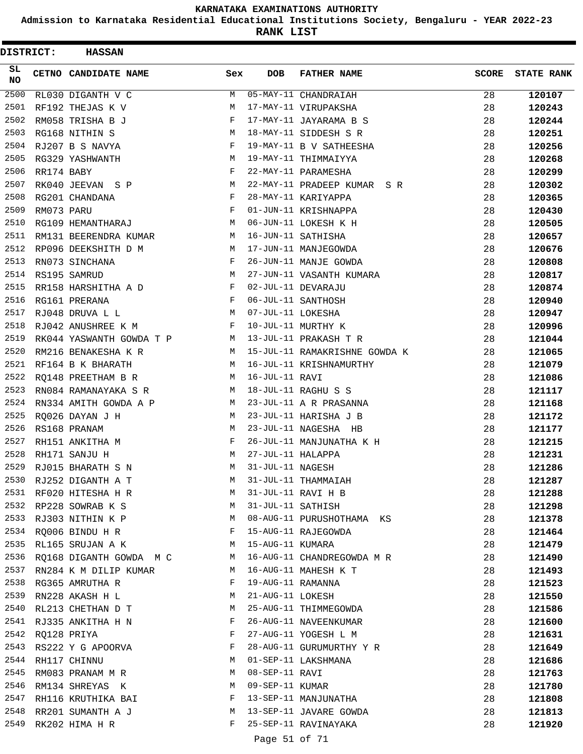**Admission to Karnataka Residential Educational Institutions Society, Bengaluru - YEAR 2022-23**

| DISTRICT:        |            | <b>HASSAN</b>            |     |                   |                                   |              |                   |
|------------------|------------|--------------------------|-----|-------------------|-----------------------------------|--------------|-------------------|
| SL.<br><b>NO</b> |            | CETNO CANDIDATE NAME     | Sex | <b>DOB</b>        | <b>FATHER NAME</b>                | <b>SCORE</b> | <b>STATE RANK</b> |
| 2500             |            | RL030 DIGANTH V C        | M   |                   | $\overline{05-MAY-11}$ CHANDRAIAH | 28           | 120107            |
| 2501             |            | RF192 THEJAS K V         | M   |                   | 17-MAY-11 VIRUPAKSHA              | 28           | 120243            |
| 2502             |            | RM058 TRISHA B J         | F   |                   | 17-MAY-11 JAYARAMA B S            | 28           | 120244            |
| 2503             |            | RG168 NITHIN S           | М   |                   | 18-MAY-11 SIDDESH S R             | 28           | 120251            |
| 2504             |            | RJ207 B S NAVYA          | F   |                   | 19-MAY-11 B V SATHEESHA           | 28           | 120256            |
| 2505             |            | RG329 YASHWANTH          | М   |                   | 19-MAY-11 THIMMAIYYA              | 28           | 120268            |
| 2506             | RR174 BABY |                          | F   |                   | 22-MAY-11 PARAMESHA               | 28           | 120299            |
| 2507             |            | RK040 JEEVAN S P         | М   |                   | 22-MAY-11 PRADEEP KUMAR SR        | 28           | 120302            |
| 2508             |            | RG201 CHANDANA           | F   |                   | 28-MAY-11 KARIYAPPA               | 28           | 120365            |
| 2509             | RM073 PARU |                          | F   |                   | 01-JUN-11 KRISHNAPPA              | 28           | 120430            |
| 2510             |            | RG109 HEMANTHARAJ        | M   |                   | 06-JUN-11 LOKESH K H              | 28           | 120505            |
| 2511             |            | RM131 BEERENDRA KUMAR    | M   |                   | 16-JUN-11 SATHISHA                | 28           | 120657            |
| 2512             |            | RP096 DEEKSHITH D M      | M   |                   | 17-JUN-11 MANJEGOWDA              | 28           | 120676            |
| 2513             |            | RN073 SINCHANA           | F   |                   | 26-JUN-11 MANJE GOWDA             | 28           | 120808            |
| 2514             |            | RS195 SAMRUD             | M   |                   | 27-JUN-11 VASANTH KUMARA          | 28           | 120817            |
| 2515             |            | RR158 HARSHITHA A D      | F   |                   | 02-JUL-11 DEVARAJU                | 28           | 120874            |
| 2516             |            | RG161 PRERANA            | F   |                   | 06-JUL-11 SANTHOSH                | 28           | 120940            |
| 2517             |            | RJ048 DRUVA L L          | М   | 07-JUL-11 LOKESHA |                                   | 28           | 120947            |
| 2518             |            | RJ042 ANUSHREE K M       | F   |                   | 10-JUL-11 MURTHY K                | 28           | 120996            |
| 2519             |            | RK044 YASWANTH GOWDA T P | M   |                   | 13-JUL-11 PRAKASH T R             | 28           | 121044            |
| 2520             |            | RM216 BENAKESHA K R      | M   |                   | 15-JUL-11 RAMAKRISHNE GOWDA K     | 28           | 121065            |
| 2521             |            | RF164 B K BHARATH        | М   |                   | 16-JUL-11 KRISHNAMURTHY           | 28           | 121079            |
| 2522             |            | RQ148 PREETHAM B R       | M   | 16-JUL-11 RAVI    |                                   | 28           | 121086            |
| 2523             |            | RN084 RAMANAYAKA S R     | M   |                   | 18-JUL-11 RAGHU S S               | 28           | 121117            |
| 2524             |            | RN334 AMITH GOWDA A P    | M   |                   | 23-JUL-11 A R PRASANNA            | 28           | 121168            |
| 2525             |            | RQ026 DAYAN J H          | М   |                   | 23-JUL-11 HARISHA J B             | 28           | 121172            |
| 2526             |            | RS168 PRANAM             | M   |                   | 23-JUL-11 NAGESHA HB              | 28           | 121177            |
| 2527             |            | RH151 ANKITHA M          | F   |                   | 26-JUL-11 MANJUNATHA K H          | 28           | 121215            |
| 2528             |            | RH171 SANJU H            | M   | 27-JUL-11 HALAPPA |                                   | 28           | 121231            |
| 2529             |            | RJ015 BHARATH S N        | M   | 31-JUL-11 NAGESH  |                                   | 28           | 121286            |
| 2530             |            | RJ252 DIGANTH A T        | M   |                   | 31-JUL-11 THAMMAIAH               | 28           | 121287            |
| 2531             |            | RF020 HITESHA H R        | M   |                   | 31-JUL-11 RAVI H B                | 28           | 121288            |
| 2532             |            | RP228 SOWRAB K S         | М   | 31-JUL-11 SATHISH |                                   | 28           | 121298            |
| 2533             |            | RJ303 NITHIN K P         | M   |                   | 08-AUG-11 PURUSHOTHAMA KS         | 28           | 121378            |
|                  |            | 2534 RQ006 BINDU H R     | F   |                   | 15-AUG-11 RAJEGOWDA               | 28           | 121464            |
| 2535             |            | RL165 SRUJAN A K         | M   | 15-AUG-11 KUMARA  |                                   | 28           | 121479            |
| 2536             |            | RO168 DIGANTH GOWDA M C  | M   |                   | 16-AUG-11 CHANDREGOWDA M R        | 28           | 121490            |
| 2537             |            | RN284 K M DILIP KUMAR    | M   |                   | 16-AUG-11 MAHESH K T              | 28           | 121493            |
| 2538             |            | RG365 AMRUTHA R          | F   | 19-AUG-11 RAMANNA |                                   | 28           | 121523            |
| 2539             |            | RN228 AKASH H L          | М   | 21-AUG-11 LOKESH  |                                   | 28           | 121550            |
| 2540             |            | RL213 CHETHAN D T        | М   |                   | 25-AUG-11 THIMMEGOWDA             | 28           | 121586            |
| 2541             |            | RJ335 ANKITHA H N        | F   |                   | 26-AUG-11 NAVEENKUMAR             | 28           | 121600            |
| 2542             |            | RQ128 PRIYA              | F   |                   | 27-AUG-11 YOGESH L M              | 28           | 121631            |
| 2543             |            | RS222 Y G APOORVA        | F   |                   | 28-AUG-11 GURUMURTHY Y R          | 28           | 121649            |
| 2544             |            | RH117 CHINNU             | М   |                   | 01-SEP-11 LAKSHMANA               | 28           | 121686            |
| 2545             |            | RM083 PRANAM M R         | M   | 08-SEP-11 RAVI    |                                   | 28           | 121763            |
| 2546             |            | RM134 SHREYAS K          | М   | 09-SEP-11 KUMAR   |                                   | 28           | 121780            |
| 2547             |            | RH116 KRUTHIKA BAI       | F   |                   | 13-SEP-11 MANJUNATHA              | 28           | 121808            |
| 2548             |            | RR201 SUMANTH A J        | M   |                   | 13-SEP-11 JAVARE GOWDA            | 28           | 121813            |
| 2549             |            | RK202 HIMA H R           | F   |                   | 25-SEP-11 RAVINAYAKA              | 28           | 121920            |
|                  |            |                          |     | Page 51 of 71     |                                   |              |                   |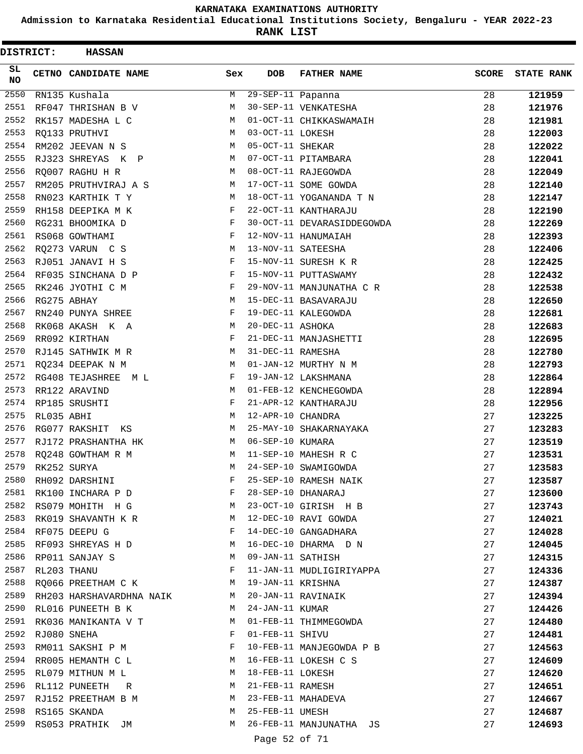**Admission to Karnataka Residential Educational Institutions Society, Bengaluru - YEAR 2022-23**

**RANK LIST**

| DISTRICT:        |            | <b>HASSAN</b>            |     |                   |                            |              |                   |
|------------------|------------|--------------------------|-----|-------------------|----------------------------|--------------|-------------------|
| SL.<br><b>NO</b> |            | CETNO CANDIDATE NAME     | Sex | <b>DOB</b>        | <b>FATHER NAME</b>         | <b>SCORE</b> | <b>STATE RANK</b> |
| 2550             |            | RN135 Kushala            | M   | 29-SEP-11 Papanna |                            | 28           | 121959            |
| 2551             |            | RF047 THRISHAN B V       | M   |                   | 30-SEP-11 VENKATESHA       | 28           | 121976            |
| 2552             |            | RK157 MADESHA L C        | M   |                   | 01-OCT-11 CHIKKASWAMAIH    | 28           | 121981            |
| 2553             |            | RQ133 PRUTHVI            | M   | 03-OCT-11 LOKESH  |                            | 28           | 122003            |
| 2554             |            | RM202 JEEVAN N S         | M   | 05-OCT-11 SHEKAR  |                            | 28           | 122022            |
| 2555             |            | RJ323 SHREYAS K P        | М   |                   | 07-OCT-11 PITAMBARA        | 28           | 122041            |
| 2556             |            | RO007 RAGHU H R          | M   |                   | 08-OCT-11 RAJEGOWDA        | 28           | 122049            |
| 2557             |            | RM205 PRUTHVIRAJ A S     | М   |                   | 17-OCT-11 SOME GOWDA       | 28           | 122140            |
| 2558             |            | RN023 KARTHIK T Y        | M   |                   | 18-OCT-11 YOGANANDA T N    | 28           | 122147            |
| 2559             |            | RH158 DEEPIKA M K        | F   |                   | 22-OCT-11 KANTHARAJU       | 28           | 122190            |
| 2560             |            | RG231 BHOOMIKA D         | F   |                   | 30-OCT-11 DEVARASIDDEGOWDA | 28           | 122269            |
| 2561             |            | RS068 GOWTHAMI           | F   |                   | 12-NOV-11 HANUMAIAH        | 28           | 122393            |
| 2562             |            | RQ273 VARUN C S          | М   |                   | 13-NOV-11 SATEESHA         | 28           | 122406            |
| 2563             |            | RJ051 JANAVI H S         | F   |                   | 15-NOV-11 SURESH K R       | 28           | 122425            |
| 2564             |            | RF035 SINCHANA D P       | F   |                   | 15-NOV-11 PUTTASWAMY       | 28           | 122432            |
| 2565             |            | RK246 JYOTHI C M         | F   |                   | 29-NOV-11 MANJUNATHA C R   | 28           | 122538            |
| 2566             |            | RG275 ABHAY              | M   |                   | 15-DEC-11 BASAVARAJU       | 28           | 122650            |
| 2567             |            | RN240 PUNYA SHREE        | F   |                   | 19-DEC-11 KALEGOWDA        | 28           | 122681            |
| 2568             |            | RK068 AKASH K A          | M   | 20-DEC-11 ASHOKA  |                            | 28           | 122683            |
| 2569             |            | RR092 KIRTHAN            | F   |                   | 21-DEC-11 MANJASHETTI      | 28           | 122695            |
| 2570             |            | RJ145 SATHWIK M R        | M   | 31-DEC-11 RAMESHA |                            | 28           | 122780            |
| 2571             |            | RQ234 DEEPAK N M         | M   |                   | 01-JAN-12 MURTHY N M       | 28           | 122793            |
| 2572             |            | RG408 TEJASHREE M L      | F   |                   | 19-JAN-12 LAKSHMANA        | 28           | 122864            |
| 2573             |            | RR122 ARAVIND            | M   |                   | 01-FEB-12 KENCHEGOWDA      | 28           | 122894            |
| 2574             |            | RP185 SRUSHTI            | F   |                   | 21-APR-12 KANTHARAJU       | 28           | 122956            |
| 2575             | RL035 ABHI |                          | М   | 12-APR-10 CHANDRA |                            | 27           | 123225            |
| 2576             |            | RG077 RAKSHIT KS         | M   |                   | 25-MAY-10 SHAKARNAYAKA     | 27           | 123283            |
| 2577             |            | RJ172 PRASHANTHA HK      | M   | 06-SEP-10 KUMARA  |                            | 27           | 123519            |
| 2578             |            | RQ248 GOWTHAM R M        | M   |                   | 11-SEP-10 MAHESH R C       | 27           | 123531            |
| 2579             |            | RK252 SURYA              | M   |                   | 24-SEP-10 SWAMIGOWDA       | 27           | 123583            |
| 2580             |            | RH092 DARSHINI           | F   |                   | 25-SEP-10 RAMESH NAIK      | 27           | 123587            |
| 2581             |            | RK100 INCHARA P D        | F   |                   | 28-SEP-10 DHANARAJ         | 27           | 123600            |
| 2582             |            | RS079 MOHITH H G         | M   |                   | 23-OCT-10 GIRISH H B       | 27           | 123743            |
| 2583             |            | RK019 SHAVANTH K R       | M   |                   | 12-DEC-10 RAVI GOWDA       | 27           | 124021            |
|                  |            | 2584 RF075 DEEPU G       | F   |                   | 14-DEC-10 GANGADHARA       | 27           | 124028            |
| 2585             |            | RF093 SHREYAS H D        | M   |                   | 16-DEC-10 DHARMA D N       | 27           | 124045            |
| 2586             |            | RP011 SANJAY S           | M   | 09-JAN-11 SATHISH |                            | 27           | 124315            |
| 2587             |            | RL203 THANU              | F   |                   | 11-JAN-11 MUDLIGIRIYAPPA   | 27           | 124336            |
| 2588             |            | RQ066 PREETHAM C K       | М   | 19-JAN-11 KRISHNA |                            | 27           | 124387            |
| 2589             |            | RH203 HARSHAVARDHNA NAIK | M   |                   | 20-JAN-11 RAVINAIK         | 27           | 124394            |
| 2590             |            | RL016 PUNEETH B K        | М   | 24-JAN-11 KUMAR   |                            | 27           | 124426            |
| 2591             |            | RK036 MANIKANTA V T      | M   |                   | 01-FEB-11 THIMMEGOWDA      | 27           | 124480            |
| 2592             |            | RJ080 SNEHA              | F   | 01-FEB-11 SHIVU   |                            | 27           | 124481            |
| 2593             |            | RM011 SAKSHI P M         | F   |                   | 10-FEB-11 MANJEGOWDA P B   | 27           | 124563            |
| 2594             |            | RR005 HEMANTH C L        | M   |                   | 16-FEB-11 LOKESH C S       | 27           | 124609            |
| 2595             |            | RL079 MITHUN M L         | M   | 18-FEB-11 LOKESH  |                            | 27           | 124620            |
| 2596             |            | RL112 PUNEETH R          | М   | 21-FEB-11 RAMESH  |                            | 27           | 124651            |
| 2597             |            | RJ152 PREETHAM B M       | М   |                   | 23-FEB-11 MAHADEVA         | 27           | 124667            |
| 2598             |            | RS165 SKANDA             | M   | 25-FEB-11 UMESH   |                            | 27           | 124687            |
| 2599             |            | RS053 PRATHIK JM         | M   |                   | 26-FEB-11 MANJUNATHA JS    | 27           | 124693            |
|                  |            |                          |     |                   |                            |              |                   |

Page 52 of 71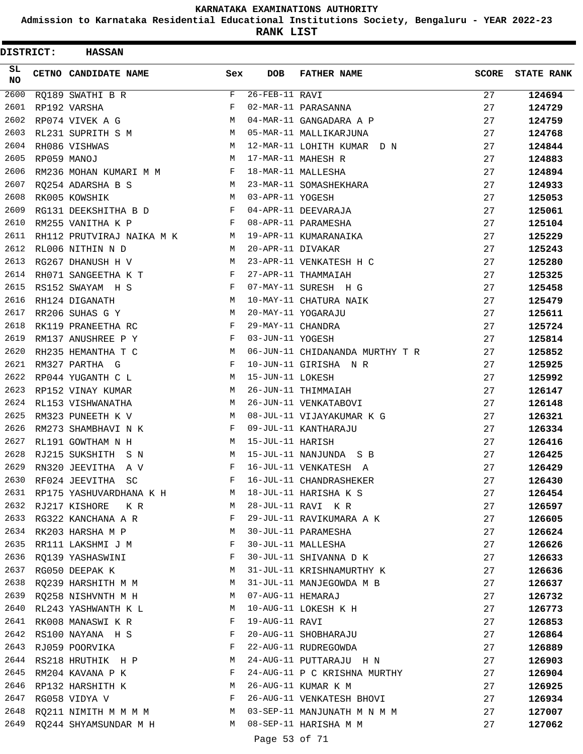**Admission to Karnataka Residential Educational Institutions Society, Bengaluru - YEAR 2022-23**

| <b>DISTRICT:</b> |             | <b>HASSAN</b>                |              |                   |                                 |              |                   |
|------------------|-------------|------------------------------|--------------|-------------------|---------------------------------|--------------|-------------------|
| SL<br><b>NO</b>  |             | CETNO CANDIDATE NAME         | Sex          | <b>DOB</b>        | <b>FATHER NAME</b>              | <b>SCORE</b> | <b>STATE RANK</b> |
| 2600             |             | RQ189 SWATHI B R             | F            | $26$ -FEB-11 RAVI |                                 | 27           | 124694            |
| 2601             |             | RP192 VARSHA                 | F            |                   | 02-MAR-11 PARASANNA             | 27           | 124729            |
| 2602             |             | RP074 VIVEK A G              | M            |                   | 04-MAR-11 GANGADARA A P         | 27           | 124759            |
| 2603             |             | RL231 SUPRITH S M            | M            |                   | 05-MAR-11 MALLIKARJUNA          | 27           | 124768            |
| 2604             |             | RH086 VISHWAS                | M            |                   | 12-MAR-11 LOHITH KUMAR D N      | 27           | 124844            |
| 2605             | RP059 MANOJ |                              | M            |                   | 17-MAR-11 MAHESH R              | 27           | 124883            |
| 2606             |             | RM236 MOHAN KUMARI M M       | F            |                   | 18-MAR-11 MALLESHA              | 27           | 124894            |
| 2607             |             | RQ254 ADARSHA B S            | M            |                   | 23-MAR-11 SOMASHEKHARA          | 27           | 124933            |
| 2608             |             | RK005 KOWSHIK                | M            | 03-APR-11 YOGESH  |                                 | 27           | 125053            |
| 2609             |             | RG131 DEEKSHITHA B D         | F            |                   | 04-APR-11 DEEVARAJA             | 27           | 125061            |
| 2610             |             | RM255 VANITHA K P            | F            |                   | 08-APR-11 PARAMESHA             | 27           | 125104            |
| 2611             |             | RH112 PRUTVIRAJ NAIKA M K    | M            |                   | 19-APR-11 KUMARANAIKA           | 27           | 125229            |
| 2612             |             | RL006 NITHIN N D             | М            | 20-APR-11 DIVAKAR |                                 | 27           | 125243            |
| 2613             |             | RG267 DHANUSH H V            | М            |                   | 23-APR-11 VENKATESH H C         | 27           | 125280            |
| 2614             |             | RH071 SANGEETHA K T          | F            |                   | 27-APR-11 THAMMAIAH             | 27           | 125325            |
| 2615             |             | RS152 SWAYAM H S             | $_{\rm F}$   |                   | 07-MAY-11 SURESH H G            | 27           | 125458            |
| 2616             |             | RH124 DIGANATH               | М            |                   | 10-MAY-11 CHATURA NAIK          | 27           | 125479            |
| 2617             |             | RR206 SUHAS G Y              | M            |                   | 20-MAY-11 YOGARAJU              | 27           | 125611            |
| 2618             |             | RK119 PRANEETHA RC           | $\mathbf{F}$ | 29-MAY-11 CHANDRA |                                 | 27           | 125724            |
| 2619             |             | RM137 ANUSHREE P Y           | F            | 03-JUN-11 YOGESH  |                                 | 27           | 125814            |
| 2620             |             | RH235 HEMANTHA T C           | М            |                   | 06-JUN-11 CHIDANANDA MURTHY T R | 27           | 125852            |
| 2621             |             | RM327 PARTHA G               | F            |                   | 10-JUN-11 GIRISHA N R           | 27           | 125925            |
| 2622             |             | RP044 YUGANTH C L            | M            | 15-JUN-11 LOKESH  |                                 | 27           | 125992            |
| 2623             |             | RP152 VINAY KUMAR            | M            |                   | 26-JUN-11 THIMMAIAH             | 27           | 126147            |
| 2624             |             | RL153 VISHWANATHA            | M            |                   | 26-JUN-11 VENKATABOVI           | 27           | 126148            |
| 2625             |             | RM323 PUNEETH K V            | М            |                   | 08-JUL-11 VIJAYAKUMAR K G       | 27           | 126321            |
| 2626             |             | RM273 SHAMBHAVI N K          | F            |                   | 09-JUL-11 KANTHARAJU            | 27           | 126334            |
| 2627             |             | RL191 GOWTHAM N H            | М            | 15-JUL-11 HARISH  |                                 | 27           | 126416            |
| 2628             |             | RJ215 SUKSHITH<br>S N        | M            |                   | 15-JUL-11 NANJUNDA S B          | 27           | 126425            |
| 2629             |             | RN320 JEEVITHA<br>A V        | F            |                   | 16-JUL-11 VENKATESH A           | 27           | 126429            |
|                  |             | 2630 RF024 JEEVITHA SC       | F            |                   | 16-JUL-11 CHANDRASHEKER         | 27           | 126430            |
|                  |             | 2631 RP175 YASHUVARDHANA K H | M            |                   | 18-JUL-11 HARISHA K S           | 27           | 126454            |
|                  |             | 2632 RJ217 KISHORE KR        | M            |                   | 28-JUL-11 RAVI K R              | 27           | 126597            |
| 2633             |             | RG322 KANCHANA A R           | F            |                   | 29-JUL-11 RAVIKUMARA A K        | 27           | 126605            |
|                  |             | 2634 RK203 HARSHA M P        | М            |                   | 30-JUL-11 PARAMESHA             | 27           | 126624            |
| 2635             |             | RR111 LAKSHMI J M            | F            |                   | 30-JUL-11 MALLESHA              | 27           | 126626            |
| 2636             |             | RQ139 YASHASWINI             | F            |                   | 30-JUL-11 SHIVANNA D K          | 27           | 126633            |
| 2637             |             | RG050 DEEPAK K               | M            |                   | 31-JUL-11 KRISHNAMURTHY K       | 27           | 126636            |
| 2638             |             | RQ239 HARSHITH M M           | M            |                   | 31-JUL-11 MANJEGOWDA M B        | 27           | 126637            |
|                  |             | 2639 RQ258 NISHVNTH M H      | M            | 07-AUG-11 HEMARAJ |                                 | 27           | 126732            |
| 2640             |             | RL243 YASHWANTH K L          | M            |                   | 10-AUG-11 LOKESH K H            | 27           | 126773            |
| 2641             |             | RK008 MANASWI K R            | F            | 19-AUG-11 RAVI    |                                 | 27           | 126853            |
|                  |             | 2642 RS100 NAYANA H S        | F            |                   | 20-AUG-11 SHOBHARAJU            | 27           | 126864            |
| 2643             |             | RJ059 POORVIKA               | F            |                   | 22-AUG-11 RUDREGOWDA            | 27           | 126889            |
| 2644             |             | RS218 HRUTHIK H P            | M            |                   | 24-AUG-11 PUTTARAJU H N         | 27           | 126903            |
| 2645             |             | RM204 KAVANA P K             | F            |                   | 24-AUG-11 P C KRISHNA MURTHY    | 27           | 126904            |
| 2646             |             | RP132 HARSHITH K             | M            |                   | 26-AUG-11 KUMAR K M             | 27           | 126925            |
| 2647             |             | RG058 VIDYA V                | F            |                   | 26-AUG-11 VENKATESH BHOVI       | 27           | 126934            |
| 2648             |             | RQ211 NIMITH M M M M         | M            |                   | 03-SEP-11 MANJUNATH M N M M     | 27           | 127007            |
| 2649             |             | RQ244 SHYAMSUNDAR M H        | M            |                   | 08-SEP-11 HARISHA M M           | 27           | 127062            |
|                  |             |                              |              | Page 53 of 71     |                                 |              |                   |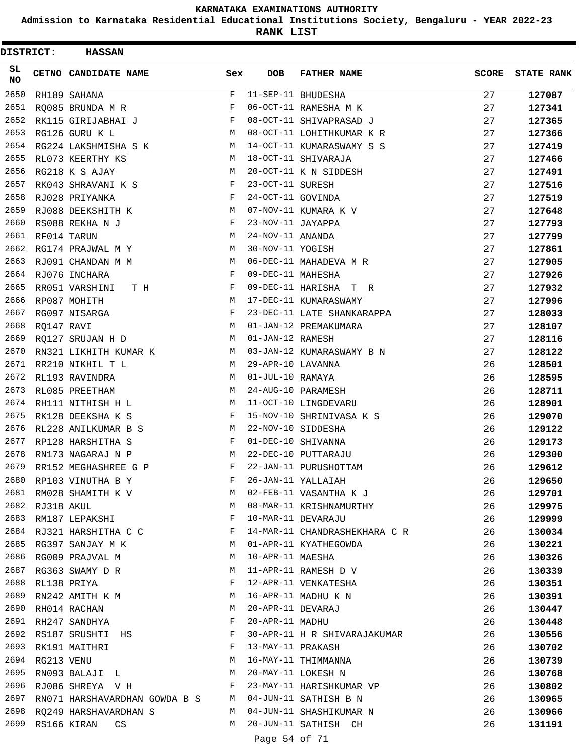**Admission to Karnataka Residential Educational Institutions Society, Bengaluru - YEAR 2022-23**

| DISTRICT:        |             | <b>HASSAN</b>                   |             |                   |                                              |              |                   |
|------------------|-------------|---------------------------------|-------------|-------------------|----------------------------------------------|--------------|-------------------|
| SL.<br><b>NO</b> |             | <b>CETNO CANDIDATE NAME</b>     | Sex         | <b>DOB</b>        | <b>FATHER NAME</b>                           | <b>SCORE</b> | <b>STATE RANK</b> |
| 2650             |             | RH189 SAHANA                    | $\mathbf F$ |                   | 11-SEP-11 BHUDESHA                           | 27           | 127087            |
| 2651             |             | RQ085 BRUNDA M R                | F           |                   | 06-OCT-11 RAMESHA M K                        | 27           | 127341            |
| 2652             |             | RK115 GIRIJABHAI J              | F           |                   | 08-OCT-11 SHIVAPRASAD J                      | 27           | 127365            |
| 2653             |             | RG126 GURU K L                  | М           |                   | 08-OCT-11 LOHITHKUMAR K R                    | 27           | 127366            |
| 2654             |             | RG224 LAKSHMISHA S K            | М           |                   | 14-OCT-11 KUMARASWAMY S S                    | 27           | 127419            |
| 2655             |             | RL073 KEERTHY KS                | М           |                   | 18-OCT-11 SHIVARAJA                          | 27           | 127466            |
| 2656             |             | RG218 K S AJAY                  | M           |                   | 20-OCT-11 K N SIDDESH                        | 27           | 127491            |
| 2657             |             | RK043 SHRAVANI K S              | F           | 23-OCT-11 SURESH  |                                              | 27           | 127516            |
| 2658             |             | RJ028 PRIYANKA                  | F           | 24-OCT-11 GOVINDA |                                              | 27           | 127519            |
| 2659             |             | RJ088 DEEKSHITH K               | M           |                   | 07-NOV-11 KUMARA K V                         | 27           | 127648            |
| 2660             |             | RS088 REKHA N J                 | F           | 23-NOV-11 JAYAPPA |                                              | 27           | 127793            |
| 2661             | RF014 TARUN |                                 | М           | 24-NOV-11 ANANDA  |                                              | 27           | 127799            |
| 2662             |             | RG174 PRAJWAL M Y               | М           | 30-NOV-11 YOGISH  |                                              | 27           | 127861            |
| 2663             |             | RJ091 CHANDAN M M               | M           |                   | 06-DEC-11 MAHADEVA M R                       | 27           | 127905            |
| 2664             |             | RJ076 INCHARA                   | F           | 09-DEC-11 MAHESHA |                                              | 27           | 127926            |
| 2665             |             | RR051 VARSHINI<br>T H           | F           |                   | 09-DEC-11 HARISHA T R                        | 27           | 127932            |
| 2666             |             | RP087 MOHITH                    | M           |                   | 17-DEC-11 KUMARASWAMY                        | 27           | 127996            |
| 2667             |             | RG097 NISARGA                   | F           |                   | 23-DEC-11 LATE SHANKARAPPA                   | 27           | 128033            |
| 2668             | RQ147 RAVI  |                                 | M           |                   | 01-JAN-12 PREMAKUMARA                        | 27           | 128107            |
| 2669             |             | RQ127 SRUJAN H D                | М           | 01-JAN-12 RAMESH  |                                              | 27           | 128116            |
| 2670             |             | RN321 LIKHITH KUMAR K           | M           |                   | 03-JAN-12 KUMARASWAMY B N                    | 27           | 128122            |
| 2671             |             | RR210 NIKHIL T L                | M           | 29-APR-10 LAVANNA |                                              | 26           | 128501            |
| 2672             |             | RL193 RAVINDRA                  | M           | 01-JUL-10 RAMAYA  |                                              | 26           | 128595            |
| 2673             |             | RL085 PREETHAM                  | M           |                   | 24-AUG-10 PARAMESH                           | 26           | 128711            |
| 2674             |             | RH111 NITHISH H L               | М           |                   | 11-OCT-10 LINGDEVARU                         | 26           | 128901            |
| 2675             |             | RK128 DEEKSHA K S               | F           |                   | 15-NOV-10 SHRINIVASA K S                     | 26           | 129070            |
| 2676             |             | RL228 ANILKUMAR B S             | M           |                   | 22-NOV-10 SIDDESHA                           | 26           | 129122            |
| 2677             |             | RP128 HARSHITHA S               | F           |                   | 01-DEC-10 SHIVANNA                           | 26           | 129173            |
| 2678             |             | RN173 NAGARAJ N P               | М           |                   | 22-DEC-10 PUTTARAJU                          | 26           | 129300            |
| 2679             |             | RR152 MEGHASHREE G P            | F           |                   | 22-JAN-11 PURUSHOTTAM                        | 26           | 129612            |
| 2680             |             | RP103 VINUTHA B Y               | F           |                   |                                              | 26           | 129650            |
|                  |             | 2681 RM028 SHAMITH K V          | M           |                   | 26-JAN-11 YALLAIAH<br>02-FEB-11 VASANTHA K J | 26           | 129701            |
| 2682             | RJ318 AKUL  |                                 | М           |                   | 08-MAR-11 KRISHNAMURTHY                      | 26           | 129975            |
| 2683             |             | RM187 LEPAKSHI                  | F           |                   | 10-MAR-11 DEVARAJU                           | 26           | 129999            |
|                  |             | 2684 RJ321 HARSHITHA C C        | F           |                   | 14-MAR-11 CHANDRASHEKHARA C R                | 26           | 130034            |
| 2685             |             | RG397 SANJAY M K                | M           |                   | 01-APR-11 KYATHEGOWDA                        | 26           | 130221            |
| 2686             |             | RG009 PRAJVAL M                 | М           | 10-APR-11 MAESHA  |                                              | 26           | 130326            |
| 2687             |             | RG363 SWAMY D R                 | М           |                   | 11-APR-11 RAMESH D V                         | 26           | 130339            |
| 2688             |             | RL138 PRIYA                     | F           |                   | 12-APR-11 VENKATESHA                         | 26           | 130351            |
| 2689             |             | RN242 AMITH K M                 | М           |                   | 16-APR-11 MADHU K N                          | 26           | 130391            |
| 2690             |             | RH014 RACHAN                    | М           | 20-APR-11 DEVARAJ |                                              | 26           | 130447            |
| 2691             |             | RH247 SANDHYA                   | F           | 20-APR-11 MADHU   |                                              | 26           | 130448            |
|                  |             | 2692 RS187 SRUSHTI HS           | F           |                   | 30-APR-11 H R SHIVARAJAKUMAR                 | 26           | 130556            |
| 2693             |             | RK191 MAITHRI                   | F           | 13-MAY-11 PRAKASH |                                              | 26           | 130702            |
| 2694             | RG213 VENU  |                                 | М           |                   | 16-MAY-11 THIMMANNA                          | 26           | 130739            |
| 2695             |             | RN093 BALAJI L                  | М           |                   | 20-MAY-11 LOKESH N                           | 26           | 130768            |
| 2696             |             | RJ086 SHREYA V H                | F           |                   | 23-MAY-11 HARISHKUMAR VP                     | 26           | 130802            |
| 2697             |             | RN071 HARSHAVARDHAN GOWDA B S M |             |                   | 04-JUN-11 SATHISH B N                        | 26           | 130965            |
| 2698             |             | RQ249 HARSHAVARDHAN S           | M           |                   | 04-JUN-11 SHASHIKUMAR N                      | 26           | 130966            |
| 2699             |             | RS166 KIRAN<br>CS.              | M           |                   | 20-JUN-11 SATHISH CH                         | 26           | 131191            |
|                  |             |                                 |             |                   |                                              |              |                   |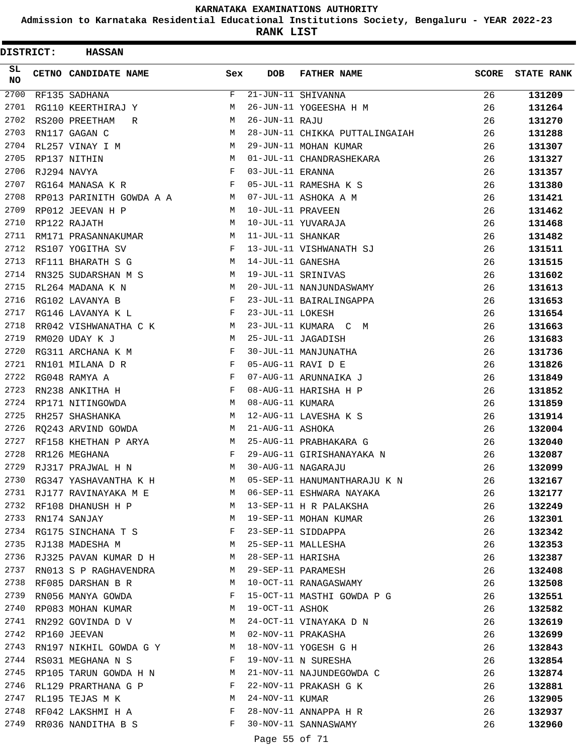**Admission to Karnataka Residential Educational Institutions Society, Bengaluru - YEAR 2022-23**

| DISTRICT:        | <b>HASSAN</b>                          |              |                   |                                |              |                   |
|------------------|----------------------------------------|--------------|-------------------|--------------------------------|--------------|-------------------|
| SL.<br><b>NO</b> | <b>CETNO CANDIDATE NAME</b>            | Sex          | <b>DOB</b>        | <b>FATHER NAME</b>             | <b>SCORE</b> | <b>STATE RANK</b> |
| 2700             | RF135 SADHANA                          | F            |                   | 21-JUN-11 SHIVANNA             | 26           | 131209            |
| 2701             | RG110 KEERTHIRAJ Y                     | М            |                   | 26-JUN-11 YOGEESHA H M         | 26           | 131264            |
| 2702             | RS200 PREETHAM<br>R                    | М            | 26-JUN-11 RAJU    |                                | 26           | 131270            |
| 2703             | RN117 GAGAN C                          | М            |                   | 28-JUN-11 CHIKKA PUTTALINGAIAH | 26           | 131288            |
| 2704             | RL257 VINAY I M                        | М            |                   | 29-JUN-11 MOHAN KUMAR          | 26           | 131307            |
| 2705             | RP137 NITHIN                           | М            |                   | 01-JUL-11 CHANDRASHEKARA       | 26           | 131327            |
| 2706             | RJ294 NAVYA                            | $_{\rm F}$   | 03-JUL-11 ERANNA  |                                | 26           | 131357            |
| 2707             | RG164 MANASA K R                       | F            |                   | 05-JUL-11 RAMESHA K S          | 26           | 131380            |
| 2708             | RP013 PARINITH GOWDA A A               | M            |                   | 07-JUL-11 ASHOKA A M           | 26           | 131421            |
| 2709             | RP012 JEEVAN H P                       | М            | 10-JUL-11 PRAVEEN |                                | 26           | 131462            |
| 2710             | RP122 RAJATH                           | M            |                   | 10-JUL-11 YUVARAJA             | 26           | 131468            |
| 2711             | RM171 PRASANNAKUMAR                    | М            | 11-JUL-11 SHANKAR |                                | 26           | 131482            |
| 2712             | RS107 YOGITHA SV                       | F            |                   | 13-JUL-11 VISHWANATH SJ        | 26           | 131511            |
| 2713             | RF111 BHARATH S G                      | M            | 14-JUL-11 GANESHA |                                | 26           | 131515            |
| 2714             | RN325 SUDARSHAN M S                    | М            |                   | 19-JUL-11 SRINIVAS             | 26           | 131602            |
| 2715             | RL264 MADANA K N                       | M            |                   | 20-JUL-11 NANJUNDASWAMY        | 26           | 131613            |
| 2716             | RG102 LAVANYA B                        | F            |                   | 23-JUL-11 BAIRALINGAPPA        | 26           | 131653            |
| 2717             | RG146 LAVANYA K L                      | F            | 23-JUL-11 LOKESH  |                                | 26           | 131654            |
| 2718             | RR042 VISHWANATHA C K                  | M            |                   | 23-JUL-11 KUMARA C M           | 26           | 131663            |
| 2719             | RM020 UDAY K J                         | М            |                   | 25-JUL-11 JAGADISH             | 26           | 131683            |
| 2720             | RG311 ARCHANA K M                      | F            |                   | 30-JUL-11 MANJUNATHA           | 26           | 131736            |
| 2721             | RN101 MILANA D R                       | $\mathbf{F}$ |                   | 05-AUG-11 RAVI D E             | 26           | 131826            |
| 2722             | RG048 RAMYA A                          | $_{\rm F}$   |                   | 07-AUG-11 ARUNNAIKA J          | 26           | 131849            |
| 2723             | RN238 ANKITHA H                        | F            |                   | 08-AUG-11 HARISHA H P          | 26           | 131852            |
| 2724             | RP171 NITINGOWDA                       | M            | 08-AUG-11 KUMARA  |                                | 26           | 131859            |
| 2725             | RH257 SHASHANKA                        | М            |                   | 12-AUG-11 LAVESHA K S          | 26           | 131914            |
| 2726             | RO243 ARVIND GOWDA                     | М            | 21-AUG-11 ASHOKA  |                                | 26           | 132004            |
| 2727             | RF158 KHETHAN P ARYA                   | M            |                   | 25-AUG-11 PRABHAKARA G         | 26           | 132040            |
| 2728             | RR126 MEGHANA                          | F            |                   | 29-AUG-11 GIRISHANAYAKA N      | 26           | 132087            |
| 2729             | RJ317 PRAJWAL H N                      | M            |                   | 30-AUG-11 NAGARAJU             | 26           | 132099            |
| 2730             | RG347 YASHAVANTHA K H                  |              |                   | M 05-SEP-11 HANUMANTHARAJU K N | 26           | 132167            |
|                  | 2731 RJ177 RAVINAYAKA M E              | M            |                   | 06-SEP-11 ESHWARA NAYAKA       | 26           | 132177            |
| 2732             | RF108 DHANUSH H P                      | M            |                   | 13-SEP-11 H R PALAKSHA         | 26           | 132249            |
| 2733             | RN174 SANJAY                           | M            |                   | 19-SEP-11 MOHAN KUMAR          | 26           | 132301            |
|                  | 2734 RG175 SINCHANA T S                | F            |                   | 23-SEP-11 SIDDAPPA             | 26           | 132342            |
| 2735             | RJ138 MADESHA M                        | M            |                   | 25-SEP-11 MALLESHA             | 26           | 132353            |
| 2736             | RJ325 PAVAN KUMAR D H                  | M            |                   | 28-SEP-11 HARISHA              | 26           | 132387            |
| 2737             | RN013 S P RAGHAVENDRA                  | M            |                   | 29-SEP-11 PARAMESH             | 26           | 132408            |
| 2738             |                                        | М            |                   | 10-OCT-11 RANAGASWAMY          | 26           |                   |
| 2739             | RF085 DARSHAN B R<br>RN056 MANYA GOWDA | F            |                   | 15-OCT-11 MASTHI GOWDA P G     | 26           | 132508            |
| 2740             |                                        | M            | 19-OCT-11 ASHOK   |                                |              | 132551            |
| 2741             | RP083 MOHAN KUMAR<br>RN292 GOVINDA D V | M            |                   | 24-OCT-11 VINAYAKA D N         | 26<br>26     | 132582            |
| 2742             |                                        | M            |                   |                                |              | 132619            |
| 2743             | RP160 JEEVAN                           |              |                   | 02-NOV-11 PRAKASHA             | 26           | 132699            |
|                  | RN197 NIKHIL GOWDA G Y                 | M            |                   | 18-NOV-11 YOGESH G H           | 26           | 132843            |
| 2744             | RS031 MEGHANA N S                      | F            |                   | 19-NOV-11 N SURESHA            | 26           | 132854            |
| 2745             | RP105 TARUN GOWDA H N                  | M            |                   | 21-NOV-11 NAJUNDEGOWDA C       | 26           | 132874            |
| 2746             | RL129 PRARTHANA G P                    | F            |                   | 22-NOV-11 PRAKASH G K          | 26           | 132881            |
| 2747             | RL195 TEJAS M K                        | М            | 24-NOV-11 KUMAR   |                                | 26           | 132905            |
| 2748             | RF042 LAKSHMI H A                      | F            |                   | 28-NOV-11 ANNAPPA H R          | 26           | 132937            |
| 2749             | RR036 NANDITHA B S                     | F            |                   | 30-NOV-11 SANNASWAMY           | 26           | 132960            |
|                  |                                        |              | Page 55 of 71     |                                |              |                   |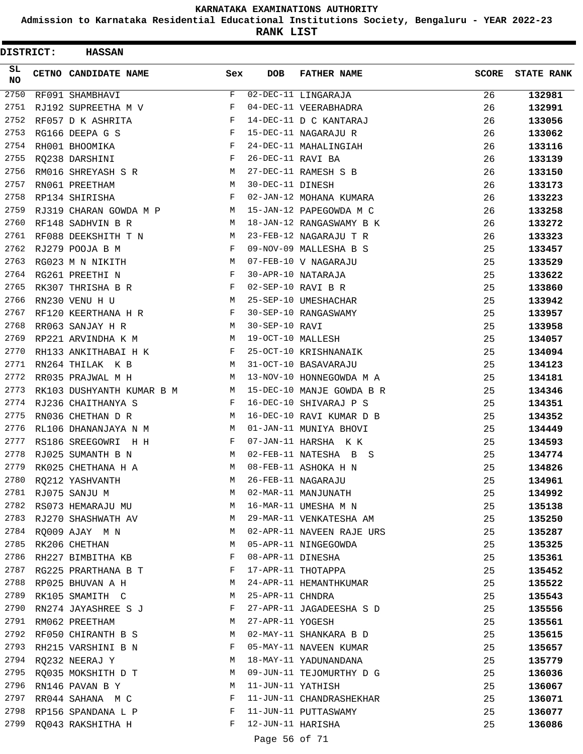**Admission to Karnataka Residential Educational Institutions Society, Bengaluru - YEAR 2022-23**

**RANK LIST**

| DISTRICT:        | <b>HASSAN</b>             |     |                   |                           |              |                   |
|------------------|---------------------------|-----|-------------------|---------------------------|--------------|-------------------|
| SL.<br><b>NO</b> | CETNO CANDIDATE NAME      | Sex | <b>DOB</b>        | <b>FATHER NAME</b>        | <b>SCORE</b> | <b>STATE RANK</b> |
| 2750             | RF091 SHAMBHAVI           | F   |                   | 02-DEC-11 LINGARAJA       | 26           | 132981            |
| 2751             | RJ192 SUPREETHA M V       | F   |                   | 04-DEC-11 VEERABHADRA     | 26           | 132991            |
| 2752             | RF057 D K ASHRITA         | F   |                   | 14-DEC-11 D C KANTARAJ    | 26           | 133056            |
| 2753             | RG166 DEEPA G S           | F   |                   | 15-DEC-11 NAGARAJU R      | 26           | 133062            |
| 2754             | RH001 BHOOMIKA            | F   |                   | 24-DEC-11 MAHALINGIAH     | 26           | 133116            |
| 2755             | RQ238 DARSHINI            | F   | 26-DEC-11 RAVI BA |                           | 26           | 133139            |
| 2756             | RM016 SHREYASH S R        | M   |                   | 27-DEC-11 RAMESH S B      | 26           | 133150            |
| 2757             | RN061 PREETHAM            | M   | 30-DEC-11 DINESH  |                           | 26           | 133173            |
| 2758             | RP134 SHIRISHA            | F   |                   | 02-JAN-12 MOHANA KUMARA   | 26           | 133223            |
| 2759             | RJ319 CHARAN GOWDA M P    | М   |                   | 15-JAN-12 PAPEGOWDA M C   | 26           | 133258            |
| 2760             | RF148 SADHVIN B R         | M   |                   | 18-JAN-12 RANGASWAMY B K  | 26           | 133272            |
| 2761             | RF088 DEEKSHITH T N       | M   |                   | 23-FEB-12 NAGARAJU T R    | 26           | 133323            |
| 2762             | RJ279 POOJA B M           | F   |                   | 09-NOV-09 MALLESHA B S    | 25           | 133457            |
| 2763             | RG023 M N NIKITH          | M   |                   | 07-FEB-10 V NAGARAJU      | 25           | 133529            |
| 2764             | RG261 PREETHI N           | F   |                   | 30-APR-10 NATARAJA        | 25           | 133622            |
| 2765             | RK307 THRISHA B R         | F   |                   | 02-SEP-10 RAVI B R        | 25           | 133860            |
| 2766             | RN230 VENU H U            | М   |                   | 25-SEP-10 UMESHACHAR      | 25           | 133942            |
| 2767             | RF120 KEERTHANA H R       | F   |                   | 30-SEP-10 RANGASWAMY      | 25           | 133957            |
| 2768             | RR063 SANJAY H R          | M   | 30-SEP-10 RAVI    |                           | 25           | 133958            |
| 2769             | RP221 ARVINDHA K M        | M   | 19-OCT-10 MALLESH |                           | 25           | 134057            |
| 2770             | RH133 ANKITHABAI H K      | F   |                   | 25-OCT-10 KRISHNANAIK     | 25           | 134094            |
| 2771             | RN264 THILAK K B          | M   |                   | 31-OCT-10 BASAVARAJU      | 25           | 134123            |
| 2772             | RR035 PRAJWAL M H         | M   |                   | 13-NOV-10 HONNEGOWDA M A  | 25           | 134181            |
| 2773             | RK103 DUSHYANTH KUMAR B M | M   |                   | 15-DEC-10 MANJE GOWDA B R | 25           | 134346            |
| 2774             | RJ236 CHAITHANYA S        | F   |                   | 16-DEC-10 SHIVARAJ P S    | 25           | 134351            |
| 2775             | RN036 CHETHAN D R         | M   |                   | 16-DEC-10 RAVI KUMAR D B  | 25           | 134352            |
| 2776             | RL106 DHANANJAYA N M      | M   |                   | 01-JAN-11 MUNIYA BHOVI    | 25           | 134449            |
| 2777             | RS186 SREEGOWRI H H       | F   |                   | 07-JAN-11 HARSHA KK       | 25           | 134593            |
| 2778             | RJ025 SUMANTH B N         | M   |                   | 02-FEB-11 NATESHA B S     | 25           | 134774            |
| 2779             | RK025 CHETHANA H A        | M   |                   | 08-FEB-11 ASHOKA H N      | 25           | 134826            |
|                  | 2780 RQ212 YASHVANTH      | М   |                   | 26-FEB-11 NAGARAJU        | 25           | 134961            |
|                  | 2781 RJ075 SANJU M        | М   |                   | 02-MAR-11 MANJUNATH       | 25           | 134992            |
| 2782             | RS073 HEMARAJU MU         | M   |                   | 16-MAR-11 UMESHA M N      | 25           | 135138            |
| 2783             | RJ270 SHASHWATH AV        | М   |                   | 29-MAR-11 VENKATESHA AM   | 25           | 135250            |
|                  | 2784 RQ009 AJAY M N       | M   |                   | 02-APR-11 NAVEEN RAJE URS | 25           | 135287            |
| 2785             | RK206 CHETHAN             | М   |                   | 05-APR-11 NINGEGOWDA      | 25           | 135325            |
| 2786             | RH227 BIMBITHA KB         | F   |                   | 08-APR-11 DINESHA         | 25           | 135361            |
| 2787             | RG225 PRARTHANA B T       | F   |                   | 17-APR-11 THOTAPPA        | 25           | 135452            |
| 2788             | RP025 BHUVAN A H          | М   |                   | 24-APR-11 HEMANTHKUMAR    | 25           | 135522            |
| 2789             | RK105 SMAMITH C           | М   | 25-APR-11 CHNDRA  |                           | 25           | 135543            |
| 2790             | RN274 JAYASHREE S J       | F   |                   | 27-APR-11 JAGADEESHA S D  | 25           | 135556            |
| 2791             | RM062 PREETHAM            | M   | 27-APR-11 YOGESH  |                           | 25           | 135561            |
|                  | 2792 RF050 CHIRANTH B S   | M   |                   | 02-MAY-11 SHANKARA B D    | 25           | 135615            |
| 2793             | RH215 VARSHINI B N        | F   |                   | 05-MAY-11 NAVEEN KUMAR    | 25           | 135657            |
| 2794             | RQ232 NEERAJ Y            | М   |                   | 18-MAY-11 YADUNANDANA     | 25           | 135779            |
| 2795             | RQ035 MOKSHITH D T        | М   |                   | 09-JUN-11 TEJOMURTHY D G  | 25           | 136036            |
| 2796             | RN146 PAVAN B Y           | М   | 11-JUN-11 YATHISH |                           | 25           | 136067            |
| 2797             | RR044 SAHANA M C          | F   |                   | 11-JUN-11 CHANDRASHEKHAR  | 25           | 136071            |
| 2798             | RP156 SPANDANA L P        | F   |                   | 11-JUN-11 PUTTASWAMY      | 25           | 136077            |
| 2799             | RQ043 RAKSHITHA H         | F   | 12-JUN-11 HARISHA |                           | 25           | 136086            |
|                  |                           |     |                   |                           |              |                   |

Page 56 of 71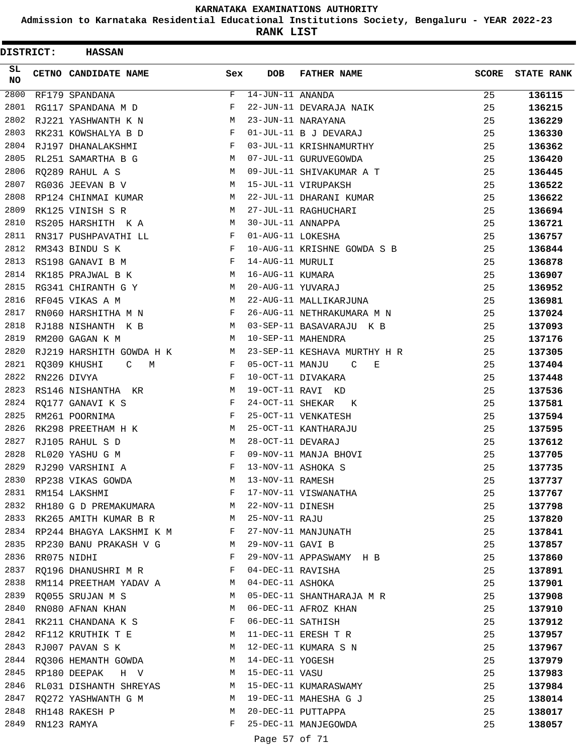**Admission to Karnataka Residential Educational Institutions Society, Bengaluru - YEAR 2022-23**

**RANK LIST**

| DISTRICT:       | <b>HASSAN</b>                     |     |                        |                              |              |                   |
|-----------------|-----------------------------------|-----|------------------------|------------------------------|--------------|-------------------|
| SL<br><b>NO</b> | CETNO CANDIDATE NAME              | Sex | <b>DOB</b>             | <b>FATHER NAME</b>           | <b>SCORE</b> | <b>STATE RANK</b> |
| 2800            | RF179 SPANDANA                    | F   | $14 - JUN - 11$ ANANDA |                              | 25           | 136115            |
| 2801            | RG117 SPANDANA M D                | F   |                        | 22-JUN-11 DEVARAJA NAIK      | 25           | 136215            |
| 2802            | RJ221 YASHWANTH K N               | М   |                        | 23-JUN-11 NARAYANA           | 25           | 136229            |
| 2803            | RK231 KOWSHALYA B D               | F   |                        | 01-JUL-11 B J DEVARAJ        | 25           | 136330            |
| 2804            | RJ197 DHANALAKSHMI                | F   |                        | 03-JUL-11 KRISHNAMURTHY      | 25           | 136362            |
| 2805            | RL251 SAMARTHA B G                | M   |                        | 07-JUL-11 GURUVEGOWDA        | 25           | 136420            |
| 2806            | RQ289 RAHUL A S                   | М   |                        | 09-JUL-11 SHIVAKUMAR A T     | 25           | 136445            |
| 2807            | RG036 JEEVAN B V                  | М   |                        | 15-JUL-11 VIRUPAKSH          | 25           | 136522            |
| 2808            | RP124 CHINMAI KUMAR               | M   |                        | 22-JUL-11 DHARANI KUMAR      | 25           | 136622            |
| 2809            | RK125 VINISH S R                  | М   |                        | 27-JUL-11 RAGHUCHARI         | 25           | 136694            |
| 2810            | RS205 HARSHITH K A                | М   | 30-JUL-11 ANNAPPA      |                              | 25           | 136721            |
| 2811            | RN317 PUSHPAVATHI LL              | F   | 01-AUG-11 LOKESHA      |                              | 25           | 136757            |
| 2812            | RM343 BINDU S K                   | F   |                        | 10-AUG-11 KRISHNE GOWDA S B  | 25           | 136844            |
| 2813            | RS198 GANAVI B M                  | F   | 14-AUG-11 MURULI       |                              | 25           | 136878            |
| 2814            | RK185 PRAJWAL B K                 | M   | 16-AUG-11 KUMARA       |                              | 25           | 136907            |
| 2815            | RG341 CHIRANTH G Y                | M   | 20-AUG-11 YUVARAJ      |                              | 25           | 136952            |
| 2816            | RF045 VIKAS A M                   | М   |                        | 22-AUG-11 MALLIKARJUNA       | 25           | 136981            |
| 2817            | RN060 HARSHITHA M N               | F   |                        | 26-AUG-11 NETHRAKUMARA M N   | 25           | 137024            |
| 2818            | RJ188 NISHANTH K B                | M   |                        | 03-SEP-11 BASAVARAJU K B     | 25           | 137093            |
| 2819            | RM200 GAGAN K M                   | М   |                        | 10-SEP-11 MAHENDRA           | 25           | 137176            |
| 2820            | RJ219 HARSHITH GOWDA H K          | M   |                        | 23-SEP-11 KESHAVA MURTHY H R | 25           | 137305            |
| 2821            | RQ309 KHUSHI<br>$\mathsf{C}$<br>M | F   | 05-OCT-11 MANJU        | $\overline{C}$<br>Е          | 25           | 137404            |
| 2822            | RN226 DIVYA                       | F   |                        | 10-OCT-11 DIVAKARA           | 25           | 137448            |
| 2823            | RS146 NISHANTHA KR                | М   |                        | 19-OCT-11 RAVI KD            | 25           | 137536            |
| 2824            | RQ177 GANAVI K S                  | F   | 24-OCT-11 SHEKAR       | К                            | 25           | 137581            |
| 2825            | RM261 POORNIMA                    | F   |                        | 25-OCT-11 VENKATESH          | 25           | 137594            |
| 2826            | RK298 PREETHAM H K                | M   |                        | 25-OCT-11 KANTHARAJU         | 25           | 137595            |
| 2827            | RJ105 RAHUL S D                   | M   | 28-OCT-11 DEVARAJ      |                              | 25           | 137612            |
| 2828            | RL020 YASHU G M                   | F   |                        | 09-NOV-11 MANJA BHOVI        | 25           | 137705            |
| 2829            | RJ290 VARSHINI A                  | F   |                        | 13-NOV-11 ASHOKA S           | 25           | 137735            |
|                 | 2830 RP238 VIKAS GOWDA            | М   | 13-NOV-11 RAMESH       |                              | 25           | 137737            |
| 2831            | RM154 LAKSHMI                     | F   |                        | 17-NOV-11 VISWANATHA         | 25           | 137767            |
|                 | 2832 RH180 G D PREMAKUMARA M      |     | 22-NOV-11 DINESH       |                              | 25           | 137798            |
|                 | 2833 RK265 AMITH KUMAR B R M      |     | 25-NOV-11 RAJU         |                              | 25           | 137820            |
|                 | 2834 RP244 BHAGYA LAKSHMI K M     |     |                        | 27-NOV-11 MANJUNATH          | 25           | 137841            |
| 2835            | RP230 BANU PRAKASH V G M          |     | 29-NOV-11 GAVI B       |                              | 25           | 137857            |
| 2836            | RR075 NIDHI                       | F   |                        | 29-NOV-11 APPASWAMY H B      | 25           | 137860            |
| 2837            | RQ196 DHANUSHRI M R F             |     |                        | 04-DEC-11 RAVISHA            | 25           | 137891            |
| 2838            | RM114 PREETHAM YADAV A M          |     | 04-DEC-11 ASHOKA       |                              | 25           | 137901            |
| 2839            | RQ055 SRUJAN M S                  | M   |                        | 05-DEC-11 SHANTHARAJA M R    | 25           | 137908            |
| 2840            | RN080 AFNAN KHAN                  | M   |                        | 06-DEC-11 AFROZ KHAN         | 25           | 137910            |
|                 | 2841 RK211 CHANDANA K S           | F   | 06-DEC-11 SATHISH      |                              | 25           | 137912            |
|                 | 2842 RF112 KRUTHIK T E            | М   |                        | 11-DEC-11 ERESH T R          | 25           | 137957            |
| 2843            | RJ007 PAVAN S K                   | М   |                        | 12-DEC-11 KUMARA S N         | 25           | 137967            |
| 2844            | RQ306 HEMANTH GOWDA               | M   | 14-DEC-11 YOGESH       |                              | 25           | 137979            |
| 2845            | RP180 DEEPAK H V                  | M   | 15-DEC-11 VASU         |                              | 25           | 137983            |
| 2846            | RL031 DISHANTH SHREYAS            | M   |                        | 15-DEC-11 KUMARASWAMY        | 25           | 137984            |
| 2847            | RQ272 YASHWANTH G M               | M   |                        | 19-DEC-11 MAHESHA G J        | 25           | 138014            |
| 2848            | RH148 RAKESH P                    | M   |                        | 20-DEC-11 PUTTAPPA           | 25           | 138017            |
| 2849            | RN123 RAMYA                       | F   |                        | 25-DEC-11 MANJEGOWDA         | 25           | 138057            |
|                 |                                   |     |                        |                              |              |                   |

Page 57 of 71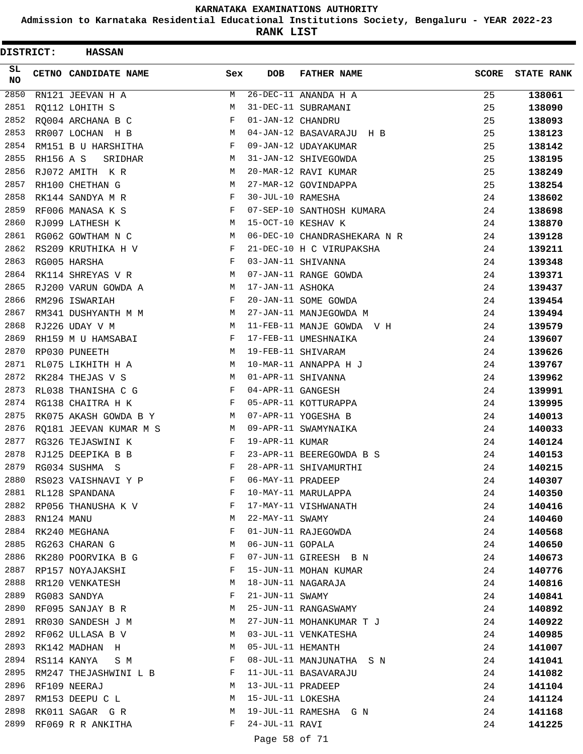**Admission to Karnataka Residential Educational Institutions Society, Bengaluru - YEAR 2022-23**

**RANK LIST**

 $\blacksquare$ 

| DISTRICT: |                  | <b>HASSAN</b>          |     |                   |                                          |              |                   |
|-----------|------------------|------------------------|-----|-------------------|------------------------------------------|--------------|-------------------|
| SL<br>NO  |                  | CETNO CANDIDATE NAME   | Sex | <b>DOB</b>        | <b>FATHER NAME</b>                       | <b>SCORE</b> | <b>STATE RANK</b> |
| 2850      |                  | RN121 JEEVAN H A       | М   |                   | $26-\overline{\text{DEC}-11}$ ANANDA H A | 25           | 138061            |
| 2851      |                  | RQ112 LOHITH S         | М   |                   | 31-DEC-11 SUBRAMANI                      | 25           | 138090            |
| 2852      |                  | RQ004 ARCHANA B C      | F   | 01-JAN-12 CHANDRU |                                          | 25           | 138093            |
| 2853      |                  | RR007 LOCHAN H B       | М   |                   | 04-JAN-12 BASAVARAJU H B                 | 25           | 138123            |
| 2854      |                  | RM151 B U HARSHITHA    | F   |                   | 09-JAN-12 UDAYAKUMAR                     | 25           | 138142            |
| 2855      | <b>RH156 A S</b> | SRIDHAR                | M   |                   | 31-JAN-12 SHIVEGOWDA                     | 25           | 138195            |
| 2856      |                  | RJ072 AMITH K R        | М   |                   | 20-MAR-12 RAVI KUMAR                     | 25           | 138249            |
| 2857      |                  | RH100 CHETHAN G        | М   |                   | 27-MAR-12 GOVINDAPPA                     | 25           | 138254            |
| 2858      |                  | RK144 SANDYA M R       | F   | 30-JUL-10 RAMESHA |                                          | 24           | 138602            |
| 2859      |                  | RF006 MANASA K S       | F   |                   | 07-SEP-10 SANTHOSH KUMARA                | 24           | 138698            |
| 2860      |                  | RJ099 LATHESH K        | М   |                   | 15-OCT-10 KESHAV K                       | 24           | 138870            |
| 2861      |                  | RG062 GOWTHAM N C      | М   |                   | 06-DEC-10 CHANDRASHEKARA N R             | 24           | 139128            |
| 2862      |                  | RS209 KRUTHIKA H V     | F   |                   | 21-DEC-10 H C VIRUPAKSHA                 | 24           | 139211            |
| 2863      |                  | RG005 HARSHA           | F   |                   | 03-JAN-11 SHIVANNA                       | 24           | 139348            |
| 2864      |                  | RK114 SHREYAS V R      | М   |                   | 07-JAN-11 RANGE GOWDA                    | 24           | 139371            |
| 2865      |                  | RJ200 VARUN GOWDA A    | М   | 17-JAN-11 ASHOKA  |                                          | 24           | 139437            |
| 2866      |                  | RM296 ISWARIAH         | F   |                   | 20-JAN-11 SOME GOWDA                     | 24           | 139454            |
| 2867      |                  | RM341 DUSHYANTH M M    | М   |                   | 27-JAN-11 MANJEGOWDA M                   | 24           | 139494            |
| 2868      |                  | RJ226 UDAY V M         | М   |                   | 11-FEB-11 MANJE GOWDA V H                | 24           | 139579            |
| 2869      |                  | RH159 M U HAMSABAI     | F   |                   | 17-FEB-11 UMESHNAIKA                     | 24           | 139607            |
| 2870      |                  | RP030 PUNEETH          | М   |                   | 19-FEB-11 SHIVARAM                       | 24           | 139626            |
| 2871      |                  | RL075 LIKHITH H A      | M   |                   | 10-MAR-11 ANNAPPA H J                    | 24           | 139767            |
| 2872      |                  | RK284 THEJAS V S       | М   |                   | 01-APR-11 SHIVANNA                       | 24           | 139962            |
| 2873      |                  | RL038 THANISHA C G     | F   | 04-APR-11 GANGESH |                                          | 24           | 139991            |
| 2874      |                  | RG138 CHAITRA H K      | F   |                   | 05-APR-11 KOTTURAPPA                     | 24           | 139995            |
| 2875      |                  | RK075 AKASH GOWDA B Y  | M   |                   | 07-APR-11 YOGESHA B                      | 24           | 140013            |
| 2876      |                  | RQ181 JEEVAN KUMAR M S | M   |                   | 09-APR-11 SWAMYNAIKA                     | 24           | 140033            |
| 2877      |                  | RG326 TEJASWINI K      | F   | 19-APR-11 KUMAR   |                                          | 24           | 140124            |
| 2878      |                  | RJ125 DEEPIKA B B      | F   |                   | 23-APR-11 BEEREGOWDA B S                 | 24           | 140153            |
| 2879      |                  | RG034 SUSHMA S         | F   |                   | 28-APR-11 SHIVAMURTHI                    | 24           | 140215            |
| 2880      |                  | RS023 VAISHNAVI Y P    | F   | 06-MAY-11 PRADEEP |                                          | 24           | 140307            |
| 2881      |                  | RL128 SPANDANA         | F   |                   | 10-MAY-11 MARULAPPA                      | 24           | 140350            |
| 2882      |                  | RP056 THANUSHA K V     | F   |                   | 17-MAY-11 VISHWANATH                     | 24           | 140416            |
| 2883      | RN124 MANU       |                        | М   | 22-MAY-11 SWAMY   |                                          | 24           | 140460            |
| 2884      |                  | RK240 MEGHANA          | F   |                   | 01-JUN-11 RAJEGOWDA                      | 24           | 140568            |
| 2885      |                  | RG263 CHARAN G         | М   | 06-JUN-11 GOPALA  |                                          | 24           | 140650            |
| 2886      |                  | RK280 POORVIKA B G     | F   |                   | 07-JUN-11 GIREESH B N                    | 24           | 140673            |
| 2887      |                  | RP157 NOYAJAKSHI       | F   |                   | 15-JUN-11 MOHAN KUMAR                    | 24           | 140776            |
| 2888      |                  | RR120 VENKATESH        | M   |                   | 18-JUN-11 NAGARAJA                       | 24           | 140816            |
| 2889      |                  | RG083 SANDYA           | F   | 21-JUN-11 SWAMY   |                                          | 24           | 140841            |
| 2890      |                  | RF095 SANJAY B R       | M   |                   | 25-JUN-11 RANGASWAMY                     | 24           | 140892            |
| 2891      |                  | RR030 SANDESH J M      | M   |                   | 27-JUN-11 MOHANKUMAR T J                 | 24           | 140922            |
| 2892      |                  | RF062 ULLASA B V       | M   |                   | 03-JUL-11 VENKATESHA                     | 24           | 140985            |
| 2893      |                  | RK142 MADHAN H         | М   | 05-JUL-11 HEMANTH |                                          | 24           | 141007            |
| 2894      |                  | RS114 KANYA<br>S M     | F   |                   | 08-JUL-11 MANJUNATHA S N                 | 24           | 141041            |
| 2895      |                  | RM247 THEJASHWINI L B  | F   |                   | 11-JUL-11 BASAVARAJU                     | 24           | 141082            |
| 2896      |                  | RF109 NEERAJ           | M   | 13-JUL-11 PRADEEP |                                          | 24           | 141104            |
| 2897      |                  | RM153 DEEPU C L        | М   | 15-JUL-11 LOKESHA |                                          | 24           | 141124            |
| 2898      |                  | RK011 SAGAR G R        | М   |                   | 19-JUL-11 RAMESHA G N                    | 24           | 141168            |
| 2899      |                  | RF069 R R ANKITHA      | F   | 24-JUL-11 RAVI    |                                          | 24           | 141225            |
|           |                  |                        |     |                   |                                          |              |                   |

# Page 58 of 71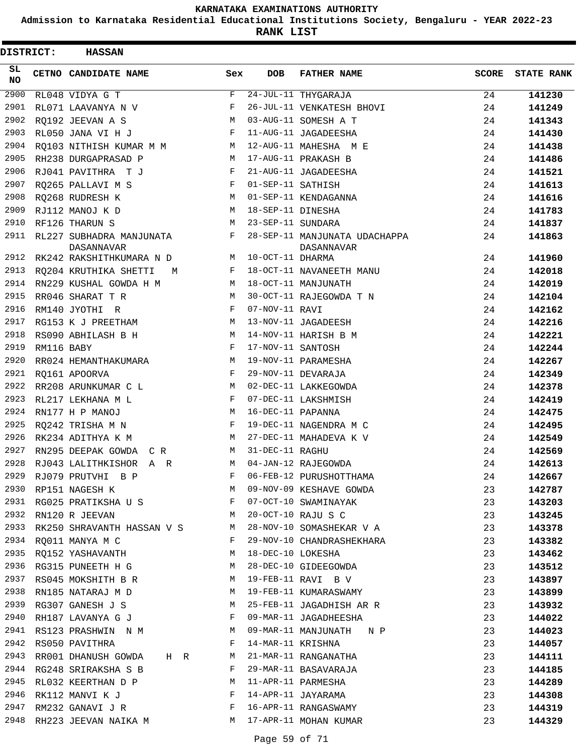**Admission to Karnataka Residential Educational Institutions Society, Bengaluru - YEAR 2022-23**

**RANK LIST**

| DISTRICT:        |            | <b>HASSAN</b>                                       |     |                   |                                             |              |                   |
|------------------|------------|-----------------------------------------------------|-----|-------------------|---------------------------------------------|--------------|-------------------|
| SL.<br><b>NO</b> |            | CETNO CANDIDATE NAME                                | Sex | <b>DOB</b>        | <b>FATHER NAME</b>                          | <b>SCORE</b> | <b>STATE RANK</b> |
| 2900             |            | RL048 VIDYA G T                                     | F   |                   | 24-JUL-11 THYGARAJA                         | 24           | 141230            |
| 2901             |            | RL071 LAAVANYA N V                                  | F   |                   | 26-JUL-11 VENKATESH BHOVI                   | 24           | 141249            |
| 2902             |            | RO192 JEEVAN A S                                    | М   |                   | 03-AUG-11 SOMESH A T                        | 24           | 141343            |
| 2903             |            | RL050 JANA VI H J                                   | F   |                   | 11-AUG-11 JAGADEESHA                        | 24           | 141430            |
| 2904             |            | RQ103 NITHISH KUMAR M M                             | M   |                   | 12-AUG-11 MAHESHA M E                       | 24           | 141438            |
| 2905             |            | RH238 DURGAPRASAD P                                 | M   |                   | 17-AUG-11 PRAKASH B                         | 24           | 141486            |
| 2906             |            | RJ041 PAVITHRA TJ                                   | F   |                   | 21-AUG-11 JAGADEESHA                        | 24           | 141521            |
| 2907             |            | RQ265 PALLAVI M S                                   | F   | 01-SEP-11 SATHISH |                                             | 24           | 141613            |
| 2908             |            | RQ268 RUDRESH K                                     | M   |                   | 01-SEP-11 KENDAGANNA                        | 24           | 141616            |
| 2909             |            | RJ112 MANOJ K D                                     | М   | 18-SEP-11 DINESHA |                                             | 24           | 141783            |
| 2910             |            | RF126 THARUN S                                      | М   | 23-SEP-11 SUNDARA |                                             | 24           | 141837            |
| 2911             |            | RL227 SUBHADRA MANJUNATA<br>DASANNAVAR              | F   |                   | 28-SEP-11 MANJUNATA UDACHAPPA<br>DASANNAVAR | 24           | 141863            |
| 2912             |            | RK242 RAKSHITHKUMARA N D                            | М   | 10-OCT-11 DHARMA  |                                             | 24           | 141960            |
| 2913             |            | RQ204 KRUTHIKA SHETTI<br>M                          | F   |                   | 18-OCT-11 NAVANEETH MANU                    | 24           | 142018            |
| 2914             |            | RN229 KUSHAL GOWDA H M                              | М   |                   | 18-OCT-11 MANJUNATH                         | 24           | 142019            |
| 2915             |            | RR046 SHARAT T R                                    | M   |                   | 30-OCT-11 RAJEGOWDA T N                     | 24           | 142104            |
| 2916             |            | RM140 JYOTHI R                                      | F   | 07-NOV-11 RAVI    |                                             | 24           | 142162            |
| 2917             |            | RG153 K J PREETHAM                                  | М   |                   | 13-NOV-11 JAGADEESH                         | 24           | 142216            |
| 2918             |            | RS090 ABHILASH B H                                  | М   |                   | 14-NOV-11 HARISH B M                        | 24           | 142221            |
| 2919             | RM116 BABY |                                                     | F   | 17-NOV-11 SANTOSH |                                             | 24           | 142244            |
| 2920             |            | RR024 HEMANTHAKUMARA                                | М   |                   | 19-NOV-11 PARAMESHA                         | 24           | 142267            |
| 2921             |            | RQ161 APOORVA                                       | F   |                   | 29-NOV-11 DEVARAJA                          | 24           | 142349            |
| 2922             |            | RR208 ARUNKUMAR C L                                 | M   |                   | 02-DEC-11 LAKKEGOWDA                        | 24           | 142378            |
| 2923             |            | RL217 LEKHANA M L                                   | F   |                   | 07-DEC-11 LAKSHMISH                         | 24           | 142419            |
| 2924             |            | RN177 H P MANOJ                                     | М   | 16-DEC-11 PAPANNA |                                             | 24           | 142475            |
| 2925             |            | RQ242 TRISHA M N                                    | F   |                   | 19-DEC-11 NAGENDRA M C                      | 24           | 142495            |
| 2926             |            | RK234 ADITHYA K M                                   | М   |                   | 27-DEC-11 MAHADEVA K V                      | 24           | 142549            |
| 2927             |            | RN295 DEEPAK GOWDA C R                              | М   | 31-DEC-11 RAGHU   |                                             | 24           | 142569            |
| 2928             |            | RJ043 LALITHKISHOR A R                              | М   |                   | 04-JAN-12 RAJEGOWDA                         | 24           | 142613            |
| 2929             |            | RJ079 PRUTVHI B P                                   | F   |                   | 06-FEB-12 PURUSHOTTHAMA                     | 24           | 142667            |
| 2930             |            | RP151 NAGESH K                                      | M   |                   | 09-NOV-09 KESHAVE GOWDA                     | 23           | 142787            |
|                  |            | 2931 RG025 PRATIKSHA U S F                          |     |                   | 07-OCT-10 SWAMINAYAK                        | 23           | 143203            |
| 2932             |            | <b>M</b><br>RN120 R JEEVAN                          |     |                   | 20-OCT-10 RAJU S C                          | 23           | 143245            |
| 2933             |            | RK250 SHRAVANTH HASSAN V S                          | M   |                   | 28-NOV-10 SOMASHEKAR V A                    | 23           | 143378            |
| 2934             |            | RQ011 MANYA M C                                     | F   |                   | 29-NOV-10 CHANDRASHEKHARA                   | 23           | 143382            |
|                  |            | 2935 RO152 YASHAVANTH                               | M   | 18-DEC-10 LOKESHA |                                             | 23           | 143462            |
|                  |            | 2936 RG315 PUNEETH H G M                            |     |                   | 28-DEC-10 GIDEEGOWDA                        | 23           | 143512            |
| 2937             |            | RS045 MOKSHITH B R                                  | M   |                   | 19-FEB-11 RAVI B V                          | 23           | 143897            |
| 2938             |            | RN185 NATARAJ M D                                   | M   |                   | 19-FEB-11 KUMARASWAMY                       | 23           | 143899            |
|                  |            | 2939 RG307 GANESH J S                               | M   |                   | 25-FEB-11 JAGADHISH AR R                    | 23           | 143932            |
| 2940             |            | RH187 LAVANYA G J                                   | F   |                   | 09-MAR-11 JAGADHEESHA                       | 23           | 144022            |
| 2941             |            | RS123 PRASHWIN N M                                  | M   |                   | 09-MAR-11 MANJUNATH N P                     | 23           | 144023            |
| 2942             |            | RS050 PAVITHRA                                      | F   | 14-MAR-11 KRISHNA |                                             | 23           | 144057            |
| 2943             |            | RR001 DHANUSH GOWDA HR                              | M   |                   | 21-MAR-11 RANGANATHA                        | 23           | 144111            |
|                  |            | 2944 RG248 SRIRAKSHA S B                            | F   |                   | 29-MAR-11 BASAVARAJA                        | 23           | 144185            |
| 2945             |            | RL032 KEERTHAN D P                                  | M   |                   | 11-APR-11 PARMESHA                          | 23           | 144289            |
| 2946             |            | RK112 MANVI K J                                     | F   |                   | 14-APR-11 JAYARAMA                          | 23           | 144308            |
| 2947             |            | $\mathbf{F}$<br>RM232 GANAVI J R                    |     |                   | 16-APR-11 RANGASWAMY                        | 23           | 144319            |
|                  |            | 2948 RH223 JEEVAN NAIKA M M M 17-APR-11 MOHAN KUMAR |     |                   |                                             | 23           | 144329            |
|                  |            |                                                     |     |                   |                                             |              |                   |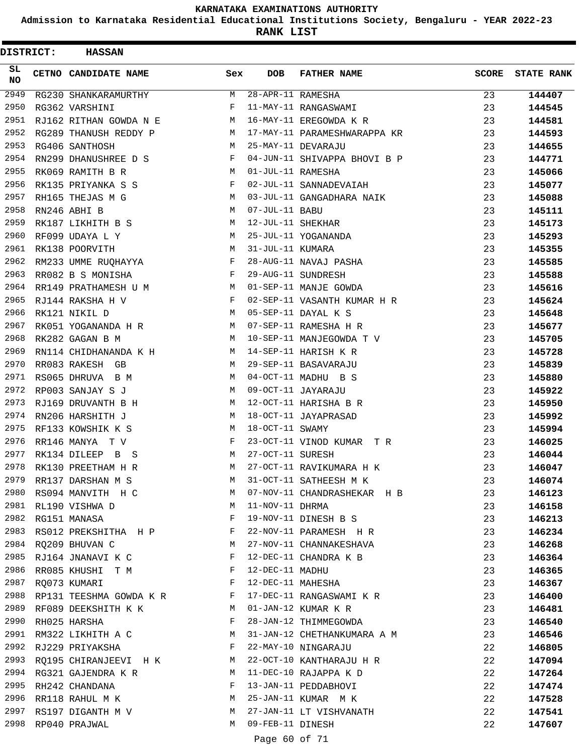**Admission to Karnataka Residential Educational Institutions Society, Bengaluru - YEAR 2022-23**

| <b>DISTRICT:</b> | <b>HASSAN</b>             |              |                   |                              |              |                   |
|------------------|---------------------------|--------------|-------------------|------------------------------|--------------|-------------------|
| SL.<br>NO.       | CETNO CANDIDATE NAME      | Sex          | <b>DOB</b>        | <b>FATHER NAME</b>           | <b>SCORE</b> | <b>STATE RANK</b> |
| 2949             | RG230 SHANKARAMURTHY      | М            | 28-APR-11 RAMESHA |                              | 23           | 144407            |
| 2950             | RG362 VARSHINI            | F            |                   | 11-MAY-11 RANGASWAMI         | 23           | 144545            |
| 2951             | RJ162 RITHAN GOWDA N E    | M            |                   | 16-MAY-11 EREGOWDA K R       | 23           | 144581            |
| 2952             | RG289 THANUSH REDDY P     | M            |                   | 17-MAY-11 PARAMESHWARAPPA KR | 23           | 144593            |
| 2953             | RG406 SANTHOSH            | M            |                   | 25-MAY-11 DEVARAJU           | 23           | 144655            |
| 2954             | RN299 DHANUSHREE D S      | F            |                   | 04-JUN-11 SHIVAPPA BHOVI B P | 23           | 144771            |
| 2955             | RK069 RAMITH B R          | M            | 01-JUL-11 RAMESHA |                              | 23           | 145066            |
| 2956             | RK135 PRIYANKA S S        | F            |                   | 02-JUL-11 SANNADEVAIAH       | 23           | 145077            |
| 2957             | RH165 THEJAS M G          | М            |                   | 03-JUL-11 GANGADHARA NAIK    | 23           | 145088            |
| 2958             | RN246 ABHI B              | М            | 07-JUL-11 BABU    |                              | 23           | 145111            |
| 2959             | RK187 LIKHITH B S         | М            | 12-JUL-11 SHEKHAR |                              | 23           | 145173            |
| 2960             | RF099 UDAYA L Y           | М            |                   | 25-JUL-11 YOGANANDA          | 23           | 145293            |
| 2961             | RK138 POORVITH            | M            | 31-JUL-11 KUMARA  |                              | 23           | 145355            |
| 2962             | RM233 UMME RUQHAYYA       | F            |                   | 28-AUG-11 NAVAJ PASHA        | 23           | 145585            |
| 2963             | RR082 B S MONISHA         | F            |                   | 29-AUG-11 SUNDRESH           | 23           | 145588            |
| 2964             | RR149 PRATHAMESH U M      | M            |                   | 01-SEP-11 MANJE GOWDA        | 23           | 145616            |
| 2965             | RJ144 RAKSHA H V          | F            |                   | 02-SEP-11 VASANTH KUMAR H R  | 23           | 145624            |
| 2966             | RK121 NIKIL D             | М            |                   | 05-SEP-11 DAYAL K S          | 23           | 145648            |
| 2967             | RK051 YOGANANDA H R       | M            |                   | 07-SEP-11 RAMESHA H R        | 23           | 145677            |
| 2968             | RK282 GAGAN B M           | M            |                   | 10-SEP-11 MANJEGOWDA T V     | 23           | 145705            |
| 2969             | RN114 CHIDHANANDA K H     | M            |                   | 14-SEP-11 HARISH K R         | 23           | 145728            |
| 2970             | RR083 RAKESH GB           | M            |                   | 29-SEP-11 BASAVARAJU         | 23           | 145839            |
| 2971             | RS065 DHRUVA B M          | М            |                   | 04-OCT-11 MADHU B S          | 23           | 145880            |
| 2972             | RP003 SANJAY S J          | M            |                   | 09-OCT-11 JAYARAJU           | 23           | 145922            |
| 2973             | RJ169 DRUVANTH B H        | М            |                   | 12-OCT-11 HARISHA B R        | 23           | 145950            |
| 2974             | RN206 HARSHITH J          | M            |                   | 18-OCT-11 JAYAPRASAD         | 23           | 145992            |
| 2975             | RF133 KOWSHIK K S         | M            | 18-OCT-11 SWAMY   |                              | 23           | 145994            |
| 2976             | RR146 MANYA TV            | F            |                   | 23-OCT-11 VINOD KUMAR TR     | 23           | 146025            |
| 2977             | RK134 DILEEP B S          | М            | 27-OCT-11 SURESH  |                              | 23           | 146044            |
| 2978             | RK130 PREETHAM H R        | M            |                   | 27-OCT-11 RAVIKUMARA H K     | 23           | 146047            |
| 2979             | RR137 DARSHAN M S         | M            |                   | 31-OCT-11 SATHEESH M K       | 23           | 146074            |
| 2980             | RS094 MANVITH H C         | M            |                   | 07-NOV-11 CHANDRASHEKAR H B  | 23           | 146123            |
|                  | 2981 RL190 VISHWA D       | М            | 11-NOV-11 DHRMA   |                              | 23           | 146158            |
| 2982             | RG151 MANASA              | F            |                   | 19-NOV-11 DINESH B S         | 23           | 146213            |
| 2983             | RS012 PREKSHITHA H P F    |              |                   | 22-NOV-11 PARAMESH H R       | 23           | 146234            |
| 2984             | RQ209 BHUVAN C            | M            |                   | 27-NOV-11 CHANNAKESHAVA      | 23           | 146268            |
| 2985             | RJ164 JNANAVI K C         | F            |                   | 12-DEC-11 CHANDRA K B        | 23           |                   |
| 2986             | RR085 KHUSHI T M F        |              | 12-DEC-11 MADHU   |                              |              | 146364            |
| 2987             |                           | $\mathbf{F}$ |                   | 12-DEC-11 MAHESHA            | 23           | 146365            |
| 2988             | RQ073 KUMARI              |              |                   |                              | 23           | 146367            |
| 2989             | RP131 TEESHMA GOWDA K R F |              |                   | 17-DEC-11 RANGASWAMI K R     | 23           | 146400            |
| 2990             | RF089 DEEKSHITH K K       | M            |                   | 01-JAN-12 KUMAR K R          | 23           | 146481            |
|                  | RH025 HARSHA              | F            |                   | 28-JAN-12 THIMMEGOWDA        | 23           | 146540            |
|                  | 2991 RM322 LIKHITH A C    | M            |                   | 31-JAN-12 CHETHANKUMARA A M  | 23           | 146546            |
| 2992             | RJ229 PRIYAKSHA           | F            |                   | 22-MAY-10 NINGARAJU          | 22           | 146805            |
| 2993             | RQ195 CHIRANJEEVI H K     | M            |                   | 22-OCT-10 KANTHARAJU H R     | 22           | 147094            |
| 2994             | RG321 GAJENDRA K R        | М            |                   | 11-DEC-10 RAJAPPA K D        | 22           | 147264            |
| 2995             | RH242 CHANDANA            | F            |                   | 13-JAN-11 PEDDABHOVI         | 22           | 147474            |
| 2996             | RR118 RAHUL M K           | M            |                   | 25-JAN-11 KUMAR M K          | 22           | 147528            |
| 2997             | RS197 DIGANTH M V         | M            |                   | 27-JAN-11 LT VISHVANATH      | 22           | 147541            |
| 2998             | RP040 PRAJWAL             | M            | 09-FEB-11 DINESH  |                              | 22           | 147607            |
|                  |                           |              | Page 60 of 71     |                              |              |                   |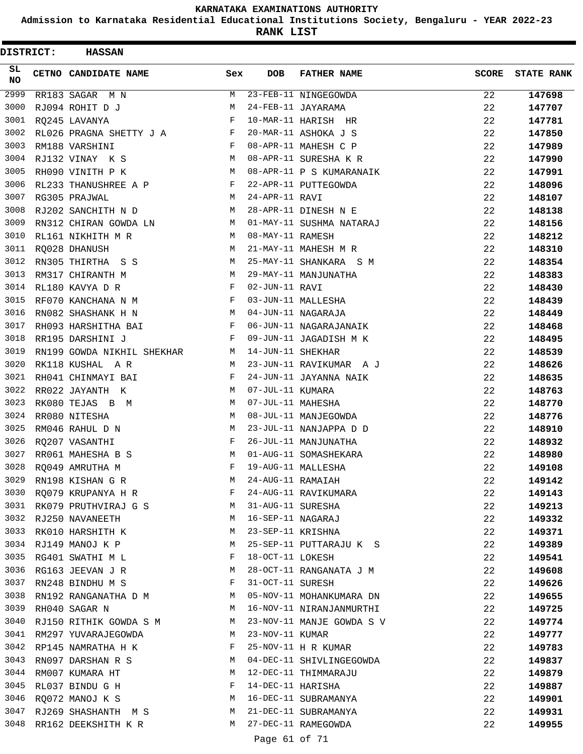**Admission to Karnataka Residential Educational Institutions Society, Bengaluru - YEAR 2022-23**

| <b>DISTRICT:</b> | <b>HASSAN</b>              |     |                   |                           |              |                   |
|------------------|----------------------------|-----|-------------------|---------------------------|--------------|-------------------|
| SL<br><b>NO</b>  | CETNO CANDIDATE NAME       | Sex | <b>DOB</b>        | <b>FATHER NAME</b>        | <b>SCORE</b> | <b>STATE RANK</b> |
| 2999             | RR183 SAGAR M N            | M   |                   | 23-FEB-11 NINGEGOWDA      | 22           | 147698            |
| 3000             | RJ094 ROHIT D J            | М   |                   | 24-FEB-11 JAYARAMA        | 22           | 147707            |
| 3001             | RQ245 LAVANYA              | F   |                   | 10-MAR-11 HARISH HR       | 22           | 147781            |
| 3002             | RL026 PRAGNA SHETTY J A F  |     |                   | 20-MAR-11 ASHOKA J S      | 22           | 147850            |
| 3003             | RM188 VARSHINI             | F   |                   | 08-APR-11 MAHESH C P      | 22           | 147989            |
| 3004             | RJ132 VINAY K S            | M   |                   | 08-APR-11 SURESHA K R     | 22           | 147990            |
| 3005             | RH090 VINITH P K           | M   |                   | 08-APR-11 P S KUMARANAIK  | 22           | 147991            |
| 3006             | RL233 THANUSHREE A P       | F   |                   | 22-APR-11 PUTTEGOWDA      | 22           | 148096            |
| 3007             | RG305 PRAJWAL              | М   | 24-APR-11 RAVI    |                           | 22           | 148107            |
| 3008             | RJ202 SANCHITH N D         | M   |                   | 28-APR-11 DINESH N E      | 22           | 148138            |
| 3009             | RN312 CHIRAN GOWDA LN      | М   |                   | 01-MAY-11 SUSHMA NATARAJ  | 22           | 148156            |
| 3010             | RL161 NIKHITH M R          | M   | 08-MAY-11 RAMESH  |                           | 22           | 148212            |
| 3011             | RO028 DHANUSH              | M   |                   | 21-MAY-11 MAHESH M R      | 22           | 148310            |
| 3012             | RN305 THIRTHA S S          | M   |                   | 25-MAY-11 SHANKARA S M    | 22           | 148354            |
| 3013             | RM317 CHIRANTH M           | M   |                   | 29-MAY-11 MANJUNATHA      | 22           | 148383            |
| 3014             | RL180 KAVYA D R            | F   | 02-JUN-11 RAVI    |                           | 22           | 148430            |
| 3015             | RF070 KANCHANA N M         | F   |                   | 03-JUN-11 MALLESHA        | 22           | 148439            |
| 3016             | RN082 SHASHANK H N         | M   |                   | 04-JUN-11 NAGARAJA        | 22           | 148449            |
| 3017             | RH093 HARSHITHA BAI        | F   |                   | 06-JUN-11 NAGARAJANAIK    | 22           | 148468            |
| 3018             | RR195 DARSHINI J           | F   |                   | 09-JUN-11 JAGADISH M K    | 22           | 148495            |
| 3019             | RN199 GOWDA NIKHIL SHEKHAR | M   | 14-JUN-11 SHEKHAR |                           | 22           | 148539            |
| 3020             | RK118 KUSHAL A R           | M   |                   | 23-JUN-11 RAVIKUMAR A J   | 22           | 148626            |
| 3021             | RH041 CHINMAYI BAI         | F   |                   | 24-JUN-11 JAYANNA NAIK    | 22           | 148635            |
| 3022             | RR022 JAYANTH K            | M   | 07-JUL-11 KUMARA  |                           | 22           | 148763            |
| 3023             | RK080 TEJAS B M            | M   | 07-JUL-11 MAHESHA |                           | 22           | 148770            |
| 3024             | RR080 NITESHA              | M   |                   | 08-JUL-11 MANJEGOWDA      | 22           | 148776            |
| 3025             | RM046 RAHUL D N            | М   |                   | 23-JUL-11 NANJAPPA D D    | 22           | 148910            |
| 3026             | RQ207 VASANTHI             | F   |                   | 26-JUL-11 MANJUNATHA      | 22           | 148932            |
| 3027             | RR061 MAHESHA B S          | М   |                   | 01-AUG-11 SOMASHEKARA     | 22           | 148980            |
| 3028             | RQ049 AMRUTHA M            | F   |                   | 19-AUG-11 MALLESHA        | 22           | 149108            |
| 3029             | RN198 KISHAN G R           | М   | 24-AUG-11 RAMAIAH |                           | 22           | 149142            |
| 3030             | RQ079 KRUPANYA H R         | F   |                   | 24-AUG-11 RAVIKUMARA      | 22           | 149143            |
| 3031             | RK079 PRUTHVIRAJ G S       | M   | 31-AUG-11 SURESHA |                           | 22           | 149213            |
|                  | 3032 RJ250 NAVANEETH       | M   | 16-SEP-11 NAGARAJ |                           | 22           | 149332            |
|                  | 3033 RK010 HARSHITH K      | M   | 23-SEP-11 KRISHNA |                           | 22           | 149371            |
|                  | 3034 RJ149 MANOJ K P       | М   |                   | 25-SEP-11 PUTTARAJU K S   | 22           | 149389            |
| 3035             | RG401 SWATHI M L           | F   | 18-OCT-11 LOKESH  |                           | 22           | 149541            |
| 3036             | RG163 JEEVAN J R           | М   |                   | 28-OCT-11 RANGANATA J M   | 22           | 149608            |
| 3037             | RN248 BINDHU M S           | F   | 31-OCT-11 SURESH  |                           | 22           | 149626            |
|                  | 3038 RN192 RANGANATHA D M  | M   |                   | 05-NOV-11 MOHANKUMARA DN  | 22           | 149655            |
| 3039             | RH040 SAGAR N              | М   |                   | 16-NOV-11 NIRANJANMURTHI  | 22           | 149725            |
| 3040             | RJ150 RITHIK GOWDA S M     | M   |                   | 23-NOV-11 MANJE GOWDA S V | 22           | 149774            |
|                  | 3041 RM297 YUVARAJEGOWDA   | М   | 23-NOV-11 KUMAR   |                           | 22           | 149777            |
|                  | 3042 RP145 NAMRATHA H K    | F   |                   | 25-NOV-11 H R KUMAR       | 22           | 149783            |
| 3043             | RN097 DARSHAN R S          | М   |                   | 04-DEC-11 SHIVLINGEGOWDA  | 22           | 149837            |
| 3044             | RM007 KUMARA HT            | M   |                   | 12-DEC-11 THIMMARAJU      | 22           | 149879            |
| 3045             | RL037 BINDU G H            | F   | 14-DEC-11 HARISHA |                           | 22           | 149887            |
|                  | 3046 RQ072 MANOJ K S       | М   |                   | 16-DEC-11 SUBRAMANYA      | 22           | 149901            |
| 3047             | RJ269 SHASHANTH M S        | M   |                   | 21-DEC-11 SUBRAMANYA      | 22           | 149931            |
| 3048             | RR162 DEEKSHITH K R        | M   |                   | 27-DEC-11 RAMEGOWDA       | 22           | 149955            |
|                  |                            |     | Page 61 of 71     |                           |              |                   |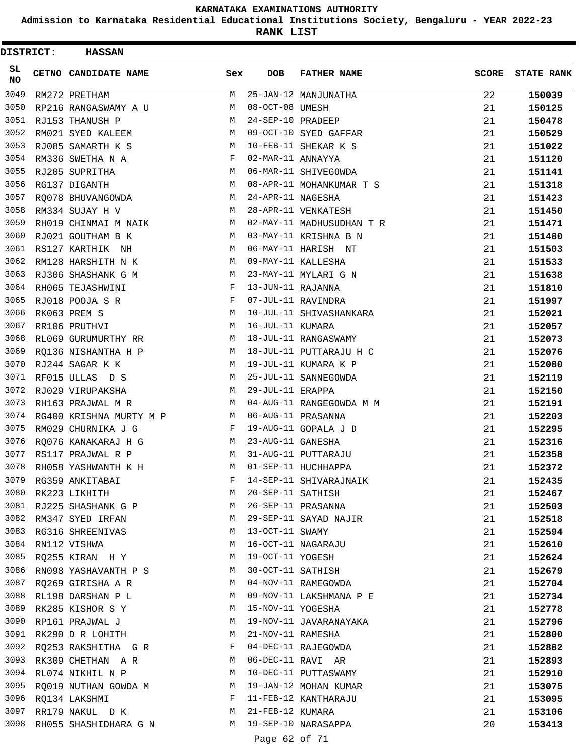**Admission to Karnataka Residential Educational Institutions Society, Bengaluru - YEAR 2022-23**

**RANK LIST**

| DISTRICT: | <b>HASSAN</b>             |     |                    |                           |              |                   |
|-----------|---------------------------|-----|--------------------|---------------------------|--------------|-------------------|
| SL.<br>NO | CETNO CANDIDATE NAME      | Sex | <b>DOB</b>         | <b>FATHER NAME</b>        | <b>SCORE</b> | <b>STATE RANK</b> |
| 3049      | RM272 PRETHAM             | М   |                    | 25-JAN-12 MANJUNATHA      | 22           | 150039            |
| 3050      | RP216 RANGASWAMY A U      | М   | 08-OCT-08 UMESH    |                           | 21           | 150125            |
| 3051      | RJ153 THANUSH P           | М   | 24-SEP-10 PRADEEP  |                           | 21           | 150478            |
| 3052      | RM021 SYED KALEEM         | М   |                    | 09-OCT-10 SYED GAFFAR     | 21           | 150529            |
| 3053      | RJ085 SAMARTH K S         | M   |                    | 10-FEB-11 SHEKAR K S      | 21           | 151022            |
| 3054      | RM336 SWETHA N A          | F   | 02-MAR-11 ANNAYYA  |                           | 21           | 151120            |
| 3055      | RJ205 SUPRITHA            | M   |                    | 06-MAR-11 SHIVEGOWDA      | 21           | 151141            |
| 3056      | RG137 DIGANTH             | М   |                    | 08-APR-11 MOHANKUMAR T S  | 21           | 151318            |
| 3057      | RQ078 BHUVANGOWDA         | M   | 24-APR-11 NAGESHA  |                           | 21           | 151423            |
| 3058      | RM334 SUJAY H V           | M   |                    | 28-APR-11 VENKATESH       | 21           | 151450            |
| 3059      | RH019 CHINMAI M NAIK      | M   |                    | 02-MAY-11 MADHUSUDHAN T R | 21           | 151471            |
| 3060      | RJ021 GOUTHAM B K         | M   |                    | 03-MAY-11 KRISHNA B N     | 21           | 151480            |
| 3061      | RS127 KARTHIK NH          | М   |                    | 06-MAY-11 HARISH NT       | 21           | 151503            |
| 3062      | RM128 HARSHITH N K        | M   |                    | 09-MAY-11 KALLESHA        | 21           | 151533            |
| 3063      | RJ306 SHASHANK G M        | M   |                    | 23-MAY-11 MYLARI G N      | 21           | 151638            |
| 3064      | RH065 TEJASHWINI          | F   | 13-JUN-11 RAJANNA  |                           | 21           | 151810            |
| 3065      | RJ018 POOJA S R           | F   |                    | 07-JUL-11 RAVINDRA        | 21           | 151997            |
| 3066      | RK063 PREM S              | М   |                    | 10-JUL-11 SHIVASHANKARA   | 21           | 152021            |
| 3067      | RR106 PRUTHVI             | М   | 16-JUL-11 KUMARA   |                           | 21           | 152057            |
| 3068      | RL069 GURUMURTHY RR       | M   |                    | 18-JUL-11 RANGASWAMY      | 21           | 152073            |
| 3069      | RQ136 NISHANTHA H P       | M   |                    | 18-JUL-11 PUTTARAJU H C   | 21           | 152076            |
| 3070      | RJ244 SAGAR K K           | M   |                    | 19-JUL-11 KUMARA K P      | 21           | 152080            |
| 3071      | RF015 ULLAS D S           | M   |                    | 25-JUL-11 SANNEGOWDA      | 21           | 152119            |
| 3072      | RJ029 VIRUPAKSHA          | М   | 29-JUL-11 ERAPPA   |                           | 21           | 152150            |
| 3073      | RH163 PRAJWAL M R         | М   |                    | 04-AUG-11 RANGEGOWDA M M  | 21           | 152191            |
| 3074      | RG400 KRISHNA MURTY M P   | M   |                    | 06-AUG-11 PRASANNA        | 21           | 152203            |
| 3075      | RM029 CHURNIKA J G        | F   |                    | 19-AUG-11 GOPALA J D      | 21           | 152295            |
| 3076      | RQ076 KANAKARAJ H G       | М   | 23-AUG-11 GANESHA  |                           | 21           | 152316            |
| 3077      | RS117 PRAJWAL R P         | М   |                    | 31-AUG-11 PUTTARAJU       | 21           | 152358            |
| 3078      | RH058 YASHWANTH K H       | М   |                    | 01-SEP-11 HUCHHAPPA       | 21           | 152372            |
|           | 3079 RG359 ANKITABAI      | F   |                    | 14-SEP-11 SHIVARAJNAIK    | 21           | 152435            |
| 3080      | RK223 LIKHITH             | М   | 20-SEP-11 SATHISH  |                           | 21           | 152467            |
|           | 3081 RJ225 SHASHANK G P   | M   |                    | 26-SEP-11 PRASANNA        | 21           | 152503            |
|           | 3082 RM347 SYED IRFAN     | M   |                    | 29-SEP-11 SAYAD NAJIR     | 21           | 152518            |
| 3083      | RG316 SHREENIVAS          | M   | 13-OCT-11 SWAMY    |                           | 21           | 152594            |
| 3084      | RN112 VISHWA              | M   |                    | 16-OCT-11 NAGARAJU        | 21           | 152610            |
| 3085      | RQ255 KIRAN H Y           | M   | 19-OCT-11 YOGESH   |                           | 21           | 152624            |
| 3086      | RN098 YASHAVANTH P S      | M   |                    | 30-OCT-11 SATHISH         | 21           | 152679            |
| 3087      | RQ269 GIRISHA A R         | M   |                    | 04-NOV-11 RAMEGOWDA       | 21           | 152704            |
| 3088      | RL198 DARSHAN P L         | M   |                    | 09-NOV-11 LAKSHMANA P E   | 21           | 152734            |
| 3089      | RK285 KISHOR S Y          | M   | 15-NOV-11 YOGESHA  |                           | 21           | 152778            |
|           | 3090 RP161 PRAJWAL J      | М   |                    | 19-NOV-11 JAVARANAYAKA    | 21           | 152796            |
|           | 3091 RK290 D R LOHITH     | M   | 21-NOV-11 RAMESHA  |                           | 21           | 152800            |
| 3092      | RQ253 RAKSHITHA G R       | F   |                    | 04-DEC-11 RAJEGOWDA       | 21           | 152882            |
| 3093      | RK309 CHETHAN A R         | M   |                    | 06-DEC-11 RAVI AR         | 21           | 152893            |
| 3094      | RL074 NIKHIL N P          | M   |                    | 10-DEC-11 PUTTASWAMY      | 21           | 152910            |
|           | 3095 RQ019 NUTHAN GOWDA M |     |                    | 19-JAN-12 MOHAN KUMAR     | 21           | 153075            |
| 3096      | RQ134 LAKSHMI             | F   |                    | 11-FEB-12 KANTHARAJU      | 21           | 153095            |
| 3097      | RR179 NAKUL D K           |     | M 21-FEB-12 KUMARA |                           | 21           | 153106            |
| 3098      | RH055 SHASHIDHARA G N     |     |                    | M 19-SEP-10 NARASAPPA     | 20           | 153413            |
|           |                           |     |                    |                           |              |                   |

Page 62 of 71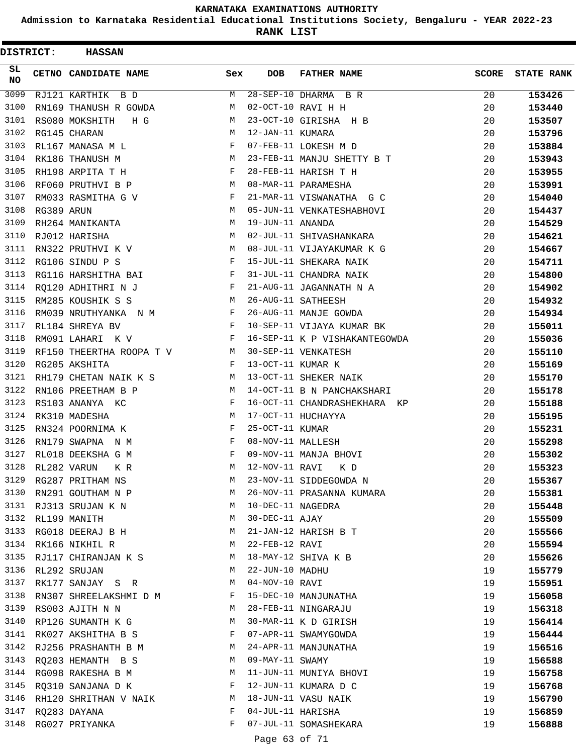**Admission to Karnataka Residential Educational Institutions Society, Bengaluru - YEAR 2022-23**

**RANK LIST**

| <b>DISTRICT:</b> |            | <b>HASSAN</b>            |     |                   |                               |              |                   |
|------------------|------------|--------------------------|-----|-------------------|-------------------------------|--------------|-------------------|
| SL.<br>NO.       |            | CETNO CANDIDATE NAME     | Sex | <b>DOB</b>        | <b>FATHER NAME</b>            | <b>SCORE</b> | <b>STATE RANK</b> |
| 3099             |            | RJ121 KARTHIK B D        | М   |                   | $28-SEP-10$ DHARMA B R        | 20           | 153426            |
| 3100             |            | RN169 THANUSH R GOWDA    | M   |                   | 02-OCT-10 RAVI H H            | 20           | 153440            |
| 3101             |            | RS080 MOKSHITH<br>H G    | M   |                   | 23-OCT-10 GIRISHA H B         | 20           | 153507            |
| 3102             |            | RG145 CHARAN             | M   | 12-JAN-11 KUMARA  |                               | 20           | 153796            |
| 3103             |            | RL167 MANASA M L         | F   |                   | 07-FEB-11 LOKESH M D          | 20           | 153884            |
| 3104             |            | RK186 THANUSH M          | M   |                   | 23-FEB-11 MANJU SHETTY B T    | 20           | 153943            |
| 3105             |            | RH198 ARPITA T H         | F   |                   | 28-FEB-11 HARISH T H          | 20           | 153955            |
| 3106             |            | RF060 PRUTHVI B P        | M   |                   | 08-MAR-11 PARAMESHA           | 20           | 153991            |
| 3107             |            | RM033 RASMITHA G V       | F   |                   | 21-MAR-11 VISWANATHA G C      | 20           | 154040            |
| 3108             | RG389 ARUN |                          | M   |                   | 05-JUN-11 VENKATESHABHOVI     | 20           | 154437            |
| 3109             |            | RH264 MANIKANTA          | M   | 19-JUN-11 ANANDA  |                               | 20           | 154529            |
| 3110             |            | RJ012 HARISHA            | M   |                   | 02-JUL-11 SHIVASHANKARA       | 20           | 154621            |
| 3111             |            | RN322 PRUTHVI K V        | M   |                   | 08-JUL-11 VIJAYAKUMAR K G     | 20           | 154667            |
| 3112             |            | RG106 SINDU P S          | F   |                   | 15-JUL-11 SHEKARA NAIK        | 20           | 154711            |
| 3113             |            | RG116 HARSHITHA BAI      | F   |                   | 31-JUL-11 CHANDRA NAIK        | 20           | 154800            |
| 3114             |            | RQ120 ADHITHRI N J       | F   |                   | 21-AUG-11 JAGANNATH N A       | 20           | 154902            |
| 3115             |            | RM285 KOUSHIK S S        | М   |                   | 26-AUG-11 SATHEESH            | 20           | 154932            |
| 3116             |            | RM039 NRUTHYANKA N M     | F   |                   | 26-AUG-11 MANJE GOWDA         | 20           | 154934            |
| 3117             |            | RL184 SHREYA BV          | F   |                   | 10-SEP-11 VIJAYA KUMAR BK     | 20           | 155011            |
| 3118             |            | RM091 LAHARI K V         | F   |                   | 16-SEP-11 K P VISHAKANTEGOWDA | 20           | 155036            |
| 3119             |            | RF150 THEERTHA ROOPA T V | М   |                   | 30-SEP-11 VENKATESH           | 20           | 155110            |
| 3120             |            | RG205 AKSHITA            | F   | 13-OCT-11 KUMAR K |                               | 20           | 155169            |
| 3121             |            | RH179 CHETAN NAIK K S    | М   |                   | 13-OCT-11 SHEKER NAIK         | 20           | 155170            |
| 3122             |            | RN106 PREETHAM B P       | M   |                   | 14-OCT-11 B N PANCHAKSHARI    | 20           | 155178            |
| 3123             |            | RS103 ANANYA KC          | F   |                   | 16-OCT-11 CHANDRASHEKHARA KP  | 20           | 155188            |
| 3124             |            | RK310 MADESHA            | M   |                   | 17-OCT-11 HUCHAYYA            | 20           | 155195            |
| 3125             |            | RN324 POORNIMA K         | F   | 25-OCT-11 KUMAR   |                               | 20           | 155231            |
| 3126             |            | RN179 SWAPNA N M         | F   | 08-NOV-11 MALLESH |                               | 20           | 155298            |
| 3127             |            | RL018 DEEKSHA G M        | F   |                   | 09-NOV-11 MANJA BHOVI         | 20           | 155302            |
| 3128             |            | RL282 VARUN<br>K R       | M   | 12-NOV-11 RAVI    | K D                           | 20           | 155323            |
| 3129             |            | RG287 PRITHAM NS         | M   |                   | 23-NOV-11 SIDDEGOWDA N        | 20           | 155367            |
| 3130             |            | RN291 GOUTHAM N P        | М   |                   | 26-NOV-11 PRASANNA KUMARA     | 20           | 155381            |
|                  |            | 3131 RJ313 SRUJAN K N    | M   | 10-DEC-11 NAGEDRA |                               | 20           | 155448            |
| 3132             |            | RL199 MANITH             | M   | 30-DEC-11 AJAY    |                               | 20           | 155509            |
| 3133             |            | RG018 DEERAJ B H         | M   |                   | 21-JAN-12 HARISH B T          | 20           | 155566            |
| 3134             |            | RK166 NIKHIL R           | M   | 22-FEB-12 RAVI    |                               | 20           | 155594            |
| 3135             |            | RJ117 CHIRANJAN K S      | M   |                   | 18-MAY-12 SHIVA K B           | 20           | 155626            |
| 3136             |            | RL292 SRUJAN             | M   | 22-JUN-10 MADHU   |                               | 19           | 155779            |
| 3137             |            | RK177 SANJAY S R         | M   | 04-NOV-10 RAVI    |                               | 19           | 155951            |
| 3138             |            | RN307 SHREELAKSHMI D M   | F   |                   | 15-DEC-10 MANJUNATHA          | 19           | 156058            |
| 3139             |            | RS003 AJITH N N          | M   |                   | 28-FEB-11 NINGARAJU           | 19           | 156318            |
| 3140             |            | RP126 SUMANTH K G        | М   |                   | 30-MAR-11 K D GIRISH          | 19           | 156414            |
|                  |            | 3141 RK027 AKSHITHA B S  | F   |                   | 07-APR-11 SWAMYGOWDA          | 19           | 156444            |
| 3142             |            | RJ256 PRASHANTH B M      | М   |                   | 24-APR-11 MANJUNATHA          | 19           | 156516            |
| 3143             |            | RQ203 HEMANTH B S        | М   | 09-MAY-11 SWAMY   |                               | 19           | 156588            |
| 3144             |            | RG098 RAKESHA B M        | M   |                   | 11-JUN-11 MUNIYA BHOVI        | 19           | 156758            |
| 3145             |            | RQ310 SANJANA D K        | F   |                   | 12-JUN-11 KUMARA D C          | 19           | 156768            |
| 3146             |            | RH120 SHRITHAN V NAIK    | M   |                   | 18-JUN-11 VASU NAIK           | 19           | 156790            |
| 3147             |            | RQ283 DAYANA             | F   | 04-JUL-11 HARISHA |                               | 19           | 156859            |
| 3148             |            | RG027 PRIYANKA           | F   |                   | 07-JUL-11 SOMASHEKARA         | 19           | 156888            |
|                  |            |                          |     | Page 63 of 71     |                               |              |                   |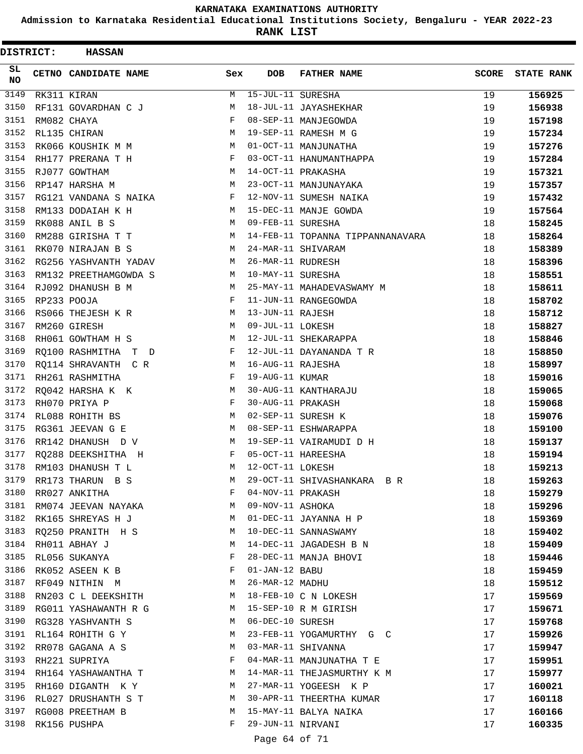**Admission to Karnataka Residential Educational Institutions Society, Bengaluru - YEAR 2022-23**

| <b>DISTRICT:</b> |             | <b>HASSAN</b>         |                      |     |                   |                                  |              |                   |
|------------------|-------------|-----------------------|----------------------|-----|-------------------|----------------------------------|--------------|-------------------|
| SL.<br><b>NO</b> |             | CETNO CANDIDATE NAME  |                      | Sex | <b>DOB</b>        | <b>FATHER NAME</b>               | <b>SCORE</b> | <b>STATE RANK</b> |
| 3149             |             | RK311 KIRAN           |                      | M   | 15-JUL-11 SURESHA |                                  | 19           | 156925            |
| 3150             |             | RF131 GOVARDHAN C J   |                      | М   |                   | 18-JUL-11 JAYASHEKHAR            | 19           | 156938            |
| 3151             | RM082 CHAYA |                       |                      | F   |                   | 08-SEP-11 MANJEGOWDA             | 19           | 157198            |
| 3152             |             | RL135 CHIRAN          |                      | М   |                   | 19-SEP-11 RAMESH M G             | 19           | 157234            |
| 3153             |             | RK066 KOUSHIK M M     |                      | M   |                   | 01-OCT-11 MANJUNATHA             | 19           | 157276            |
| 3154             |             | RH177 PRERANA T H     |                      | F   |                   | 03-OCT-11 HANUMANTHAPPA          | 19           | 157284            |
| 3155             |             | RJ077 GOWTHAM         |                      | M   |                   | 14-OCT-11 PRAKASHA               | 19           | 157321            |
| 3156             |             | RP147 HARSHA M        |                      | M   |                   | 23-OCT-11 MANJUNAYAKA            | 19           | 157357            |
| 3157             |             | RG121 VANDANA S NAIKA |                      | F   |                   | 12-NOV-11 SUMESH NAIKA           | 19           | 157432            |
| 3158             |             | RM133 DODAIAH K H     |                      | М   |                   | 15-DEC-11 MANJE GOWDA            | 19           | 157564            |
| 3159             |             | RK088 ANIL B S        |                      | M   | 09-FEB-11 SURESHA |                                  | 18           | 158245            |
| 3160             |             | RM288 GIRISHA T T     |                      | M   |                   | 14-FEB-11 TOPANNA TIPPANNANAVARA | 18           | 158264            |
| 3161             |             | RK070 NIRAJAN B S     |                      | M   |                   | 24-MAR-11 SHIVARAM               | 18           | 158389            |
| 3162             |             | RG256 YASHVANTH YADAV |                      | М   | 26-MAR-11 RUDRESH |                                  | 18           | 158396            |
| 3163             |             | RM132 PREETHAMGOWDA S |                      | М   | 10-MAY-11 SURESHA |                                  | 18           | 158551            |
| 3164             |             | RJ092 DHANUSH B M     |                      | M   |                   | 25-MAY-11 MAHADEVASWAMY M        | 18           | 158611            |
| 3165             |             | RP233 POOJA           |                      | F   |                   | 11-JUN-11 RANGEGOWDA             | 18           | 158702            |
| 3166             |             | RS066 THEJESH K R     |                      | М   | 13-JUN-11 RAJESH  |                                  | 18           | 158712            |
| 3167             |             | RM260 GIRESH          |                      | M   | 09-JUL-11 LOKESH  |                                  | 18           | 158827            |
| 3168             |             | RH061 GOWTHAM H S     |                      | М   |                   | 12-JUL-11 SHEKARAPPA             | 18           | 158846            |
| 3169             |             | RQ100 RASHMITHA T D   |                      | F   |                   | 12-JUL-11 DAYANANDA T R          | 18           | 158850            |
| 3170             |             | RQ114 SHRAVANTH C R   |                      | M   | 16-AUG-11 RAJESHA |                                  | 18           | 158997            |
| 3171             |             | RH261 RASHMITHA       |                      | F   | 19-AUG-11 KUMAR   |                                  | 18           | 159016            |
| 3172             |             | RQ042 HARSHA K K      |                      | М   |                   | 30-AUG-11 KANTHARAJU             | 18           | 159065            |
| 3173             |             | RH070 PRIYA P         |                      | F   | 30-AUG-11 PRAKASH |                                  | 18           | 159068            |
| 3174             |             | RL088 ROHITH BS       |                      | М   |                   | 02-SEP-11 SURESH K               | 18           | 159076            |
| 3175             |             | RG361 JEEVAN G E      |                      | M   |                   | 08-SEP-11 ESHWARAPPA             | 18           | 159100            |
| 3176             |             | RR142 DHANUSH D V     |                      | M   |                   | 19-SEP-11 VAIRAMUDI D H          | 18           | 159137            |
| 3177             |             | RQ288 DEEKSHITHA H    |                      | F   |                   | 05-OCT-11 HAREESHA               | 18           | 159194            |
| 3178             |             | RM103 DHANUSH T L     |                      | M   | 12-OCT-11 LOKESH  |                                  | 18           | 159213            |
| 3179             |             | RR173 THARUN B S      |                      | M   |                   | 29-OCT-11 SHIVASHANKARA B R      | 18           | 159263            |
| 3180             |             | RR027 ANKITHA         |                      | F   | 04-NOV-11 PRAKASH |                                  | 18           | 159279            |
| 3181             |             |                       | RM074 JEEVAN NAYAKA  | М   | 09-NOV-11 ASHOKA  |                                  | 18           | 159296            |
| 3182             |             | RK165 SHREYAS H J     |                      | M   |                   | 01-DEC-11 JAYANNA H P            | 18           | 159369            |
| 3183             |             | RQ250 PRANITH H S     |                      | M   |                   | 10-DEC-11 SANNASWAMY             | 18           | 159402            |
| 3184             |             | RH011 ABHAY J         |                      | M   |                   | 14-DEC-11 JAGADESH B N           | 18           | 159409            |
| 3185             |             | RL056 SUKANYA         |                      | F   |                   | 28-DEC-11 MANJA BHOVI            | 18           | 159446            |
| 3186             |             | RK052 ASEEN K B       |                      | F   | 01-JAN-12 BABU    |                                  | 18           | 159459            |
| 3187             |             | RF049 NITHIN M        |                      | M   | 26-MAR-12 MADHU   |                                  | 18           | 159512            |
| 3188             |             |                       | RN203 C L DEEKSHITH  | M   |                   | 18-FEB-10 C N LOKESH             | 17           | 159569            |
| 3189             |             |                       | RG011 YASHAWANTH R G | M   |                   | 15-SEP-10 R M GIRISH             | 17           | 159671            |
| 3190             |             | RG328 YASHVANTH S     |                      | M   | 06-DEC-10 SURESH  |                                  | 17           | 159768            |
|                  |             | 3191 RL164 ROHITH G Y |                      | M   |                   | 23-FEB-11 YOGAMURTHY G C         | 17           | 159926            |
| 3192             |             | RR078 GAGANA A S      |                      | М   |                   | 03-MAR-11 SHIVANNA               | 17           | 159947            |
| 3193             |             | RH221 SUPRIYA         |                      | F   |                   | 04-MAR-11 MANJUNATHA T E         | 17           | 159951            |
| 3194             |             |                       | RH164 YASHAWANTHA T  | M   |                   | 14-MAR-11 THEJASMURTHY K M       | 17           | 159977            |
| 3195             |             | RH160 DIGANTH K Y     |                      | M   |                   | 27-MAR-11 YOGEESH K P            | 17           | 160021            |
| 3196             |             |                       | RL027 DRUSHANTH S T  | М   |                   | 30-APR-11 THEERTHA KUMAR         | 17           | 160118            |
| 3197             |             | RG008 PREETHAM B      |                      | М   |                   | 15-MAY-11 BALYA NAIKA            | 17           | 160166            |
| 3198             |             | RK156 PUSHPA          |                      | F   | 29-JUN-11 NIRVANI |                                  | 17           | 160335            |
|                  |             |                       |                      |     | Page 64 of 71     |                                  |              |                   |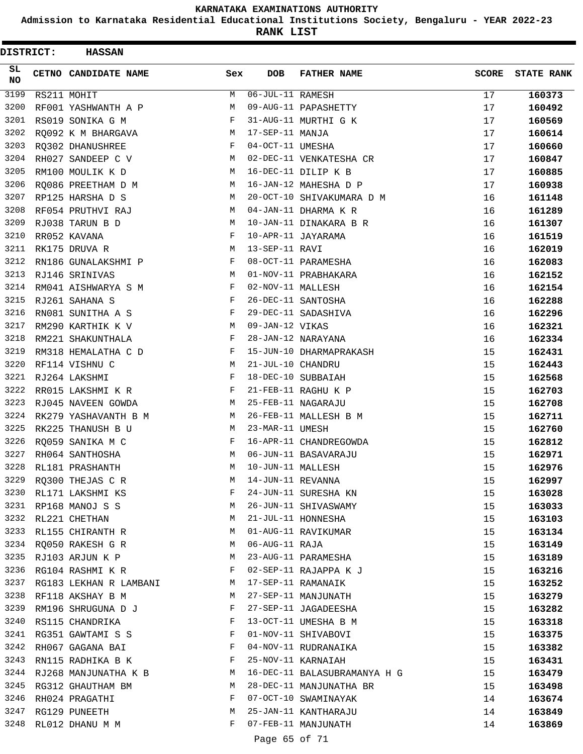**Admission to Karnataka Residential Educational Institutions Society, Bengaluru - YEAR 2022-23**

**RANK LIST**

| DISTRICT: | <b>HASSAN</b>          |     |                   |                              |              |                   |
|-----------|------------------------|-----|-------------------|------------------------------|--------------|-------------------|
| SL<br>NO  | CETNO CANDIDATE NAME   | Sex | <b>DOB</b>        | <b>FATHER NAME</b>           | <b>SCORE</b> | <b>STATE RANK</b> |
| 3199      | RS211 MOHIT            | М   | 06-JUL-11 RAMESH  |                              | 17           | 160373            |
| 3200      | RF001 YASHWANTH A P    | М   |                   | 09-AUG-11 PAPASHETTY         | 17           | 160492            |
| 3201      | RS019 SONIKA G M       | F   |                   | 31-AUG-11 MURTHI G K         | 17           | 160569            |
| 3202      | RQ092 K M BHARGAVA     | М   | 17-SEP-11 MANJA   |                              | 17           | 160614            |
| 3203      | RQ302 DHANUSHREE       | F   | 04-OCT-11 UMESHA  |                              | 17           | 160660            |
| 3204      | RH027 SANDEEP C V      | М   |                   | 02-DEC-11 VENKATESHA CR      | 17           | 160847            |
| 3205      | RM100 MOULIK K D       | М   |                   | 16-DEC-11 DILIP K B          | 17           | 160885            |
| 3206      | RO086 PREETHAM D M     | M   |                   | 16-JAN-12 MAHESHA D P        | 17           | 160938            |
| 3207      | RP125 HARSHA D S       | М   |                   | 20-OCT-10 SHIVAKUMARA D M    | 16           | 161148            |
| 3208      | RF054 PRUTHVI RAJ      | М   |                   | 04-JAN-11 DHARMA K R         | 16           | 161289            |
| 3209      | RJ038 TARUN B D        | М   |                   | 10-JAN-11 DINAKARA B R       | 16           | 161307            |
| 3210      | RR052 KAVANA           | F   |                   | 10-APR-11 JAYARAMA           | 16           | 161519            |
| 3211      | RK175 DRUVA R          | М   | 13-SEP-11 RAVI    |                              | 16           | 162019            |
| 3212      | RN186 GUNALAKSHMI P    | F   |                   | 08-OCT-11 PARAMESHA          | 16           | 162083            |
| 3213      | RJ146 SRINIVAS         | М   |                   | 01-NOV-11 PRABHAKARA         | 16           | 162152            |
| 3214      | RM041 AISHWARYA S M    | F   | 02-NOV-11 MALLESH |                              | 16           | 162154            |
| 3215      | RJ261 SAHANA S         | F   |                   | 26-DEC-11 SANTOSHA           | 16           | 162288            |
| 3216      | RN081 SUNITHA A S      | F   |                   | 29-DEC-11 SADASHIVA          | 16           | 162296            |
| 3217      | RM290 KARTHIK K V      | M   | 09-JAN-12 VIKAS   |                              | 16           | 162321            |
| 3218      | RM221 SHAKUNTHALA      | F   |                   | 28-JAN-12 NARAYANA           | 16           | 162334            |
| 3219      | RM318 HEMALATHA C D    | F   |                   | 15-JUN-10 DHARMAPRAKASH      | 15           | 162431            |
| 3220      | RF114 VISHNU C         | М   | 21-JUL-10 CHANDRU |                              | 15           | 162443            |
| 3221      | RJ264 LAKSHMI          | F   |                   | 18-DEC-10 SUBBAIAH           | 15           | 162568            |
| 3222      | RR015 LAKSHMI K R      | F   |                   | 21-FEB-11 RAGHU K P          | 15           | 162703            |
| 3223      | RJ045 NAVEEN GOWDA     | M   |                   | 25-FEB-11 NAGARAJU           | 15           | 162708            |
| 3224      | RK279 YASHAVANTH B M   | М   |                   | 26-FEB-11 MALLESH B M        | 15           | 162711            |
| 3225      | RK225 THANUSH B U      | М   | 23-MAR-11 UMESH   |                              | 15           | 162760            |
| 3226      | RQ059 SANIKA M C       | F   |                   | 16-APR-11 CHANDREGOWDA       | 15           | 162812            |
| 3227      | RH064 SANTHOSHA        | М   |                   | 06-JUN-11 BASAVARAJU         | 15           | 162971            |
| 3228      | RL181 PRASHANTH        | М   | 10-JUN-11 MALLESH |                              | 15           | 162976            |
|           | 3229 RQ300 THEJAS C R  | М   | 14-JUN-11 REVANNA |                              | 15           | 162997            |
|           | 3230 RL171 LAKSHMI KS  | F   |                   | 24-JUN-11 SURESHA KN         | 15           | 163028            |
|           | 3231 RP168 MANOJ S S   | М   |                   | 26-JUN-11 SHIVASWAMY         | 15           | 163033            |
| 3232      | RL221 CHETHAN          | М   |                   | 21-JUL-11 HONNESHA           | 15           | 163103            |
| 3233      | RL155 CHIRANTH R       | М   |                   | 01-AUG-11 RAVIKUMAR          | 15           | 163134            |
| 3234      | RQ050 RAKESH G R       | M   | 06-AUG-11 RAJA    |                              | 15           | 163149            |
| 3235      | RJ103 ARJUN K P        | М   |                   | 23-AUG-11 PARAMESHA          | 15           | 163189            |
| 3236      | RG104 RASHMI K R       | F   |                   | 02-SEP-11 RAJAPPA K J        | 15           | 163216            |
| 3237      | RG183 LEKHAN R LAMBANI | M   |                   | 17-SEP-11 RAMANAIK           | 15           | 163252            |
| 3238      | RF118 AKSHAY B M       | M   |                   | 27-SEP-11 MANJUNATH          | 15           | 163279            |
| 3239      | RM196 SHRUGUNA D J     | F   |                   | 27-SEP-11 JAGADEESHA         | 15           | 163282            |
| 3240      | RS115 CHANDRIKA        | F   |                   | 13-OCT-11 UMESHA B M         | 15           | 163318            |
|           | 3241 RG351 GAWTAMI S S | F   |                   | 01-NOV-11 SHIVABOVI          | 15           | 163375            |
| 3242      | RH067 GAGANA BAI       | F   |                   | 04-NOV-11 RUDRANAIKA         | 15           | 163382            |
| 3243      | RN115 RADHIKA B K      | F   |                   | 25-NOV-11 KARNAIAH           | 15           | 163431            |
| 3244      | RJ268 MANJUNATHA K B   | M   |                   | 16-DEC-11 BALASUBRAMANYA H G | 15           | 163479            |
| 3245      | RG312 GHAUTHAM BM      | M   |                   | 28-DEC-11 MANJUNATHA BR      | 15           | 163498            |
| 3246      | RH024 PRAGATHI         | F   |                   | 07-OCT-10 SWAMINAYAK         | 14           |                   |
| 3247      | RG129 PUNEETH          | М   |                   | 25-JAN-11 KANTHARAJU         | 14           | 163674<br>163849  |
| 3248      |                        | F   |                   | 07-FEB-11 MANJUNATH          |              |                   |
|           | RL012 DHANU M M        |     |                   |                              | 14           | 163869            |

Page 65 of 71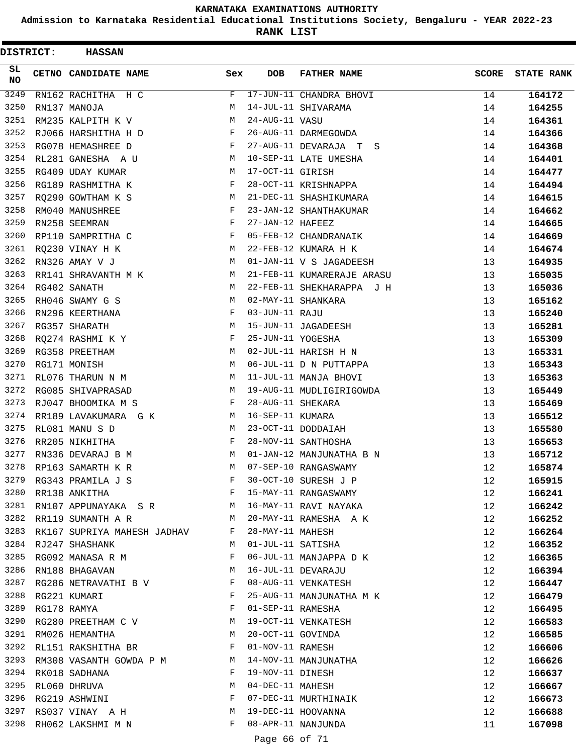**Admission to Karnataka Residential Educational Institutions Society, Bengaluru - YEAR 2022-23**

**RANK LIST**

| <b>DISTRICT:</b> | <b>HASSAN</b>                                                                     |              |                   |                            |              |                   |
|------------------|-----------------------------------------------------------------------------------|--------------|-------------------|----------------------------|--------------|-------------------|
| SL.<br>NO        | CETNO CANDIDATE NAME                                                              | Sex          | <b>DOB</b>        | <b>FATHER NAME</b>         | <b>SCORE</b> | <b>STATE RANK</b> |
| 3249             | RN162 RACHITHA H C                                                                | F            |                   | 17-JUN-11 CHANDRA BHOVI    | 14           | 164172            |
| 3250             | RN137 MANOJA                                                                      | М            |                   | 14-JUL-11 SHIVARAMA        | 14           | 164255            |
| 3251             | RM235 KALPITH K V                                                                 | M            | 24-AUG-11 VASU    |                            | 14           | 164361            |
| 3252             | RJ066 HARSHITHA H D                                                               | F            |                   | 26-AUG-11 DARMEGOWDA       | 14           | 164366            |
| 3253             | RG078 HEMASHREE D                                                                 | F            |                   | 27-AUG-11 DEVARAJA T S     | 14           | 164368            |
| 3254             | RL281 GANESHA A U                                                                 | М            |                   | 10-SEP-11 LATE UMESHA      | 14           | 164401            |
| 3255             | RG409 UDAY KUMAR                                                                  | М            | 17-OCT-11 GIRISH  |                            | 14           | 164477            |
| 3256             | RG189 RASHMITHA K                                                                 | F            |                   | 28-OCT-11 KRISHNAPPA       | 14           | 164494            |
| 3257             | RQ290 GOWTHAM K S                                                                 | M            |                   | 21-DEC-11 SHASHIKUMARA     | 14           | 164615            |
| 3258             | RM040 MANUSHREE                                                                   | F            |                   | 23-JAN-12 SHANTHAKUMAR     | 14           | 164662            |
| 3259             | RN258 SEEMRAN                                                                     | F            | 27-JAN-12 HAFEEZ  |                            | 14           | 164665            |
| 3260             | RP110 SAMPRITHA C                                                                 | F            |                   | 05-FEB-12 CHANDRANAIK      | 14           | 164669            |
| 3261             | RQ230 VINAY H K                                                                   | M            |                   | 22-FEB-12 KUMARA H K       | 14           | 164674            |
| 3262             | RN326 AMAY V J                                                                    | M            |                   | 01-JAN-11 V S JAGADEESH    | 13           | 164935            |
| 3263             | RR141 SHRAVANTH M K                                                               | М            |                   | 21-FEB-11 KUMARERAJE ARASU | 13           | 165035            |
| 3264             | RG402 SANATH                                                                      | M            |                   | 22-FEB-11 SHEKHARAPPA J H  | 13           | 165036            |
| 3265             | RH046 SWAMY G S                                                                   | M            |                   | 02-MAY-11 SHANKARA         | 13           | 165162            |
| 3266             | RN296 KEERTHANA                                                                   | F            | 03-JUN-11 RAJU    |                            | 13           | 165240            |
| 3267             | RG357 SHARATH                                                                     | М            |                   | 15-JUN-11 JAGADEESH        | 13           | 165281            |
| 3268             | RQ274 RASHMI K Y                                                                  | F            | 25-JUN-11 YOGESHA |                            | 13           | 165309            |
| 3269             | RG358 PREETHAM                                                                    | М            |                   | 02-JUL-11 HARISH H N       | 13           | 165331            |
| 3270             | RG171 MONISH                                                                      | М            |                   | 06-JUL-11 D N PUTTAPPA     | 13           | 165343            |
| 3271             | RL076 THARUN N M                                                                  | М            |                   | 11-JUL-11 MANJA BHOVI      | 13           | 165363            |
| 3272             | RG085 SHIVAPRASAD                                                                 | М            |                   | 19-AUG-11 MUDLIGIRIGOWDA   | 13           | 165449            |
| 3273             | RJ047 BHOOMIKA M S                                                                | F            | 28-AUG-11 SHEKARA |                            | 13           | 165469            |
| 3274             | RR189 LAVAKUMARA GK                                                               | M            | 16-SEP-11 KUMARA  |                            | 13           | 165512            |
| 3275             | RL081 MANU S D                                                                    | M            |                   | 23-OCT-11 DODDAIAH         | 13           | 165580            |
| 3276             | RR205 NIKHITHA                                                                    | F            |                   | 28-NOV-11 SANTHOSHA        | 13           | 165653            |
| 3277             | RN336 DEVARAJ B M                                                                 | М            |                   | 01-JAN-12 MANJUNATHA B N   | 13           | 165712            |
| 3278             | RP163 SAMARTH K R                                                                 | M            |                   | 07-SEP-10 RANGASWAMY       | 12           | 165874            |
|                  | 3279 RG343 PRAMILA J S                                                            | F            |                   | 30-OCT-10 SURESH J P       | 12           | 165915            |
|                  | 3280 RR138 ANKITHA<br>$\mathbf{F}$ and $\mathbf{F}$ are the set of $\mathbf{F}$ . |              |                   | 15-MAY-11 RANGASWAMY       | 12           | 166241            |
| 3281             | RN107 APPUNAYAKA SR M                                                             |              |                   | 16-MAY-11 RAVI NAYAKA      | 12           | 166242            |
|                  | 3282 RR119 SUMANTH A R                                                            | M            |                   | 20-MAY-11 RAMESHA A K      | 12           | 166252            |
|                  | 3283 RK167 SUPRIYA MAHESH JADHAV F                                                |              | 28-MAY-11 MAHESH  |                            | 12           | 166264            |
|                  | 3284 RJ247 SHASHANK                                                               | M            |                   | 01-JUL-11 SATISHA          | 12           | 166352            |
| 3285             | RG092 MANASA R M                                                                  | F            |                   | 06-JUL-11 MANJAPPA D K     | 12           | 166365            |
| 3286             | RN188 BHAGAVAN                                                                    | M            |                   | 16-JUL-11 DEVARAJU         | 12           | 166394            |
|                  | 3287 RG286 NETRAVATHI B V                                                         | F            |                   | 08-AUG-11 VENKATESH        | 12           | 166447            |
| 3288             | RG221 KUMARI                                                                      | F            |                   | 25-AUG-11 MANJUNATHA M K   | 12           | 166479            |
| 3289             | RG178 RAMYA                                                                       | F            | 01-SEP-11 RAMESHA |                            | 12           | 166495            |
|                  | 3290 RG280 PREETHAM C V M                                                         |              |                   | 19-OCT-11 VENKATESH        | 12           | 166583            |
|                  | 3291 RM026 HEMANTHA                                                               | М            | 20-OCT-11 GOVINDA |                            | 12           | 166585            |
| 3292             | RL151 RAKSHITHA BR                                                                | F            | 01-NOV-11 RAMESH  |                            | 12           | 166606            |
| 3293             | RM308 VASANTH GOWDA P M                                                           | M            |                   | 14-NOV-11 MANJUNATHA       | 12           | 166626            |
| 3294             | RK018 SADHANA                                                                     | F            | 19-NOV-11 DINESH  |                            | 12           | 166637            |
| 3295             | RL060 DHRUVA                                                                      | M            | 04-DEC-11 MAHESH  |                            | 12           | 166667            |
|                  | 3296 RG219 ASHWINI                                                                | F            |                   | 07-DEC-11 MURTHINAIK       | 12           | 166673            |
| 3297             | RS037 VINAY A H                                                                   | М            |                   | 19-DEC-11 HOOVANNA         | 12           | 166688            |
| 3298             | RH062 LAKSHMI M N                                                                 | $\mathbf{F}$ |                   | 08-APR-11 NANJUNDA         | 11           | 167098            |
|                  |                                                                                   |              | Page 66 of 71     |                            |              |                   |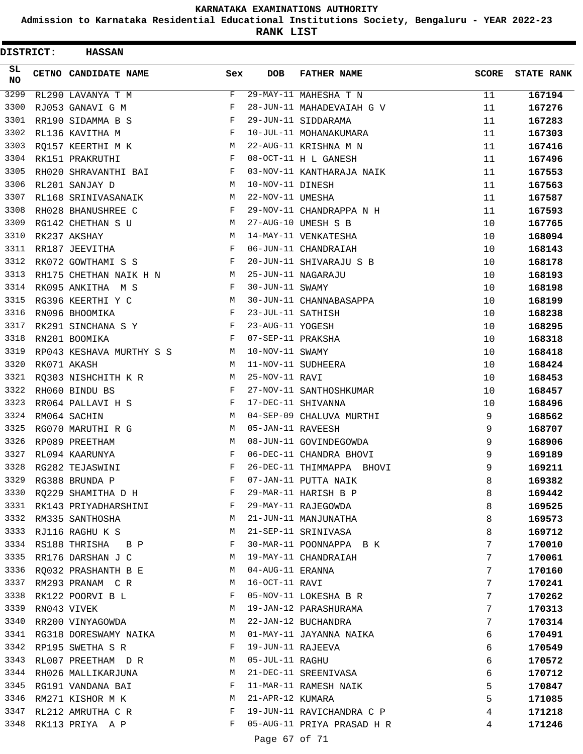**Admission to Karnataka Residential Educational Institutions Society, Bengaluru - YEAR 2022-23**

| <b>DISTRICT:</b> | <b>HASSAN</b>              |     |                   |                            |              |                   |
|------------------|----------------------------|-----|-------------------|----------------------------|--------------|-------------------|
| SL.<br><b>NO</b> | CETNO CANDIDATE NAME       | Sex | <b>DOB</b>        | <b>FATHER NAME</b>         | <b>SCORE</b> | <b>STATE RANK</b> |
| 3299             | RL290 LAVANYA T M          | F   |                   | 29-MAY-11 MAHESHA T N      | 11           | 167194            |
| 3300             | RJ053 GANAVI G M           | F   |                   | 28-JUN-11 MAHADEVAIAH G V  | 11           | 167276            |
| 3301             | RR190 SIDAMMA B S          | F   |                   | 29-JUN-11 SIDDARAMA        | 11           | 167283            |
| 3302             | RL136 KAVITHA M            | F   |                   | 10-JUL-11 MOHANAKUMARA     | 11           | 167303            |
| 3303             | RQ157 KEERTHI M K          | M   |                   | 22-AUG-11 KRISHNA M N      | 11           | 167416            |
| 3304             | RK151 PRAKRUTHI            | F   |                   | 08-OCT-11 H L GANESH       | 11           | 167496            |
| 3305             | RH020 SHRAVANTHI BAI       | F   |                   | 03-NOV-11 KANTHARAJA NAIK  | 11           | 167553            |
| 3306             | RL201 SANJAY D             | M   | 10-NOV-11 DINESH  |                            | 11           | 167563            |
| 3307             | RL168 SRINIVASANAIK        | M   | 22-NOV-11 UMESHA  |                            | 11           | 167587            |
| 3308             | RH028 BHANUSHREE C         | F   |                   | 29-NOV-11 CHANDRAPPA N H   | 11           | 167593            |
| 3309             | RG142 CHETHAN S U          | M   |                   | 27-AUG-10 UMESH S B        | 10           | 167765            |
| 3310             | RK237 AKSHAY               | М   |                   | 14-MAY-11 VENKATESHA       | 10           | 168094            |
| 3311             | RR187 JEEVITHA             | F   |                   | 06-JUN-11 CHANDRAIAH       | 10           | 168143            |
| 3312             | RK072 GOWTHAMI S S         | F   |                   | 20-JUN-11 SHIVARAJU S B    | 10           | 168178            |
| 3313             | RH175 CHETHAN NAIK H N     | M   |                   | 25-JUN-11 NAGARAJU         | 10           | 168193            |
| 3314             | RK095 ANKITHA M S          | F   | 30-JUN-11 SWAMY   |                            | 10           | 168198            |
| 3315             | RG396 KEERTHI Y C          | М   |                   | 30-JUN-11 CHANNABASAPPA    | 10           | 168199            |
| 3316             | RN096 BHOOMIKA             | F   | 23-JUL-11 SATHISH |                            | 10           | 168238            |
| 3317             | RK291 SINCHANA S Y         | F   | 23-AUG-11 YOGESH  |                            | 10           | 168295            |
| 3318             | RN201 BOOMIKA              | F   | 07-SEP-11 PRAKSHA |                            | 10           | 168318            |
| 3319             | RP043 KESHAVA MURTHY S S   | M   | 10-NOV-11 SWAMY   |                            | 10           | 168418            |
| 3320             | RK071 AKASH                | M   |                   | 11-NOV-11 SUDHEERA         | 10           | 168424            |
| 3321             | RQ303 NISHCHITH K R        | M   | 25-NOV-11 RAVI    |                            | 10           | 168453            |
| 3322             | RH060 BINDU BS             | F   |                   | 27-NOV-11 SANTHOSHKUMAR    | 10           | 168457            |
| 3323             | RR064 PALLAVI H S          | F   |                   | 17-DEC-11 SHIVANNA         | 10           | 168496            |
| 3324             | RM064 SACHIN               | М   |                   | 04-SEP-09 CHALUVA MURTHI   | 9            | 168562            |
| 3325             | RG070 MARUTHI R G          | M   | 05-JAN-11 RAVEESH |                            | 9            | 168707            |
| 3326             | RP089 PREETHAM             | M   |                   | 08-JUN-11 GOVINDEGOWDA     | 9            | 168906            |
| 3327             | RL094 KAARUNYA             | F   |                   | 06-DEC-11 CHANDRA BHOVI    | 9            | 169189            |
| 3328             | RG282 TEJASWINI            | F   |                   | 26-DEC-11 THIMMAPPA BHOVI  | 9            | 169211            |
| 3329             | RG388 BRUNDA P             | F   |                   | 07-JAN-11 PUTTA NAIK       | 8            | 169382            |
| 3330             | RQ229 SHAMITHA D H         | F   |                   | 29-MAR-11 HARISH B P       | 8            | 169442            |
|                  | 3331 RK143 PRIYADHARSHINI  | F   |                   | 29-MAY-11 RAJEGOWDA        | 8            | 169525            |
| 3332             | RM335 SANTHOSHA            | M   |                   | 21-JUN-11 MANJUNATHA       | 8            | 169573            |
|                  | 3333 RJ116 RAGHU K S       | M   |                   | 21-SEP-11 SRINIVASA        | 8            | 169712            |
|                  | 3334 RS188 THRISHA B P     | F   |                   | 30-MAR-11 POONNAPPA B K    | 7            | 170010            |
| 3335             | RR176 DARSHAN J C          | M   |                   | 19-MAY-11 CHANDRAIAH       | 7            | 170061            |
| 3336             | RQ032 PRASHANTH B E        | М   | 04-AUG-11 ERANNA  |                            | 7            | 170160            |
| 3337             | RM293 PRANAM CR            | M   | 16-OCT-11 RAVI    |                            | 7            | 170241            |
| 3338             | RK122 POORVI B L           | F   |                   | 05-NOV-11 LOKESHA B R      | 7            | 170262            |
| 3339             | RN043 VIVEK                | М   |                   | 19-JAN-12 PARASHURAMA      | 7            | 170313            |
| 3340             | M<br>RR200 VINYAGOWDA      |     |                   | 22-JAN-12 BUCHANDRA        | 7            | 170314            |
|                  | 3341 RG318 DORESWAMY NAIKA | M   |                   | 01-MAY-11 JAYANNA NAIKA    | 6            | 170491            |
| 3342             | RP195 SWETHA S R           | F   | 19-JUN-11 RAJEEVA |                            | 6            | 170549            |
| 3343             | RL007 PREETHAM D R         | M   | 05-JUL-11 RAGHU   |                            | 6            | 170572            |
| 3344             | RH026 MALLIKARJUNA         | M   |                   | 21-DEC-11 SREENIVASA       | 6            | 170712            |
| 3345             | RG191 VANDANA BAI          | F   |                   | 11-MAR-11 RAMESH NAIK      | 5            | 170847            |
| 3346             | RM271 KISHOR M K           | М   | 21-APR-12 KUMARA  |                            | 5            | 171085            |
| 3347             | RL212 AMRUTHA C R          | F   |                   | 19-JUN-11 RAVICHANDRA C P  | 4            | 171218            |
| 3348             | RK113 PRIYA A P            | F   |                   | 05-AUG-11 PRIYA PRASAD H R | 4            | 171246            |
|                  |                            |     | Page 67 of 71     |                            |              |                   |
|                  |                            |     |                   |                            |              |                   |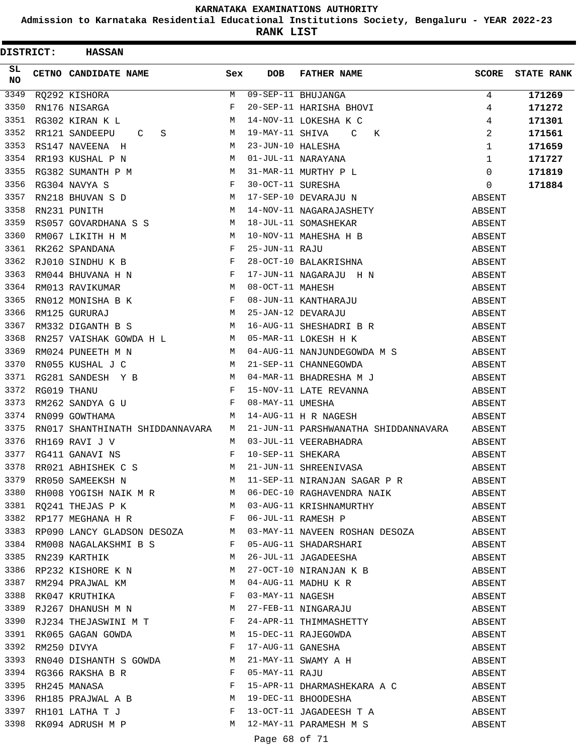**Admission to Karnataka Residential Educational Institutions Society, Bengaluru - YEAR 2022-23**

| <b>DISTRICT:</b> | <b>HASSAN</b>                                                                                                                                                                                                                                                             |     |                 |                                                                                                                                                                                                                                                                                                                                                                                                                                     |                |                   |
|------------------|---------------------------------------------------------------------------------------------------------------------------------------------------------------------------------------------------------------------------------------------------------------------------|-----|-----------------|-------------------------------------------------------------------------------------------------------------------------------------------------------------------------------------------------------------------------------------------------------------------------------------------------------------------------------------------------------------------------------------------------------------------------------------|----------------|-------------------|
| SL<br><b>NO</b>  | CETNO CANDIDATE NAME                                                                                                                                                                                                                                                      | Sex | <b>DOB</b>      | FATHER NAME                                                                                                                                                                                                                                                                                                                                                                                                                         | SCORE          | <b>STATE RANK</b> |
| 3349             | RQ292 KISHORA<br>$\begin{array}{c c} \multicolumn{3}{c }{M} \end{array}$ $\begin{array}{c} \multicolumn{3}{c }{M} \end{array}$<br>$\begin{array}{c} \multicolumn{3}{c }{M} \end{array}$<br>M                                                                              |     |                 | 09-SEP-11 BHUJANGA<br>20-SEP-11 HARISHA BHOVI<br>14-NOV-11 LOKESHA K C<br>19-MAY-11 SHIVA C K                                                                                                                                                                                                                                                                                                                                       | 4              | 171269            |
| 3350             | RN176 NISARGA                                                                                                                                                                                                                                                             |     |                 |                                                                                                                                                                                                                                                                                                                                                                                                                                     | 4              | 171272            |
| 3351             | RG302 KIRAN K L                                                                                                                                                                                                                                                           |     |                 |                                                                                                                                                                                                                                                                                                                                                                                                                                     | $\overline{4}$ | 171301            |
| 3352             | $S$ M<br>RR121 SANDEEPU<br>$\mathbf C$                                                                                                                                                                                                                                    |     | 19-MAY-11 SHIVA |                                                                                                                                                                                                                                                                                                                                                                                                                                     | 2              | 171561            |
| 3353             |                                                                                                                                                                                                                                                                           |     |                 |                                                                                                                                                                                                                                                                                                                                                                                                                                     |                | 171659            |
| 3354             |                                                                                                                                                                                                                                                                           |     |                 |                                                                                                                                                                                                                                                                                                                                                                                                                                     |                | 171727            |
| 3355             |                                                                                                                                                                                                                                                                           |     |                 |                                                                                                                                                                                                                                                                                                                                                                                                                                     |                | 171819            |
| 3356             |                                                                                                                                                                                                                                                                           |     |                 |                                                                                                                                                                                                                                                                                                                                                                                                                                     |                | 171884            |
| 3357             |                                                                                                                                                                                                                                                                           |     |                 | $\begin{array}{cccccccccc} \texttt{RS14}\mathsf{7} & \texttt{NAVEENA} & \texttt{H} & & & \texttt{M} & 23-JUN-10 HALESHA & & & & \texttt{1} \\ \texttt{RR193 KUSHAL & P & N & & & \texttt{M} & 01-JUL-11 NARAYANA & & & \texttt{1} \\ \texttt{RG382 SUMANTH} & P & M & & & \texttt{M} & 31-MAR-11 MURTHY & P & L & & \texttt{0} \\ \texttt{RG304 NAVYA} & S & & & & F & 30-OCT-11 SURESHA & & & \texttt{0} \\ \texttt{RN218 BHUVAN}$ |                |                   |
| 3358             | $\mathbf M$<br>RN231 PUNITH<br>M 14-NOV-11 NAGARAJ<br>RS057 GOVARDHANA S S<br>RM067 LIKITH H M M 10-NOV-11 MAHESHA<br>RK262 SPANDANA F 25-JUN-11 RAJU<br>RJ010 SINDHU K B F 28-OCT-10 BALAKRI<br>RM013 RAVIKUMAR M F 17-JUN-11 NAGARAJ<br>RM013 RAVIKUMAR M 8 F 08-JUN-11 |     |                 | 14-NOV-11 NAGARAJASHETY                                                                                                                                                                                                                                                                                                                                                                                                             | ABSENT         |                   |
| 3359             |                                                                                                                                                                                                                                                                           |     |                 | 18-JUL-11 SOMASHEKAR<br>18-JUL-11 SOMASHEKAR<br>10-NOV-11 MAHESHA H B ABSENT<br>25-JUN-11 RAJU ABSENT<br>28-OCT-10 BALAKRISHNA ABSENT                                                                                                                                                                                                                                                                                               |                |                   |
| 3360             |                                                                                                                                                                                                                                                                           |     |                 |                                                                                                                                                                                                                                                                                                                                                                                                                                     |                |                   |
| 3361             |                                                                                                                                                                                                                                                                           |     |                 |                                                                                                                                                                                                                                                                                                                                                                                                                                     |                |                   |
| 3362             |                                                                                                                                                                                                                                                                           |     |                 |                                                                                                                                                                                                                                                                                                                                                                                                                                     |                |                   |
| 3363             |                                                                                                                                                                                                                                                                           |     |                 | 17-JUN-11 NAGARAJU H N<br>08-OCT-11 MAHESH<br>08-JUN-11 KANTHARAJU ABSENT<br>25-JAN-12 DEVARAJU ABSENT<br>16 JUN-11 KUNGAJU ABSENT                                                                                                                                                                                                                                                                                                  |                |                   |
| 3364             |                                                                                                                                                                                                                                                                           |     |                 |                                                                                                                                                                                                                                                                                                                                                                                                                                     |                |                   |
| 3365             |                                                                                                                                                                                                                                                                           |     |                 |                                                                                                                                                                                                                                                                                                                                                                                                                                     |                |                   |
| 3366             |                                                                                                                                                                                                                                                                           |     |                 |                                                                                                                                                                                                                                                                                                                                                                                                                                     |                |                   |
| 3367             | M<br>RM332 DIGANTH B S                                                                                                                                                                                                                                                    |     |                 | 16-AUG-11 SHESHADRI B R<br>05-MAR-11 LOKESH H K ABSENT                                                                                                                                                                                                                                                                                                                                                                              |                |                   |
| 3368             | RN257 VAISHAK GOWDA H L M 05-MAR-11 LOKESH H K                                                                                                                                                                                                                            |     |                 |                                                                                                                                                                                                                                                                                                                                                                                                                                     |                |                   |
| 3369             | RM024 PUNEETH M N                                                                                                                                                                                                                                                         |     |                 | M 04-AUG-11 NANJUNDEGOWDA M S ABSENT                                                                                                                                                                                                                                                                                                                                                                                                |                |                   |
| 3370             | RN055 KUSHAL J C                                                                                                                                                                                                                                                          |     |                 | M 21-SEP-11 CHANNEGOWDA ABSENT                                                                                                                                                                                                                                                                                                                                                                                                      |                |                   |
| 3371             |                                                                                                                                                                                                                                                                           |     |                 |                                                                                                                                                                                                                                                                                                                                                                                                                                     | ABSENT         |                   |
| 3372             |                                                                                                                                                                                                                                                                           |     |                 |                                                                                                                                                                                                                                                                                                                                                                                                                                     |                |                   |
| 3373             |                                                                                                                                                                                                                                                                           |     |                 | RG281 SANDESH Y B<br>RG019 THANU F 15-NOV-11 LATE REVANNA<br>RM262 SANDYA G U F 08-MAY-11 UMESHA<br>15-NOV-11 LATE REVANNA<br>16-MAY-11 UMESHA<br>14-AUG-11 H R NAGESH<br>14-AUG-11 H R NAGESH<br>14-AUG-11 H R NAGESH                                                                                                                                                                                                              |                |                   |
| 3374             | M<br>RN099 GOWTHAMA                                                                                                                                                                                                                                                       |     |                 |                                                                                                                                                                                                                                                                                                                                                                                                                                     |                |                   |
| 3375             | RN017 SHANTHINATH SHIDDANNAVARA M                                                                                                                                                                                                                                         |     |                 | 21-JUN-11 PARSHWANATHA SHIDDANNAVARA ABSENT                                                                                                                                                                                                                                                                                                                                                                                         |                |                   |
| 3376             | RH169 RAVI J V                                                                                                                                                                                                                                                            | M   |                 | 03-JUL-11 VEERABHADRA                                                                                                                                                                                                                                                                                                                                                                                                               | ABSENT         |                   |
| 3377             | RG411 GANAVI NS                                                                                                                                                                                                                                                           | F   |                 |                                                                                                                                                                                                                                                                                                                                                                                                                                     | ABSENT         |                   |
| 3378             | RR021 ABHISHEK C S                                                                                                                                                                                                                                                        | M   |                 | 10-SEP-11 SHEKARA<br>21-JUN-11 SHREENIVASA                                                                                                                                                                                                                                                                                                                                                                                          | ABSENT         |                   |
|                  |                                                                                                                                                                                                                                                                           |     |                 |                                                                                                                                                                                                                                                                                                                                                                                                                                     |                |                   |
|                  |                                                                                                                                                                                                                                                                           |     |                 |                                                                                                                                                                                                                                                                                                                                                                                                                                     |                |                   |
|                  |                                                                                                                                                                                                                                                                           |     |                 | 3381 RQ241 THEJAS P K M 03-AUG-11 KRISHNAMURTHY ABSENT                                                                                                                                                                                                                                                                                                                                                                              |                |                   |
|                  | 3382 RP177 MEGHANA H R F                                                                                                                                                                                                                                                  |     |                 | 06-JUL-11 RAMESH P ABSENT                                                                                                                                                                                                                                                                                                                                                                                                           |                |                   |
|                  |                                                                                                                                                                                                                                                                           |     |                 |                                                                                                                                                                                                                                                                                                                                                                                                                                     |                |                   |
|                  |                                                                                                                                                                                                                                                                           |     |                 |                                                                                                                                                                                                                                                                                                                                                                                                                                     |                |                   |
|                  |                                                                                                                                                                                                                                                                           |     |                 | 3383 RP090 LANCY GLADSON DESOZA M 03-MAY-11 NAVEEN ROSHAN DESOZA ABSENT ABSENT<br>3384 RM008 NAGALAKSHMI B S F 05-AUG-11 SHADARSHARI ABSENT ABSENT ABSENT<br>3385 RN239 KARTHIK M 26-JUL-11 JAGADEESHA ABSENT                                                                                                                                                                                                                       |                |                   |
|                  |                                                                                                                                                                                                                                                                           |     |                 | 3386 RP232 KISHORE K N<br>3387 RM294 PRAJWAL KM<br>3388 RK047 KRUTHIKA<br>3389 RJ267 DHANUSH M N<br>3389 RJ267 DHANUSH M N<br>3389 RJ267 DHANUSH M N<br>3389 RJ267 DHANUSH M N<br>3389 RJ267 DHANUSH M N<br>27-FEB-11 NINGARAJU                                                                                                                                                                                                     | ABSENT         |                   |
|                  |                                                                                                                                                                                                                                                                           |     |                 |                                                                                                                                                                                                                                                                                                                                                                                                                                     | ABSENT         |                   |
|                  |                                                                                                                                                                                                                                                                           |     |                 |                                                                                                                                                                                                                                                                                                                                                                                                                                     | ABSENT         |                   |
|                  |                                                                                                                                                                                                                                                                           |     |                 |                                                                                                                                                                                                                                                                                                                                                                                                                                     | ABSENT         |                   |
|                  |                                                                                                                                                                                                                                                                           |     |                 |                                                                                                                                                                                                                                                                                                                                                                                                                                     | ABSENT         |                   |
|                  |                                                                                                                                                                                                                                                                           |     |                 |                                                                                                                                                                                                                                                                                                                                                                                                                                     | ABSENT         |                   |
|                  |                                                                                                                                                                                                                                                                           |     |                 |                                                                                                                                                                                                                                                                                                                                                                                                                                     | ABSENT         |                   |
|                  |                                                                                                                                                                                                                                                                           |     |                 | RUZO / DHANUSH M N<br>RUZO / DHANUSH M N<br>RKO65 GAGAN GOWDA<br>RM250 DIVYA<br>RM250 DIVYA<br>RM250 DIVYA<br>RM250 DIVYA<br>RM250 DIVYA<br>RM250 DIVYA<br>RM250 DIVYA<br>RM250 DIVYA<br>PM21-MAY-11 GANESHA<br>MM21-MAY-11 GANESHA<br>PM21-MAY-11 SWAMY                                                                                                                                                                            |                |                   |
|                  |                                                                                                                                                                                                                                                                           |     |                 |                                                                                                                                                                                                                                                                                                                                                                                                                                     |                |                   |
|                  |                                                                                                                                                                                                                                                                           |     |                 |                                                                                                                                                                                                                                                                                                                                                                                                                                     |                |                   |
|                  |                                                                                                                                                                                                                                                                           |     |                 |                                                                                                                                                                                                                                                                                                                                                                                                                                     |                |                   |
|                  |                                                                                                                                                                                                                                                                           |     |                 |                                                                                                                                                                                                                                                                                                                                                                                                                                     |                |                   |
| 3398             |                                                                                                                                                                                                                                                                           |     |                 | RK094 ADRUSH M P M 12-MAY-11 PARAMESH M S                                                                                                                                                                                                                                                                                                                                                                                           | ABSENT         |                   |
|                  |                                                                                                                                                                                                                                                                           |     |                 | Page 68 of 71                                                                                                                                                                                                                                                                                                                                                                                                                       |                |                   |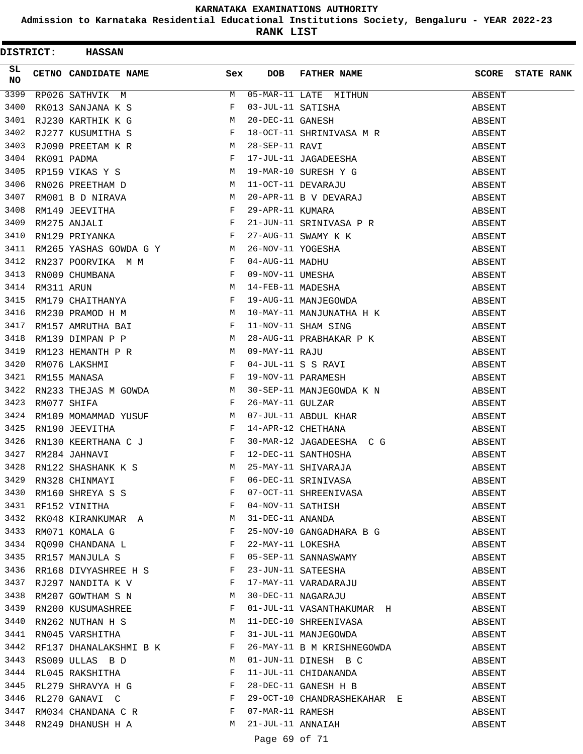**Admission to Karnataka Residential Educational Institutions Society, Bengaluru - YEAR 2022-23**

**RANK LIST**

| <b>DISTRICT:</b> | <b>HASSAN</b>                                                                                                                                                                |              |                   |                                                                                                                                                                                                                |        |                         |
|------------------|------------------------------------------------------------------------------------------------------------------------------------------------------------------------------|--------------|-------------------|----------------------------------------------------------------------------------------------------------------------------------------------------------------------------------------------------------------|--------|-------------------------|
| SL<br>NO         | CETNO CANDIDATE NAME                                                                                                                                                         | Sex          | <b>DOB</b>        | FATHER NAME                                                                                                                                                                                                    |        | <b>SCORE</b> STATE RANK |
| 3399             | <u> - - - - - - - - - - - - - - - - -</u><br>RP026 SATHVIK M                                                                                                                 | M            |                   | 05-MAR-11 LATE MITHUN<br>03-JUL-11 SATISHA<br>20-DEC-11 GANESH                                                                                                                                                 | ABSENT |                         |
| 3400             |                                                                                                                                                                              |              |                   | REUZO SAIRVIN PRESSURING PRESSURING RESERVED BY THE ONE OF THE SATISHER<br>RJ230 KARTHIK K G M 20-DEC-11 GANESH<br>RJ277 KUSUMITHA S F 18-OCT-11 SHRINIVASA M R                                                | ABSENT |                         |
| 3401             |                                                                                                                                                                              |              |                   |                                                                                                                                                                                                                | ABSENT |                         |
| 3402             |                                                                                                                                                                              |              |                   |                                                                                                                                                                                                                | ABSENT |                         |
| 3403             |                                                                                                                                                                              |              |                   |                                                                                                                                                                                                                | ABSENT |                         |
| 3404             | RJ090 PREETAM K R<br>RK091 PADMA F<br>RP159 VIKAS Y S M<br>RN026 PREETHAM D M                                                                                                |              |                   | 10 001 11 SHANIVASA M K<br>28-SEP-11 RAVI<br>17-JUL-11 JAGADEESHA<br>19-MAR-10 SURESH Y G<br>11-OCT-11 DEVARAJU<br>20-APR-11 B V DEVARAJ<br>29-APR-11 KUMARA<br>21-JUN-11 SRINIVASA P R<br>27-AUG-11 SWAMY K K | ABSENT |                         |
| 3405             |                                                                                                                                                                              |              |                   |                                                                                                                                                                                                                | ABSENT |                         |
| 3406             |                                                                                                                                                                              |              |                   |                                                                                                                                                                                                                | ABSENT |                         |
| 3407             | RM001 B D NIRAVA M                                                                                                                                                           |              |                   |                                                                                                                                                                                                                | ABSENT |                         |
| 3408             |                                                                                                                                                                              |              |                   |                                                                                                                                                                                                                | ABSENT |                         |
| 3409             | RM149 JEEVITHA F<br>RM275 ANJALI F<br>RN129 PRIYANKA F                                                                                                                       |              |                   |                                                                                                                                                                                                                | ABSENT |                         |
| 3410             |                                                                                                                                                                              |              |                   | 27-AUG-11 SWAMY K K<br>26-NOV-11 YOGESHA<br>04-AUG-11 MADHU<br>09-NOV-11 UMESHA<br>14-FEB-11 MADESHA<br>19-AUG-11 MANJEGOWDA                                                                                   | ABSENT |                         |
| 3411             | RM265 YASHAS GOWDA G Y M                                                                                                                                                     |              |                   |                                                                                                                                                                                                                | ABSENT |                         |
| 3412             |                                                                                                                                                                              |              |                   |                                                                                                                                                                                                                | ABSENT |                         |
| 3413             |                                                                                                                                                                              |              |                   |                                                                                                                                                                                                                | ABSENT |                         |
| 3414             | RN237 POORVIKA M M F<br>RN009 CHUMBANA F<br>RM311 ARUN M<br>RM179 CHAITHANYA F                                                                                               |              |                   |                                                                                                                                                                                                                | ABSENT |                         |
| 3415             |                                                                                                                                                                              |              |                   |                                                                                                                                                                                                                | ABSENT |                         |
| 3416             | RM230 PRAMOD H M                                                                                                                                                             |              |                   |                                                                                                                                                                                                                | ABSENT |                         |
| 3417             |                                                                                                                                                                              |              |                   | 10-MAY-11 MANJUNATHA H K<br>11-NOV-11 SHAM SING                                                                                                                                                                | ABSENT |                         |
| 3418             | RM157 AMRUTHA BAI F<br>RM139 DIMPAN P P M                                                                                                                                    |              |                   |                                                                                                                                                                                                                | ABSENT |                         |
| 3419             |                                                                                                                                                                              |              |                   | 28-AUG-11 PRABHAKAR P K                                                                                                                                                                                        | ABSENT |                         |
| 3420             | RM123 HEMANTH P R<br>RM076 LAKSHMI F<br>RM155 MANASA F                                                                                                                       |              |                   | 28-AUG-11 PRABHARAR F R<br>09-MAY-11 RAJU<br>04-JUL-11 S S RAVI<br>19-NOV-11 PARAMESH                                                                                                                          | ABSENT |                         |
| 3421             |                                                                                                                                                                              |              |                   |                                                                                                                                                                                                                | ABSENT |                         |
| 3422             |                                                                                                                                                                              |              |                   |                                                                                                                                                                                                                | ABSENT |                         |
| 3423             | RN233 THEJAS M GOWDA<br>RM077 SHIFA F                                                                                                                                        |              |                   | 30-SEP-11 MANJEGOWDA K N                                                                                                                                                                                       | ABSENT |                         |
| 3424             |                                                                                                                                                                              |              |                   |                                                                                                                                                                                                                | ABSENT |                         |
| 3425             | RM109 MOMAMMAD YUSUF M<br>RN190 JEEVITHA F<br>RN130 KEERTHANA C J F<br>RM284 JAHNAVI F                                                                                       |              |                   | 26-MAY-11 GULZAR<br>07-JUL-11 ABDUL KHAR<br>14-APR-12 CHETHANA<br>30-MAR-12 JAGADEESHA C G                                                                                                                     |        |                         |
| 3426             |                                                                                                                                                                              |              |                   |                                                                                                                                                                                                                | ABSENT |                         |
| 3427             |                                                                                                                                                                              |              |                   | 12-DEC-11 SANTHOSHA                                                                                                                                                                                            | ABSENT |                         |
| 3428             | RN122 SHASHANK K S M                                                                                                                                                         |              |                   | 25-MAY-11 SHIVARAJA                                                                                                                                                                                            | ABSENT |                         |
|                  |                                                                                                                                                                              |              |                   |                                                                                                                                                                                                                | ABSENT |                         |
|                  |                                                                                                                                                                              |              |                   |                                                                                                                                                                                                                | ABSENT |                         |
|                  | 3429 RN328 CHINMAYI F<br>3430 RM160 SHREYA S S F<br>3431 RF152 VINITHA F                                                                                                     |              |                   | 06-DEC-11 SRINIVASA<br>07-OCT-11 SHREENIVASA<br>04-NOV-11 SATHISH<br>31-DEC-11 ANANDA                                                                                                                          | ABSENT |                         |
|                  |                                                                                                                                                                              |              |                   |                                                                                                                                                                                                                | ABSENT |                         |
|                  | 3432 RK048 KIRANKUMAR A M                                                                                                                                                    |              |                   |                                                                                                                                                                                                                | ABSENT |                         |
|                  | $\begin{array}{lllllll} \texttt{RM071 KOMALA} & \texttt{G} & \texttt{F}\\ \texttt{RQ090 CHANDANA} & \texttt{L} & \texttt{F} & \texttt{F} \end{array}$<br>3433 RM071 KOMALA G |              |                   | 25-NOV-10 GANGADHARA B G                                                                                                                                                                                       | ABSENT |                         |
| 3434             |                                                                                                                                                                              |              |                   | 22-MAY-11 LOKESHA                                                                                                                                                                                              | ABSENT |                         |
| 3435             | RR157 MANJULA S F                                                                                                                                                            |              |                   | 05-SEP-11 SANNASWAMY                                                                                                                                                                                           | ABSENT |                         |
| 3436             | RR168 DIVYASHREE H S F                                                                                                                                                       |              |                   | 23-JUN-11 SATEESHA<br>17-MAY-11 VARADARAJU<br>30-DEC-11 NAGARAJU                                                                                                                                               | ABSENT |                         |
|                  | 3437 RJ297 NANDITA K V $F$                                                                                                                                                   |              |                   |                                                                                                                                                                                                                | ABSENT |                         |
| 3438             | RM207 GOWTHAM S N M                                                                                                                                                          |              |                   |                                                                                                                                                                                                                | ABSENT |                         |
| 3439             | RN200 KUSUMASHREE F                                                                                                                                                          |              |                   | 01-JUL-11 VASANTHAKUMAR H                                                                                                                                                                                      | ABSENT |                         |
| 3440             | $RN262$ NUTHAN H S M                                                                                                                                                         |              |                   | 11-DEC-10 SHREENIVASA                                                                                                                                                                                          | ABSENT |                         |
|                  | 3441 RN045 VARSHITHA                                                                                                                                                         | $\mathbf{F}$ |                   | 31-JUL-11 MANJEGOWDA                                                                                                                                                                                           | ABSENT |                         |
|                  | 3442 RF137 DHANALAKSHMI B K F                                                                                                                                                |              |                   | 26-MAY-11 B M KRISHNEGOWDA                                                                                                                                                                                     | ABSENT |                         |
| 3443             | RS009 ULLAS B D M                                                                                                                                                            |              |                   | 01-JUN-11 DINESH B C                                                                                                                                                                                           | ABSENT |                         |
| 3444             | RL045 RAKSHITHA F                                                                                                                                                            |              |                   | 11-JUL-11 CHIDANANDA                                                                                                                                                                                           | ABSENT |                         |
|                  | 3445 RL279 SHRAVYA H G F<br>3446 RL270 GANAVI C F                                                                                                                            |              |                   | 28-DEC-11 GANESH H B                                                                                                                                                                                           | ABSENT |                         |
|                  |                                                                                                                                                                              |              |                   | 29-OCT-10 CHANDRASHEKAHAR E                                                                                                                                                                                    | ABSENT |                         |
| 3447             | RM034 CHANDANA C R F                                                                                                                                                         |              | 07-MAR-11 RAMESH  |                                                                                                                                                                                                                | ABSENT |                         |
| 3448             | RN249 DHANUSH H A                                                                                                                                                            | M            | 21-JUL-11 ANNAIAH |                                                                                                                                                                                                                | ABSENT |                         |

Page 69 of 71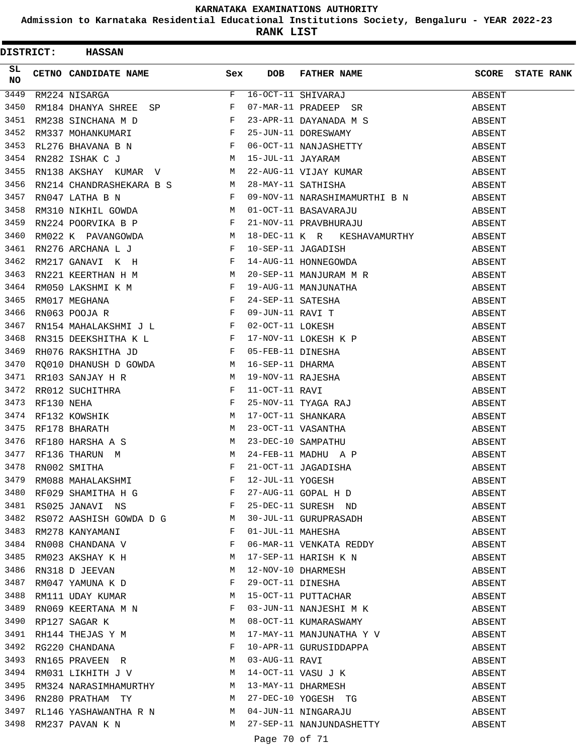**Admission to Karnataka Residential Educational Institutions Society, Bengaluru - YEAR 2022-23**

**RANK LIST**

|                 | <b>DISTRICT:</b> | <b>HASSAN</b>                                                           |   |            |                                                                                                                                                                                                                                                                   |        |                   |
|-----------------|------------------|-------------------------------------------------------------------------|---|------------|-------------------------------------------------------------------------------------------------------------------------------------------------------------------------------------------------------------------------------------------------------------------|--------|-------------------|
| SL<br><b>NO</b> |                  | CETNO CANDIDATE NAME Sex                                                |   | <b>DOB</b> | FATHER NAME                                                                                                                                                                                                                                                       | SCORE  | <b>STATE RANK</b> |
| 3449            |                  | RM224 NISARGA                                                           | F |            |                                                                                                                                                                                                                                                                   | ABSENT |                   |
| 3450            |                  | RM184 DHANYA SHREE SP F                                                 |   |            | 16-OCT-11 SHIVARAJ<br>07-MAR-11 PRADEEP SR                                                                                                                                                                                                                        | ABSENT |                   |
| 3451            |                  |                                                                         |   |            |                                                                                                                                                                                                                                                                   | ABSENT |                   |
| 3452            |                  |                                                                         |   |            |                                                                                                                                                                                                                                                                   | ABSENT |                   |
| 3453            |                  |                                                                         |   |            | RL276 BHAVANA B N<br>RN282 ISHAK C J M 15-JUL-11 JAYARAM<br>RN138 AKSHAY KUMAR V M 22-AUG-11 VIJAY KUMAR<br>RN214 CHANDRASHEKARA B S M 28-MAY-11 SATHISHA<br>NYAZI4 IATULA NYARARA B S M 28-MAY-11 SATHISHA                                                       | ABSENT |                   |
| 3454            |                  |                                                                         |   |            |                                                                                                                                                                                                                                                                   | ABSENT |                   |
| 3455            |                  |                                                                         |   |            |                                                                                                                                                                                                                                                                   | ABSENT |                   |
| 3456            |                  |                                                                         |   |            |                                                                                                                                                                                                                                                                   | ABSENT |                   |
| 3457            |                  | $\mathbf{F}$ and the state of the state $\mathbf{F}$<br>RN047 LATHA B N |   |            | 09-NOV-11 NARASHIMAMURTHI B N ABSENT                                                                                                                                                                                                                              |        |                   |
| 3458            |                  | RM310 NIKHIL GOWDA M                                                    |   |            | 01-OCT-11 BASAVARAJU                                                                                                                                                                                                                                              | ABSENT |                   |
| 3459            |                  | $\mathbf{F}$<br>RN224 POORVIKA B P                                      |   |            | 21-NOV-11 PRAVBHURAJU                                                                                                                                                                                                                                             | ABSENT |                   |
| 3460            |                  | RM022 K PAVANGOWDA M                                                    |   |            | 18-DEC-11 K R KESHAVAMURTHY                                                                                                                                                                                                                                       | ABSENT |                   |
| 3461            |                  |                                                                         |   |            |                                                                                                                                                                                                                                                                   | ABSENT |                   |
| 3462            |                  |                                                                         |   |            |                                                                                                                                                                                                                                                                   | ABSENT |                   |
| 3463            |                  |                                                                         |   |            |                                                                                                                                                                                                                                                                   | ABSENT |                   |
| 3464            |                  |                                                                         |   |            |                                                                                                                                                                                                                                                                   | ABSENT |                   |
| 3465            |                  |                                                                         |   |            |                                                                                                                                                                                                                                                                   | ABSENT |                   |
| 3466            |                  |                                                                         |   |            |                                                                                                                                                                                                                                                                   | ABSENT |                   |
| 3467            |                  |                                                                         |   |            |                                                                                                                                                                                                                                                                   | ABSENT |                   |
| 3468            |                  |                                                                         |   |            |                                                                                                                                                                                                                                                                   | ABSENT |                   |
| 3469            |                  |                                                                         |   |            |                                                                                                                                                                                                                                                                   | ABSENT |                   |
| 3470            |                  |                                                                         |   |            |                                                                                                                                                                                                                                                                   | ABSENT |                   |
| 3471            |                  |                                                                         |   |            |                                                                                                                                                                                                                                                                   | ABSENT |                   |
| 3472            |                  |                                                                         |   |            |                                                                                                                                                                                                                                                                   | ABSENT |                   |
| 3473            |                  |                                                                         |   |            |                                                                                                                                                                                                                                                                   | ABSENT |                   |
| 3474            |                  |                                                                         |   |            | 17-OCT-11 SHANKARA<br>23-OCT-11 VASANTHA<br>23-DEC-10 SAMPATHU<br>24-FEB-11 MADHU A P<br>21-OCT-11 JAGADISHA                                                                                                                                                      | ABSENT |                   |
| 3475            |                  |                                                                         |   |            |                                                                                                                                                                                                                                                                   | ABSENT |                   |
| 3476            |                  |                                                                         |   |            |                                                                                                                                                                                                                                                                   | ABSENT |                   |
| 3477            |                  |                                                                         |   |            |                                                                                                                                                                                                                                                                   | ABSENT |                   |
| 3478            |                  |                                                                         |   |            |                                                                                                                                                                                                                                                                   | ABSENT |                   |
|                 |                  |                                                                         |   |            |                                                                                                                                                                                                                                                                   | ABSENT |                   |
|                 |                  |                                                                         |   |            | 3479 RM088 MAHALAKSHMI F 12-JUL-11 YOGESH<br>3480 RF029 SHAMITHA H G F 27-AUG-11 GOPAL H D<br>3481 RS025 JANAVI NS F 25-DEC-11 SURESH ND                                                                                                                          | ABSENT |                   |
|                 |                  |                                                                         |   |            |                                                                                                                                                                                                                                                                   | ABSENT |                   |
|                 |                  | 3482 RS072 AASHISH GOWDA D G M                                          |   |            |                                                                                                                                                                                                                                                                   | ABSENT |                   |
|                 |                  |                                                                         |   |            | 30-JUL-11 GURUPRASADH<br>01-JUL-11 MAHESHA<br>06-MAR-11 VENKATA REDDY                                                                                                                                                                                             | ABSENT |                   |
|                 |                  | 3483 RM278 KANYAMANI $P$ F<br>3484 RN008 CHANDANA V                     |   |            |                                                                                                                                                                                                                                                                   | ABSENT |                   |
| 3485            |                  | RM023 AKSHAY K H                                                        |   |            | 17-SEP-11 HARISH K N                                                                                                                                                                                                                                              | ABSENT |                   |
| 3486            |                  | RN318 D JEEVAN                                                          | M |            |                                                                                                                                                                                                                                                                   | ABSENT |                   |
| 3487            |                  | RM047 YAMUNA K D                                                        | F |            | 12-NOV-10 DHARMESH<br>29-OCT-11 DINESHA<br>15-OCT-11 PUTTACHAR                                                                                                                                                                                                    | ABSENT |                   |
|                 |                  | 3488 RM111 UDAY KUMAR                                                   | M |            |                                                                                                                                                                                                                                                                   | ABSENT |                   |
| 3489            |                  |                                                                         | F |            |                                                                                                                                                                                                                                                                   |        |                   |
|                 |                  | RN069 KEERTANA M N<br>$M_{\odot}$<br>3490 RP127 SAGAR K                 |   |            | 03-JUN-11 NANJESHI M K<br>08-OCT-11 KUMARASWAMY                                                                                                                                                                                                                   | ABSENT |                   |
|                 |                  | 3491 RH144 THEJAS Y M                                                   | M |            |                                                                                                                                                                                                                                                                   | ABSENT |                   |
|                 |                  | 3492 RG220 CHANDANA F                                                   |   |            | 17-MAY-11 MANJUNATHA Y V                                                                                                                                                                                                                                          | ABSENT |                   |
|                 |                  | RN165 PRAVEEN R M                                                       |   |            | 10-APR-11 GURUSIDDAPPA                                                                                                                                                                                                                                            | ABSENT |                   |
|                 |                  |                                                                         |   |            | 03-AUG-11 RAVI<br>3493 RN165 PRAVEEN R<br>3494 RM031 LIKHITH J V<br>3495 RM324 NARASIMHAMURTHY<br>3496 RN280 PRATHAM TY<br>3496 RN280 PRATHAM TY<br>3496 RN280 PRATHAM TY<br>3496 RN280 PRATHAM TY<br>3497 RT146 WARASIMHAMURTHY<br>3496 RN280 PRATHAM TY<br>3497 | ABSENT |                   |
|                 |                  |                                                                         |   |            |                                                                                                                                                                                                                                                                   | ABSENT |                   |
|                 |                  |                                                                         |   |            |                                                                                                                                                                                                                                                                   | ABSENT |                   |
|                 |                  |                                                                         |   |            |                                                                                                                                                                                                                                                                   | ABSENT |                   |
|                 |                  | 3497 RL146 YASHAWANTHA R N M                                            |   |            | 04-JUN-11 NINGARAJU                                                                                                                                                                                                                                               | ABSENT |                   |
|                 |                  | 3498 RM237 PAVAN K N                                                    |   |            | M 27-SEP-11 NANJUNDASHETTY                                                                                                                                                                                                                                        | ABSENT |                   |

Page 70 of 71